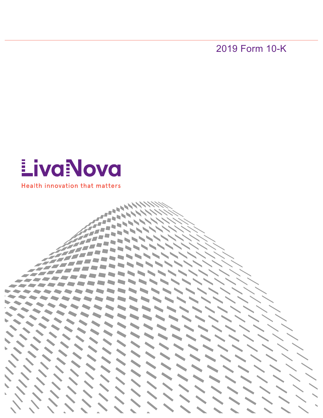2019 Form 10-K

# **EivaNova**

**Health innovation that matters** 

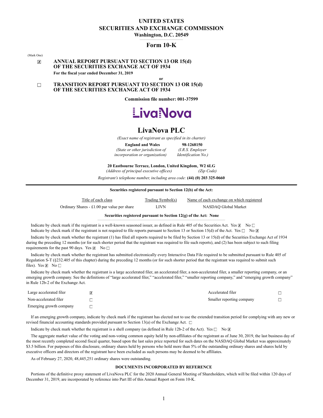# **UNITED STATES SECURITIES AND EXCHANGE COMMISSION**

Washington, D.C. 20549

## **Form 10-K**

(Mark One)

#### **ANNUAL REPORT PURSUANT TO SECTION 13 OR 15(d)**  $\overline{x}$ **OF THE SECURITIES EXCHANGE ACT OF 1934 For the fiscal year ended December 31, 2019**

**TRANSITION REPORT PURSUANT TO SECTION 13 OR 15(d)**  $\Box$ **OF THE SECURITIES EXCHANGE ACT OF 1934**

**Commission file number: 001-37599** 

**or**



## **LivaNova PLC**

*(Exact name of registrant as specified in its charter)*

**England and Wales** *98-1268150***<br>***e or other jurisdiction of (I.R.S. Employer***)** *(State or other jurisdiction of* 

*incorporation or organization) ........ Identification No.)*

**20 Eastbourne Terrace, London, United Kingdom**, **W2 6LG**

*(Address of principal executive offices) ....................... (Zip Code) Registrant's telephone number, including area code:* **(44) (0) 203 325-0660** 

| Title of each class                           | Trading Symbol(s) | Name of each exchange on which registered |
|-----------------------------------------------|-------------------|-------------------------------------------|
| Ordinary Shares $-$ £1.00 par value per share | LIVN              | NASDAO Global Market                      |

**Securities registered pursuant to Section 12(g) of the Act: None** 

Indicate by check mark if the registrant is a well-known seasoned issuer, as defined in Rule 405 of the Securities Act. Yes  $\boxtimes$  No  $\Box$ Indicate by check mark if the registrant is not required to file reports pursuant to Section 13 or Section 15(d) of the Act. Yes  $\Box$  No  $\Box$ 

Indicate by check mark whether the registrant (1) has filed all reports required to be filed by Section 13 or 15(d) of the Securities Exchange Act of 1934 during the preceding 12 months (or for such shorter period that the registrant was required to file such reports), and (2) has been subject to such filing requirements for the past 90 days. Yes  $\boxtimes$  No  $\Box$ 

Indicate by check mark whether the registrant has submitted electronically every Interactive Data File required to be submitted pursuant to Rule 405 of Regulation S-T (§232.405 of this chapter) during the preceding 12 months (or for such shorter period that the registrant was required to submit such files). Yes  $\mathbb{Z}$  No  $\Box$ 

Indicate by check mark whether the registrant is a large accelerated filer, an accelerated filer, a non-accelerated filer, a smaller reporting company, or an emerging growth company. See the definitions of "large accelerated filer," "sceelerated filer," "smaller reporting company," and "emerging growth company" in Rule 12b-2 of the Exchange Act.

| Large accelerated filer | $\overline{x}$ | Accelerated filer         |  |
|-------------------------|----------------|---------------------------|--|
| Non-accelerated filer   |                | Smaller reporting company |  |
| Emerging growth company |                |                           |  |

If an emerging growth company, indicate by check mark if the registrant has elected not to use the extended transition period for complying with any new or revised financial accounting standards provided pursuant to Section 13(a) of the Exchange Act.  $\Box$ 

Indicate by check mark whether the registrant is a shell company (as defined in Rule 12b-2 of the Act). Yes  $\Box$  No  $\boxtimes$ 

The aggregate market value of the voting and non-voting common equity held by non-affiliates of the registrant as of June 30, 2019, the last business day of the most recently completed second fiscal quarter, based upon the last sales price reported for such dates on the NASDAQ Global Market was approximately \$3.5 billion. For purposes of this disclosure, ordinary shares held by persons who hold more than 5% of the outstanding ordinary shares and shares held by executive officers and directors of the registrant have been excluded as such persons may be deemed to be affiliates.

As of February 27, 2020, 48,445,251 ordinary shares were outstanding.

#### **DOCUMENTS INCORPORATED BY REFERENCE**

Portions of the definitive proxy statement of LivaNova PLC for the 2020 Annual General Meeting of Shareholders, which will be filed within 120 days of December 31, 2019, are incorporated by reference into Part III of this Annual Report on Form 10-K.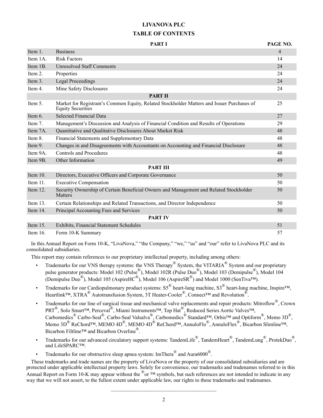# **LIVANOVA PLC TABLE OF CONTENTS**

|             | <b>PART I</b>                                                                                                          | PAGE NO.       |
|-------------|------------------------------------------------------------------------------------------------------------------------|----------------|
| Item 1.     | <b>Business</b>                                                                                                        | $\overline{4}$ |
| Item 1A.    | <b>Risk Factors</b>                                                                                                    | 14             |
| Item 1B.    | <b>Unresolved Staff Comments</b>                                                                                       | 24             |
| Item 2.     | Properties                                                                                                             | 24             |
| Item 3.     | <b>Legal Proceedings</b>                                                                                               | 24             |
| Item 4.     | Mine Safety Disclosures                                                                                                | 24             |
|             | <b>PART II</b>                                                                                                         |                |
| Item 5.     | Market for Registrant's Common Equity, Related Stockholder Matters and Issuer Purchases of<br><b>Equity Securities</b> | 25             |
| Item $6.$   | <b>Selected Financial Data</b>                                                                                         | 27             |
| Item 7.     | Management's Discussion and Analysis of Financial Condition and Results of Operations                                  | 29             |
| Item 7A.    | Quantitative and Qualitative Disclosures About Market Risk                                                             | 48             |
| Item 8.     | Financial Statements and Supplementary Data                                                                            | 48             |
| Item 9.     | Changes in and Disagreements with Accountants on Accounting and Financial Disclosure                                   | 48             |
| Item 9A.    | <b>Controls and Procedures</b>                                                                                         | 48             |
| Item 9B.    | Other Information                                                                                                      | 49             |
|             | <b>PART III</b>                                                                                                        |                |
| Item 10.    | Directors, Executive Officers and Corporate Governance                                                                 | 50             |
| Item 11.    | <b>Executive Compensation</b>                                                                                          | 50             |
| Item 12.    | Security Ownership of Certain Beneficial Owners and Management and Related Stockholder<br><b>Matters</b>               | 50             |
| Item 13.    | Certain Relationships and Related Transactions, and Director Independence                                              | 50             |
| Item 14.    | Principal Accounting Fees and Services                                                                                 | 50             |
|             | <b>PART IV</b>                                                                                                         |                |
| Item 15.    | Exhibits, Financial Statement Schedules                                                                                | 51             |
| Item $16$ . | Form 10-K Summary                                                                                                      | 57             |

In this Annual Report on Form 10-K, "LivaNova," "the Company," "we," "us" and "our" refer to LivaNova PLC and its consolidated subsidiaries.

This report may contain references to our proprietary intellectual property, including among others:

- Trademarks for our VNS therapy systems: the VNS Therapy<sup>®</sup> System, the VITARIA<sup>®</sup> System and our proprietary pulse generator products: Model 102 (Pulse<sup>®</sup>), Model 102R (Pulse Duo<sup>®</sup>), Model 103 (Demipulse<sup>®</sup>), Model 104 (Demipulse Duo<sup>®</sup>), Model 105 (AspireHC<sup>®</sup>), Model 106 (AspireSR<sup>®</sup>) and Model 1000 (SenTiva<sup>TM</sup>).
- Trademarks for our Cardiopulmonary product systems:  $SS^{\mathcal{B}}$  heart-lung machine,  $SS^{\mathcal{B}}$  heart-lung machine, Inspire<sup>TM</sup>, Heartlink™, XTRA<sup>®</sup> Autotransfusion System, 3T Heater-Cooler<sup>®</sup>, Connect™ and Revolution<sup>®</sup>.
- Trademarks for our line of surgical tissue and mechanical valve replacements and repair products: Mitroflow®, Crown PRT<sup>®</sup>, Solo Smart<sup>™, Perceval®, Miami Instruments™, Top Hat<sup>®</sup>, Reduced Series Aortic Valves™,</sup> Carbomedics<sup>®</sup> Carbo-Seal<sup>®</sup>, Carbo-Seal Valsalva<sup>®</sup>, Carbomedics<sup>®</sup> Standard<sup>™</sup>, Orbis™ and Optiform<sup>®</sup>, Memo 3D<sup>®</sup>, Memo 3D<sup>®</sup> ReChord™, MEMO 4D<sup>®</sup>, MEMO 4D<sup>®</sup> ReChord™, AnnuloFlo®, AnnuloFlex<sup>®</sup>, Bicarbon Slimline™, Bicarbon Filtline™ and Bicarbon Overline®.
- Trademarks for our advanced circulatory support systems: TandemLife®, TandemHeart®, TandemLung®, ProtekDuo®, and LifeSPARC™.
- Trademarks for our obstructive sleep apnea system: ImThera<sup>®</sup> and Aura6000<sup>®</sup>.

These trademarks and trade names are the property of LivaNova or the property of our consolidated subsidiaries and are protected under applicable intellectual property laws. Solely for convenience, our trademarks and tradenames referred to in this Annual Report on Form 10-K may appear without the  $^{\circledR}$  or  $^{TM}$  symbols, but such references are not intended to indicate in any way that we will not assert, to the fullest extent under applicable law, our rights to these trademarks and tradenames.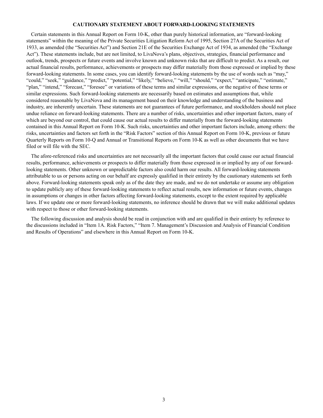#### **CAUTIONARY STATEMENT ABOUT FORWARD-LOOKING STATEMENTS**

Certain statements in this Annual Report on Form 10-K, other than purely historical information, are "forward-looking statements" within the meaning of the Private Securities Litigation Reform Act of 1995, Section 27A of the Securities Act of 1933, as amended (the "Securities Act") and Section 21E of the Securities Exchange Act of 1934, as amended (the "Exchange Act"). These statements include, but are not limited, to LivaNova's plans, objectives, strategies, financial performance and outlook, trends, prospects or future events and involve known and unknown risks that are difficult to predict. As a result, our actual financial results, performance, achievements or prospects may differ materially from those expressed or implied by these forward-looking statements. In some cases, you can identify forward-looking statements by the use of words such as "may," "could," "seek," "guidance," "predict," "potential," "likely," "believe," "will," "should," "expect," "anticipate," "estimate," "plan," "intend," "forecast," "foresee" or variations of these terms and similar expressions, or the negative of these terms or similar expressions. Such forward-looking statements are necessarily based on estimates and assumptions that, while considered reasonable by LivaNova and its management based on their knowledge and understanding of the business and industry, are inherently uncertain. These statements are not guarantees of future performance, and stockholders should not place undue reliance on forward-looking statements. There are a number of risks, uncertainties and other important factors, many of which are beyond our control, that could cause our actual results to differ materially from the forward-looking statements contained in this Annual Report on Form 10-K. Such risks, uncertainties and other important factors include, among others: the risks, uncertainties and factors set forth in the "Risk Factors" section of this Annual Report on Form 10-K, previous or future Quarterly Reports on Form 10-Q and Annual or Transitional Reports on Form 10-K as well as other documents that we have filed or will file with the SEC.

The afore-referenced risks and uncertainties are not necessarily all the important factors that could cause our actual financial results, performance, achievements or prospects to differ materially from those expressed in or implied by any of our forwardlooking statements. Other unknown or unpredictable factors also could harm our results. All forward-looking statements attributable to us or persons acting on our behalf are expressly qualified in their entirety by the cautionary statements set forth above. Forward-looking statements speak only as of the date they are made, and we do not undertake or assume any obligation to update publicly any of these forward-looking statements to reflect actual results, new information or future events, changes in assumptions or changes in other factors affecting forward-looking statements, except to the extent required by applicable laws. If we update one or more forward-looking statements, no inference should be drawn that we will make additional updates with respect to those or other forward-looking statements.

The following discussion and analysis should be read in conjunction with and are qualified in their entirety by reference to the discussions included in "Item 1A. Risk Factors," "Item 7. Management's Discussion and Analysis of Financial Condition and Results of Operations" and elsewhere in this Annual Report on Form 10-K.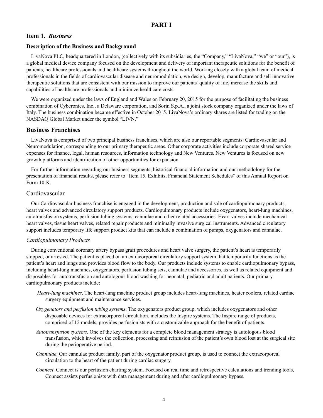## **Item 1.** *Business*

## **Description of the Business and Background**

LivaNova PLC, headquartered in London, (collectively with its subsidiaries, the "Company," "LivaNova," "we" or "our"), is a global medical device company focused on the development and delivery of important therapeutic solutions for the benefit of patients, healthcare professionals and healthcare systems throughout the world. Working closely with a global team of medical professionals in the fields of cardiovascular disease and neuromodulation, we design, develop, manufacture and sell innovative therapeutic solutions that are consistent with our mission to improve our patients' quality of life, increase the skills and capabilities of healthcare professionals and minimize healthcare costs.

We were organized under the laws of England and Wales on February 20, 2015 for the purpose of facilitating the business combination of Cyberonics, Inc., a Delaware corporation, and Sorin S.p.A., a joint stock company organized under the laws of Italy. The business combination became effective in October 2015. LivaNova's ordinary shares are listed for trading on the NASDAQ Global Market under the symbol "LIVN."

## **Business Franchises**

LivaNova is comprised of two principal business franchises, which are also our reportable segments: Cardiovascular and Neuromodulation, corresponding to our primary therapeutic areas. Other corporate activities include corporate shared service expenses for finance, legal, human resources, information technology and New Ventures. New Ventures is focused on new growth platforms and identification of other opportunities for expansion.

For further information regarding our business segments, historical financial information and our methodology for the presentation of financial results, please refer to "Item 15. Exhibits, Financial Statement Schedules" of this Annual Report on Form 10-K.

## Cardiovascular

Our Cardiovascular business franchise is engaged in the development, production and sale of cardiopulmonary products, heart valves and advanced circulatory support products. Cardiopulmonary products include oxygenators, heart-lung machines, autotransfusion systems, perfusion tubing systems, cannulae and other related accessories. Heart valves include mechanical heart valves, tissue heart valves, related repair products and minimally invasive surgical instruments. Advanced circulatory support includes temporary life support product kits that can include a combination of pumps, oxygenators and cannulae.

## *Cardiopulmonary Products*

During conventional coronary artery bypass graft procedures and heart valve surgery, the patient's heart is temporarily stopped, or arrested. The patient is placed on an extracorporeal circulatory support system that temporarily functions as the patient's heart and lungs and provides blood flow to the body. Our products include systems to enable cardiopulmonary bypass, including heart-lung machines, oxygenators, perfusion tubing sets, cannulae and accessories, as well as related equipment and disposables for autotransfusion and autologous blood washing for neonatal, pediatric and adult patients. Our primary cardiopulmonary products include:

- *Heart-lung machines*. The heart-lung machine product group includes heart-lung machines, heater coolers, related cardiac surgery equipment and maintenance services.
- *Oxygenators and perfusion tubing systems*. The oxygenators product group, which includes oxygenators and other disposable devices for extracorporeal circulation, includes the Inspire systems. The Inspire range of products, comprised of 12 models, provides perfusionists with a customizable approach for the benefit of patients.
- *Autotransfusion systems*. One of the key elements for a complete blood management strategy is autologous blood transfusion, which involves the collection, processing and reinfusion of the patient's own blood lost at the surgical site during the perioperative period.
- *Cannulae*. Our cannulae product family, part of the oxygenator product group, is used to connect the extracorporeal circulation to the heart of the patient during cardiac surgery.
- *Connect*. Connect is our perfusion charting system. Focused on real time and retrospective calculations and trending tools, Connect assists perfusionists with data management during and after cardiopulmonary bypass.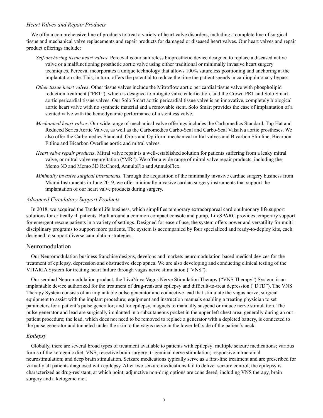## *Heart Valves and Repair Products*

We offer a comprehensive line of products to treat a variety of heart valve disorders, including a complete line of surgical tissue and mechanical valve replacements and repair products for damaged or diseased heart valves. Our heart valves and repair product offerings include:

- *Self-anchoring tissue heart valves*. Perceval is our sutureless bioprosthetic device designed to replace a diseased native valve or a malfunctioning prosthetic aortic valve using either traditional or minimally invasive heart surgery techniques. Perceval incorporates a unique technology that allows 100% sutureless positioning and anchoring at the implantation site. This, in turn, offers the potential to reduce the time the patient spends in cardiopulmonary bypass.
- *Other tissue heart valves*. Other tissue valves include the Mitroflow aortic pericardial tissue valve with phospholipid reduction treatment ("PRT"), which is designed to mitigate valve calcification, and the Crown PRT and Solo Smart aortic pericardial tissue valves. Our Solo Smart aortic pericardial tissue valve is an innovative, completely biological aortic heart valve with no synthetic material and a removable stent. Solo Smart provides the ease of implantation of a stented valve with the hemodynamic performance of a stentless valve.
- *Mechanical heart valves*. Our wide range of mechanical valve offerings includes the Carbomedics Standard, Top Hat and Reduced Series Aortic Valves, as well as the Carbomedics Carbo-Seal and Carbo-Seal Valsalva aortic prostheses. We also offer the Carbomedics Standard, Orbis and Optiform mechanical mitral valves and Bicarbon Slimline, Bicarbon Fitline and Bicarbon Overline aortic and mitral valves.
- *Heart valve repair products*. Mitral valve repair is a well-established solution for patients suffering from a leaky mitral valve, or mitral valve regurgitation ("MR"). We offer a wide range of mitral valve repair products, including the Memo 3D and Memo 3D ReChord, AnnuloFlo and AnnuloFlex.
- *Minimally invasive surgical instruments.* Through the acquisition of the minimally invasive cardiac surgery business from Miami Instruments in June 2019, we offer minimally invasive cardiac surgery instruments that support the implantation of our heart valve products during surgery.

## *Advanced Circulatory Support Products*

In 2018, we acquired the TandemLife business, which simplifies temporary extracorporeal cardiopulmonary life support solutions for critically ill patients. Built around a common compact console and pump, LifeSPARC provides temporary support for emergent rescue patients in a variety of settings. Designed for ease of use, the system offers power and versatility for multidisciplinary programs to support more patients. The system is accompanied by four specialized and ready-to-deploy kits, each designed to support diverse cannulation strategies.

## Neuromodulation

Our Neuromodulation business franchise designs, develops and markets neuromodulation-based medical devices for the treatment of epilepsy, depression and obstructive sleep apnea. We are also developing and conducting clinical testing of the VITARIA System for treating heart failure through vagus nerve stimulation ("VNS").

Our seminal Neuromodulation product, the LivaNova Vagus Nerve Stimulation Therapy ("VNS Therapy") System, is an implantable device authorized for the treatment of drug-resistant epilepsy and difficult-to-treat depression ("DTD"). The VNS Therapy System consists of an implantable pulse generator and connective lead that stimulate the vagus nerve; surgical equipment to assist with the implant procedure; equipment and instruction manuals enabling a treating physician to set parameters for a patient's pulse generator; and for epilepsy, magnets to manually suspend or induce nerve stimulation. The pulse generator and lead are surgically implanted in a subcutaneous pocket in the upper left chest area, generally during an outpatient procedure; the lead, which does not need to be removed to replace a generator with a depleted battery, is connected to the pulse generator and tunneled under the skin to the vagus nerve in the lower left side of the patient's neck.

## *Epilepsy*

Globally, there are several broad types of treatment available to patients with epilepsy: multiple seizure medications; various forms of the ketogenic diet; VNS; resective brain surgery; trigeminal nerve stimulation; responsive intracranial neurostimulation; and deep brain stimulation. Seizure medications typically serve as a first-line treatment and are prescribed for virtually all patients diagnosed with epilepsy. After two seizure medications fail to deliver seizure control, the epilepsy is characterized as drug-resistant, at which point, adjunctive non-drug options are considered, including VNS therapy, brain surgery and a ketogenic diet.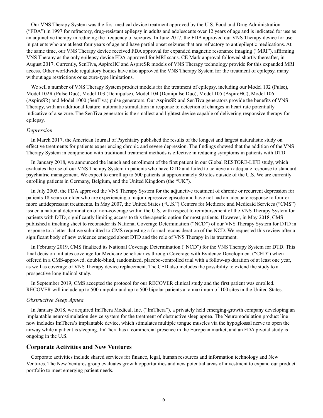Our VNS Therapy System was the first medical device treatment approved by the U.S. Food and Drug Administration ("FDA") in 1997 for refractory, drug-resistant epilepsy in adults and adolescents over 12 years of age and is indicated for use as an adjunctive therapy in reducing the frequency of seizures. In June 2017, the FDA approved our VNS Therapy device for use in patients who are at least four years of age and have partial onset seizures that are refractory to antiepileptic medications. At the same time, our VNS Therapy device received FDA approval for expanded magnetic resonance imaging ("MRI"), affirming VNS Therapy as the only epilepsy device FDA-approved for MRI scans. CE Mark approval followed shortly thereafter, in August 2017. Currently, SenTiva, AspireHC and AspireSR models of VNS Therapy technology provide for this expanded MRI access. Other worldwide regulatory bodies have also approved the VNS Therapy System for the treatment of epilepsy, many without age restrictions or seizure-type limitations.

We sell a number of VNS Therapy System product models for the treatment of epilepsy, including our Model 102 (Pulse), Model 102R (Pulse Duo), Model 103 (Demipulse), Model 104 (Demipulse Duo), Model 105 (AspireHC), Model 106 (AspireSR) and Model 1000 (SenTiva) pulse generators. Our AspireSR and SenTiva generators provide the benefits of VNS Therapy, with an additional feature: automatic stimulation in response to detection of changes in heart rate potentially indicative of a seizure. The SenTiva generator is the smallest and lightest device capable of delivering responsive therapy for epilepsy.

#### *Depression*

In March 2017, the American Journal of Psychiatry published the results of the longest and largest naturalistic study on effective treatments for patients experiencing chronic and severe depression. The findings showed that the addition of the VNS Therapy System in conjunction with traditional treatment methods is effective in reducing symptoms in patients with DTD.

In January 2018, we announced the launch and enrollment of the first patient in our Global RESTORE-LIFE study, which evaluates the use of our VNS Therapy System in patients who have DTD and failed to achieve an adequate response to standard psychiatric management. We expect to enroll up to 500 patients at approximately 80 sites outside of the U.S. We are currently enrolling patients in Germany, Belgium, and the United Kingdom (the "UK").

In July 2005, the FDA approved the VNS Therapy System for the adjunctive treatment of chronic or recurrent depression for patients 18 years or older who are experiencing a major depressive episode and have not had an adequate response to four or more antidepressant treatments. In May 2007, the United States ("U.S.") Centers for Medicare and Medicaid Services ("CMS") issued a national determination of non-coverage within the U.S. with respect to reimbursement of the VNS Therapy System for patients with DTD, significantly limiting access to this therapeutic option for most patients. However, in May 2018, CMS published a tracking sheet to reconsider its National Coverage Determination ("NCD") of our VNS Therapy System for DTD in response to a letter that we submitted to CMS requesting a formal reconsideration of the NCD. We requested this review after a significant body of new evidence emerged about DTD and the role of VNS Therapy in its treatment.

In February 2019, CMS finalized its National Coverage Determination ("NCD") for the VNS Therapy System for DTD. This final decision initiates coverage for Medicare beneficiaries through Coverage with Evidence Development ("CED") when offered in a CMS-approved, double-blind, randomized, placebo-controlled trial with a follow-up duration of at least one year, as well as coverage of VNS Therapy device replacement. The CED also includes the possibility to extend the study to a prospective longitudinal study.

In September 2019, CMS accepted the protocol for our RECOVER clinical study and the first patient was enrolled. RECOVER will include up to 500 unipolar and up to 500 bipolar patients at a maximum of 100 sites in the United States.

#### *Obstructive Sleep Apnea*

In January 2018, we acquired ImThera Medical, Inc. ("ImThera"), a privately held emerging-growth company developing an implantable neurostimulation device system for the treatment of obstructive sleep apnea. The Neuromodulation product line now includes ImThera's implantable device, which stimulates multiple tongue muscles via the hypoglossal nerve to open the airway while a patient is sleeping. ImThera has a commercial presence in the European market, and an FDA pivotal study is ongoing in the U.S.

#### **Corporate Activities and New Ventures**

Corporate activities include shared services for finance, legal, human resources and information technology and New Ventures. The New Ventures group evaluates growth opportunities and new potential areas of investment to expand our product portfolio to meet emerging patient needs.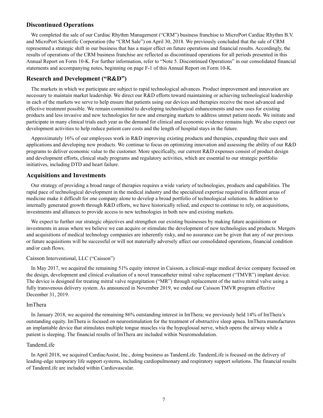## **Discontinued Operations**

We completed the sale of our Cardiac Rhythm Management ("CRM") business franchise to MicroPort Cardiac Rhythm B.V. and MicroPort Scientific Corporation (the "CRM Sale") on April 30, 2018. We previously concluded that the sale of CRM represented a strategic shift in our business that has a major effect on future operations and financial results. Accordingly, the results of operations of the CRM business franchise are reflected as discontinued operations for all periods presented in this Annual Report on Form 10-K. For further information, refer to "Note 5. Discontinued Operations" in our consolidated financial statements and accompanying notes, beginning on page F-1 of this Annual Report on Form 10-K.

## **Research and Development ("R&D")**

The markets in which we participate are subject to rapid technological advances. Product improvement and innovation are necessary to maintain market leadership. We direct our R&D efforts toward maintaining or achieving technological leadership in each of the markets we serve to help ensure that patients using our devices and therapies receive the most advanced and effective treatment possible. We remain committed to developing technological enhancements and new uses for existing products and less invasive and new technologies for new and emerging markets to address unmet patient needs. We initiate and participate in many clinical trials each year as the demand for clinical and economic evidence remains high. We also expect our development activities to help reduce patient care costs and the length of hospital stays in the future.

Approximately 16% of our employees work in R&D improving existing products and therapies, expanding their uses and applications and developing new products. We continue to focus on optimizing innovation and assessing the ability of our R&D programs to deliver economic value to the customer. More specifically, our current R&D expenses consist of product design and development efforts, clinical study programs and regulatory activities, which are essential to our strategic portfolio initiatives, including DTD and heart failure.

## **Acquisitions and Investments**

Our strategy of providing a broad range of therapies requires a wide variety of technologies, products and capabilities. The rapid pace of technological development in the medical industry and the specialized expertise required in different areas of medicine make it difficult for one company alone to develop a broad portfolio of technological solutions. In addition to internally generated growth through R&D efforts, we have historically relied, and expect to continue to rely, on acquisitions, investments and alliances to provide access to new technologies in both new and existing markets.

We expect to further our strategic objectives and strengthen our existing businesses by making future acquisitions or investments in areas where we believe we can acquire or stimulate the development of new technologies and products. Mergers and acquisitions of medical technology companies are inherently risky, and no assurance can be given that any of our previous or future acquisitions will be successful or will not materially adversely affect our consolidated operations, financial condition and/or cash flows.

#### Caisson Interventional, LLC ("Caisson")

In May 2017, we acquired the remaining 51% equity interest in Caisson, a clinical-stage medical device company focused on the design, development and clinical evaluation of a novel transcatheter mitral valve replacement ("TMVR") implant device. The device is designed for treating mitral valve regurgitation ("MR") through replacement of the native mitral valve using a fully transvenous delivery system. As announced in November 2019, we ended our Caisson TMVR program effective December 31, 2019.

#### ImThera

In January 2018, we acquired the remaining 86% outstanding interest in ImThera; we previously held 14% of ImThera's outstanding equity. ImThera is focused on neurostimulation for the treatment of obstructive sleep apnea. ImThera manufactures an implantable device that stimulates multiple tongue muscles via the hypoglossal nerve, which opens the airway while a patient is sleeping. The financial results of ImThera are included within Neuromodulation.

#### TandemLife

In April 2018, we acquired CardiacAssist, Inc., doing business as TandemLife. TandemLife is focused on the delivery of leading-edge temporary life support systems, including cardiopulmonary and respiratory support solutions. The financial results of TandemLife are included within Cardiovascular.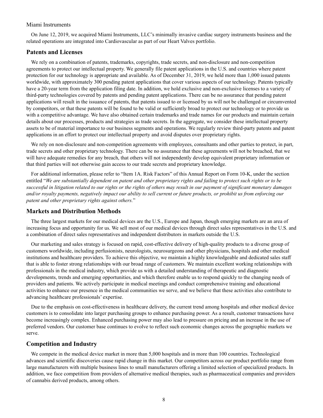#### Miami Instruments

On June 12, 2019, we acquired Miami Instruments, LLC's minimally invasive cardiac surgery instruments business and the related operations are integrated into Cardiovascular as part of our Heart Valves portfolio.

## **Patents and Licenses**

We rely on a combination of patents, trademarks, copyrights, trade secrets, and non-disclosure and non-competition agreements to protect our intellectual property. We generally file patent applications in the U.S. and countries where patent protection for our technology is appropriate and available. As of December 31, 2019, we held more than 1,000 issued patents worldwide, with approximately 300 pending patent applications that cover various aspects of our technology. Patents typically have a 20-year term from the application filing date. In addition, we hold exclusive and non-exclusive licenses to a variety of third-party technologies covered by patents and pending patent applications. There can be no assurance that pending patent applications will result in the issuance of patents, that patents issued to or licensed by us will not be challenged or circumvented by competitors, or that these patents will be found to be valid or sufficiently broad to protect our technology or to provide us with a competitive advantage. We have also obtained certain trademarks and trade names for our products and maintain certain details about our processes, products and strategies as trade secrets. In the aggregate, we consider these intellectual property assets to be of material importance to our business segments and operations. We regularly review third-party patents and patent applications in an effort to protect our intellectual property and avoid disputes over proprietary rights.

We rely on non-disclosure and non-competition agreements with employees, consultants and other parties to protect, in part, trade secrets and other proprietary technology. There can be no assurance that these agreements will not be breached, that we will have adequate remedies for any breach, that others will not independently develop equivalent proprietary information or that third parties will not otherwise gain access to our trade secrets and proprietary knowledge.

For additional information, please refer to "Item 1A. Risk Factors" of this Annual Report on Form 10-K, under the section entitled "*We are substantially dependent on patent and other proprietary rights and failing to protect such rights or to be successful in litigation related to our rights or the rights of others may result in our payment of significant monetary damages and/or royalty payments, negatively impact our ability to sell current or future products, or prohibit us from enforcing our patent and other proprietary rights against others.*"

#### **Markets and Distribution Methods**

The three largest markets for our medical devices are the U.S., Europe and Japan, though emerging markets are an area of increasing focus and opportunity for us. We sell most of our medical devices through direct sales representatives in the U.S. and a combination of direct sales representatives and independent distributors in markets outside the U.S.

Our marketing and sales strategy is focused on rapid, cost-effective delivery of high-quality products to a diverse group of customers worldwide, including perfusionists, neurologists, neurosurgeons and other physicians, hospitals and other medical institutions and healthcare providers. To achieve this objective, we maintain a highly knowledgeable and dedicated sales staff that is able to foster strong relationships with our broad range of customers. We maintain excellent working relationships with professionals in the medical industry, which provide us with a detailed understanding of therapeutic and diagnostic developments, trends and emerging opportunities, and which therefore enable us to respond quickly to the changing needs of providers and patients. We actively participate in medical meetings and conduct comprehensive training and educational activities to enhance our presence in the medical communities we serve, and we believe that these activities also contribute to advancing healthcare professionals' expertise.

Due to the emphasis on cost-effectiveness in healthcare delivery, the current trend among hospitals and other medical device customers is to consolidate into larger purchasing groups to enhance purchasing power. As a result, customer transactions have become increasingly complex. Enhanced purchasing power may also lead to pressure on pricing and an increase in the use of preferred vendors. Our customer base continues to evolve to reflect such economic changes across the geographic markets we serve.

#### **Competition and Industry**

We compete in the medical device market in more than 5,000 hospitals and in more than 100 countries. Technological advances and scientific discoveries cause rapid change in this market. Our competitors across our product portfolio range from large manufacturers with multiple business lines to small manufacturers offering a limited selection of specialized products. In addition, we face competition from providers of alternative medical therapies, such as pharmaceutical companies and providers of cannabis derived products, among others.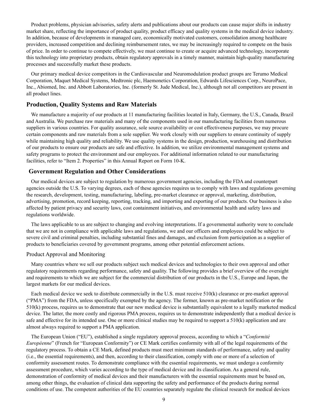Product problems, physician advisories, safety alerts and publications about our products can cause major shifts in industry market share, reflecting the importance of product quality, product efficacy and quality systems in the medical device industry. In addition, because of developments in managed care, economically motivated customers, consolidation among healthcare providers, increased competition and declining reimbursement rates, we may be increasingly required to compete on the basis of price. In order to continue to compete effectively, we must continue to create or acquire advanced technology, incorporate this technology into proprietary products, obtain regulatory approvals in a timely manner, maintain high-quality manufacturing processes and successfully market these products.

Our primary medical device competitors in the Cardiovascular and Neuromodulation product groups are Terumo Medical Corporation, Maquet Medical Systems, Medtronic plc, Haemonetics Corporation, Edwards Lifesciences Corp., NeuroPace, Inc., Abiomed, Inc. and Abbott Laboratories, Inc. (formerly St. Jude Medical, Inc.), although not all competitors are present in all product lines.

## **Production, Quality Systems and Raw Materials**

We manufacture a majority of our products at 11 manufacturing facilities located in Italy, Germany, the U.S., Canada, Brazil and Australia. We purchase raw materials and many of the components used in our manufacturing facilities from numerous suppliers in various countries. For quality assurance, sole source availability or cost effectiveness purposes, we may procure certain components and raw materials from a sole supplier. We work closely with our suppliers to ensure continuity of supply while maintaining high quality and reliability. We use quality systems in the design, production, warehousing and distribution of our products to ensure our products are safe and effective. In addition, we utilize environmental management systems and safety programs to protect the environment and our employees. For additional information related to our manufacturing facilities, refer to "Item 2. Properties" in this Annual Report on Form 10-K.

## **Government Regulation and Other Considerations**

Our medical devices are subject to regulation by numerous government agencies, including the FDA and counterpart agencies outside the U.S. To varying degrees, each of these agencies requires us to comply with laws and regulations governing the research, development, testing, manufacturing, labeling, pre-market clearance or approval, marketing, distribution, advertising, promotion, record keeping, reporting, tracking, and importing and exporting of our products. Our business is also affected by patient privacy and security laws, cost containment initiatives, and environmental health and safety laws and regulations worldwide.

The laws applicable to us are subject to changing and evolving interpretations. If a governmental authority were to conclude that we are not in compliance with applicable laws and regulations, we and our officers and employees could be subject to severe civil and criminal penalties, including substantial fines and damages, and exclusion from participation as a supplier of products to beneficiaries covered by government programs, among other potential enforcement actions.

#### Product Approval and Monitoring

Many countries where we sell our products subject such medical devices and technologies to their own approval and other regulatory requirements regarding performance, safety and quality. The following provides a brief overview of the oversight and requirements to which we are subject for the commercial distribution of our products in the U.S., Europe and Japan, the largest markets for our medical devices.

Each medical device we seek to distribute commercially in the U.S. must receive 510(k) clearance or pre-market approval ("PMA") from the FDA, unless specifically exempted by the agency. The former, known as pre-market notification or the 510(k) process, requires us to demonstrate that our new medical device is substantially equivalent to a legally marketed medical device. The latter, the more costly and rigorous PMA process, requires us to demonstrate independently that a medical device is safe and effective for its intended use. One or more clinical studies may be required to support a 510(k) application and are almost always required to support a PMA application.

The European Union ("EU"), established a single regulatory approval process, according to which a "*Conformité Européenne*" (French for "European Conformity") or CE Mark certifies conformity with all of the legal requirements of the regulatory process. To obtain a CE Mark, defined products must meet minimum standards of performance, safety and quality (i.e., the essential requirements), and then, according to their classification, comply with one or more of a selection of conformity assessment routes. To demonstrate compliance with the essential requirements, we must undergo a conformity assessment procedure, which varies according to the type of medical device and its classification. As a general rule, demonstration of conformity of medical devices and their manufacturers with the essential requirements must be based on, among other things, the evaluation of clinical data supporting the safety and performance of the products during normal conditions of use. The competent authorities of the EU countries separately regulate the clinical research for medical devices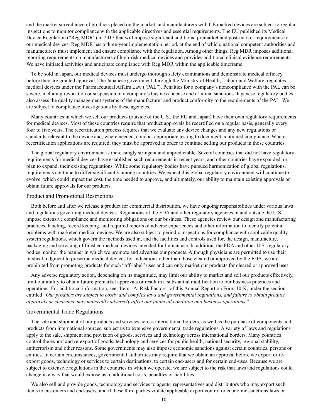and the market surveillance of products placed on the market, and manufacturers with CE marked devices are subject to regular inspections to monitor compliance with the applicable directives and essential requirements. The EU published its Medical Device Regulation ("Reg MDR") in 2017 that will impose significant additional premarket and post-market requirements for our medical devices. Reg MDR has a three-year implementation period, at the end of which, national competent authorities and manufacturers must implement and ensure compliance with the regulation. Among other things, Reg MDR imposes additional reporting requirements on manufacturers of high-risk medical devices and provides additional clinical evidence requirements. We have initiated activities and anticipate compliance with Reg MDR within the applicable timeframe.

To be sold in Japan, our medical devices must undergo thorough safety examinations and demonstrate medical efficacy before they are granted approval. The Japanese government, through the Ministry of Health, Labour and Welfare, regulates medical devices under the Pharmaceutical Affairs Law ("PAL"). Penalties for a company's noncompliance with the PAL can be severe, including revocation or suspension of a company's business license and criminal sanctions. Japanese regulatory bodies also assess the quality management systems of the manufacturer and product conformity to the requirements of the PAL. We are subject to compliance investigations by these agencies.

Many countries in which we sell our products (outside of the U.S., the EU and Japan) have their own regulatory requirements for medical devices. Most of these countries require that product approvals be recertified on a regular basis, generally every four to five years. The recertification process requires that we evaluate any device changes and any new regulations or standards relevant to the device and, where needed, conduct appropriate testing to document continued compliance. Where recertification applications are required, they must be approved in order to continue selling our products in those countries.

The global regulatory environment is increasingly stringent and unpredictable. Several countries that did not have regulatory requirements for medical devices have established such requirements in recent years, and other countries have expanded, or plan to expand, their existing regulations. While some regulatory bodies have pursued harmonization of global regulations, requirements continue to differ significantly among countries. We expect this global regulatory environment will continue to evolve, which could impact the cost, the time needed to approve, and ultimately, our ability to maintain existing approvals or obtain future approvals for our products.

#### Product and Promotional Restrictions

Both before and after we release a product for commercial distribution, we have ongoing responsibilities under various laws and regulations governing medical devices. Regulations of the FDA and other regulatory agencies in and outside the U.S. impose extensive compliance and monitoring obligations on our business. These agencies review our design and manufacturing practices, labeling, record keeping, and required reports of adverse experiences and other information to identify potential problems with marketed medical devices. We are also subject to periodic inspections for compliance with applicable quality system regulations, which govern the methods used in, and the facilities and controls used for, the design, manufacture, packaging and servicing of finished medical devices intended for human use. In addition, the FDA and other U.S. regulatory bodies monitor the manner in which we promote and advertise our products. Although physicians are permitted to use their medical judgment to prescribe medical devices for indications other than those cleared or approved by the FDA, we are prohibited from promoting products for such "off-label" uses and can only market our products for cleared or approved uses.

Any adverse regulatory action, depending on its magnitude, may limit our ability to market and sell our products effectively, limit our ability to obtain future premarket approvals or result in a substantial modification to our business practices and operations. For additional information, see "Item 1A. Risk Factors" of this Annual Report on Form 10-K, under the section entitled "*Our products are subject to costly and complex laws and governmental regulations, and failure to obtain product approvals or clearance may materially adversely affect our financial condition and business operations.*"

#### Governmental Trade Regulations

The sale and shipment of our products and services across international borders, as well as the purchase of components and products from international sources, subject us to extensive governmental trade regulations. A variety of laws and regulations apply to the sale, shipment and provision of goods, services and technology across international borders. Many countries control the export and re-export of goods, technology and services for public health, national security, regional stability, antiterrorism and other reasons. Some governments may also impose economic sanctions against certain countries, persons or entities. In certain circumstances, governmental authorities may require that we obtain an approval before we export or reexport goods, technology or services to certain destinations, to certain end-users and for certain end-uses. Because we are subject to extensive regulations in the countries in which we operate, we are subject to the risk that laws and regulations could change in a way that would expose us to additional costs, penalties or liabilities.

We also sell and provide goods, technology and services to agents, representatives and distributors who may export such items to customers and end-users, and if these third parties violate applicable export control or economic sanctions laws or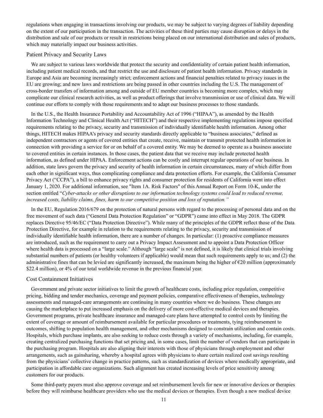regulations when engaging in transactions involving our products, we may be subject to varying degrees of liability depending on the extent of our participation in the transaction. The activities of these third parties may cause disruption or delays in the distribution and sale of our products or result in restrictions being placed on our international distribution and sales of products, which may materially impact our business activities.

#### Patient Privacy and Security Laws

We are subject to various laws worldwide that protect the security and confidentiality of certain patient health information, including patient medical records, and that restrict the use and disclosure of patient health information. Privacy standards in Europe and Asia are becoming increasingly strict; enforcement actions and financial penalties related to privacy issues in the EU are growing; and new laws and restrictions are being passed in other countries including the U.S. The management of cross-border transfers of information among and outside of EU member countries is becoming more complex, which may complicate our clinical research activities, as well as product offerings that involve transmission or use of clinical data. We will continue our efforts to comply with those requirements and to adapt our business processes to those standards.

In the U.S., the Health Insurance Portability and Accountability Act of 1996 ("HIPAA"), as amended by the Health Information Technology and Clinical Health Act ("HITECH") and their respective implementing regulations impose specified requirements relating to the privacy, security and transmission of individually identifiable health information. Among other things, HITECH makes HIPAA's privacy and security standards directly applicable to "business associates," defined as independent contractors or agents of covered entities that create, receive, maintain or transmit protected health information in connection with providing a service for or on behalf of a covered entity. We may be deemed to operate as a business associate to covered entities in certain instances. In those cases, the patient data that we receive may include protected health information, as defined under HIPAA. Enforcement actions can be costly and interrupt regular operations of our business. In addition, state laws govern the privacy and security of health information in certain circumstances, many of which differ from each other in significant ways, thus complicating compliance and data protection efforts. For example, the California Consumer Privacy Act ("CCPA"), a bill to enhance privacy rights and consumer protection for residents of California went into effect January 1, 2020. For additional information, see "Item 1A. Risk Factors" of this Annual Report on Form 10-K, under the section entitled "*Cyber-attacks or other disruptions to our information technology systems could lead to reduced revenue, increased costs, liability claims, fines, harm to our competitive position and loss of reputation."*

In the EU, Regulation 2016/679 on the protection of natural persons with regard to the processing of personal data and on the free movement of such data ("General Data Protection Regulation" or "GDPR") came into effect in May 2018. The GDPR replaces Directive 95/46/EC ("Data Protection Directive"). While many of the principles of the GDPR reflect those of the Data Protection Directive, for example in relation to the requirements relating to the privacy, security and transmission of individually identifiable health information, there are a number of changes. In particular: (1) proactive compliance measures are introduced, such as the requirement to carry out a Privacy Impact Assessment and to appoint a Data Protection Officer where health data is processed on a "large scale." Although "large scale" is not defined, it is likely that clinical trials involving substantial numbers of patients (or healthy volunteers if applicable) would mean that such requirements apply to us; and (2) the administrative fines that can be levied are significantly increased, the maximum being the higher of  $\epsilon$ 20 million (approximately \$22.4 million), or 4% of our total worldwide revenue in the previous financial year.

#### Cost Containment Initiatives

Government and private sector initiatives to limit the growth of healthcare costs, including price regulation, competitive pricing, bidding and tender mechanics, coverage and payment policies, comparative effectiveness of therapies, technology assessments and managed-care arrangements are continuing in many countries where we do business. These changes are causing the marketplace to put increased emphasis on the delivery of more cost-effective medical devices and therapies. Government programs, private healthcare insurance and managed-care plans have attempted to control costs by limiting the extent of coverage or amount of reimbursement available for particular procedures or treatments, tying reimbursement to outcomes, shifting to population health management, and other mechanisms designed to constrain utilization and contain costs. Hospitals, which purchase implants, are also seeking to reduce costs through a variety of mechanisms, including, for example, creating centralized purchasing functions that set pricing and, in some cases, limit the number of vendors that can participate in the purchasing program. Hospitals are also aligning their interests with those of physicians through employment and other arrangements, such as gainsharing, whereby a hospital agrees with physicians to share certain realized cost savings resulting from the physicians' collective change in practice patterns, such as standardization of devices where medically appropriate, and participation in affordable care organizations. Such alignment has created increasing levels of price sensitivity among customers for our products.

Some third-party payers must also approve coverage and set reimbursement levels for new or innovative devices or therapies before they will reimburse healthcare providers who use the medical devices or therapies. Even though a new medical device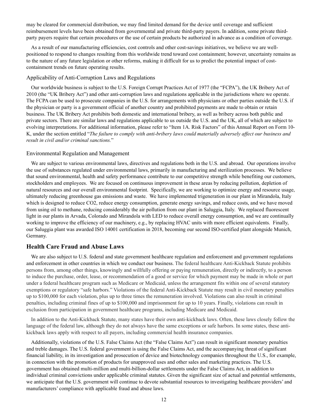may be cleared for commercial distribution, we may find limited demand for the device until coverage and sufficient reimbursement levels have been obtained from governmental and private third-party payers. In addition, some private thirdparty payers require that certain procedures or the use of certain products be authorized in advance as a condition of coverage.

As a result of our manufacturing efficiencies, cost controls and other cost-savings initiatives, we believe we are wellpositioned to respond to changes resulting from this worldwide trend toward cost containment; however, uncertainty remains as to the nature of any future legislation or other reforms, making it difficult for us to predict the potential impact of costcontainment trends on future operating results.

#### Applicability of Anti-Corruption Laws and Regulations

Our worldwide business is subject to the U.S. Foreign Corrupt Practices Act of 1977 (the "FCPA"), the UK Bribery Act of 2010 (the "UK Bribery Act") and other anti-corruption laws and regulations applicable in the jurisdictions where we operate. The FCPA can be used to prosecute companies in the U.S. for arrangements with physicians or other parties outside the U.S. if the physician or party is a government official of another country and prohibited payments are made to obtain or retain business. The UK Bribery Act prohibits both domestic and international bribery, as well as bribery across both public and private sectors. There are similar laws and regulations applicable to us outside the U.S. and the UK, all of which are subject to evolving interpretations. For additional information, please refer to "Item 1A. Risk Factors" of this Annual Report on Form 10- K, under the section entitled "*The failure to comply with anti-bribery laws could materially adversely affect our business and result in civil and/or criminal sanctions.*"

#### Environmental Regulation and Management

We are subject to various environmental laws, directives and regulations both in the U.S. and abroad. Our operations involve the use of substances regulated under environmental laws, primarily in manufacturing and sterilization processes. We believe that sound environmental, health and safety performance contribute to our competitive strength while benefiting our customers, stockholders and employees. We are focused on continuous improvement in these areas by reducing pollution, depletion of natural resources and our overall environmental footprint. Specifically, we are working to optimize energy and resource usage, ultimately reducing greenhouse gas emissions and waste. We have implemented trigeneration in our plant in Mirandola, Italy which is designed to reduce CO2, reduce energy consumption, generate energy savings, and reduce costs, and we have moved from using oil to methane, reducing considerably the air pollution from our plant in Saluggia, Italy. We replaced fluorescent light in our plants in Arvada, Colorado and Mirandola with LED to reduce overall energy consumption, and we are continually working to improve the efficiency of our machinery, e.g., by replacing HVAC units with more efficient equivalents. Finally, our Saluggia plant was awarded ISO 14001 certification in 2018, becoming our second ISO-certified plant alongside Munich, Germany.

## **Health Care Fraud and Abuse Laws**

We are also subject to U.S. federal and state government healthcare regulation and enforcement and government regulations and enforcement in other countries in which we conduct our business. The federal healthcare Anti-Kickback Statute prohibits persons from, among other things, knowingly and willfully offering or paying remuneration, directly or indirectly, to a person to induce the purchase, order, lease, or recommendation of a good or service for which payment may be made in whole or part under a federal healthcare program such as Medicare or Medicaid, unless the arrangement fits within one of several statutory exemptions or regulatory "safe harbors." Violations of the federal Anti-Kickback Statute may result in civil monetary penalties up to \$100,000 for each violation, plus up to three times the remuneration involved. Violations can also result in criminal penalties, including criminal fines of up to \$100,000 and imprisonment for up to 10 years. Finally, violations can result in exclusion from participation in government healthcare programs, including Medicare and Medicaid.

In addition to the Anti-Kickback Statute, many states have their own anti-kickback laws. Often, these laws closely follow the language of the federal law, although they do not always have the same exceptions or safe harbors. In some states, these antikickback laws apply with respect to all payers, including commercial health insurance companies.

Additionally, violations of the U.S. False Claims Act (the "False Claims Act") can result in significant monetary penalties and treble damages. The U.S. federal government is using the False Claims Act, and the accompanying threat of significant financial liability, in its investigation and prosecution of device and biotechnology companies throughout the U.S., for example, in connection with the promotion of products for unapproved uses and other sales and marketing practices. The U.S. government has obtained multi-million and multi-billion-dollar settlements under the False Claims Act, in addition to individual criminal convictions under applicable criminal statutes. Given the significant size of actual and potential settlements, we anticipate that the U.S. government will continue to devote substantial resources to investigating healthcare providers' and manufacturers' compliance with applicable fraud and abuse laws.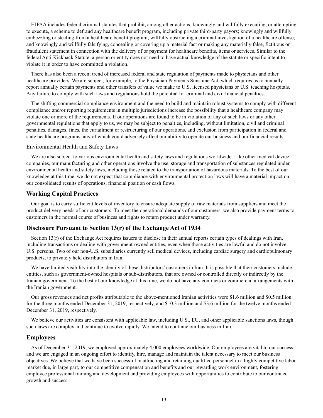HIPAA includes federal criminal statutes that prohibit, among other actions, knowingly and willfully executing, or attempting to execute, a scheme to defraud any healthcare benefit program, including private third-party payors; knowingly and willfully embezzling or stealing from a healthcare benefit program; willfully obstructing a criminal investigation of a healthcare offense; and knowingly and willfully falsifying, concealing or covering up a material fact or making any materially false, fictitious or fraudulent statement in connection with the delivery of or payment for healthcare benefits, items or services. Similar to the federal Anti-Kickback Statute, a person or entity does not need to have actual knowledge of the statute or specific intent to violate it in order to have committed a violation.

There has also been a recent trend of increased federal and state regulation of payments made to physicians and other healthcare providers. We are subject, for example, to the Physician Payments Sunshine Act, which requires us to annually report annually certain payments and other transfers of value we make to U.S. licensed physicians or U.S. teaching hospitals. Any failure to comply with such laws and regulations hold the potential for criminal and civil financial penalties.

The shifting commercial compliance environment and the need to build and maintain robust systems to comply with different compliance and/or reporting requirements in multiple jurisdictions increase the possibility that a healthcare company may violate one or more of the requirements. If our operations are found to be in violation of any of such laws or any other governmental regulations that apply to us, we may be subject to penalties, including, without limitation, civil and criminal penalties, damages, fines, the curtailment or restructuring of our operations, and exclusion from participation in federal and state healthcare programs, any of which could adversely affect our ability to operate our business and our financial results.

#### Environmental Health and Safety Laws

We are also subject to various environmental health and safety laws and regulations worldwide. Like other medical device companies, our manufacturing and other operations involve the use, storage and transportation of substances regulated under environmental health and safety laws, including those related to the transportation of hazardous materials. To the best of our knowledge at this time, we do not expect that compliance with environmental protection laws will have a material impact on our consolidated results of operations, financial position or cash flows.

## **Working Capital Practices**

Our goal is to carry sufficient levels of inventory to ensure adequate supply of raw materials from suppliers and meet the product delivery needs of our customers. To meet the operational demands of our customers, we also provide payment terms to customers in the normal course of business and rights to return product under warranty.

## **Disclosure Pursuant to Section 13(r) of the Exchange Act of 1934**

Section 13(r) of the Exchange Act requires issuers to disclose in their annual reports certain types of dealings with Iran, including transactions or dealing with government-owned entities, even when those activities are lawful and do not involve U.S. persons. Two of our non-U.S. subsidiaries currently sell medical devices, including cardiac surgery and cardiopulmonary products, to privately held distributors in Iran.

We have limited visibility into the identity of these distributors' customers in Iran. It is possible that their customers include entities, such as government-owned hospitals or sub-distributors, that are owned or controlled directly or indirectly by the Iranian government. To the best of our knowledge at this time, we do not have any contracts or commercial arrangements with the Iranian government.

Our gross revenues and net profits attributable to the above-mentioned Iranian activities were \$1.6 million and \$0.5 million for the three months ended December 31, 2019, respectively, and \$10.3 million and \$3.6 million for the twelve months ended December 31, 2019, respectively.

We believe our activities are consistent with applicable law, including U.S., EU, and other applicable sanctions laws, though such laws are complex and continue to evolve rapidly. We intend to continue our business in Iran.

## **Employees**

As of December 31, 2019, we employed approximately 4,000 employees worldwide. Our employees are vital to our success, and we are engaged in an ongoing effort to identify, hire, manage and maintain the talent necessary to meet our business objectives. We believe that we have been successful in attracting and retaining qualified personnel in a highly competitive labor market due, in large part, to our competitive compensation and benefits and our rewarding work environment, fostering employee professional training and development and providing employees with opportunities to contribute to our continued growth and success.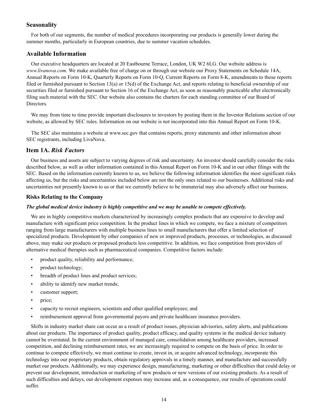## **Seasonality**

For both of our segments, the number of medical procedures incorporating our products is generally lower during the summer months, particularly in European countries, due to summer vacation schedules.

## **Available Information**

Our executive headquarters are located at 20 Eastbourne Terrace, London, UK W2 6LG. Our website address is *www.livanova.com.* We make available free of charge on or through our website our Proxy Statements on Schedule 14A, Annual Reports on Form 10-K, Quarterly Reports on Form 10-Q, Current Reports on Form 8-K, amendments to those reports filed or furnished pursuant to Section 13(a) or 15(d) of the Exchange Act, and reports relating to beneficial ownership of our securities filed or furnished pursuant to Section 16 of the Exchange Act, as soon as reasonably practicable after electronically filing such material with the SEC. Our website also contains the charters for each standing committee of our Board of Directors.

We may from time to time provide important disclosures to investors by posting them in the Investor Relations section of our website, as allowed by SEC rules. Information on our website is not incorporated into this Annual Report on Form 10-K.

The SEC also maintains a website at www.sec.gov that contains reports, proxy statements and other information about SEC registrants, including LivaNova.

## **Item 1A.** *Risk Factors*

Our business and assets are subject to varying degrees of risk and uncertainty. An investor should carefully consider the risks described below, as well as other information contained in this Annual Report on Form 10-K and in our other filings with the SEC. Based on the information currently known to us, we believe the following information identifies the most significant risks affecting us, but the risks and uncertainties included below are not the only ones related to our businesses. Additional risks and uncertainties not presently known to us or that we currently believe to be immaterial may also adversely affect our business.

## **Risks Relating to the Company**

#### *The global medical device industry is highly competitive and we may be unable to compete effectively.*

We are in highly competitive markets characterized by increasingly complex products that are expensive to develop and manufacture with significant price competition. In the product lines in which we compete, we face a mixture of competitors ranging from large manufacturers with multiple business lines to small manufacturers that offer a limited selection of specialized products. Development by other companies of new or improved products, processes, or technologies, as discussed above, may make our products or proposed products less competitive. In addition, we face competition from providers of alternative medical therapies such as pharmaceutical companies. Competitive factors include:

- product quality, reliability and performance;
- product technology;
- breadth of product lines and product services;
- ability to identify new market trends;
- customer support;
- price;
- capacity to recruit engineers, scientists and other qualified employees; and
- reimbursement approval from governmental payors and private healthcare insurance providers.

Shifts in industry market share can occur as a result of product issues, physician advisories, safety alerts, and publications about our products. The importance of product quality, product efficacy, and quality systems in the medical device industry cannot be overstated. In the current environment of managed care, consolidation among healthcare providers, increased competition, and declining reimbursement rates, we are increasingly required to compete on the basis of price. In order to continue to compete effectively, we must continue to create, invest in, or acquire advanced technology, incorporate this technology into our proprietary products, obtain regulatory approvals in a timely manner, and manufacture and successfully market our products. Additionally, we may experience design, manufacturing, marketing or other difficulties that could delay or prevent our development, introduction or marketing of new products or new versions of our existing products. As a result of such difficulties and delays, our development expenses may increase and, as a consequence, our results of operations could suffer.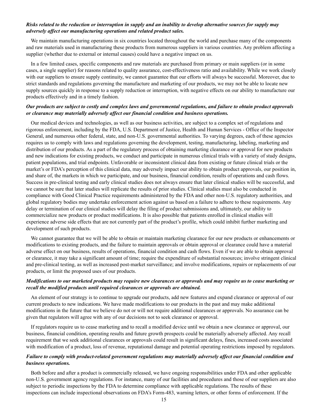## *Risks related to the reduction or interruption in supply and an inability to develop alternative sources for supply may adversely affect our manufacturing operations and related product sales.*

We maintain manufacturing operations in six countries located throughout the world and purchase many of the components and raw materials used in manufacturing these products from numerous suppliers in various countries. Any problem affecting a supplier (whether due to external or internal causes) could have a negative impact on us.

In a few limited cases, specific components and raw materials are purchased from primary or main suppliers (or in some cases, a single supplier) for reasons related to quality assurance, cost-effectiveness ratio and availability. While we work closely with our suppliers to ensure supply continuity, we cannot guarantee that our efforts will always be successful. Moreover, due to strict standards and regulations governing the manufacture and marketing of our products, we may not be able to locate new supply sources quickly in response to a supply reduction or interruption, with negative effects on our ability to manufacture our products effectively and in a timely fashion.

#### *Our products are subject to costly and complex laws and governmental regulations, and failure to obtain product approvals or clearance may materially adversely affect our financial condition and business operations.*

Our medical devices and technologies, as well as our business activities, are subject to a complex set of regulations and rigorous enforcement, including by the FDA, U.S. Department of Justice, Health and Human Services - Office of the Inspector General, and numerous other federal, state, and non-U.S. governmental authorities. To varying degrees, each of these agencies requires us to comply with laws and regulations governing the development, testing, manufacturing, labeling, marketing and distribution of our products. As a part of the regulatory process of obtaining marketing clearance or approval for new products and new indications for existing products, we conduct and participate in numerous clinical trials with a variety of study designs, patient populations, and trial endpoints. Unfavorable or inconsistent clinical data from existing or future clinical trials or the market's or FDA's perception of this clinical data, may adversely impact our ability to obtain product approvals, our position in, and share of, the markets in which we participate, and our business, financial condition, results of operations and cash flows. Success in pre-clinical testing and early clinical studies does not always ensure that later clinical studies will be successful, and we cannot be sure that later studies will replicate the results of prior studies. Clinical studies must also be conducted in compliance with Good Clinical Practice requirements administered by the FDA and other non-U.S. regulatory authorities, and global regulatory bodies may undertake enforcement action against us based on a failure to adhere to these requirements. Any delay or termination of our clinical studies will delay the filing of product submissions and, ultimately, our ability to commercialize new products or product modifications. It is also possible that patients enrolled in clinical studies will experience adverse side effects that are not currently part of the product's profile, which could inhibit further marketing and development of such products.

We cannot guarantee that we will be able to obtain or maintain marketing clearance for our new products or enhancements or modifications to existing products, and the failure to maintain approvals or obtain approval or clearance could have a material adverse effect on our business, results of operations, financial condition and cash flows. Even if we are able to obtain approval or clearance, it may take a significant amount of time; require the expenditure of substantial resources; involve stringent clinical and pre-clinical testing, as well as increased post-market surveillance; and involve modifications, repairs or replacements of our products, or limit the proposed uses of our products.

## *Modifications to our marketed products may require new clearances or approvals and may require us to cease marketing or recall the modified products until required clearances or approvals are obtained.*

An element of our strategy is to continue to upgrade our products, add new features and expand clearance or approval of our current products to new indications. We have made modifications to our products in the past and may make additional modifications in the future that we believe do not or will not require additional clearances or approvals. No assurance can be given that regulators will agree with any of our decisions not to seek clearance or approval.

If regulators require us to cease marketing and to recall a modified device until we obtain a new clearance or approval, our business, financial condition, operating results and future growth prospects could be materially adversely affected. Any recall requirement that we seek additional clearances or approvals could result in significant delays, fines, increased costs associated with modification of a product, loss of revenue, reputational damage and potential operating restrictions imposed by regulators.

## *Failure to comply with product-related government regulations may materially adversely affect our financial condition and business operations.*

Both before and after a product is commercially released, we have ongoing responsibilities under FDA and other applicable non-U.S. government agency regulations. For instance, many of our facilities and procedures and those of our suppliers are also subject to periodic inspections by the FDA to determine compliance with applicable regulations. The results of these inspections can include inspectional observations on FDA's Form-483, warning letters, or other forms of enforcement. If the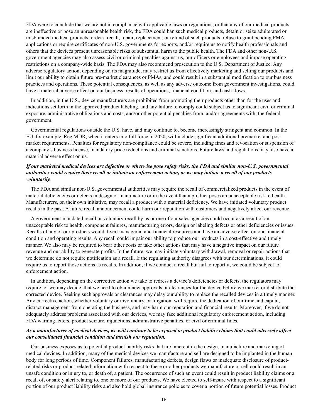FDA were to conclude that we are not in compliance with applicable laws or regulations, or that any of our medical products are ineffective or pose an unreasonable health risk, the FDA could ban such medical products, detain or seize adulterated or misbranded medical products, order a recall, repair, replacement, or refund of such products, refuse to grant pending PMA applications or require certificates of non-U.S. governments for exports, and/or require us to notify health professionals and others that the devices present unreasonable risks of substantial harm to the public health. The FDA and other non-U.S. government agencies may also assess civil or criminal penalties against us, our officers or employees and impose operating restrictions on a company-wide basis. The FDA may also recommend prosecution to the U.S. Department of Justice. Any adverse regulatory action, depending on its magnitude, may restrict us from effectively marketing and selling our products and limit our ability to obtain future pre-market clearances or PMAs, and could result in a substantial modification to our business practices and operations. These potential consequences, as well as any adverse outcome from government investigations, could have a material adverse effect on our business, results of operations, financial condition, and cash flows.

In addition, in the U.S., device manufacturers are prohibited from promoting their products other than for the uses and indications set forth in the approved product labeling, and any failure to comply could subject us to significant civil or criminal exposure, administrative obligations and costs, and/or other potential penalties from, and/or agreements with, the federal government.

Governmental regulations outside the U.S. have, and may continue to, become increasingly stringent and common. In the EU, for example, Reg MDR, when it enters into full force in 2020, will include significant additional premarket and postmarket requirements. Penalties for regulatory non-compliance could be severe, including fines and revocation or suspension of a company's business license, mandatory price reductions and criminal sanctions. Future laws and regulations may also have a material adverse effect on us.

## *If our marketed medical devices are defective or otherwise pose safety risks, the FDA and similar non-U.S. governmental authorities could require their recall or initiate an enforcement action, or we may initiate a recall of our products voluntarily.*

The FDA and similar non-U.S. governmental authorities may require the recall of commercialized products in the event of material deficiencies or defects in design or manufacture or in the event that a product poses an unacceptable risk to health. Manufacturers, on their own initiative, may recall a product with a material deficiency. We have initiated voluntary product recalls in the past. A future recall announcement could harm our reputation with customers and negatively affect our revenue.

A government-mandated recall or voluntary recall by us or one of our sales agencies could occur as a result of an unacceptable risk to health, component failures, manufacturing errors, design or labeling defects or other deficiencies or issues. Recalls of any of our products would divert managerial and financial resources and have an adverse effect on our financial condition and operating results. Any recall could impair our ability to produce our products in a cost-effective and timely manner. We also may be required to bear other costs or take other actions that may have a negative impact on our future revenue and our ability to generate profits. In the future, we may initiate voluntary withdrawal, removal or repair actions that we determine do not require notification as a recall. If the regulating authority disagrees with our determinations, it could require us to report those actions as recalls. In addition, if we conduct a recall but fail to report it, we could be subject to enforcement action.

In addition, depending on the corrective action we take to redress a device's deficiencies or defects, the regulators may require, or we may decide, that we need to obtain new approvals or clearances for the device before we market or distribute the corrected device. Seeking such approvals or clearances may delay our ability to replace the recalled devices in a timely manner. Any corrective action, whether voluntary or involuntary, or litigation, will require the dedication of our time and capital, distract management from operating the business, and may harm our reputation and financial results. Moreover, if we do not adequately address problems associated with our devices, we may face additional regulatory enforcement action, including FDA warning letters, product seizure, injunctions, administrative penalties, or civil or criminal fines.

## *As a manufacturer of medical devices, we will continue to be exposed to product liability claims that could adversely affect our consolidated financial condition and tarnish our reputation.*

Our business exposes us to potential product liability risks that are inherent in the design, manufacture and marketing of medical devices. In addition, many of the medical devices we manufacture and sell are designed to be implanted in the human body for long periods of time. Component failures, manufacturing defects, design flaws or inadequate disclosure of productrelated risks or product-related information with respect to these or other products we manufacture or sell could result in an unsafe condition or injury to, or death of, a patient. The occurrence of such an event could result in product liability claims or a recall of, or safety alert relating to, one or more of our products. We have elected to self-insure with respect to a significant portion of our product liability risks and also hold global insurance policies to cover a portion of future potential losses. Product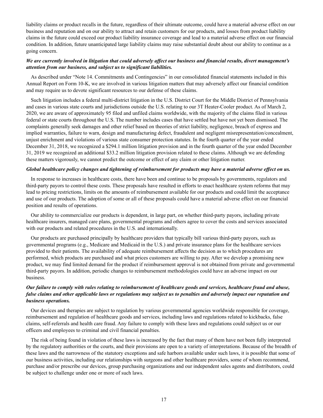liability claims or product recalls in the future, regardless of their ultimate outcome, could have a material adverse effect on our business and reputation and on our ability to attract and retain customers for our products, and losses from product liability claims in the future could exceed our product liability insurance coverage and lead to a material adverse effect on our financial condition. In addition, future unanticipated large liability claims may raise substantial doubt about our ability to continue as a going concern.

## *We are currently involved in litigation that could adversely affect our business and financial results, divert management's attention from our business, and subject us to significant liabilities.*

As described under "Note 14. Commitments and Contingencies" in our consolidated financial statements included in this Annual Report on Form 10-K, we are involved in various litigation matters that may adversely affect our financial condition and may require us to devote significant resources to our defense of these claims.

Such litigation includes a federal multi-district litigation in the U.S. District Court for the Middle District of Pennsylvania and cases in various state courts and jurisdictions outside the U.S. relating to our 3T Heater-Cooler product. As of March 2, 2020, we are aware of approximately 95 filed and unfiled claims worldwide, with the majority of the claims filed in various federal or state courts throughout the U.S. The number includes cases that have settled but have not yet been dismissed. The complaints generally seek damages and other relief based on theories of strict liability, negligence, breach of express and implied warranties, failure to warn, design and manufacturing defect, fraudulent and negligent misrepresentation/concealment, unjust enrichment and violations of various state consumer protection statutes. In the fourth quarter of the year ended December 31, 2018, we recognized a \$294.1 million litigation provision and in the fourth quarter of the year ended December 31, 2019 we recognized an additional \$33.2 million litigation provision related to these claims. Although we are defending these matters vigorously, we cannot predict the outcome or effect of any claim or other litigation matter.

#### *Global healthcare policy changes and tightening of reimbursement for products may have a material adverse effect on us.*

In response to increases in healthcare costs, there have been and continue to be proposals by governments, regulators and third-party payors to control these costs. These proposals have resulted in efforts to enact healthcare system reforms that may lead to pricing restrictions, limits on the amounts of reimbursement available for our products and could limit the acceptance and use of our products. The adoption of some or all of these proposals could have a material adverse effect on our financial position and results of operations.

Our ability to commercialize our products is dependent, in large part, on whether third-party payors, including private healthcare insurers, managed care plans, governmental programs and others agree to cover the costs and services associated with our products and related procedures in the U.S. and internationally.

Our products are purchased principally by healthcare providers that typically bill various third-party payors, such as governmental programs (e.g., Medicare and Medicaid in the U.S.) and private insurance plans for the healthcare services provided to their patients. The availability of adequate reimbursement affects the decision as to which procedures are performed, which products are purchased and what prices customers are willing to pay. After we develop a promising new product, we may find limited demand for the product if reimbursement approval is not obtained from private and governmental third-party payors. In addition, periodic changes to reimbursement methodologies could have an adverse impact on our business.

## *Our failure to comply with rules relating to reimbursement of healthcare goods and services, healthcare fraud and abuse, false claims and other applicable laws or regulations may subject us to penalties and adversely impact our reputation and business operations.*

Our devices and therapies are subject to regulation by various governmental agencies worldwide responsible for coverage, reimbursement and regulation of healthcare goods and services, including laws and regulations related to kickbacks, false claims, self-referrals and health care fraud. Any failure to comply with these laws and regulations could subject us or our officers and employees to criminal and civil financial penalties.

The risk of being found in violation of these laws is increased by the fact that many of them have not been fully interpreted by the regulatory authorities or the courts, and their provisions are open to a variety of interpretations. Because of the breadth of these laws and the narrowness of the statutory exceptions and safe harbors available under such laws, it is possible that some of our business activities, including our relationships with surgeons and other healthcare providers, some of whom recommend, purchase and/or prescribe our devices, group purchasing organizations and our independent sales agents and distributors, could be subject to challenge under one or more of such laws.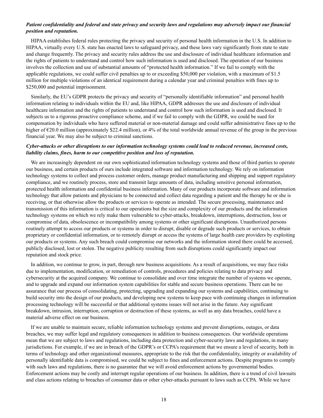## *Patient confidentiality and federal and state privacy and security laws and regulations may adversely impact our financial position and reputation.*

HIPAA establishes federal rules protecting the privacy and security of personal health information in the U.S. In addition to HIPAA, virtually every U.S. state has enacted laws to safeguard privacy, and these laws vary significantly from state to state and change frequently. The privacy and security rules address the use and disclosure of individual healthcare information and the rights of patients to understand and control how such information is used and disclosed. The operation of our business involves the collection and use of substantial amounts of "protected health information." If we fail to comply with the applicable regulations, we could suffer civil penalties up to or exceeding \$50,000 per violation, with a maximum of \$1.5 million for multiple violations of an identical requirement during a calendar year and criminal penalties with fines up to \$250,000 and potential imprisonment.

Similarly, the EU's GDPR protects the privacy and security of "personally identifiable information" and personal health information relating to individuals within the EU and, like HIPAA, GDPR addresses the use and disclosure of individual healthcare information and the rights of patients to understand and control how such information is used and disclosed. It subjects us to a rigorous proactive compliance scheme, and if we fail to comply with the GDPR, we could be sued for compensation by individuals who have suffered material or non-material damage and could suffer administrative fines up to the higher of €20.0 million (approximately \$22.4 million), or 4% of the total worldwide annual revenue of the group in the previous financial year. We may also be subject to criminal sanctions.

#### *Cyber-attacks or other disruptions to our information technology systems could lead to reduced revenue, increased costs, liability claims, fines, harm to our competitive position and loss of reputation.*

We are increasingly dependent on our own sophisticated information technology systems and those of third parties to operate our business, and certain products of ours include integrated software and information technology. We rely on information technology systems to collect and process customer orders, manage product manufacturing and shipping and support regulatory compliance, and we routinely process, store and transmit large amounts of data, including sensitive personal information, protected health information and confidential business information. Many of our products incorporate software and information technology that allow patients and physicians to be connected and collect data regarding a patient and the therapy he or she is receiving, or that otherwise allow the products or services to operate as intended. The secure processing, maintenance and transmission of this information is critical to our operations but the size and complexity of our products and the information technology systems on which we rely make them vulnerable to cyber-attacks, breakdown, interruptions, destruction, loss or compromise of data, obsolescence or incompatibility among systems or other significant disruptions. Unauthorized persons routinely attempt to access our products or systems in order to disrupt, disable or degrade such products or services, to obtain proprietary or confidential information, or to remotely disrupt or access the systems of large health care providers by exploiting our products or systems. Any such breach could compromise our networks and the information stored there could be accessed, publicly disclosed, lost or stolen. The negative publicity resulting from such disruptions could significantly impact our reputation and stock price.

In addition, we continue to grow, in part, through new business acquisitions. As a result of acquisitions, we may face risks due to implementation, modification, or remediation of controls, procedures and policies relating to data privacy and cybersecurity at the acquired company. We continue to consolidate and over time integrate the number of systems we operate, and to upgrade and expand our information system capabilities for stable and secure business operations. There can be no assurance that our process of consolidating, protecting, upgrading and expanding our systems and capabilities, continuing to build security into the design of our products, and developing new systems to keep pace with continuing changes in information processing technology will be successful or that additional systems issues will not arise in the future. Any significant breakdown, intrusion, interruption, corruption or destruction of these systems, as well as any data breaches, could have a material adverse effect on our business.

If we are unable to maintain secure, reliable information technology systems and prevent disruptions, outages, or data breaches, we may suffer legal and regulatory consequences in addition to business consequences. Our worldwide operations mean that we are subject to laws and regulations, including data protection and cyber-security laws and regulations, in many jurisdictions. For example, if we are in breach of the GDPR's or CCPA's requirement that we ensure a level of security, both in terms of technology and other organizational measures, appropriate to the risk that the confidentiality, integrity or availability of personally identifiable data is compromised, we could be subject to fines and enforcement actions. Despite programs to comply with such laws and regulations, there is no guarantee that we will avoid enforcement actions by governmental bodies. Enforcement actions may be costly and interrupt regular operations of our business. In addition, there is a trend of civil lawsuits and class actions relating to breaches of consumer data or other cyber-attacks pursuant to laws such as CCPA. While we have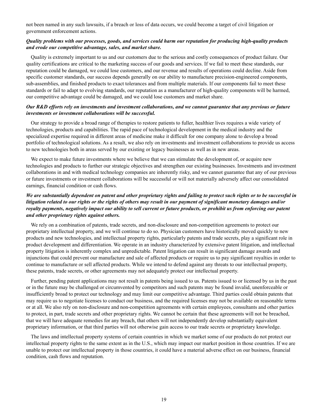not been named in any such lawsuits, if a breach or loss of data occurs, we could become a target of civil litigation or government enforcement actions.

## *Quality problems with our processes, goods, and services could harm our reputation for producing high-quality products and erode our competitive advantage, sales, and market share.*

Quality is extremely important to us and our customers due to the serious and costly consequences of product failure. Our quality certifications are critical to the marketing success of our goods and services. If we fail to meet these standards, our reputation could be damaged, we could lose customers, and our revenue and results of operations could decline. Aside from specific customer standards, our success depends generally on our ability to manufacture precision-engineered components, sub-assemblies, and finished products to exact tolerances and from multiple materials. If our components fail to meet these standards or fail to adapt to evolving standards, our reputation as a manufacturer of high-quality components will be harmed, our competitive advantage could be damaged, and we could lose customers and market share.

## *Our R&D efforts rely on investments and investment collaborations, and we cannot guarantee that any previous or future investments or investment collaborations will be successful.*

Our strategy to provide a broad range of therapies to restore patients to fuller, healthier lives requires a wide variety of technologies, products and capabilities. The rapid pace of technological development in the medical industry and the specialized expertise required in different areas of medicine make it difficult for one company alone to develop a broad portfolio of technological solutions. As a result, we also rely on investments and investment collaborations to provide us access to new technologies both in areas served by our existing or legacy businesses as well as in new areas.

We expect to make future investments where we believe that we can stimulate the development of, or acquire new technologies and products to further our strategic objectives and strengthen our existing businesses. Investments and investment collaborations in and with medical technology companies are inherently risky, and we cannot guarantee that any of our previous or future investments or investment collaborations will be successful or will not materially adversely affect our consolidated earnings, financial condition or cash flows.

## *We are substantially dependent on patent and other proprietary rights and failing to protect such rights or to be successful in litigation related to our rights or the rights of others may result in our payment of significant monetary damages and/or royalty payments, negatively impact our ability to sell current or future products, or prohibit us from enforcing our patent and other proprietary rights against others.*

We rely on a combination of patents, trade secrets, and non-disclosure and non-competition agreements to protect our proprietary intellectual property, and we will continue to do so. Physician customers have historically moved quickly to new products and new technologies, and intellectual property rights, particularly patents and trade secrets, play a significant role in product development and differentiation. We operate in an industry characterized by extensive patent litigation, and intellectual property litigation is inherently complex and unpredictable. Patent litigation can result in significant damage awards and injunctions that could prevent our manufacture and sale of affected products or require us to pay significant royalties in order to continue to manufacture or sell affected products. While we intend to defend against any threats to our intellectual property, these patents, trade secrets, or other agreements may not adequately protect our intellectual property.

Further, pending patent applications may not result in patents being issued to us. Patents issued to or licensed by us in the past or in the future may be challenged or circumvented by competitors and such patents may be found invalid, unenforceable or insufficiently broad to protect our technology and may limit our competitive advantage. Third parties could obtain patents that may require us to negotiate licenses to conduct our business, and the required licenses may not be available on reasonable terms or at all. We also rely on non-disclosure and non-competition agreements with certain employees, consultants and other parties to protect, in part, trade secrets and other proprietary rights. We cannot be certain that these agreements will not be breached, that we will have adequate remedies for any breach, that others will not independently develop substantially equivalent proprietary information, or that third parties will not otherwise gain access to our trade secrets or proprietary knowledge.

The laws and intellectual property systems of certain countries in which we market some of our products do not protect our intellectual property rights to the same extent as in the U.S., which may impact our market position in those countries. If we are unable to protect our intellectual property in those countries, it could have a material adverse effect on our business, financial condition, cash flows and reputation.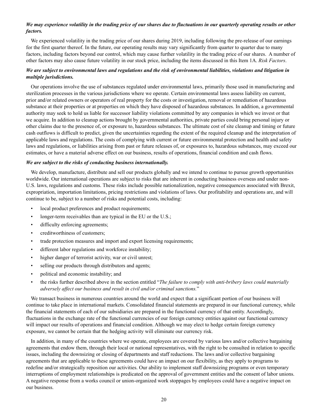## *We may experience volatility in the trading price of our shares due to fluctuations in our quarterly operating results or other factors.*

We experienced volatility in the trading price of our shares during 2019, including following the pre-release of our earnings for the first quarter thereof. In the future, our operating results may vary significantly from quarter to quarter due to many factors, including factors beyond our control, which may cause further volatility in the trading price of our shares. A number of other factors may also cause future volatility in our stock price, including the items discussed in this Item 1A. *Risk Factors*.

## *We are subject to environmental laws and regulations and the risk of environmental liabilities, violations and litigation in multiple jurisdictions.*

Our operations involve the use of substances regulated under environmental laws, primarily those used in manufacturing and sterilization processes in the various jurisdictions where we operate. Certain environmental laws assess liability on current, prior and/or related owners or operators of real property for the costs or investigation, removal or remediation of hazardous substance at their properties or at properties on which they have disposed of hazardous substances. In addition, a governmental authority may seek to hold us liable for successor liability violations committed by any companies in which we invest or that we acquire. In addition to cleanup actions brought by governmental authorities, private parties could bring personal injury or other claims due to the presence of, or exposure to, hazardous substances. The ultimate cost of site cleanup and timing or future cash outflows is difficult to predict, given the uncertainties regarding the extent of the required cleanup and the interpretation of applicable laws and regulations. The costs of complying with current or future environmental protection and health and safety laws and regulations, or liabilities arising from past or future releases of, or exposures to, hazardous substances, may exceed our estimates, or have a material adverse effect on our business, results of operations, financial condition and cash flows.

#### *We are subject to the risks of conducting business internationally.*

We develop, manufacture, distribute and sell our products globally and we intend to continue to pursue growth opportunities worldwide. Our international operations are subject to risks that are inherent in conducting business overseas and under non-U.S. laws, regulations and customs. These risks include possible nationalization, negative consequences associated with Brexit, expropriation, importation limitations, pricing restrictions and violations of laws. Our profitability and operations are, and will continue to be, subject to a number of risks and potential costs, including:

- local product preferences and product requirements;
- longer-term receivables than are typical in the EU or the U.S.;
- difficulty enforcing agreements;
- creditworthiness of customers;
- trade protection measures and import and export licensing requirements;
- different labor regulations and workforce instability;
- higher danger of terrorist activity, war or civil unrest;
- selling our products through distributors and agents;
- political and economic instability; and
- the risks further described above in the section entitled "*The failure to comply with anti-bribery laws could materially adversely affect our business and result in civil and/or criminal sanctions.*"

We transact business in numerous countries around the world and expect that a significant portion of our business will continue to take place in international markets. Consolidated financial statements are prepared in our functional currency, while the financial statements of each of our subsidiaries are prepared in the functional currency of that entity. Accordingly, fluctuations in the exchange rate of the functional currencies of our foreign currency entities against our functional currency will impact our results of operations and financial condition. Although we may elect to hedge certain foreign currency exposure, we cannot be certain that the hedging activity will eliminate our currency risk.

In addition, in many of the countries where we operate, employees are covered by various laws and/or collective bargaining agreements that endow them, through their local or national representatives, with the right to be consulted in relation to specific issues, including the downsizing or closing of departments and staff reductions. The laws and/or collective bargaining agreements that are applicable to these agreements could have an impact on our flexibility, as they apply to programs to redefine and/or strategically reposition our activities. Our ability to implement staff downsizing programs or even temporary interruptions of employment relationships is predicated on the approval of government entities and the consent of labor unions. A negative response from a works council or union-organized work stoppages by employees could have a negative impact on our business.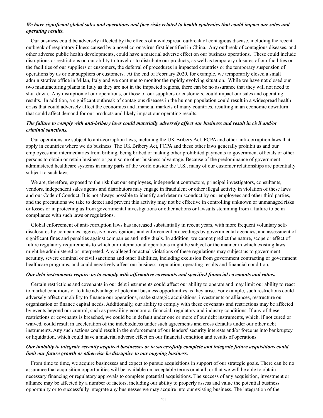## *We have significant global sales and operations and face risks related to health epidemics that could impact our sales and operating results.*

Our business could be adversely affected by the effects of a widespread outbreak of contagious disease, including the recent outbreak of respiratory illness caused by a novel coronavirus first identified in China. Any outbreak of contagious diseases, and other adverse public health developments, could have a material adverse effect on our business operations. These could include disruptions or restrictions on our ability to travel or to distribute our products, as well as temporary closures of our facilities or the facilities of our suppliers or customers, the deferral of procedures in impacted countries or the temporary suspension of operations by us or our suppliers or customers. At the end of February 2020, for example, we temporarily closed a small administrative office in Milan, Italy and we continue to monitor the rapidly evolving situation. While we have not closed our two manufacturing plants in Italy as they are not in the impacted regions, there can be no assurance that they will not need to shut down. Any disruption of our operations, or those of our suppliers or customers, could impact our sales and operating results. In addition, a significant outbreak of contagious diseases in the human population could result in a widespread health crisis that could adversely affect the economies and financial markets of many countries, resulting in an economic downturn that could affect demand for our products and likely impact our operating results.

## *The failure to comply with anti-bribery laws could materially adversely affect our business and result in civil and/or criminal sanctions.*

Our operations are subject to anti-corruption laws, including the UK Bribery Act, FCPA and other anti-corruption laws that apply in countries where we do business. The UK Bribery Act, FCPA and these other laws generally prohibit us and our employees and intermediaries from bribing, being bribed or making other prohibited payments to government officials or other persons to obtain or retain business or gain some other business advantage. Because of the predominance of governmentadministered healthcare systems in many parts of the world outside the U.S., many of our customer relationships are potentially subject to such laws.

We are, therefore, exposed to the risk that our employees, independent contractors, principal investigators, consultants, vendors, independent sales agents and distributors may engage in fraudulent or other illegal activity in violation of these laws and our Code of Conduct. It is not always possible to identify and deter misconduct by our employees and other third parties, and the precautions we take to detect and prevent this activity may not be effective in controlling unknown or unmanaged risks or losses or in protecting us from governmental investigations or other actions or lawsuits stemming from a failure to be in compliance with such laws or regulations.

Global enforcement of anti-corruption laws has increased substantially in recent years, with more frequent voluntary selfdisclosures by companies, aggressive investigations and enforcement proceedings by governmental agencies, and assessment of significant fines and penalties against companies and individuals. In addition, we cannot predict the nature, scope or effect of future regulatory requirements to which our international operations might be subject or the manner in which existing laws might be administered or interpreted. Any alleged or actual violations of these regulations may subject us to government scrutiny, severe criminal or civil sanctions and other liabilities, including exclusion from government contracting or government healthcare programs, and could negatively affect our business, reputation, operating results and financial condition.

#### *Our debt instruments require us to comply with affirmative covenants and specified financial covenants and ratios.*

Certain restrictions and covenants in our debt instruments could affect our ability to operate and may limit our ability to react to market conditions or to take advantage of potential business opportunities as they arise. For example, such restrictions could adversely affect our ability to finance our operations, make strategic acquisitions, investments or alliances, restructure our organization or finance capital needs. Additionally, our ability to comply with these covenants and restrictions may be affected by events beyond our control, such as prevailing economic, financial, regulatory and industry conditions. If any of these restrictions or covenants is breached, we could be in default under one or more of our debt instruments, which, if not cured or waived, could result in acceleration of the indebtedness under such agreements and cross defaults under our other debt instruments. Any such actions could result in the enforcement of our lenders' security interests and/or force us into bankruptcy or liquidation, which could have a material adverse effect on our financial condition and results of operations.

## *Our inability to integrate recently acquired businesses or to successfully complete and integrate future acquisitions could limit our future growth or otherwise be disruptive to our ongoing business.*

From time to time, we acquire businesses and expect to pursue acquisitions in support of our strategic goals. There can be no assurance that acquisition opportunities will be available on acceptable terms or at all, or that we will be able to obtain necessary financing or regulatory approvals to complete potential acquisitions. The success of any acquisition, investment or alliance may be affected by a number of factors, including our ability to properly assess and value the potential business opportunity or to successfully integrate any businesses we may acquire into our existing business. The integration of the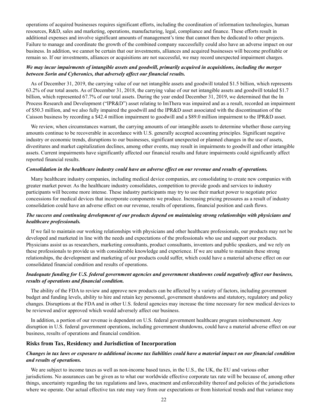operations of acquired businesses requires significant efforts, including the coordination of information technologies, human resources, R&D, sales and marketing, operations, manufacturing, legal, compliance and finance. These efforts result in additional expenses and involve significant amounts of management's time that cannot then be dedicated to other projects. Failure to manage and coordinate the growth of the combined company successfully could also have an adverse impact on our business. In addition, we cannot be certain that our investments, alliances and acquired businesses will become profitable or remain so. If our investments, alliances or acquisitions are not successful, we may record unexpected impairment charges.

#### *We may incur impairments of intangible assets and goodwill, primarily acquired in acquisitions, including the merger between Sorin and Cyberonics, that adversely affect our financial results.*

As of December 31, 2019, the carrying value of our net intangible assets and goodwill totaled \$1.5 billion, which represents 63.2% of our total assets. As of December 31, 2018, the carrying value of our net intangible assets and goodwill totaled \$1.7 billion, which represented 67.7% of our total assets. During the year ended December 31, 2019, we determined that the In Process Research and Development ("IPR&D") asset relating to ImThera was impaired and as a result, recorded an impairment of \$50.3 million, and we also fully impaired the goodwill and the IPR&D asset associated with the discontinuation of the Caisson business by recording a \$42.4 million impairment to goodwill and a \$89.0 million impairment to the IPR&D asset.

We review, when circumstances warrant, the carrying amounts of our intangible assets to determine whether those carrying amounts continue to be recoverable in accordance with U.S. generally accepted accounting principles. Significant negative industry or economic trends, disruptions to our businesses, significant unexpected or planned changes in the use of assets, divestitures and market capitalization declines, among other events, may result in impairments to goodwill and other intangible assets. Current impairments have significantly affected our financial results and future impairments could significantly affect reported financial results.

#### *Consolidation in the healthcare industry could have an adverse effect on our revenue and results of operations.*

Many healthcare industry companies, including medical device companies, are consolidating to create new companies with greater market power. As the healthcare industry consolidates, competition to provide goods and services to industry participants will become more intense. These industry participants may try to use their market power to negotiate price concessions for medical devices that incorporate components we produce. Increasing pricing pressures as a result of industry consolidation could have an adverse effect on our revenue, results of operations, financial position and cash flows.

## *The success and continuing development of our products depend on maintaining strong relationships with physicians and healthcare professionals.*

If we fail to maintain our working relationships with physicians and other healthcare professionals, our products may not be developed and marketed in line with the needs and expectations of the professionals who use and support our products. Physicians assist us as researchers, marketing consultants, product consultants, inventors and public speakers, and we rely on these professionals to provide us with considerable knowledge and experience. If we are unable to maintain these strong relationships, the development and marketing of our products could suffer, which could have a material adverse effect on our consolidated financial condition and results of operations.

## *Inadequate funding for U.S. federal government agencies and government shutdowns could negatively affect our business, results of operations and financial condition.*

The ability of the FDA to review and approve new products can be affected by a variety of factors, including government budget and funding levels, ability to hire and retain key personnel, government shutdowns and statutory, regulatory and policy changes. Disruptions at the FDA and in other U.S. federal agencies may increase the time necessary for new medical devices to be reviewed and/or approved which would adversely affect our business.

In addition, a portion of our revenue is dependent on U.S. federal government healthcare program reimbursement. Any disruption in U.S. federal government operations, including government shutdowns, could have a material adverse effect on our business, results of operations and financial condition.

## **Risks from Tax, Residency and Jurisdiction of Incorporation**

## *Changes in tax laws or exposure to additional income tax liabilities could have a material impact on our financial condition and results of operations.*

We are subject to income taxes as well as non-income based taxes, in the U.S., the UK, the EU and various other jurisdictions. No assurances can be given as to what our worldwide effective corporate tax rate will be because of, among other things, uncertainty regarding the tax regulations and laws, enactment and enforceability thereof and policies of the jurisdictions where we operate. Our actual effective tax rate may vary from our expectations or from historical trends and that variance may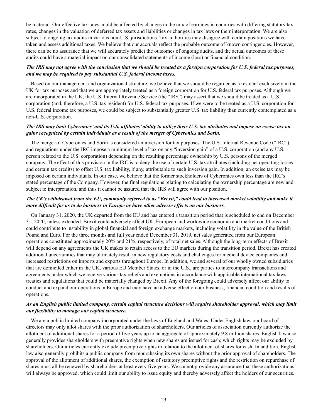be material. Our effective tax rates could be affected by changes in the mix of earnings in countries with differing statutory tax rates, changes in the valuation of deferred tax assets and liabilities or changes in tax laws or their interpretation. We are also subject to ongoing tax audits in various non-U.S. jurisdictions. Tax authorities may disagree with certain positions we have taken and assess additional taxes. We believe that our accruals reflect the probable outcome of known contingencies. However, there can be no assurance that we will accurately predict the outcomes of ongoing audits, and the actual outcomes of these audits could have a material impact on our consolidated statements of income (loss) or financial condition.

#### *The IRS may not agree with the conclusion that we should be treated as a foreign corporation for U.S. federal tax purposes, and we may be required to pay substantial U.S. federal income taxes.*

Based on our management and organizational structure, we believe that we should be regarded as a resident exclusively in the UK for tax purposes and that we are appropriately treated as a foreign corporation for U.S. federal tax purposes. Although we are incorporated in the UK, the U.S. Internal Revenue Service (the "IRS") may assert that we should be treated as a U.S. corporation (and, therefore, a U.S. tax resident) for U.S. federal tax purposes. If we were to be treated as a U.S. corporation for U.S. federal income tax purposes, we could be subject to substantially greater U.S. tax liability than currently contemplated as a non-U.S. corporation.

## *The IRS may limit Cyberonics' and its U.S. affiliates' ability to utilize their U.S. tax attributes and impose an excise tax on gains recognized by certain individuals as a result of the merger of Cyberonics and Sorin.*

The merger of Cyberonics and Sorin is considered an inversion for tax purposes. The U.S. Internal Revenue Code ("IRC") and regulations under the IRC impose a minimum level of tax on any "inversion gain" of a U.S. corporation (and any U.S. person related to the U.S. corporation) depending on the resulting percentage ownership by U.S. persons of the merged company. The effect of this provision in the IRC is to deny the use of certain U.S. tax attributes (including net operating losses and certain tax credits) to offset U.S. tax liability, if any, attributable to such inversion gain. In addition, an excise tax may be imposed on certain individuals. In our case, we believe that the former stockholders of Cyberonics own less than the IRC's stated percentage of the Company. However, the final regulations relating to calculating the ownership percentage are new and subject to interpretation, and thus it cannot be assured that the IRS will agree with our position.

## *The UK's withdrawal from the EU, commonly referred to as "Brexit," could lead to increased market volatility and make it more difficult for us to do business in Europe or have other adverse effects on our business.*

On January 31, 2020, the UK departed from the EU and has entered a transition period that is scheduled to end on December 31, 2020, unless extended. Brexit could adversely affect UK, European and worldwide economic and market conditions and could contribute to instability in global financial and foreign exchange markets, including volatility in the value of the British Pound and Euro. For the three months and full year ended December 31, 2019, net sales generated from our European operations constituted approximately 20% and 21%, respectively, of total net sales. Although the long-term effects of Brexit will depend on any agreements the UK makes to retain access to the EU markets during the transition period, Brexit has created additional uncertainties that may ultimately result in new regulatory costs and challenges for medical device companies and increased restrictions on imports and exports throughout Europe. In addition, we and several of our wholly owned subsidiaries that are domiciled either in the UK, various EU Member States, or in the U.S., are parties to intercompany transactions and agreements under which we receive various tax reliefs and exemptions in accordance with applicable international tax laws, treaties and regulations that could be materially changed by Brexit. Any of the foregoing could adversely affect our ability to conduct and expand our operations in Europe and may have an adverse effect on our business, financial condition and results of operations.

#### *As an English public limited company, certain capital structure decisions will require shareholder approval, which may limit our flexibility to manage our capital structure.*

We are a public limited company incorporated under the laws of England and Wales. Under English law, our board of directors may only allot shares with the prior authorization of shareholders. Our articles of association currently authorize the allotment of additional shares for a period of five years up to an aggregate of approximately 9.8 million shares. English law also generally provides shareholders with preemptive rights when new shares are issued for cash; which rights may be excluded by shareholders. Our articles currently exclude preemptive rights in relation to the allotment of shares for cash. In addition, English law also generally prohibits a public company from repurchasing its own shares without the prior approval of shareholders. The approval of the allotment of additional shares, the exemption of statutory preemptive rights and the restriction on repurchase of shares must all be renewed by shareholders at least every five years. We cannot provide any assurance that these authorizations will always be approved, which could limit our ability to issue equity and thereby adversely affect the holders of our securities.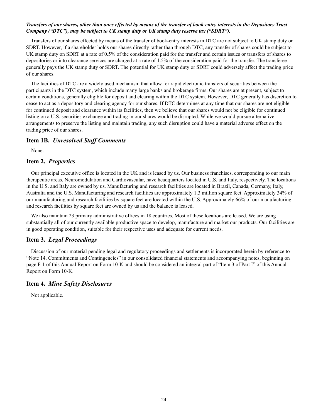## *Transfers of our shares, other than ones effected by means of the transfer of book-entry interests in the Depository Trust Company ("DTC"), may be subject to UK stamp duty or UK stamp duty reserve tax ("SDRT").*

Transfers of our shares effected by means of the transfer of book-entry interests in DTC are not subject to UK stamp duty or SDRT. However, if a shareholder holds our shares directly rather than through DTC, any transfer of shares could be subject to UK stamp duty on SDRT at a rate of 0.5% of the consideration paid for the transfer and certain issues or transfers of shares to depositories or into clearance services are charged at a rate of 1.5% of the consideration paid for the transfer. The transferee generally pays the UK stamp duty or SDRT. The potential for UK stamp duty or SDRT could adversely affect the trading price of our shares.

The facilities of DTC are a widely used mechanism that allow for rapid electronic transfers of securities between the participants in the DTC system, which include many large banks and brokerage firms. Our shares are at present, subject to certain conditions, generally eligible for deposit and clearing within the DTC system. However, DTC generally has discretion to cease to act as a depository and clearing agency for our shares. If DTC determines at any time that our shares are not eligible for continued deposit and clearance within its facilities, then we believe that our shares would not be eligible for continued listing on a U.S. securities exchange and trading in our shares would be disrupted. While we would pursue alternative arrangements to preserve the listing and maintain trading, any such disruption could have a material adverse effect on the trading price of our shares.

## **Item 1B.** *Unresolved Staff Comments*

None.

## **Item 2.** *Properties*

Our principal executive office is located in the UK and is leased by us. Our business franchises, corresponding to our main therapeutic areas, Neuromodulation and Cardiovascular, have headquarters located in U.S. and Italy, respectively. The locations in the U.S. and Italy are owned by us. Manufacturing and research facilities are located in Brazil, Canada, Germany, Italy, Australia and the U.S. Manufacturing and research facilities are approximately 1.3 million square feet. Approximately 34% of our manufacturing and research facilities by square feet are located within the U.S. Approximately 66% of our manufacturing and research facilities by square feet are owned by us and the balance is leased.

We also maintain 23 primary administrative offices in 18 countries. Most of these locations are leased. We are using substantially all of our currently available productive space to develop, manufacture and market our products. Our facilities are in good operating condition, suitable for their respective uses and adequate for current needs.

## **Item 3.** *Legal Proceedings*

Discussion of our material pending legal and regulatory proceedings and settlements is incorporated herein by reference to "Note 14. Commitments and Contingencies" in our consolidated financial statements and accompanying notes, beginning on page F-1 of this Annual Report on Form 10-K and should be considered an integral part of "Item 3 of Part I" of this Annual Report on Form 10-K.

## **Item 4.** *Mine Safety Disclosures*

Not applicable.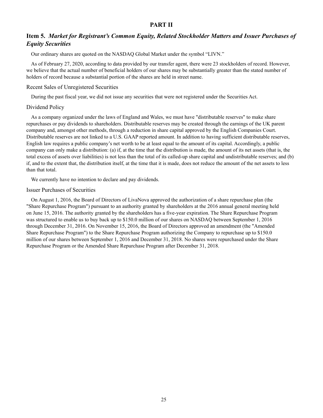## **PART II**

## **Item 5.** *Market for Registrant's Common Equity, Related Stockholder Matters and Issuer Purchases of Equity Securities*

Our ordinary shares are quoted on the NASDAQ Global Market under the symbol "LIVN."

As of February 27, 2020, according to data provided by our transfer agent, there were 23 stockholders of record. However, we believe that the actual number of beneficial holders of our shares may be substantially greater than the stated number of holders of record because a substantial portion of the shares are held in street name.

#### Recent Sales of Unregistered Securities

During the past fiscal year, we did not issue any securities that were not registered under the Securities Act.

#### Dividend Policy

As a company organized under the laws of England and Wales, we must have "distributable reserves" to make share repurchases or pay dividends to shareholders. Distributable reserves may be created through the earnings of the UK parent company and, amongst other methods, through a reduction in share capital approved by the English Companies Court. Distributable reserves are not linked to a U.S. GAAP reported amount. In addition to having sufficient distributable reserves, English law requires a public company's net worth to be at least equal to the amount of its capital. Accordingly, a public company can only make a distribution: (a) if, at the time that the distribution is made, the amount of its net assets (that is, the total excess of assets over liabilities) is not less than the total of its called-up share capital and undistributable reserves; and (b) if, and to the extent that, the distribution itself, at the time that it is made, does not reduce the amount of the net assets to less than that total.

We currently have no intention to declare and pay dividends.

#### Issuer Purchases of Securities

On August 1, 2016, the Board of Directors of LivaNova approved the authorization of a share repurchase plan (the "Share Repurchase Program") pursuant to an authority granted by shareholders at the 2016 annual general meeting held on June 15, 2016. The authority granted by the shareholders has a five-year expiration. The Share Repurchase Program was structured to enable us to buy back up to \$150.0 million of our shares on NASDAQ between September 1, 2016 through December 31, 2016. On November 15, 2016, the Board of Directors approved an amendment (the "Amended Share Repurchase Program") to the Share Repurchase Program authorizing the Company to repurchase up to \$150.0 million of our shares between September 1, 2016 and December 31, 2018. No shares were repurchased under the Share Repurchase Program or the Amended Share Repurchase Program after December 31, 2018.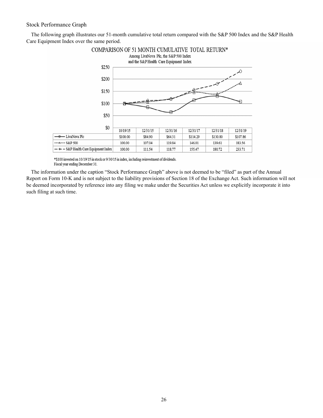## Stock Performance Graph

The following graph illustrates our 51-month cumulative total return compared with the S&P 500 Index and the S&P Health Care Equipment Index over the same period.



\*\$100 invested on 10/19/15 in stock or 9/30/15 in index, including reinvestment of dividends. Fiscal year ending December 31.

The information under the caption "Stock Performance Graph" above is not deemed to be "filed" as part of the Annual Report on Form 10-K and is not subject to the liability provisions of Section 18 of the Exchange Act. Such information will not be deemed incorporated by reference into any filing we make under the Securities Act unless we explicitly incorporate it into such filing at such time.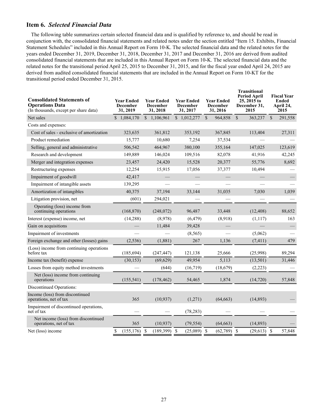## **Item 6.** *Selected Financial Data*

The following table summarizes certain selected financial data and is qualified by reference to, and should be read in conjunction with, the consolidated financial statements and related notes under the section entitled "Item 15. Exhibits, Financial Statement Schedules" included in this Annual Report on Form 10-K. The selected financial data and the related notes for the years ended December 31, 2019, December 31, 2018, December 31, 2017 and December 31, 2016 are derived from audited consolidated financial statements that are included in this Annual Report on Form 10-K. The selected financial data and the related notes for the transitional period April 25, 2015 to December 31, 2015, and for the fiscal year ended April 24, 2015 are derived from audited consolidated financial statements that are included in the Annual Report on Form 10-KT for the transitional period ended December 31, 2015.

| <b>Consolidated Statements of</b><br><b>Operations Data</b><br>(In thousands, except per share data) | <b>Year Ended</b><br><b>Year Ended</b><br><b>December</b><br><b>December</b><br>31, 2019<br>31, 2018 |                | <b>Year Ended</b><br><b>December</b><br>31, 2017 | <b>Year Ended</b><br><b>December</b><br>31, 2016 | <b>Transitional</b><br><b>Period April</b><br>25, 2015 to<br>December 31,<br>2015 | <b>Fiscal Year</b><br>Ended<br>April 24,<br>2015 |
|------------------------------------------------------------------------------------------------------|------------------------------------------------------------------------------------------------------|----------------|--------------------------------------------------|--------------------------------------------------|-----------------------------------------------------------------------------------|--------------------------------------------------|
| Net sales                                                                                            | $$1,084,170$ $$1,106,961$                                                                            |                | \$1,012,277                                      | $\mathbf{\hat{S}}$<br>964,858                    | $\mathbf{\hat{S}}$<br>363,237                                                     | $\mathcal{S}$<br>291,558                         |
| Costs and expenses:                                                                                  |                                                                                                      |                |                                                  |                                                  |                                                                                   |                                                  |
| Cost of sales - exclusive of amortization                                                            | 323,635                                                                                              | 361,812        | 353,192                                          | 367,845                                          | 113,404                                                                           | 27,311                                           |
| Product remediation                                                                                  | 15,777                                                                                               | 10,680         | 7,254                                            | 37,534                                           |                                                                                   |                                                  |
| Selling, general and administrative                                                                  | 506,542                                                                                              | 464,967        | 380,100                                          | 355,164                                          | 147,025                                                                           | 123,619                                          |
| Research and development                                                                             | 149,889                                                                                              | 146,024        | 109,516                                          | 82,078                                           | 41,916                                                                            | 42,245                                           |
| Merger and integration expenses                                                                      | 23,457                                                                                               | 24,420         | 15,528                                           | 20,377                                           | 55,776                                                                            | 8,692                                            |
| Restructuring expenses                                                                               | 12,254                                                                                               | 15,915         | 17,056                                           | 37,377                                           | 10,494                                                                            |                                                  |
| Impairment of goodwill                                                                               | 42,417                                                                                               |                |                                                  |                                                  |                                                                                   |                                                  |
| Impairment of intangible assets                                                                      | 139,295                                                                                              |                |                                                  |                                                  |                                                                                   |                                                  |
| Amortization of intangibles                                                                          | 40,375                                                                                               | 37,194         | 33,144                                           | 31,035                                           | 7,030                                                                             | 1,039                                            |
| Litigation provision, net                                                                            | (601)                                                                                                | 294,021        |                                                  |                                                  |                                                                                   |                                                  |
| Operating (loss) income from<br>continuing operations                                                | (168, 870)                                                                                           | (248,072)      | 96,487                                           | 33,448                                           | (12, 408)                                                                         | 88,652                                           |
| Interest (expense) income, net                                                                       | (14, 288)                                                                                            | (8,978)        | (6, 479)                                         | (8,918)                                          | (1, 117)                                                                          | 163                                              |
| Gain on acquisitions                                                                                 |                                                                                                      | 11,484         | 39,428                                           |                                                  |                                                                                   |                                                  |
| Impairment of investments                                                                            |                                                                                                      |                | (8, 565)                                         |                                                  | (5,062)                                                                           |                                                  |
| Foreign exchange and other (losses) gains                                                            | (2, 536)                                                                                             | (1,881)        | 267                                              | 1,136                                            | (7, 411)                                                                          | 479                                              |
| (Loss) income from continuing operations<br>before tax                                               | (185, 694)                                                                                           | (247, 447)     | 121,138                                          | 25,666                                           | (25,998)                                                                          | 89,294                                           |
| Income tax (benefit) expense                                                                         | (30, 153)                                                                                            | (69, 629)      | 49,954                                           | 5,113                                            | (13, 501)                                                                         | 31,446                                           |
| Losses from equity method investments                                                                |                                                                                                      | (644)          | (16, 719)                                        | (18, 679)                                        | (2,223)                                                                           |                                                  |
| Net (loss) income from continuing<br>operations                                                      | (155, 541)                                                                                           | (178, 462)     | 54,465                                           | 1,874                                            | (14, 720)                                                                         | 57,848                                           |
| Discontinued Operations:                                                                             |                                                                                                      |                |                                                  |                                                  |                                                                                   |                                                  |
| Income (loss) from discontinued<br>operations, net of tax                                            | 365                                                                                                  | (10, 937)      | (1,271)                                          | (64, 663)                                        | (14, 893)                                                                         |                                                  |
| Impairment of discontinued operations,<br>net of tax                                                 |                                                                                                      |                | (78, 283)                                        |                                                  |                                                                                   |                                                  |
| Net income (loss) from discontinued<br>operations, net of tax                                        | 365                                                                                                  | (10, 937)      | (79, 554)                                        | (64, 663)                                        | (14, 893)                                                                         |                                                  |
| Net (loss) income                                                                                    | $(155, 176)$ \$<br>\$                                                                                | $(189,399)$ \$ | $(25,089)$ \$                                    | $(62,789)$ \$                                    | $(29,613)$ \$                                                                     | 57,848                                           |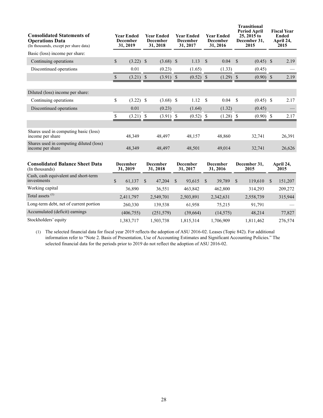| <b>Consolidated Statements of</b><br><b>Operations Data</b><br>(In thousands, except per share data) | Year Ended<br><b>December</b><br>31, 2019 | <b>Year Ended</b><br><b>December</b><br>31, 2018 | <b>Year Ended</b><br><b>December</b><br>31, 2017 | <b>Year Ended</b><br><b>December</b><br>31, 2016 | <b>Transitional</b><br><b>Period April</b><br>25, 2015 to<br>December 31,<br>2015 | <b>Fiscal Year</b><br><b>Ended</b><br>April 24,<br>2015 |  |
|------------------------------------------------------------------------------------------------------|-------------------------------------------|--------------------------------------------------|--------------------------------------------------|--------------------------------------------------|-----------------------------------------------------------------------------------|---------------------------------------------------------|--|
| Basic (loss) income per share:                                                                       |                                           |                                                  |                                                  |                                                  |                                                                                   |                                                         |  |
| Continuing operations                                                                                | \$<br>$(3.22)$ \$                         | $(3.68)$ \$                                      | 1.13                                             | 0.04<br>$\mathcal{S}$                            | <sup>\$</sup><br>$(0.45)$ \$                                                      | 2.19                                                    |  |
| Discontinued operations                                                                              | 0.01                                      | (0.23)                                           | (1.65)                                           | (1.33)                                           | (0.45)                                                                            |                                                         |  |
|                                                                                                      | \$<br>$(3.21)$ \$                         | $(3.91)$ \$                                      | $(0.52)$ \$                                      | $(1.29)$ \$                                      | $(0.90)$ \$                                                                       | 2.19                                                    |  |
|                                                                                                      |                                           |                                                  |                                                  |                                                  |                                                                                   |                                                         |  |
| Diluted (loss) income per share:                                                                     |                                           |                                                  |                                                  |                                                  |                                                                                   |                                                         |  |
| Continuing operations                                                                                | \$<br>$(3.22)$ \$                         | (3.68)                                           | \$<br>1.12                                       | S<br>0.04                                        | <sup>\$</sup><br>$(0.45)$ \$                                                      | 2.17                                                    |  |
| Discontinued operations                                                                              | 0.01                                      | (0.23)                                           | (1.64)                                           | (1.32)                                           | (0.45)                                                                            |                                                         |  |
|                                                                                                      | \$<br>$(3.21)$ \$                         | (3.91)                                           | (0.52)<br>S                                      | $(1.28)$ \$<br>- S                               | $(0.90)$ \$                                                                       | 2.17                                                    |  |
|                                                                                                      |                                           |                                                  |                                                  |                                                  |                                                                                   |                                                         |  |
| Shares used in computing basic (loss)<br>income per share                                            | 48,349                                    | 48,497                                           | 48,157                                           | 48,860                                           | 32,741                                                                            | 26,391                                                  |  |
| Shares used in computing diluted (loss)<br>income per share                                          | 48,349                                    | 48,497                                           | 48,501                                           | 49,014                                           | 32,741                                                                            | 26,626                                                  |  |
| <b>Consolidated Balance Sheet Data</b>                                                               | <b>December</b>                           | <b>December</b>                                  | <b>December</b>                                  | December                                         | December 31,                                                                      | April 24,                                               |  |

| Consondated Balance Sheet Data<br>(In thousands)    | vecember<br>31, 2019 | vecember<br>31, 2018 |   | December<br>31, 2017 | December<br>31, 2016 |  | December 31.<br>2015 |  | April 24,<br>2015 |  |
|-----------------------------------------------------|----------------------|----------------------|---|----------------------|----------------------|--|----------------------|--|-------------------|--|
| Cash, cash equivalent and short-term<br>investments | \$<br>61,137         | 47,204               | S | 93,615               | 39,789               |  | 119,610              |  | 151,207           |  |
| Working capital                                     | 36,890               | 36,551               |   | 463,842              | 462,800              |  | 314.293              |  | 209,272           |  |
| Total assets <sup>(1)</sup>                         | 2,411,797            | 2,549,701            |   | 2,503,891            | 2,342,631            |  | 2,558,739            |  | 315,944           |  |
| Long-term debt, net of current portion              | 260,330              | 139.538              |   | 61.958               | 75.215               |  | 91.791               |  |                   |  |
| Accumulated (deficit) earnings                      | (406, 755)           | (251,579)            |   | (39,664)             | (14, 575)            |  | 48,214               |  | 77,827            |  |
| Stockholders' equity                                | 1,383,717            | 1,503,738            |   | 1,815,314            | 1,706,909            |  | 1,811,462            |  | 276,574           |  |

(1) The selected financial data for fiscal year 2019 reflects the adoption of ASU 2016-02. Leases (Topic 842). For additional information refer to "Note 2. Basis of Presentation, Use of Accounting Estimates and Significant Accounting Policies." The selected financial data for the periods prior to 2019 do not reflect the adoption of ASU 2016-02.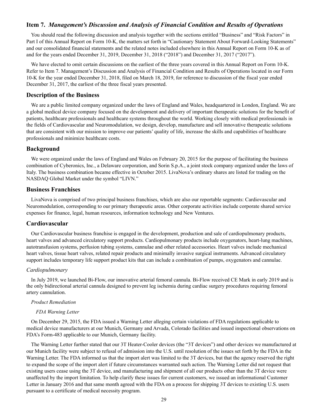## **Item 7.** *Management's Discussion and Analysis of Financial Condition and Results of Operations*

You should read the following discussion and analysis together with the sections entitled "Business" and "Risk Factors" in Part I of this Annual Report on Form 10-K, the matters set forth in "Cautionary Statement About Forward-Looking Statements" and our consolidated financial statements and the related notes included elsewhere in this Annual Report on Form 10-K as of and for the years ended December 31, 2019, December 31, 2018 ("2018") and December 31, 2017 ("2017").

We have elected to omit certain discussions on the earliest of the three years covered in this Annual Report on Form 10-K. Refer to Item 7. Management's Discussion and Analysis of Financial Condition and Results of Operations located in our Form 10-K for the year ended December 31, 2018, filed on March 18, 2019, for reference to discussion of the fiscal year ended December 31, 2017, the earliest of the three fiscal years presented.

#### **Description of the Business**

We are a public limited company organized under the laws of England and Wales, headquartered in London, England. We are a global medical device company focused on the development and delivery of important therapeutic solutions for the benefit of patients, healthcare professionals and healthcare systems throughout the world. Working closely with medical professionals in the fields of Cardiovascular and Neuromodulation, we design, develop, manufacture and sell innovative therapeutic solutions that are consistent with our mission to improve our patients' quality of life, increase the skills and capabilities of healthcare professionals and minimize healthcare costs.

#### **Background**

We were organized under the laws of England and Wales on February 20, 2015 for the purpose of facilitating the business combination of Cyberonics, Inc., a Delaware corporation, and Sorin S.p.A., a joint stock company organized under the laws of Italy. The business combination became effective in October 2015. LivaNova's ordinary shares are listed for trading on the NASDAQ Global Market under the symbol "LIVN."

#### **Business Franchises**

LivaNova is comprised of two principal business franchises, which are also our reportable segments: Cardiovascular and Neuromodulation, corresponding to our primary therapeutic areas. Other corporate activities include corporate shared service expenses for finance, legal, human resources, information technology and New Ventures.

## **Cardiovascular**

Our Cardiovascular business franchise is engaged in the development, production and sale of cardiopulmonary products, heart valves and advanced circulatory support products. Cardiopulmonary products include oxygenators, heart-lung machines, autotransfusion systems, perfusion tubing systems, cannulae and other related accessories. Heart valves include mechanical heart valves, tissue heart valves, related repair products and minimally invasive surgical instruments. Advanced circulatory support includes temporary life support product kits that can include a combination of pumps, oxygenators and cannulae.

## *Cardiopulmonary*

In July 2019, we launched Bi-Flow, our innovative arterial femoral cannula. Bi-Flow received CE Mark in early 2019 and is the only bidirectional arterial cannula designed to prevent leg ischemia during cardiac surgery procedures requiring femoral artery cannulation.

#### *Product Remediation*

#### *FDA Warning Letter*

On December 29, 2015, the FDA issued a Warning Letter alleging certain violations of FDA regulations applicable to medical device manufacturers at our Munich, Germany and Arvada, Colorado facilities and issued inspectional observations on FDA's Form-483 applicable to our Munich, Germany facility.

The Warning Letter further stated that our 3T Heater-Cooler devices (the "3T devices") and other devices we manufactured at our Munich facility were subject to refusal of admission into the U.S. until resolution of the issues set forth by the FDA in the Warning Letter. The FDA informed us that the import alert was limited to the 3T devices, but that the agency reserved the right to expand the scope of the import alert if future circumstances warranted such action. The Warning Letter did not request that existing users cease using the 3T device, and manufacturing and shipment of all our products other than the 3T device were unaffected by the import limitation. To help clarify these issues for current customers, we issued an informational Customer Letter in January 2016 and that same month agreed with the FDA on a process for shipping 3T devices to existing U.S. users pursuant to a certificate of medical necessity program.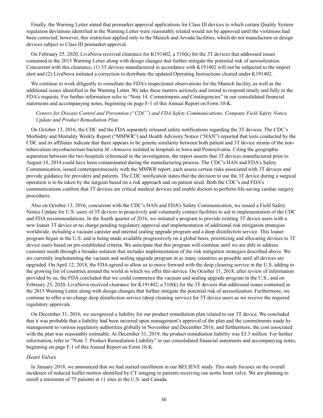Finally, the Warning Letter stated that premarket approval applications for Class III devices to which certain Quality System regulation deviations identified in the Warning Letter were reasonably related would not be approved until the violations had been corrected; however, this restriction applied only to the Munich and Arvada facilities, which do not manufacture or design devices subject to Class III premarket approval.

On February 25, 2020, LivaNova received clearance for K191402, a 510(k) for the 3T devices that addressed issues contained in the 2015 Warning Letter along with design changes that further mitigate the potential risk of aerosolization. Concurrent with this clearance, (1) 3T devices manufactured in accordance with K191402 will not be subjected to the import alert and (2) LivaNova initiated a correction to distribute the updated Operating Instructions cleared under K191402.

We continue to work diligently to remediate the FDA's inspectional observations for the Munich facility, as well as the additional issues identified in the Warning Letter. We take these matters seriously and intend to respond timely and fully to the FDA's requests. For further information refer to "Note 14. Commitments and Contingencies" in our consolidated financial statements and accompanying notes, beginning on page F-1 of this Annual Report on Form 10-K.

### *Centers for Disease Control and Prevention ("CDC") and FDA Safety Communications, Company Field Safety Notice Update and Product Remediation Plan*

On October 13, 2016, the CDC and the FDA separately released safety notifications regarding the 3T devices. The CDC's Morbidity and Mortality Weekly Report ("MMWR") and Health Advisory Notice ("HAN") reported that tests conducted by the CDC and its affiliates indicate that there appears to be genetic similarity between both patient and 3T device strains of the nontuberculous mycobacterium bacteria *M. chimaera* isolated in hospitals in Iowa and Pennsylvania. Citing the geographic separation between the two hospitals referenced in the investigation, the report asserts that 3T devices manufactured prior to August 18, 2014 could have been contaminated during the manufacturing process. The CDC's HAN and FDA's Safety Communication, issued contemporaneously with the MMWR report, each assess certain risks associated with 3T devices and provide guidance for providers and patients. The CDC notification states that the decision to use the 3T device during a surgical operation is to be taken by the surgeon based on a risk approach and on patient need. Both the CDC's and FDA's communications confirm that 3T devices are critical medical devices and enable doctors to perform life-saving cardiac surgery procedures.

Also on October 13, 2016, concurrent with the CDC's HAN and FDA's Safety Communication, we issued a Field Safety Notice Update for U.S. users of 3T devices to proactively and voluntarily contact facilities to aid in implementation of the CDC and FDA recommendations. In the fourth quarter of 2016, we initiated a program to provide existing 3T device users with a new loaner 3T device at no charge pending regulatory approval and implementation of additional risk mitigation strategies worldwide, including a vacuum canister and internal sealing upgrade program and a deep disinfection service. This loaner program began in the U.S. and is being made available progressively on a global basis, prioritizing and allocating devices to 3T device users based on pre-established criteria. We anticipate that this program will continue until we are able to address customer needs through a broader solution that includes implementation of the risk mitigation strategies described above. We are currently implementing the vacuum and sealing upgrade program in as many countries as possible until all devices are upgraded. On April 12, 2018, the FDA agreed to allow us to move forward with the deep cleaning service in the U.S. adding to the growing list of countries around the world in which we offer this service. On October 11, 2018, after review of information provided by us, the FDA concluded that we could commence the vacuum and sealing upgrade program in the U.S., and on February 25, 2020, LivaNova received clearance for K191402, a 510(k) for the 3T devices that addressed issues contained in the 2015 Warning Letter along with design changes that further mitigate the potential risk of aerosolization. Furthermore, we continue to offer a no-charge deep disinfection service (deep cleaning service) for 3T device users as we receive the required regulatory approvals.

On December 31, 2016, we recognized a liability for our product remediation plan related to our 3T device. We concluded that it was probable that a liability had been incurred upon management's approval of the plan and the commitments made by management to various regulatory authorities globally in November and December 2016, and furthermore, the cost associated with the plan was reasonably estimable. At December 31, 2019, the product remediation liability was \$3.3 million. For further information, refer to "Note 7. Product Remediation Liability" in our consolidated financial statements and accompanying notes, beginning on page F-1 of this Annual Report on Form 10-K.

#### *Heart Valves*

In January 2018, we announced that we had started enrollment in our BELIEVE study. This study focuses on the overall incidence of reduced leaflet motion identified by CT imaging in patients receiving our aortic heart valve. We are planning to enroll a minimum of 75 patients at 11 sites in the U.S. and Canada.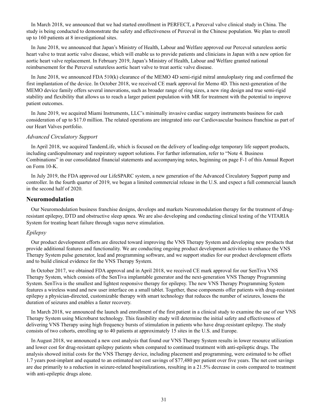In March 2018, we announced that we had started enrollment in PERFECT, a Perceval valve clinical study in China. The study is being conducted to demonstrate the safety and effectiveness of Perceval in the Chinese population. We plan to enroll up to 160 patients at 8 investigational sites.

In June 2018, we announced that Japan's Ministry of Health, Labour and Welfare approved our Perceval sutureless aortic heart valve to treat aortic valve disease, which will enable us to provide patients and clinicians in Japan with a new option for aortic heart valve replacement. In February 2019, Japan's Ministry of Health, Labour and Welfare granted national reimbursement for the Perceval sutureless aortic heart valve to treat aortic valve disease.

In June 2018, we announced FDA 510(k) clearance of the MEMO 4D semi-rigid mitral annuloplasty ring and confirmed the first implantation of the device. In October 2018, we received CE mark approval for Memo 4D. This next-generation of the MEMO device family offers several innovations, such as broader range of ring sizes, a new ring design and true semi-rigid stability and flexibility that allows us to reach a larger patient population with MR for treatment with the potential to improve patient outcomes.

In June 2019, we acquired Miami Instruments, LLC's minimally invasive cardiac surgery instruments business for cash consideration of up to \$17.0 million. The related operations are integrated into our Cardiovascular business franchise as part of our Heart Valves portfolio.

#### *Advanced Circulatory Support*

In April 2018, we acquired TandemLife, which is focused on the delivery of leading-edge temporary life support products, including cardiopulmonary and respiratory support solutions. For further information, refer to "Note 4. Business Combinations" in our consolidated financial statements and accompanying notes, beginning on page F-1 of this Annual Report on Form 10-K.

In July 2019, the FDA approved our LifeSPARC system, a new generation of the Advanced Circulatory Support pump and controller. In the fourth quarter of 2019, we began a limited commercial release in the U.S. and expect a full commercial launch in the second half of 2020.

#### **Neuromodulation**

Our Neuromodulation business franchise designs, develops and markets Neuromodulation therapy for the treatment of drugresistant epilepsy, DTD and obstructive sleep apnea. We are also developing and conducting clinical testing of the VITARIA System for treating heart failure through vagus nerve stimulation.

## *Epilepsy*

Our product development efforts are directed toward improving the VNS Therapy System and developing new products that provide additional features and functionality. We are conducting ongoing product development activities to enhance the VNS Therapy System pulse generator, lead and programming software, and we support studies for our product development efforts and to build clinical evidence for the VNS Therapy System.

In October 2017, we obtained FDA approval and in April 2018, we received CE mark approval for our SenTiva VNS Therapy System, which consists of the SenTiva implantable generator and the next-generation VNS Therapy Programming System. SenTiva is the smallest and lightest responsive therapy for epilepsy. The new VNS Therapy Programming System features a wireless wand and new user interface on a small tablet. Together, these components offer patients with drug-resistant epilepsy a physician-directed, customizable therapy with smart technology that reduces the number of seizures, lessens the duration of seizures and enables a faster recovery.

In March 2018, we announced the launch and enrollment of the first patient in a clinical study to examine the use of our VNS Therapy System using Microburst technology. This feasibility study will determine the initial safety and effectiveness of delivering VNS Therapy using high frequency bursts of stimulation in patients who have drug-resistant epilepsy. The study consists of two cohorts, enrolling up to 40 patients at approximately 15 sites in the U.S. and Europe.

In August 2018, we announced a new cost analysis that found our VNS Therapy System results in lower resource utilization and lower cost for drug-resistant epilepsy patients when compared to continued treatment with anti-epileptic drugs. The analysis showed initial costs for the VNS Therapy device, including placement and programming, were estimated to be offset 1.7 years post-implant and equated to an estimated net cost savings of \$77,480 per patient over five years. The net cost savings are due primarily to a reduction in seizure-related hospitalizations, resulting in a 21.5% decrease in costs compared to treatment with anti-epileptic drugs alone.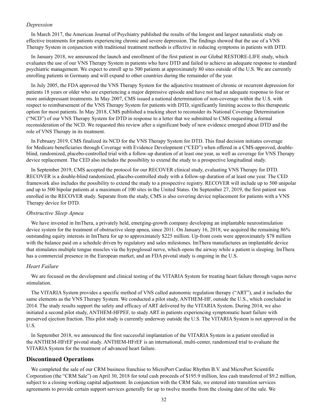#### *Depression*

In March 2017, the American Journal of Psychiatry published the results of the longest and largest naturalistic study on effective treatments for patients experiencing chronic and severe depression. The findings showed that the use of a VNS Therapy System in conjunction with traditional treatment methods is effective in reducing symptoms in patients with DTD.

In January 2018, we announced the launch and enrollment of the first patient in our Global RESTORE-LIFE study, which evaluates the use of our VNS Therapy System in patients who have DTD and failed to achieve an adequate response to standard psychiatric management. We expect to enroll up to 500 patients at approximately 80 sites outside of the U.S. We are currently enrolling patients in Germany and will expand to other countries during the remainder of the year.

In July 2005, the FDA approved the VNS Therapy System for the adjunctive treatment of chronic or recurrent depression for patients 18 years or older who are experiencing a major depressive episode and have not had an adequate response to four or more antidepressant treatments. In May 2007, CMS issued a national determination of non-coverage within the U.S. with respect to reimbursement of the VNS Therapy System for patients with DTD, significantly limiting access to this therapeutic option for most patients. In May 2018, CMS published a tracking sheet to reconsider its National Coverage Determination ("NCD") of our VNS Therapy System for DTD in response to a letter that we submitted to CMS requesting a formal reconsideration of the NCD. We requested this review after a significant body of new evidence emerged about DTD and the role of VNS Therapy in its treatment.

In February 2019, CMS finalized its NCD for the VNS Therapy System for DTD. This final decision initiates coverage for Medicare beneficiaries through Coverage with Evidence Development ("CED") when offered in a CMS-approved, doubleblind, randomized, placebo-controlled trial with a follow-up duration of at least one year, as well as coverage for VNS Therapy device replacement. The CED also includes the possibility to extend the study to a prospective longitudinal study.

In September 2019, CMS accepted the protocol for our RECOVER clinical study, evaluating VNS Therapy for DTD. RECOVER is a double-blind randomized, placebo-controlled study with a follow-up duration of at least one year. The CED framework also includes the possibility to extend the study to a prospective registry. RECOVER will include up to 500 unipolar and up to 500 bipolar patients at a maximum of 100 sites in the United States. On September 27, 2019, the first patient was enrolled in the RECOVER study. Separate from the study, CMS is also covering device replacement for patients with a VNS Therapy device for DTD.

#### *Obstructive Sleep Apnea*

We have invested in ImThera, a privately held, emerging-growth company developing an implantable neurostimulation device system for the treatment of obstructive sleep apnea, since 2011. On January 16, 2018, we acquired the remaining 86% outstanding equity interests in ImThera for up to approximately \$225 million. Up-front costs were approximately \$78 million with the balance paid on a schedule driven by regulatory and sales milestones. ImThera manufactures an implantable device that stimulates multiple tongue muscles via the hypoglossal nerve, which opens the airway while a patient is sleeping. ImThera has a commercial presence in the European market, and an FDA pivotal study is ongoing in the U.S.

#### *Heart Failure*

We are focused on the development and clinical testing of the VITARIA System for treating heart failure through vagus nerve stimulation.

The VITARIA System provides a specific method of VNS called autonomic regulation therapy ("ART"), and it includes the same elements as the VNS Therapy System. We conducted a pilot study, ANTHEM-HF, outside the U.S., which concluded in 2014. The study results support the safety and efficacy of ART delivered by the VITARIA System. During 2014, we also initiated a second pilot study, ANTHEM-HFPEF, to study ART in patients experiencing symptomatic heart failure with preserved ejection fraction. This pilot study is currently underway outside the U.S. The VITARIA System is not approved in the U.S.

In September 2018, we announced the first successful implantation of the VITARIA System in a patient enrolled in the ANTHEM-HFrEF pivotal study. ANTHEM-HFrEF is an international, multi-center, randomized trial to evaluate the VITARIA System for the treatment of advanced heart failure.

#### **Discontinued Operations**

We completed the sale of our CRM business franchise to MicroPort Cardiac Rhythm B.V. and MicroPort Scientific Corporation (the "CRM Sale") on April 30, 2018 for total cash proceeds of \$195.9 million, less cash transferred of \$9.2 million, subject to a closing working capital adjustment. In conjunction with the CRM Sale, we entered into transition services agreements to provide certain support services generally for up to twelve months from the closing date of the sale. We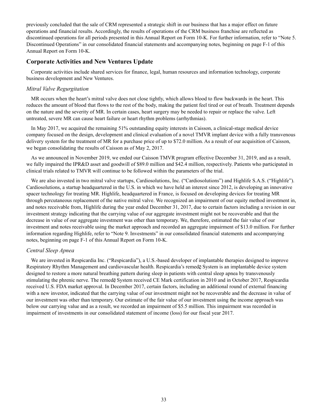previously concluded that the sale of CRM represented a strategic shift in our business that has a major effect on future operations and financial results. Accordingly, the results of operations of the CRM business franchise are reflected as discontinued operations for all periods presented in this Annual Report on Form 10-K. For further information, refer to "Note 5. Discontinued Operations" in our consolidated financial statements and accompanying notes, beginning on page F-1 of this Annual Report on Form 10-K.

## **Corporate Activities and New Ventures Update**

Corporate activities include shared services for finance, legal, human resources and information technology, corporate business development and New Ventures.

## *Mitral Valve Regurgitation*

MR occurs when the heart's mitral valve does not close tightly, which allows blood to flow backwards in the heart. This reduces the amount of blood that flows to the rest of the body, making the patient feel tired or out of breath. Treatment depends on the nature and the severity of MR. In certain cases, heart surgery may be needed to repair or replace the valve. Left untreated, severe MR can cause heart failure or heart rhythm problems (arrhythmias).

In May 2017, we acquired the remaining 51% outstanding equity interests in Caisson, a clinical-stage medical device company focused on the design, development and clinical evaluation of a novel TMVR implant device with a fully transvenous delivery system for the treatment of MR for a purchase price of up to \$72.0 million. As a result of our acquisition of Caisson, we began consolidating the results of Caisson as of May 2, 2017.

As we announced in November 2019, we ended our Caisson TMVR program effective December 31, 2019, and as a result, we fully impaired the IPR&D asset and goodwill of \$89.0 million and \$42.4 million, respectively. Patients who participated in clinical trials related to TMVR will continue to be followed within the parameters of the trial.

We are also invested in two mitral valve startups, Cardiosolutions, Inc. ("Cardiosolutions") and Highlife S.A.S. ("Highlife"). Cardiosolutions, a startup headquartered in the U.S. in which we have held an interest since 2012, is developing an innovative spacer technology for treating MR. Highlife, headquartered in France, is focused on developing devices for treating MR through percutaneous replacement of the native mitral valve. We recognized an impairment of our equity method investment in, and notes receivable from, Highlife during the year ended December 31, 2017, due to certain factors including a revision in our investment strategy indicating that the carrying value of our aggregate investment might not be recoverable and that the decrease in value of our aggregate investment was other than temporary. We, therefore, estimated the fair value of our investment and notes receivable using the market approach and recorded an aggregate impairment of \$13.0 million. For further information regarding Highlife, refer to "Note 9. Investments" in our consolidated financial statements and accompanying notes, beginning on page F-1 of this Annual Report on Form 10-K.

## *Central Sleep Apnea*

We are invested in Respicardia Inc. ("Respicardia"), a U.S.-based developer of implantable therapies designed to improve Respiratory Rhythm Management and cardiovascular health. Respicardia's remede System is an implantable device system designed to restore a more natural breathing pattern during sleep in patients with central sleep apnea by transvenously stimulating the phrenic nerve. The remede System received CE Mark certification in 2010 and in October 2017, Respicardia received U.S. FDA market approval. In December 2017, certain factors, including an additional round of external financing with a new investor, indicated that the carrying value of our investment might not be recoverable and the decrease in value of our investment was other than temporary. Our estimate of the fair value of our investment using the income approach was below our carrying value and as a result, we recorded an impairment of \$5.5 million. This impairment was recorded in impairment of investments in our consolidated statement of income (loss) for our fiscal year 2017.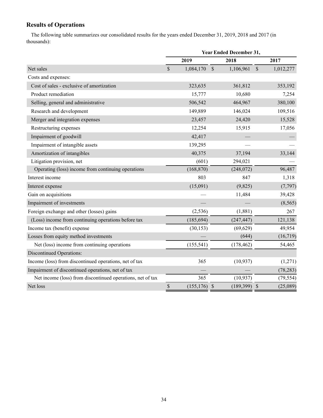# **Results of Operations**

The following table summarizes our consolidated results for the years ended December 31, 2019, 2018 and 2017 (in thousands):

|                                                            | Year Ended December 31, |                 |               |                |               |           |  |  |
|------------------------------------------------------------|-------------------------|-----------------|---------------|----------------|---------------|-----------|--|--|
|                                                            |                         | 2019            |               | 2018           |               | 2017      |  |  |
| Net sales                                                  | $\mathbb{S}$            | 1,084,170       | $\mathcal{S}$ | 1,106,961      | $\mathcal{S}$ | 1,012,277 |  |  |
| Costs and expenses:                                        |                         |                 |               |                |               |           |  |  |
| Cost of sales - exclusive of amortization                  |                         | 323,635         |               | 361,812        |               | 353,192   |  |  |
| Product remediation                                        |                         | 15,777          |               | 10,680         |               | 7,254     |  |  |
| Selling, general and administrative                        |                         | 506,542         |               | 464,967        |               | 380,100   |  |  |
| Research and development                                   |                         | 149,889         |               | 146,024        |               | 109,516   |  |  |
| Merger and integration expenses                            |                         | 23,457          |               | 24,420         |               | 15,528    |  |  |
| Restructuring expenses                                     |                         | 12,254          |               | 15,915         |               | 17,056    |  |  |
| Impairment of goodwill                                     |                         | 42,417          |               |                |               |           |  |  |
| Impairment of intangible assets                            |                         | 139,295         |               |                |               |           |  |  |
| Amortization of intangibles                                |                         | 40,375          |               | 37,194         |               | 33,144    |  |  |
| Litigation provision, net                                  |                         | (601)           |               | 294,021        |               |           |  |  |
| Operating (loss) income from continuing operations         |                         | (168, 870)      |               | (248, 072)     |               | 96,487    |  |  |
| Interest income                                            |                         | 803             |               | 847            |               | 1,318     |  |  |
| Interest expense                                           |                         | (15,091)        |               | (9,825)        |               | (7, 797)  |  |  |
| Gain on acquisitions                                       |                         |                 |               | 11,484         |               | 39,428    |  |  |
| Impairment of investments                                  |                         |                 |               |                |               | (8, 565)  |  |  |
| Foreign exchange and other (losses) gains                  |                         | (2, 536)        |               | (1,881)        |               | 267       |  |  |
| (Loss) income from continuing operations before tax        |                         | (185, 694)      |               | (247, 447)     |               | 121,138   |  |  |
| Income tax (benefit) expense                               |                         | (30, 153)       |               | (69, 629)      |               | 49,954    |  |  |
| Losses from equity method investments                      |                         |                 |               | (644)          |               | (16, 719) |  |  |
| Net (loss) income from continuing operations               |                         | (155, 541)      |               | (178, 462)     |               | 54,465    |  |  |
| <b>Discontinued Operations:</b>                            |                         |                 |               |                |               |           |  |  |
| Income (loss) from discontinued operations, net of tax     |                         | 365             |               | (10, 937)      |               | (1,271)   |  |  |
| Impairment of discontinued operations, net of tax          |                         |                 |               |                |               | (78, 283) |  |  |
| Net income (loss) from discontinued operations, net of tax |                         | 365             |               | (10, 937)      |               | (79, 554) |  |  |
| Net loss                                                   | \$                      | $(155, 176)$ \$ |               | $(189,399)$ \$ |               | (25,089)  |  |  |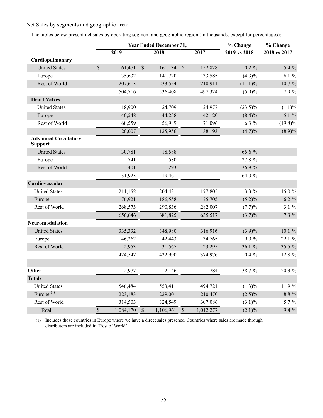Net Sales by segments and geographic area:

The tables below present net sales by operating segment and geographic region (in thousands, except for percentages):

|                                               |             |                   |              | Year Ended December 31, |               |           | % Change     | % Change     |  |  |
|-----------------------------------------------|-------------|-------------------|--------------|-------------------------|---------------|-----------|--------------|--------------|--|--|
|                                               |             | $\overline{2019}$ |              | 2018                    |               | 2017      | 2019 vs 2018 | 2018 vs 2017 |  |  |
| Cardiopulmonary                               |             |                   |              |                         |               |           |              |              |  |  |
| <b>United States</b>                          | $\sqrt{\ }$ | 161,471           | $\sqrt{\ }$  | 161,134                 | $\mathbb{S}$  | 152,828   | $0.2 \%$     | 5.4 %        |  |  |
| Europe                                        |             | 135,632           |              | 141,720                 |               | 133,585   | $(4.3)\%$    | $6.1 \%$     |  |  |
| Rest of World                                 |             | 207,613           |              | 233,554                 |               | 210,911   | $(11.1)\%$   | 10.7 %       |  |  |
|                                               |             | 504,716           |              | 536,408                 |               | 497,324   | $(5.9)\%$    | 7.9 %        |  |  |
| <b>Heart Valves</b>                           |             |                   |              |                         |               |           |              |              |  |  |
| <b>United States</b>                          |             | 18,900            |              | 24,709                  |               | 24,977    | $(23.5)\%$   | (1.1)%       |  |  |
| Europe                                        |             | 40,548            |              | 44,258                  |               | 42,120    | $(8.4)\%$    | 5.1 %        |  |  |
| Rest of World                                 |             | 60,559            |              | 56,989                  |               | 71,096    | $6.3\%$      | $(19.8)\%$   |  |  |
|                                               |             | 120,007           |              | 125,956                 |               | 138,193   | (4.7)%       | $(8.9)\%$    |  |  |
| <b>Advanced Circulatory</b><br><b>Support</b> |             |                   |              |                         |               |           |              |              |  |  |
| <b>United States</b>                          |             | 30,781            |              | 18,588                  |               |           | 65.6 %       |              |  |  |
| Europe                                        |             | 741               |              | 580                     |               |           | 27.8 %       |              |  |  |
| Rest of World                                 |             | 401               |              | 293                     |               |           | 36.9%        |              |  |  |
|                                               |             | 31,923            |              | 19,461                  |               |           | 64.0 %       |              |  |  |
| Cardiovascular                                |             |                   |              |                         |               |           |              |              |  |  |
| <b>United States</b>                          |             | 211,152           |              | 204,431                 |               | 177,805   | $3.3\%$      | 15.0 %       |  |  |
| Europe                                        |             | 176,921           |              | 186,558                 |               | 175,705   | (5.2)%       | $6.2 \%$     |  |  |
| Rest of World                                 |             | 268,573           |              | 290,836                 |               | 282,007   | (7.7)%       | 3.1%         |  |  |
|                                               |             | 656,646           |              | 681,825                 |               | 635,517   | $(3.7)\%$    | 7.3 %        |  |  |
| Neuromodulation                               |             |                   |              |                         |               |           |              |              |  |  |
| <b>United States</b>                          |             | 335,332           |              | 348,980                 |               | 316,916   | $(3.9)\%$    | 10.1%        |  |  |
| Europe                                        |             | 46,262            |              | 42,443                  |               | 34,765    | $9.0 \%$     | 22.1 %       |  |  |
| Rest of World                                 |             | 42,953            |              | 31,567                  |               | 23,295    | 36.1 %       | 35.5 %       |  |  |
|                                               |             | 424,547           |              | 422,990                 |               | 374,976   | $0.4\%$      | 12.8 %       |  |  |
|                                               |             |                   |              |                         |               |           |              |              |  |  |
| Other                                         |             | 2,977             |              | 2,146                   |               | 1,784     | 38.7 %       | 20.3 %       |  |  |
| <b>Totals</b>                                 |             |                   |              |                         |               |           |              |              |  |  |
| <b>United States</b>                          |             | 546,484           |              | 553,411                 |               | 494,721   | $(1.3)\%$    | 11.9 %       |  |  |
| Europe $(1)$                                  |             | 223,183           |              | 229,001                 |               | 210,470   | $(2.5)\%$    | 8.8 %        |  |  |
| Rest of World                                 |             | 314,503           |              | 324,549                 |               | 307,086   | $(3.1)\%$    | 5.7 %        |  |  |
| Total                                         | $\mathbb S$ | 1,084,170         | $\mathbb{S}$ | 1,106,961               | $\mathcal{S}$ | 1,012,277 | $(2.1)\%$    | 9.4 %        |  |  |

(1) Includes those countries in Europe where we have a direct sales presence. Countries where sales are made through distributors are included in 'Rest of World'.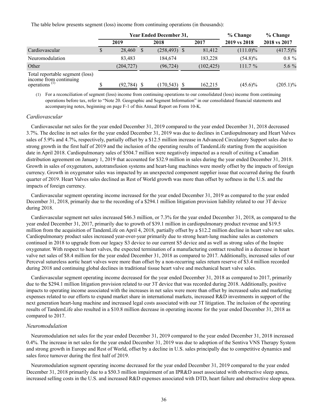The table below presents segment (loss) income from continuing operations (in thousands):

|                                                                                                     |   |                |              | <b>Year Ended December 31,</b> | $%$ Change | % Change<br>2018 vs 2017 |             |             |
|-----------------------------------------------------------------------------------------------------|---|----------------|--------------|--------------------------------|------------|--------------------------|-------------|-------------|
|                                                                                                     |   | 2019           | 2018         |                                |            |                          |             | 2017        |
| Cardiovascular                                                                                      | S | 28,460         | <sup>S</sup> | $(258, 493)$ \$                |            | 81,412                   | $(111.0)\%$ | $(417.5)\%$ |
| Neuromodulation                                                                                     |   | 83.483         |              | 184.674                        |            | 183,228                  | $(54.8)\%$  | $0.8 \%$    |
| Other                                                                                               |   | (204, 727)     |              | (96, 724)                      |            | (102, 425)               | $111.7\%$   | 5.6 %       |
| Total reportable segment (loss)<br>income from continuing<br>operations <sup><math>(1)</math></sup> |   | $(92, 784)$ \$ |              | (170, 543)                     |            | 162,215                  | $(45.6)\%$  | $(205.1)\%$ |

(1) For a reconciliation of segment (loss) income from continuing operations to our consolidated (loss) income from continuing operations before tax, refer to "Note 20. Geographic and Segment Information" in our consolidated financial statements and accompanying notes, beginning on page F-1 of this Annual Report on Form 10-K.

#### *Cardiovascular*

Cardiovascular net sales for the year ended December 31, 2019 compared to the year ended December 31, 2018 decreased 3.7%. The decline in net sales for the year ended December 31, 2019 was due to declines in Cardiopulmonary and Heart Valves sales of 5.9% and 4.7%, respectively, partially offset by a \$12.5 million increase in Advanced Circulatory Support sales due to strong growth in the first half of 2019 and the inclusion of the operating results of TandemLife starting from the acquisition date in April 2018. Cardiopulmonary sales of \$504.7 million were negatively impacted as a result of exiting a Canadian distribution agreement on January 1, 2019 that accounted for \$32.9 million in sales during the year ended December 31, 2018. Growth in sales of oxygenators, autotransfusion systems and heart-lung machines were mostly offset by the impacts of foreign currency. Growth in oxygenator sales was impacted by an unexpected component supplier issue that occurred during the fourth quarter of 2019. Heart Valves sales declined as Rest of World growth was more than offset by softness in the U.S. and the impacts of foreign currency.

Cardiovascular segment operating income increased for the year ended December 31, 2019 as compared to the year ended December 31, 2018, primarily due to the recording of a \$294.1 million litigation provision liability related to our 3T device during 2018.

Cardiovascular segment net sales increased \$46.3 million, or 7.3% for the year ended December 31, 2018, as compared to the year ended December 31, 2017, primarily due to growth of \$39.1 million in cardiopulmonary product revenue and \$19.5 million from the acquisition of TandemLife on April 4, 2018, partially offset by a \$12.2 million decline in heart valve net sales. Cardiopulmonary product sales increased year-over-year primarily due to strong heart-lung machine sales as customers continued in 2018 to upgrade from our legacy S3 device to our current S5 device and as well as strong sales of the Inspire oxygenator. With respect to heart valves, the expected termination of a manufacturing contract resulted in a decrease in heart valve net sales of \$8.4 million for the year ended December 31, 2018 as compared to 2017. Additionally, increased sales of our Perceval sutureless aortic heart valves were more than offset by a non-recurring sales return reserve of \$3.4 million recorded during 2018 and continuing global declines in traditional tissue heart valve and mechanical heart valve sales.

Cardiovascular segment operating income decreased for the year ended December 31, 2018 as compared to 2017, primarily due to the \$294.1 million litigation provision related to our 3T device that was recorded during 2018. Additionally, positive impacts to operating income associated with the increases in net sales were more than offset by increased sales and marketing expenses related to our efforts to expand market share in international markets, increased R&D investments in support of the next generation heart-lung machine and increased legal costs associated with our 3T litigation. The inclusion of the operating results of TandemLife also resulted in a \$10.8 million decrease in operating income for the year ended December 31, 2018 as compared to 2017.

#### *Neuromodulation*

Neuromodulation net sales for the year ended December 31, 2019 compared to the year ended December 31, 2018 increased 0.4%. The increase in net sales for the year ended December 31, 2019 was due to adoption of the Sentiva VNS Therapy System and strong growth in Europe and Rest of World, offset by a decline in U.S. sales principally due to competitive dynamics and sales force turnover during the first half of 2019.

Neuromodulation segment operating income decreased for the year ended December 31, 2019 compared to the year ended December 31, 2018 primarily due to a \$50.3 million impairment of an IPR&D asset associated with obstructive sleep apnea, increased selling costs in the U.S. and increased R&D expenses associated with DTD, heart failure and obstructive sleep apnea.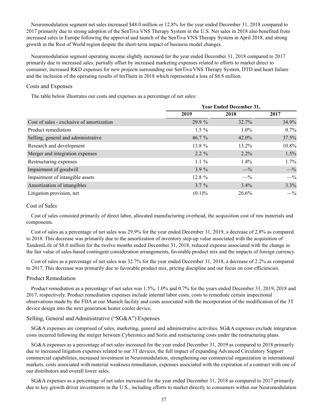Neuromodulation segment net sales increased \$48.0 million or 12.8% for the year ended December 31, 2018 compared to 2017 primarily due to strong adoption of the SenTiva VNS Therapy System in the U.S. Net sales in 2018 also benefited from increased sales in Europe following the approval and launch of the SenTiva VNS Therapy System in April 2018, and strong growth in the Rest of World region despite the short-term impact of business model changes.

Neuromodulation segment operating income slightly increased for the year ended December 31, 2018 compared to 2017 primarily due to increased sales, partially offset by increased marketing expenses related to efforts to market direct to consumer, increased R&D expenses for new projects surrounding our SenTiva VNS Therapy System, DTD and heart failure and the inclusion of the operating results of ImThera in 2018 which represented a loss of \$8.8 million.

## Costs and Expenses

The table below illustrates our costs and expenses as a percentage of net sales:

|                                           | <b>Year Ended December 31,</b> |          |       |  |  |  |  |
|-------------------------------------------|--------------------------------|----------|-------|--|--|--|--|
|                                           | 2019                           | 2018     | 2017  |  |  |  |  |
| Cost of sales - exclusive of amortization | 29.9 %                         | 32.7%    | 34.9% |  |  |  |  |
| Product remediation                       | $1.5 \%$                       | $1.0\%$  | 0.7%  |  |  |  |  |
| Selling, general and administrative       | 46.7 $%$                       | $42.0\%$ | 37.5% |  |  |  |  |
| Research and development                  | 13.8 $%$                       | 13.2%    | 10.8% |  |  |  |  |
| Merger and integration expenses           | $2.2 \%$                       | $2.2\%$  | 1.5%  |  |  |  |  |
| Restructuring expenses                    | $1.1\%$                        | $1.4\%$  | 1.7%  |  |  |  |  |
| Impairment of goodwill                    | $3.9\%$                        | $-$ %    | $-$ % |  |  |  |  |
| Impairment of intangible assets           | 12.8 %                         | $-$ %    | $-$ % |  |  |  |  |
| Amortization of intangibles               | $3.7 \%$                       | $3.4\%$  | 3.3%  |  |  |  |  |
| Litigation provision, net                 | (0.1)%                         | 26.6%    | $-$ % |  |  |  |  |

## Cost of Sales

Cost of sales consisted primarily of direct labor, allocated manufacturing overhead, the acquisition cost of raw materials and components.

Cost of sales as a percentage of net sales was 29.9% for the year ended December 31, 2019, a decrease of 2.8% as compared to 2018. This decrease was primarily due to the amortization of inventory step-up value associated with the acquisition of TandemLife of \$8.0 million for the twelve months ended December 31, 2018, reduced expense associated with the change in the fair value of sales-based contingent consideration arrangements, favorable product mix and the impacts of foreign currency.

Cost of sales as a percentage of net sales was 32.7% for the year ended December 31, 2018, a decrease of 2.2% as compared to 2017. This decrease was primarily due to favorable product mix, pricing discipline and our focus on cost efficiencies.

#### Product Remediation

Product remediation as a percentage of net sales was 1.5%, 1.0% and 0.7% for the years ended December 31, 2019, 2018 and 2017, respectively. Product remediation expenses include internal labor costs, costs to remediate certain inspectional observations made by the FDA at our Munich facility and costs associated with the incorporation of the modification of the 3T device design into the next generation heater cooler device.

## Selling, General and Administrative ("SG&A") Expenses

SG&A expenses are comprised of sales, marketing, general and administrative activities. SG&A expenses exclude integration costs incurred following the merger between Cyberonics and Sorin and restructuring costs under the restructuring plans.

SG&A expenses as a percentage of net sales increased for the year ended December 31, 2019 as compared to 2018 primarily due to increased litigation expenses related to our 3T devices, the full impact of expanding Advanced Circulatory Support commercial capabilities, increased investment in Neuromodulation, strengthening our commercial organization in international markets, costs associated with material weakness remediation, expenses associated with the expiration of a contract with one of our distributors and overall lower sales.

SG&A expenses as a percentage of net sales increased for the year ended December 31, 2018 as compared to 2017 primarily due to key growth driver investments in the U.S., including efforts to market directly to consumers within our Neuromodulation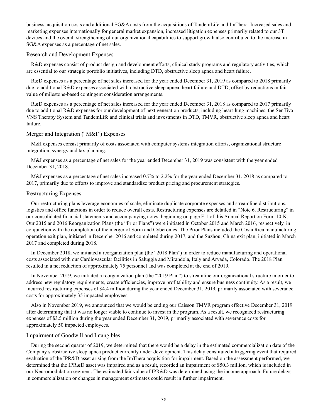business, acquisition costs and additional SG&A costs from the acquisitions of TandemLife and ImThera. Increased sales and marketing expenses internationally for general market expansion, increased litigation expenses primarily related to our 3T devices and the overall strengthening of our organizational capabilities to support growth also contributed to the increase in SG&A expenses as a percentage of net sales.

#### Research and Development Expenses

R&D expenses consist of product design and development efforts, clinical study programs and regulatory activities, which are essential to our strategic portfolio initiatives, including DTD, obstructive sleep apnea and heart failure.

R&D expenses as a percentage of net sales increased for the year ended December 31, 2019 as compared to 2018 primarily due to additional R&D expenses associated with obstructive sleep apnea, heart failure and DTD, offset by reductions in fair value of milestone-based contingent consideration arrangements.

R&D expenses as a percentage of net sales increased for the year ended December 31, 2018 as compared to 2017 primarily due to additional R&D expenses for our development of next generation products, including heart-lung machines, the SenTiva VNS Therapy System and TandemLife and clinical trials and investments in DTD, TMVR, obstructive sleep apnea and heart failure.

## Merger and Integration ("M&I") Expenses

M&I expenses consist primarily of costs associated with computer systems integration efforts, organizational structure integration, synergy and tax planning.

M&I expenses as a percentage of net sales for the year ended December 31, 2019 was consistent with the year ended December 31, 2018.

M&I expenses as a percentage of net sales increased 0.7% to 2.2% for the year ended December 31, 2018 as compared to 2017, primarily due to efforts to improve and standardize product pricing and procurement strategies.

#### Restructuring Expenses

Our restructuring plans leverage economies of scale, eliminate duplicate corporate expenses and streamline distributions, logistics and office functions in order to reduce overall costs. Restructuring expenses are detailed in "Note 6. Restructuring" in our consolidated financial statements and accompanying notes, beginning on page F-1 of this Annual Report on Form 10-K. Our 2015 and 2016 Reorganization Plans (the "Prior Plans") were initiated in October 2015 and March 2016, respectively, in conjunction with the completion of the merger of Sorin and Cyberonics. The Prior Plans included the Costa Rica manufacturing operation exit plan, initiated in December 2016 and completed during 2017, and the Suzhou, China exit plan, initiated in March 2017 and completed during 2018.

In December 2018, we initiated a reorganization plan (the "2018 Plan") in order to reduce manufacturing and operational costs associated with our Cardiovascular facilities in Saluggia and Mirandola, Italy and Arvada, Colorado. The 2018 Plan resulted in a net reduction of approximately 75 personnel and was completed at the end of 2019.

In November 2019, we initiated a reorganization plan (the "2019 Plan") to streamline our organizational structure in order to address new regulatory requirements, create efficiencies, improve profitability and ensure business continuity. As a result, we incurred restructuring expenses of \$4.4 million during the year ended December 31, 2019, primarily associated with severance costs for approximately 35 impacted employees.

Also in November 2019, we announced that we would be ending our Caisson TMVR program effective December 31, 2019 after determining that it was no longer viable to continue to invest in the program. As a result, we recognized restructuring expenses of \$3.5 million during the year ended December 31, 2019, primarily associated with severance costs for approximately 50 impacted employees.

#### Impairment of Goodwill and Intangibles

During the second quarter of 2019, we determined that there would be a delay in the estimated commercialization date of the Company's obstructive sleep apnea product currently under development. This delay constituted a triggering event that required evaluation of the IPR&D asset arising from the ImThera acquisition for impairment. Based on the assessment performed, we determined that the IPR&D asset was impaired and as a result, recorded an impairment of \$50.3 million, which is included in our Neuromodulation segment. The estimated fair value of IPR&D was determined using the income approach. Future delays in commercialization or changes in management estimates could result in further impairment.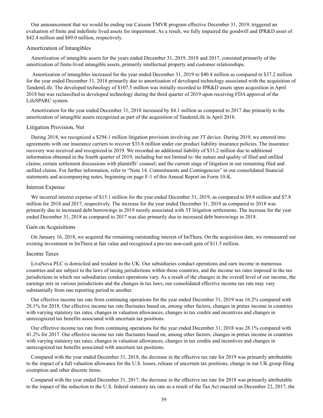Our announcement that we would be ending our Caisson TMVR program effective December 31, 2019, triggered an evaluation of finite and indefinite lived assets for impairment. As a result, we fully impaired the goodwill and IPR&D asset of \$42.4 million and \$89.0 million, respectively.

## Amortization of Intangibles

Amortization of intangible assets for the years ended December 31, 2019, 2018 and 2017, consisted primarily of the amortization of finite-lived intangible assets, primarily intellectual property and customer relationships.

 Amortization of intangibles increased for the year ended December 31, 2019 to \$40.4 million as compared to \$37.2 million for the year ended December 31, 2018 primarily due to amortization of developed technology associated with the acquisition of TandemLife. The developed technology of \$107.5 million was initially recorded to IPR&D assets upon acquisition in April 2018 but was reclassified to developed technology during the third quarter of 2019 upon receiving FDA approval of the LifeSPARC system.

Amortization for the year ended December 31, 2018 increased by \$4.1 million as compared to 2017 due primarily to the amortization of intangible assets recognized as part of the acquisition of TandemLife in April 2018.

#### Litigation Provision, Net

During 2018, we recognized a \$294.1 million litigation provision involving our 3T device. During 2019, we entered into agreements with our insurance carriers to recover \$33.8 million under our product liability insurance policies. The insurance recovery was received and recognized in 2019. We recorded an additional liability of \$33.2 million due to additional information obtained in the fourth quarter of 2019, including but not limited to: the nature and quality of filed and unfiled claims; certain settlement discussions with plaintiffs' counsel; and the current stage of litigation in our remaining filed and unfiled claims. For further information, refer to "Note 14. Commitments and Contingencies" in our consolidated financial statements and accompanying notes, beginning on page F-1 of this Annual Report on Form 10-K.

#### Interest Expense

We incurred interest expense of \$15.1 million for the year ended December 31, 2019, as compared to \$9.8 million and \$7.8 million for 2018 and 2017, respectively. The increase for the year ended December 31, 2019 as compared to 2018 was primarily due to increased debt borrowings in 2019 mostly associated with 3T litigation settlements. The increase for the year ended December 31, 2018 as compared to 2017 was also primarily due to increased debt borrowings in 2018.

#### Gain on Acquisitions

On January 16, 2018, we acquired the remaining outstanding interest of ImThera. On the acquisition date, we remeasured our existing investment in ImThera at fair value and recognized a pre-tax non-cash gain of \$11.5 million.

## Income Taxes

LivaNova PLC is domiciled and resident in the UK. Our subsidiaries conduct operations and earn income in numerous countries and are subject to the laws of taxing jurisdictions within those countries, and the income tax rates imposed in the tax jurisdictions in which our subsidiaries conduct operations vary. As a result of the changes in the overall level of our income, the earnings mix in various jurisdictions and the changes in tax laws, our consolidated effective income tax rate may vary substantially from one reporting period to another.

Our effective income tax rate from continuing operations for the year ended December 31, 2019 was 16.2% compared with 28.1% for 2018. Our effective income tax rate fluctuates based on, among other factors, changes in pretax income in countries with varying statutory tax rates, changes in valuation allowances, changes in tax credits and incentives and changes in unrecognized tax benefits associated with uncertain tax positions.

Our effective income tax rate from continuing operations for the year ended December 31, 2018 was 28.1% compared with 41.2% for 2017. Our effective income tax rate fluctuates based on, among other factors, changes in pretax income in countries with varying statutory tax rates, changes in valuation allowances, changes in tax credits and incentives and changes in unrecognized tax benefits associated with uncertain tax positions.

Compared with the year ended December 31, 2018, the decrease in the effective tax rate for 2019 was primarily attributable to the impact of a full valuation allowance for the U.S. losses, release of uncertain tax positions, change in our UK group filing exemption and other discrete items.

Compared with the year ended December 31, 2017, the decrease in the effective tax rate for 2018 was primarily attributable to the impact of the reduction to the U.S. federal statutory tax rate as a result of the Tax Act enacted on December 22, 2017, the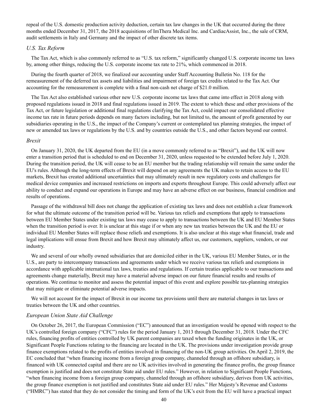repeal of the U.S. domestic production activity deduction, certain tax law changes in the UK that occurred during the three months ended December 31, 2017, the 2018 acquisitions of ImThera Medical Inc. and CardiacAssist, Inc., the sale of CRM, audit settlements in Italy and Germany and the impact of other discrete tax items.

## *U.S. Tax Reform*

The Tax Act, which is also commonly referred to as "U.S. tax reform," significantly changed U.S. corporate income tax laws by, among other things, reducing the U.S. corporate income tax rate to 21%, which commenced in 2018.

During the fourth quarter of 2018, we finalized our accounting under Staff Accounting Bulletin No. 118 for the remeasurement of the deferred tax assets and liabilities and impairment of foreign tax credits related to the Tax Act. Our accounting for the remeasurement is complete with a final non-cash net charge of \$21.0 million.

The Tax Act also established various other new U.S. corporate income tax laws that came into effect in 2018 along with proposed regulations issued in 2018 and final regulations issued in 2019. The extent to which these and other provisions of the Tax Act, or future legislation or additional final regulations clarifying the Tax Act, could impact our consolidated effective income tax rate in future periods depends on many factors including, but not limited to, the amount of profit generated by our subsidiaries operating in the U.S., the impact of the Company's current or contemplated tax planning strategies, the impact of new or amended tax laws or regulations by the U.S. and by countries outside the U.S., and other factors beyond our control.

#### *Brexit*

On January 31, 2020, the UK departed from the EU (in a move commonly referred to as "Brexit"), and the UK will now enter a transition period that is scheduled to end on December 31, 2020, unless requested to be extended before July 1, 2020. During the transition period, the UK will cease to be an EU member but the trading relationship will remain the same under the EU's rules. Although the long-term effects of Brexit will depend on any agreements the UK makes to retain access to the EU markets, Brexit has created additional uncertainties that may ultimately result in new regulatory costs and challenges for medical device companies and increased restrictions on imports and exports throughout Europe. This could adversely affect our ability to conduct and expand our operations in Europe and may have an adverse effect on our business, financial condition and results of operations.

Passage of the withdrawal bill does not change the application of existing tax laws and does not establish a clear framework for what the ultimate outcome of the transition period will be. Various tax reliefs and exemptions that apply to transactions between EU Member States under existing tax laws may cease to apply to transactions between the UK and EU Member States when the transition period is over. It is unclear at this stage if or when any new tax treaties between the UK and the EU or individual EU Member States will replace those reliefs and exemptions. It is also unclear at this stage what financial, trade and legal implications will ensue from Brexit and how Brexit may ultimately affect us, our customers, suppliers, vendors, or our industry.

We and several of our wholly owned subsidiaries that are domiciled either in the UK, various EU Member States, or in the U.S., are party to intercompany transactions and agreements under which we receive various tax reliefs and exemptions in accordance with applicable international tax laws, treaties and regulations. If certain treaties applicable to our transactions and agreements change materially, Brexit may have a material adverse impact on our future financial results and results of operations. We continue to monitor and assess the potential impact of this event and explore possible tax-planning strategies that may mitigate or eliminate potential adverse impacts.

We will not account for the impact of Brexit in our income tax provisions until there are material changes in tax laws or treaties between the UK and other countries.

#### *European Union State Aid Challenge*

On October 26, 2017, the European Commission ("EC") announced that an investigation would be opened with respect to the UK's controlled foreign company ("CFC") rules for the period January 1, 2013 through December 31, 2018. Under the CFC rules, financing profits of entities controlled by UK parent companies are taxed when the funding originates in the UK, or Significant People Functions relating to the financing are located in the UK. The provisions under investigation provide group finance exemptions related to the profits of entities involved in financing of the non-UK group activities. On April 2, 2019, the EC concluded that "when financing income from a foreign group company, channeled through an offshore subsidiary, is financed with UK connected capital and there are no UK activities involved in generating the finance profits, the group finance exemption is justified and does not constitute State aid under EU rules." However, in relation to Significant People Functions, "when financing income from a foreign group company, channeled through an offshore subsidiary, derives from UK activities, the group finance exemption is not justified and constitutes State aid under EU rules." Her Majesty's Revenue and Customs ("HMRC") has stated that they do not consider the timing and form of the UK's exit from the EU will have a practical impact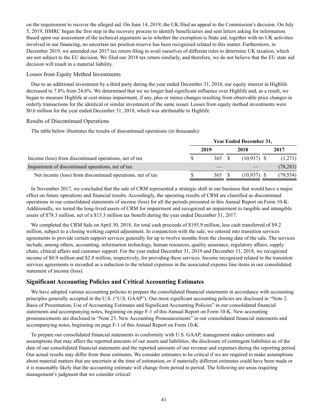on the requirement to recover the alleged aid. On June 14, 2019, the UK filed an appeal to the Commission's decision. On July 5, 2019, HMRC began the first step in the recovery process to identify beneficiaries and sent letters asking for information. Based upon our assessment of the technical arguments as to whether the exemption is State aid, together with no UK activities involved in our financing, no uncertain tax position reserve has been recognized related to this matter. Furthermore, in December 2019, we amended our 2017 tax return filing to avail ourselves of different rules to determine UK taxation, which are not subject to the EU decision. We filed our 2018 tax return similarly, and therefore, we do not believe that the EU state aid decision will result in a material liability.

## Losses from Equity Method Investments

Due to an additional investment by a third party during the year ended December 31, 2018, our equity interest in Highlife decreased to 7.8% from 24.6%. We determined that we no longer had significant influence over Highlife and, as a result, we began to measure Highlife at cost minus impairment, if any, plus or minus changes resulting from observable price changes in orderly transactions for the identical or similar investment of the same issuer. Losses from equity method investments were \$0.6 million for the year ended December 31, 2018, which was attributable to Highlife.

## Results of Discontinued Operations

The table below illustrates the results of discontinued operations (in thousands):

|                                                            | <b>Year Ended December 31,</b> |       |  |               |  |           |  |
|------------------------------------------------------------|--------------------------------|-------|--|---------------|--|-----------|--|
|                                                            |                                | 2019  |  | 2018          |  | 2017      |  |
| Income (loss) from discontinued operations, net of tax     |                                | 365 S |  | $(10.937)$ \$ |  | (1,271)   |  |
| Impairment of discontinued operations, net of tax          |                                |       |  |               |  | (78, 283) |  |
| Net income (loss) from discontinued operations, net of tax |                                | 365   |  | (10,937)      |  | (79,554)  |  |

In November 2017, we concluded that the sale of CRM represented a strategic shift in our business that would have a major effect on future operations and financial results. Accordingly, the operating results of CRM are classified as discontinued operations in our consolidated statements of income (loss) for all the periods presented in this Annual Report on Form 10-K. Additionally, we tested the long-lived assets of CRM for impairment and recognized an impairment to tangible and intangible assets of \$78.3 million, net of a \$15.3 million tax benefit during the year ended December 31, 2017.

We completed the CRM Sale on April 30, 2018, for total cash proceeds of \$195.9 million, less cash transferred of \$9.2 million, subject to a closing working capital adjustment. In conjunction with the sale, we entered into transition services agreements to provide certain support services generally for up to twelve months from the closing date of the sale. The services include, among others, accounting, information technology, human resources, quality assurance, regulatory affairs, supply chain, clinical affairs and customer support. For the year ended December 31, 2019 and December 31, 2018, we recognized income of \$0.9 million and \$2.8 million, respectively, for providing these services. Income recognized related to the transition services agreements is recorded as a reduction to the related expenses in the associated expense line items in our consolidated statement of income (loss).

## **Significant Accounting Policies and Critical Accounting Estimates**

We have adopted various accounting policies to prepare the consolidated financial statements in accordance with accounting principles generally accepted in the U.S. ("U.S. GAAP"). Our most significant accounting policies are disclosed in "Note 2. Basis of Presentation, Use of Accounting Estimates and Significant Accounting Policies" in our consolidated financial statements and accompanying notes, beginning on page F-1 of this Annual Report on Form 10-K. New accounting pronouncements are disclosed in "Note 23. New Accounting Pronouncements" in our consolidated financial statements and accompanying notes, beginning on page F-1 of this Annual Report on Form 10-K.

To prepare our consolidated financial statements in conformity with U.S. GAAP, management makes estimates and assumptions that may affect the reported amounts of our assets and liabilities, the disclosure of contingent liabilities as of the date of our consolidated financial statements and the reported amounts of our revenue and expenses during the reporting period. Our actual results may differ from these estimates. We consider estimates to be critical if we are required to make assumptions about material matters that are uncertain at the time of estimation, or if materially different estimates could have been made or it is reasonably likely that the accounting estimate will change from period to period. The following are areas requiring management's judgment that we consider critical: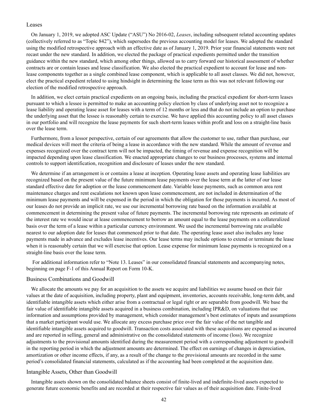#### Leases

On January 1, 2019, we adopted ASC Update ("ASU") No 2016-02, *Leases*, including subsequent related accounting updates (collectively referred to as "Topic 842"), which supersedes the previous accounting model for leases. We adopted the standard using the modified retrospective approach with an effective date as of January 1, 2019. Prior year financial statements were not recast under the new standard. In addition, we elected the package of practical expedients permitted under the transition guidance within the new standard, which among other things, allowed us to carry forward our historical assessment of whether contracts are or contain leases and lease classification. We also elected the practical expedient to account for lease and nonlease components together as a single combined lease component, which is applicable to all asset classes. We did not, however, elect the practical expedient related to using hindsight in determining the lease term as this was not relevant following our election of the modified retrospective approach.

In addition, we elect certain practical expedients on an ongoing basis, including the practical expedient for short-term leases pursuant to which a lessee is permitted to make an accounting policy election by class of underlying asset not to recognize a lease liability and operating lease asset for leases with a term of 12 months or less and that do not include an option to purchase the underlying asset that the lessee is reasonably certain to exercise. We have applied this accounting policy to all asset classes in our portfolio and will recognize the lease payments for such short-term leases within profit and loss on a straight-line basis over the lease term.

Furthermore, from a lessor perspective, certain of our agreements that allow the customer to use, rather than purchase, our medical devices will meet the criteria of being a lease in accordance with the new standard. While the amount of revenue and expenses recognized over the contract term will not be impacted, the timing of revenue and expense recognition will be impacted depending upon lease classification. We enacted appropriate changes to our business processes, systems and internal controls to support identification, recognition and disclosure of leases under the new standard.

We determine if an arrangement is or contains a lease at inception. Operating lease assets and operating lease liabilities are recognized based on the present value of the future minimum lease payments over the lease term at the latter of our lease standard effective date for adoption or the lease commencement date. Variable lease payments, such as common area rent maintenance charges and rent escalations not known upon lease commencement, are not included in determination of the minimum lease payments and will be expensed in the period in which the obligation for those payments is incurred. As most of our leases do not provide an implicit rate, we use our incremental borrowing rate based on the information available at commencement in determining the present value of future payments. The incremental borrowing rate represents an estimate of the interest rate we would incur at lease commencement to borrow an amount equal to the lease payments on a collateralized basis over the term of a lease within a particular currency environment. We used the incremental borrowing rate available nearest to our adoption date for leases that commenced prior to that date. The operating lease asset also includes any lease payments made in advance and excludes lease incentives. Our lease terms may include options to extend or terminate the lease when it is reasonably certain that we will exercise that option. Lease expense for minimum lease payments is recognized on a straight-line basis over the lease term.

 For additional information refer to "Note 13. Leases" in our consolidated financial statements and accompanying notes, beginning on page F-1 of this Annual Report on Form 10-K.

#### Business Combinations and Goodwill

We allocate the amounts we pay for an acquisition to the assets we acquire and liabilities we assume based on their fair values at the date of acquisition, including property, plant and equipment, inventories, accounts receivable, long-term debt, and identifiable intangible assets which either arise from a contractual or legal right or are separable from goodwill. We base the fair value of identifiable intangible assets acquired in a business combination, including IPR&D, on valuations that use information and assumptions provided by management, which consider management's best estimates of inputs and assumptions that a market participant would use. We allocate any excess purchase price over the fair value of the net tangible and identifiable intangible assets acquired to goodwill. Transaction costs associated with these acquisitions are expensed as incurred and are reported in selling, general and administrative on the consolidated statements of income (loss). We recognize adjustments to the provisional amounts identified during the measurement period with a corresponding adjustment to goodwill in the reporting period in which the adjustment amounts are determined. The effect on earnings of changes in depreciation, amortization or other income effects, if any, as a result of the change to the provisional amounts are recorded in the same period's consolidated financial statements, calculated as if the accounting had been completed at the acquisition date.

#### Intangible Assets, Other than Goodwill

Intangible assets shown on the consolidated balance sheets consist of finite-lived and indefinite-lived assets expected to generate future economic benefits and are recorded at their respective fair values as of their acquisition date. Finite-lived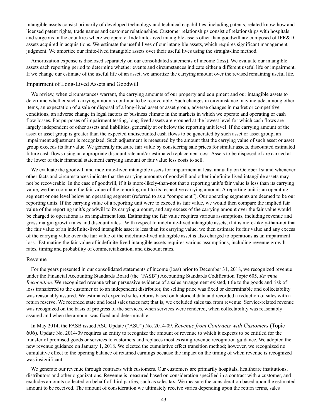intangible assets consist primarily of developed technology and technical capabilities, including patents, related know-how and licensed patent rights, trade names and customer relationships. Customer relationships consist of relationships with hospitals and surgeons in the countries where we operate. Indefinite-lived intangible assets other than goodwill are composed of IPR&D assets acquired in acquisitions. We estimate the useful lives of our intangible assets, which requires significant management judgment. We amortize our finite-lived intangible assets over their useful lives using the straight-line method.

Amortization expense is disclosed separately on our consolidated statements of income (loss). We evaluate our intangible assets each reporting period to determine whether events and circumstances indicate either a different useful life or impairment. If we change our estimate of the useful life of an asset, we amortize the carrying amount over the revised remaining useful life.

#### Impairment of Long-Lived Assets and Goodwill

We review, when circumstances warrant, the carrying amounts of our property and equipment and our intangible assets to determine whether such carrying amounts continue to be recoverable. Such changes in circumstance may include, among other items, an expectation of a sale or disposal of a long-lived asset or asset group, adverse changes in market or competitive conditions, an adverse change in legal factors or business climate in the markets in which we operate and operating or cash flow losses. For purposes of impairment testing, long-lived assets are grouped at the lowest level for which cash flows are largely independent of other assets and liabilities, generally at or below the reporting unit level. If the carrying amount of the asset or asset group is greater than the expected undiscounted cash flows to be generated by such asset or asset group, an impairment adjustment is recognized. Such adjustment is measured by the amount that the carrying value of such asset or asset group exceeds its fair value. We generally measure fair value by considering sale prices for similar assets, discounted estimated future cash flows using an appropriate discount rate and/or estimated replacement cost. Assets to be disposed of are carried at the lower of their financial statement carrying amount or fair value less costs to sell.

We evaluate the goodwill and indefinite-lived intangible assets for impairment at least annually on October 1st and whenever other facts and circumstances indicate that the carrying amounts of goodwill and other indefinite-lived intangible assets may not be recoverable. In the case of goodwill, if it is more-likely-than-not that a reporting unit's fair value is less than its carrying value, we then compare the fair value of the reporting unit to its respective carrying amount. A reporting unit is an operating segment or one level below an operating segment (referred to as a "component"). Our operating segments are deemed to be our reporting units. If the carrying value of a reporting unit were to exceed its fair value, we would then compare the implied fair value of the reporting unit's goodwill to its carrying amount, and any excess of the carrying amount over the fair value would be charged to operations as an impairment loss. Estimating the fair value requires various assumptions, including revenue and gross margin growth rates and discount rates. With respect to indefinite-lived intangible assets, if it is more-likely-than-not that the fair value of an indefinite-lived intangible asset is less than its carrying value, we then estimate its fair value and any excess of the carrying value over the fair value of the indefinite-lived intangible asset is also charged to operations as an impairment loss. Estimating the fair value of indefinite-lived intangible assets requires various assumptions, including revenue growth rates, timing and probability of commercialization, and discount rates.

#### Revenue

For the years presented in our consolidated statements of income (loss) prior to December 31, 2018, we recognized revenue under the Financial Accounting Standards Board (the "FASB") Accounting Standards Codification Topi*c* 605, *Revenue Recognition.* We recognized revenue when persuasive evidence of a sales arrangement existed, title to the goods and risk of loss transferred to the customer or to an independent distributor, the selling price was fixed or determinable and collectability was reasonably assured. We estimated expected sales returns based on historical data and recorded a reduction of sales with a return reserve. We recorded state and local sales taxes net; that is, we excluded sales tax from revenue. Service-related revenue was recognized on the basis of progress of the services, when services were rendered, when collectability was reasonably assured and when the amount was fixed and determinable.

In May 2014, the FASB issued ASC Update ("ASU") No. 2014-09, *Revenue from Contracts with Customers* (Topic 606)*.* Update No. 2014-09 requires an entity to recognize the amount of revenue to which it expects to be entitled for the transfer of promised goods or services to customers and replaces most existing revenue recognition guidance. We adopted the new revenue guidance on January 1, 2018. We elected the cumulative effect transition method; however, we recognized no cumulative effect to the opening balance of retained earnings because the impact on the timing of when revenue is recognized was insignificant.

We generate our revenue through contracts with customers. Our customers are primarily hospitals, healthcare institutions, distributors and other organizations. Revenue is measured based on consideration specified in a contract with a customer, and excludes amounts collected on behalf of third parties, such as sales tax. We measure the consideration based upon the estimated amount to be received. The amount of consideration we ultimately receive varies depending upon the return terms, sales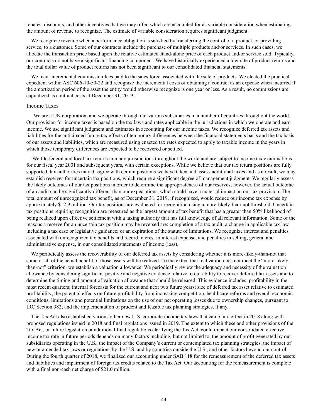rebates, discounts, and other incentives that we may offer, which are accounted for as variable consideration when estimating the amount of revenue to recognize. The estimate of variable consideration requires significant judgment.

We recognize revenue when a performance obligation is satisfied by transferring the control of a product, or providing service, to a customer. Some of our contracts include the purchase of multiple products and/or services. In such cases, we allocate the transaction price based upon the relative estimated stand-alone price of each product and/or service sold. Typically, our contracts do not have a significant financing component. We have historically experienced a low rate of product returns and the total dollar value of product returns has not been significant to our consolidated financial statements.

We incur incremental commission fees paid to the sales force associated with the sale of products. We elected the practical expedient within ASC 606-10-50-22 and recognize the incremental costs of obtaining a contract as an expense when incurred if the amortization period of the asset the entity would otherwise recognize is one year or less. As a result, no commissions are capitalized as contract costs at December 31, 2019.

## Income Taxes

We are a UK corporation, and we operate through our various subsidiaries in a number of countries throughout the world. Our provision for income taxes is based on the tax laws and rates applicable in the jurisdictions in which we operate and earn income. We use significant judgment and estimates in accounting for our income taxes. We recognize deferred tax assets and liabilities for the anticipated future tax effects of temporary differences between the financial statements basis and the tax basis of our assets and liabilities, which are measured using enacted tax rates expected to apply to taxable income in the years in which those temporary differences are expected to be recovered or settled.

We file federal and local tax returns in many jurisdictions throughout the world and are subject to income tax examinations for our fiscal year 2001 and subsequent years, with certain exceptions. While we believe that our tax return positions are fully supported, tax authorities may disagree with certain positions we have taken and assess additional taxes and as a result, we may establish reserves for uncertain tax positions, which require a significant degree of management judgment. We regularly assess the likely outcomes of our tax positions in order to determine the appropriateness of our reserves; however, the actual outcome of an audit can be significantly different than our expectations, which could have a material impact on our tax provision. The total amount of unrecognized tax benefit, as of December 31, 2019, if recognized, would reduce our income tax expense by approximately \$12.9 million. Our tax positions are evaluated for recognition using a more-likely-than-not threshold. Uncertain tax positions requiring recognition are measured as the largest amount of tax benefit that has a greater than 50% likelihood of being realized upon effective settlement with a taxing authority that has full knowledge of all relevant information. Some of the reasons a reserve for an uncertain tax position may be reversed are: completion of a tax audit; a change in applicable tax law including a tax case or legislative guidance; or an expiration of the statute of limitations. We recognize interest and penalties associated with unrecognized tax benefits and record interest in interest expense, and penalties in selling, general and administrative expense, in our consolidated statements of income (loss).

We periodically assess the recoverability of our deferred tax assets by considering whether it is more-likely-than-not that some or all of the actual benefit of those assets will be realized. To the extent that realization does not meet the "more-likelythan-not" criterion, we establish a valuation allowance. We periodically review the adequacy and necessity of the valuation allowance by considering significant positive and negative evidence relative to our ability to recover deferred tax assets and to determine the timing and amount of valuation allowance that should be released. This evidence includes: profitability in the most recent quarters; internal forecasts for the current and next two future years; size of deferred tax asset relative to estimated profitability; the potential effects on future profitability from increasing competition, healthcare reforms and overall economic conditions; limitations and potential limitations on the use of our net operating losses due to ownership changes, pursuant to IRC Section 382; and the implementation of prudent and feasible tax planning strategies, if any.

The Tax Act also established various other new U.S. corporate income tax laws that came into effect in 2018 along with proposed regulations issued in 2018 and final regulations issued in 2019. The extent to which these and other provisions of the Tax Act, or future legislation or additional final regulations clarifying the Tax Act, could impact our consolidated effective income tax rate in future periods depends on many factors including, but not limited to, the amount of profit generated by our subsidiaries operating in the U.S., the impact of the Company's current or contemplated tax planning strategies, the impact of new or amended tax laws or regulations by the U.S. and by countries outside the U.S., and other factors beyond our control. During the fourth quarter of 2018, we finalized our accounting under SAB 118 for the remeasurement of the deferred tax assets and liabilities and impairment of foreign tax credits related to the Tax Act. Our accounting for the remeasurement is complete with a final non-cash net charge of \$21.0 million.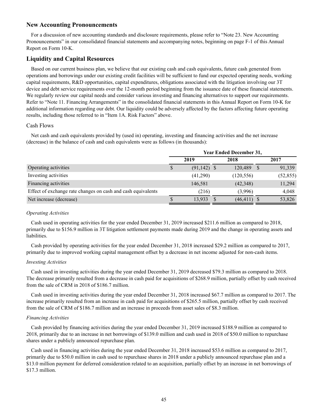## **New Accounting Pronouncements**

For a discussion of new accounting standards and disclosure requirements, please refer to "Note 23. New Accounting Pronouncements" in our consolidated financial statements and accompanying notes, beginning on page F-1 of this Annual Report on Form 10-K.

## **Liquidity and Capital Resources**

Based on our current business plan, we believe that our existing cash and cash equivalents, future cash generated from operations and borrowings under our existing credit facilities will be sufficient to fund our expected operating needs, working capital requirements, R&D opportunities, capital expenditures, obligations associated with the litigation involving our 3T device and debt service requirements over the 12-month period beginning from the issuance date of these financial statements. We regularly review our capital needs and consider various investing and financing alternatives to support our requirements. Refer to "Note 11. Financing Arrangements" in the consolidated financial statements in this Annual Report on Form 10-K for additional information regarding our debt. Our liquidity could be adversely affected by the factors affecting future operating results, including those referred to in "Item 1A. Risk Factors" above.

## Cash Flows

Net cash and cash equivalents provided by (used in) operating, investing and financing activities and the net increase (decrease) in the balance of cash and cash equivalents were as follows (in thousands):

|                                                              | <b>Year Ended December 31,</b> |                |  |                |              |           |  |  |  |
|--------------------------------------------------------------|--------------------------------|----------------|--|----------------|--------------|-----------|--|--|--|
|                                                              |                                | 2019           |  | 2018           |              | 2017      |  |  |  |
| Operating activities                                         | \$                             | $(91, 142)$ \$ |  | 120,489        | <sup>S</sup> | 91,339    |  |  |  |
| Investing activities                                         |                                | (41,290)       |  | (120, 556)     |              | (52, 855) |  |  |  |
| Financing activities                                         |                                | 146,581        |  | (42, 348)      |              | 11,294    |  |  |  |
| Effect of exchange rate changes on cash and cash equivalents |                                | (216)          |  | (3,996)        |              | 4,048     |  |  |  |
| Net increase (decrease)                                      |                                | 13,933         |  | $(46, 411)$ \$ |              | 53,826    |  |  |  |

#### *Operating Activities*

Cash used in operating activities for the year ended December 31, 2019 increased \$211.6 million as compared to 2018, primarily due to \$156.9 million in 3T litigation settlement payments made during 2019 and the change in operating assets and liabilities.

Cash provided by operating activities for the year ended December 31, 2018 increased \$29.2 million as compared to 2017, primarily due to improved working capital management offset by a decrease in net income adjusted for non-cash items.

#### *Investing Activities*

Cash used in investing activities during the year ended December 31, 2019 decreased \$79.3 million as compared to 2018. The decrease primarily resulted from a decrease in cash paid for acquisitions of \$268.9 million, partially offset by cash received from the sale of CRM in 2018 of \$186.7 million.

Cash used in investing activities during the year ended December 31, 2018 increased \$67.7 million as compared to 2017. The increase primarily resulted from an increase in cash paid for acquisitions of \$265.5 million, partially offset by cash received from the sale of CRM of \$186.7 million and an increase in proceeds from asset sales of \$8.3 million.

#### *Financing Activities*

Cash provided by financing activities during the year ended December 31, 2019 increased \$188.9 million as compared to 2018, primarily due to an increase in net borrowings of \$139.0 million and cash used in 2018 of \$50.0 million to repurchase shares under a publicly announced repurchase plan.

Cash used in financing activities during the year ended December 31, 2018 increased \$53.6 million as compared to 2017, primarily due to \$50.0 million in cash used to repurchase shares in 2018 under a publicly announced repurchase plan and a \$13.0 million payment for deferred consideration related to an acquisition, partially offset by an increase in net borrowings of \$17.3 million.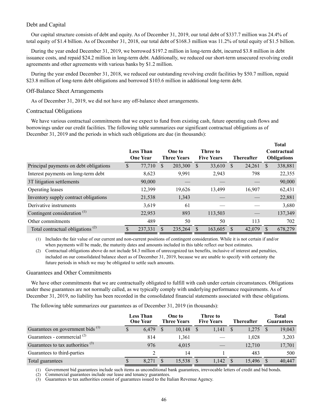## Debt and Capital

Our capital structure consists of debt and equity. As of December 31, 2019, our total debt of \$337.7 million was 24.4% of total equity of \$1.4 billion. As of December 31, 2018, our total debt of \$168.3 million was 11.2% of total equity of \$1.5 billion.

During the year ended December 31, 2019, we borrowed \$197.2 million in long-term debt, incurred \$3.8 million in debt issuance costs, and repaid \$24.2 million in long-term debt. Additionally, we reduced our short-term unsecured revolving credit agreements and other agreements with various banks by \$1.2 million.

During the year ended December 31, 2018, we reduced our outstanding revolving credit facilities by \$50.7 million, repaid \$23.8 million of long-term debt obligations and borrowed \$103.6 million in additional long-term debt.

#### Off-Balance Sheet Arrangements

As of December 31, 2019, we did not have any off-balance sheet arrangements.

## Contractual Obligations

We have various contractual commitments that we expect to fund from existing cash, future operating cash flows and borrowings under our credit facilities. The following table summarizes our significant contractual obligations as of December 31, 2019 and the periods in which such obligations are due (in thousands):

|                                         |     | <b>Less Than</b><br><b>One Year</b> |     | One to<br><b>Three Years</b> |   | Three to<br><b>Five Years</b> |   | <b>Thereafter</b> |    | <b>Total</b><br>Contractual<br><b>Obligations</b> |
|-----------------------------------------|-----|-------------------------------------|-----|------------------------------|---|-------------------------------|---|-------------------|----|---------------------------------------------------|
| Principal payments on debt obligations  | S   | 77,710                              | \$. | 203,300                      | S | 33,610                        | S | 24,261            | S  | 338,881                                           |
| Interest payments on long-term debt     |     | 8,623                               |     | 9,991                        |   | 2,943                         |   | 798               |    | 22,355                                            |
| 3T litigation settlements               |     | 90,000                              |     |                              |   |                               |   |                   |    | 90,000                                            |
| Operating leases                        |     | 12,399                              |     | 19,626                       |   | 13,499                        |   | 16,907            |    | 62,431                                            |
| Inventory supply contract obligations   |     | 21,538                              |     | 1,343                        |   |                               |   |                   |    | 22,881                                            |
| Derivative instruments                  |     | 3,619                               |     | 61                           |   |                               |   |                   |    | 3,680                                             |
| Contingent consideration <sup>(1)</sup> |     | 22,953                              |     | 893                          |   | 113,503                       |   |                   |    | 137,349                                           |
| Other commitments                       |     | 489                                 |     | 50                           |   | 50                            |   | 113               |    | 702                                               |
| Total contractual obligations $(2)$     | \$. | 237,331                             | \$  | 235,264                      |   | 163,605                       |   | 42,079            | \$ | 678,279                                           |

(1) Includes the fair value of our current and non-current positions of contingent consideration. While it is not certain if and/or when payments will be made, the maturity dates and amounts included in this table reflect our best estimates.

(2) Contractual obligations above do not include \$4.3 million of unrecognized tax benefits, inclusive of interest and penalties, included on our consolidated balance sheet as of December 31, 2019, because we are unable to specify with certainty the future periods in which we may be obligated to settle such amounts.

## Guarantees and Other Commitments

We have other commitments that we are contractually obligated to fulfill with cash under certain circumstances. Obligations under these guarantees are not normally called, as we typically comply with underlying performance requirements. As of December 31, 2019, no liability has been recorded in the consolidated financial statements associated with these obligations.

The following table summarizes our guarantees as of December 31, 2019 (in thousands):

|                                              | <b>Less Than</b><br><b>One Year</b> |       | One to<br><b>Three Years</b> |        | Three to<br><b>Five Years</b> |       | <b>Thereafter</b> |        | Total<br>Guarantees |        |
|----------------------------------------------|-------------------------------------|-------|------------------------------|--------|-------------------------------|-------|-------------------|--------|---------------------|--------|
| Guarantees on government bids <sup>(1)</sup> | \$                                  | 6.479 | S                            | 10,148 |                               | 1,141 |                   | 1,275  |                     | 19,043 |
| Guarantees - commercial <sup>(2)</sup>       |                                     | 814   |                              | 1,361  |                               |       |                   | 1,028  |                     | 3,203  |
| Guarantees to tax authorities $(3)$          |                                     | 976   |                              | 4,015  |                               |       |                   | 12,710 |                     | 17,701 |
| Guarantees to third-parties                  |                                     |       |                              | 14     |                               |       |                   | 483    |                     | 500    |
| Total guarantees                             |                                     | 8.271 |                              | 15.538 |                               | 1,142 |                   | 15.496 |                     | 40.447 |

(1) Government bid guarantees include such items as unconditional bank guarantees, irrevocable letters of credit and bid bonds.

(2) Commercial guarantees include our lease and tenancy guarantees.

(3) Guarantees to tax authorities consist of guarantees issued to the Italian Revenue Agency.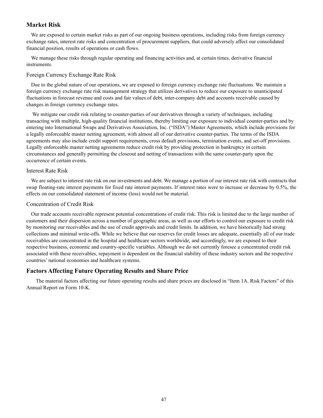## **Market Risk**

We are exposed to certain market risks as part of our ongoing business operations, including risks from foreign currency exchange rates, interest rate risks and concentration of procurement suppliers, that could adversely affect our consolidated financial position, results of operations or cash flows.

We manage these risks through regular operating and financing activities and, at certain times, derivative financial instruments.

## Foreign Currency Exchange Rate Risk

Due to the global nature of our operations, we are exposed to foreign currency exchange rate fluctuations. We maintain a foreign currency exchange rate risk management strategy that utilizes derivatives to reduce our exposure to unanticipated fluctuations in forecast revenue and costs and fair values of debt, inter-company debt and accounts receivable caused by changes in foreign currency exchange rates.

We mitigate our credit risk relating to counter-parties of our derivatives through a variety of techniques, including transacting with multiple, high-quality financial institutions, thereby limiting our exposure to individual counter-parties and by entering into International Swaps and Derivatives Association, Inc. ("ISDA") Master Agreements, which include provisions for a legally enforceable master netting agreement, with almost all of our derivative counter-parties. The terms of the ISDA agreements may also include credit support requirements, cross default provisions, termination events, and set-off provisions. Legally enforceable master netting agreements reduce credit risk by providing protection in bankruptcy in certain circumstances and generally permitting the closeout and netting of transactions with the same counter-party upon the occurrence of certain events.

## Interest Rate Risk

We are subject to interest rate risk on our investments and debt. We manage a portion of our interest rate risk with contracts that swap floating-rate interest payments for fixed rate interest payments. If interest rates were to increase or decrease by 0.5%, the effects on our consolidated statement of income (loss) would not be material.

## Concentration of Credit Risk

Our trade accounts receivable represent potential concentrations of credit risk. This risk is limited due to the large number of customers and their dispersion across a number of geographic areas, as well as our efforts to control our exposure to credit risk by monitoring our receivables and the use of credit approvals and credit limits. In addition, we have historically had strong collections and minimal write-offs. While we believe that our reserves for credit losses are adequate, essentially all of our trade receivables are concentrated in the hospital and healthcare sectors worldwide, and accordingly, we are exposed to their respective business, economic and country-specific variables. Although we do not currently foresee a concentrated credit risk associated with these receivables, repayment is dependent on the financial stability of these industry sectors and the respective countries' national economies and healthcare systems.

## **Factors Affecting Future Operating Results and Share Price**

The material factors affecting our future operating results and share prices are disclosed in "Item 1A. Risk Factors" of this Annual Report on Form 10-K.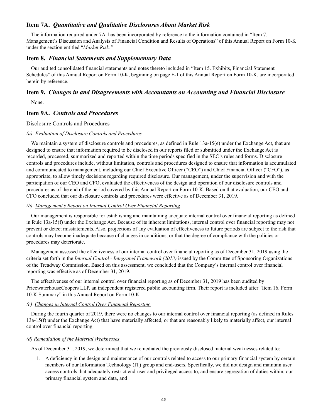## **Item 7A.** *Quantitative and Qualitative Disclosures About Market Risk*

The information required under 7A. has been incorporated by reference to the information contained in "Item 7. Management's Discussion and Analysis of Financial Condition and Results of Operations" of this Annual Report on Form 10-K under the section entitled "*Market Risk."*

## **Item 8.** *Financial Statements and Supplementary Data*

Our audited consolidated financial statements and notes thereto included in "Item 15. Exhibits, Financial Statement Schedules" of this Annual Report on Form 10-K, beginning on page F-1 of this Annual Report on Form 10-K, are incorporated herein by reference.

## **Item 9.** *Changes in and Disagreements with Accountants on Accounting and Financial Disclosure*

None.

## **Item 9A.** *Controls and Procedures*

Disclosure Controls and Procedures

## *(a) Evaluation of Disclosure Controls and Procedures*

We maintain a system of disclosure controls and procedures, as defined in Rule 13a-15(e) under the Exchange Act, that are designed to ensure that information required to be disclosed in our reports filed or submitted under the Exchange Act is recorded, processed, summarized and reported within the time periods specified in the SEC's rules and forms. Disclosure controls and procedures include, without limitation, controls and procedures designed to ensure that information is accumulated and communicated to management, including our Chief Executive Officer ("CEO") and Chief Financial Officer ("CFO"), as appropriate, to allow timely decisions regarding required disclosure. Our management, under the supervision and with the participation of our CEO and CFO, evaluated the effectiveness of the design and operation of our disclosure controls and procedures as of the end of the period covered by this Annual Report on Form 10-K. Based on that evaluation, our CEO and CFO concluded that our disclosure controls and procedures were effective as of December 31, 2019.

## *(b) Management's Report on Internal Control Over Financial Reporting*

Our management is responsible for establishing and maintaining adequate internal control over financial reporting as defined in Rule 13a-15(f) under the Exchange Act. Because of its inherent limitations, internal control over financial reporting may not prevent or detect misstatements. Also, projections of any evaluation of effectiveness to future periods are subject to the risk that controls may become inadequate because of changes in conditions, or that the degree of compliance with the policies or procedures may deteriorate.

Management assessed the effectiveness of our internal control over financial reporting as of December 31, 2019 using the criteria set forth in the *Internal Control - Integrated Framework (2013)* issued by the Committee of Sponsoring Organizations of the Treadway Commission. Based on this assessment, we concluded that the Company's internal control over financial reporting was effective as of December 31, 2019.

The effectiveness of our internal control over financial reporting as of December 31, 2019 has been audited by PricewaterhouseCoopers LLP, an independent registered public accounting firm. Their report is included after "Item 16. Form 10-K Summary" in this Annual Report on Form 10-K.

## *(c) Changes in Internal Control Over Financial Reporting*

During the fourth quarter of 2019, there were no changes to our internal control over financial reporting (as defined in Rules 13a-15(f) under the Exchange Act) that have materially affected, or that are reasonably likely to materially affect, our internal control over financial reporting.

#### *(d) Remediation of the Material Weaknesses*

As of December 31, 2019, we determined that we remediated the previously disclosed material weaknesses related to:

1. A deficiency in the design and maintenance of our controls related to access to our primary financial system by certain members of our Information Technology (IT) group and end-users. Specifically, we did not design and maintain user access controls that adequately restrict end-user and privileged access to, and ensure segregation of duties within, our primary financial system and data, and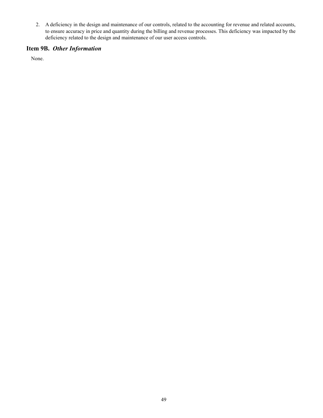2. A deficiency in the design and maintenance of our controls, related to the accounting for revenue and related accounts, to ensure accuracy in price and quantity during the billing and revenue processes. This deficiency was impacted by the deficiency related to the design and maintenance of our user access controls.

# **Item 9B.** *Other Information*

None.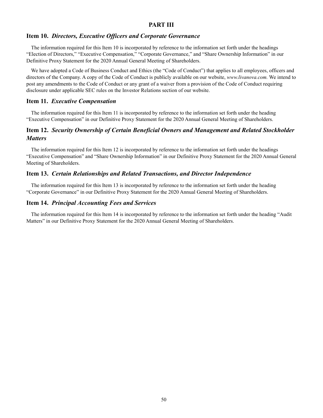## **PART III**

## **Item 10.** *Directors, Executive Officers and Corporate Governance*

The information required for this Item 10 is incorporated by reference to the information set forth under the headings "Election of Directors," "Executive Compensation," "Corporate Governance," and "Share Ownership Information" in our Definitive Proxy Statement for the 2020 Annual General Meeting of Shareholders.

We have adopted a Code of Business Conduct and Ethics (the "Code of Conduct") that applies to all employees, officers and directors of the Company. A copy of the Code of Conduct is publicly available on our website, *www.livanova.com.* We intend to post any amendments to the Code of Conduct or any grant of a waiver from a provision of the Code of Conduct requiring disclosure under applicable SEC rules on the Investor Relations section of our website.

## **Item 11.** *Executive Compensation*

The information required for this Item 11 is incorporated by reference to the information set forth under the heading "Executive Compensation" in our Definitive Proxy Statement for the 2020 Annual General Meeting of Shareholders.

## **Item 12.** *Security Ownership of Certain Beneficial Owners and Management and Related Stockholder Matters*

The information required for this Item 12 is incorporated by reference to the information set forth under the headings "Executive Compensation" and "Share Ownership Information" in our Definitive Proxy Statement for the 2020 Annual General Meeting of Shareholders.

## **Item 13.** *Certain Relationships and Related Transactions, and Director Independence*

The information required for this Item 13 is incorporated by reference to the information set forth under the heading "Corporate Governance" in our Definitive Proxy Statement for the 2020 Annual General Meeting of Shareholders.

## **Item 14.** *Principal Accounting Fees and Services*

The information required for this Item 14 is incorporated by reference to the information set forth under the heading "Audit Matters" in our Definitive Proxy Statement for the 2020 Annual General Meeting of Shareholders.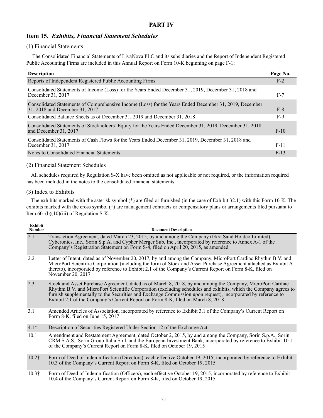## **PART IV**

## **Item 15.** *Exhibits, Financial Statement Schedules*

## (1) Financial Statements

 The Consolidated Financial Statements of LivaNova PLC and its subsidiaries and the Report of Independent Registered Public Accounting Firms are included in this Annual Report on Form 10-K beginning on page F-1:

| <b>Description</b>                                                                                                                       | Page No. |
|------------------------------------------------------------------------------------------------------------------------------------------|----------|
| Reports of Independent Registered Public Accounting Firms                                                                                | $F-2$    |
| Consolidated Statements of Income (Loss) for the Years Ended December 31, 2019, December 31, 2018 and<br>December 31, 2017               | $F-7$    |
| Consolidated Statements of Comprehensive Income (Loss) for the Years Ended December 31, 2019, December<br>31, 2018 and December 31, 2017 | $F-8$    |
| Consolidated Balance Sheets as of December 31, 2019 and December 31, 2018                                                                | $F-9$    |
| Consolidated Statements of Stockholders' Equity for the Years Ended December 31, 2019, December 31, 2018<br>and December 31, 2017        | $F-10$   |
| Consolidated Statements of Cash Flows for the Years Ended December 31, 2019, December 31, 2018 and<br>December 31, 2017                  | $F-11$   |
| Notes to Consolidated Financial Statements                                                                                               | $F-13$   |

## (2) Financial Statement Schedules

All schedules required by Regulation S-X have been omitted as not applicable or not required, or the information required has been included in the notes to the consolidated financial statements.

## (3) Index to Exhibits

The exhibits marked with the asterisk symbol (\*) are filed or furnished (in the case of Exhibit 32.1) with this Form 10-K. The exhibits marked with the cross symbol (†) are management contracts or compensatory plans or arrangements filed pursuant to Item 601(b)(10)(iii) of Regulation S-K.

| <b>Exhibit</b><br><b>Number</b> | <b>Document Description</b>                                                                                                                                                                                                                                                                                                                                                                                                      |
|---------------------------------|----------------------------------------------------------------------------------------------------------------------------------------------------------------------------------------------------------------------------------------------------------------------------------------------------------------------------------------------------------------------------------------------------------------------------------|
| $\overline{2.1}$                | Transaction Agreement, dated March 23, 2015, by and among the Company (f/k/a Sand Holdco Limited),<br>Cyberonics, Inc., Sorin S.p.A. and Cypher Merger Sub, Inc., incorporated by reference to Annex A-1 of the<br>Company's Registration Statement on Form S-4, filed on April 20, 2015, as amended                                                                                                                             |
| 2.2                             | Letter of Intent, dated as of November 20, 2017, by and among the Company, MicroPort Cardiac Rhythm B.V. and<br>MicroPort Scientific Corporation (including the form of Stock and Asset Purchase Agreement attached as Exhibit A<br>thereto), incorporated by reference to Exhibit 2.1 of the Company's Current Report on Form 8-K, filed on<br>November 20, 2017                                                                |
| 2.3                             | Stock and Asset Purchase Agreement, dated as of March 8, 2018, by and among the Company, MicroPort Cardiac<br>Rhythm B.V. and MicroPort Scientific Corporation (excluding schedules and exhibits, which the Company agrees to<br>furnish supplementally to the Securities and Exchange Commission upon request), incorporated by reference to<br>Exhibit 2.1 of the Company's Current Report on Form 8-K, filed on March 8, 2018 |
| 3.1                             | Amended Articles of Association, incorporated by reference to Exhibit 3.1 of the Company's Current Report on<br>Form 8-K, filed on June 15, 2017                                                                                                                                                                                                                                                                                 |
| $4.1*$                          | Description of Securities Registered Under Section 12 of the Exchange Act                                                                                                                                                                                                                                                                                                                                                        |
| 10.1                            | Amendment and Restatement Agreement, dated October 2, 2015, by and among the Company, Sorin S.p.A., Sorin<br>CRM S.A.S., Sorin Group Italia S.r.l. and the European Investment Bank, incorporated by reference to Exhibit 10.1<br>of the Company's Current Report on Form 8-K, filed on October 19, 2015                                                                                                                         |
| $10.2\dagger$                   | Form of Deed of Indemnification (Directors), each effective October 19, 2015, incorporated by reference to Exhibit<br>10.3 of the Company's Current Report on Form 8-K, filed on October 19, 2015                                                                                                                                                                                                                                |
| 10.3 <sup>†</sup>               | Form of Deed of Indemnification (Officers), each effective October 19, 2015, incorporated by reference to Exhibit                                                                                                                                                                                                                                                                                                                |

10.3† Form of Deed of Indemnification (Officers), each effective October 19, 2015, incorporated by reference to Exhibit 10.4 of the Company's Current Report on Form 8-K, filed on October 19, 2015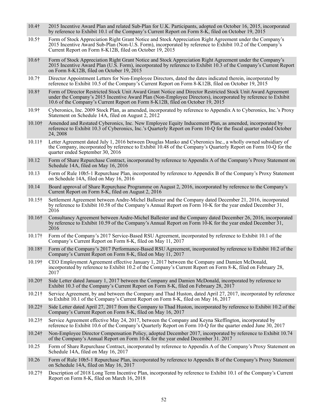- 10.4† 2015 Incentive Award Plan and related Sub-Plan for U.K. Participants, adopted on October 16, 2015, incorporated by reference to Exhibit 10.1 of the Company's Current Report on Form 8-K, filed on October 19, 2015
- 10.5† Form of Stock Appreciation Right Grant Notice and Stock Appreciation Right Agreement under the Company's 2015 Incentive Award Sub-Plan (Non-U.S. Form), incorporated by reference to Exhibit 10.2 of the Company's Current Report on Form 8-K12B, filed on October 19, 2015
- 10.6† Form of Stock Appreciation Right Grant Notice and Stock Appreciation Right Agreement under the Company's 2015 Incentive Award Plan (U.S. Form), incorporated by reference to Exhibit 10.3 of the Company's Current Report on Form 8-K12B, filed on October 19, 2015
- 10.7† Director Appointment Letters for Non-Employee Directors, dated the dates indicated therein, incorporated by reference to Exhibit 10.5 of the Company's Current Report on Form 8-K12B, filed on October 19, 2015
- 10.8† Form of Director Restricted Stock Unit Award Grant Notice and Director Restricted Stock Unit Award Agreement under the Company's 2015 Incentive Award Plan (Non-Employee Directors), incorporated by reference to Exhibit 10.6 of the Company's Current Report on Form 8-K12B, filed on October 19, 2015
- 10.9† Cyberonics, Inc. 2009 Stock Plan, as amended, incorporated by reference to Appendix A to Cyberonics, Inc.'s Proxy Statement on Schedule 14A, filed on August 2, 2012
- 10.10† Amended and Restated Cyberonics, Inc. New Employee Equity Inducement Plan, as amended, incorporated by reference to Exhibit 10.3 of Cyberonics, Inc.'s Quarterly Report on Form 10-Q for the fiscal quarter ended October 24, 2008
- 10.11† Letter Agreement dated July 1, 2016 between Douglas Manko and Cyberonics Inc., a wholly owned subsidiary of the Company, incorporated by reference to Exhibit 10.48 of the Company's Quarterly Report on Form 10-Q for the quarter ended September 30, 2016
- 10.12 Form of Share Repurchase Contract, incorporated by reference to Appendix A of the Company's Proxy Statement on Schedule 14A, filed on May 16, 2016
- 10.13 Form of Rule 10b5-1 Repurchase Plan, incorporated by reference to Appendix B of the Company's Proxy Statement on Schedule 14A, filed on May 16, 2016
- 10.14 Board approval of Share Repurchase Programme on August 2, 2016, incorporated by reference to the Company's Current Report on Form 8-K, filed on August 2, 2016
- 10.15† Settlement Agreement between Andre-Michel Ballester and the Company dated December 21, 2016, incorporated by reference to Exhibit 10.58 of the Company's Annual Report on Form 10-K for the year ended December 31, 2016
- 10.16† Consultancy Agreement between Andre-Michel Ballester and the Company dated December 26, 2016, incorporated by reference to Exhibit 10.59 of the Company's Annual Report on Form 10-K for the year ended December 31, 2016
- 10.17† Form of the Company's 2017 Service-Based RSU Agreement, incorporated by reference to Exhibit 10.1 of the Company's Current Report on Form 8-K, filed on May 11, 2017
- 10.18† Form of the Company's 2017 Performance-Based RSU Agreement, incorporated by reference to Exhibit 10.2 of the Company's Current Report on Form 8-K, filed on May 11, 2017
- 10.19† CEO Employment Agreement effective January 1, 2017 between the Company and Damien McDonald, incorporated by reference to Exhibit 10.2 of the Company's Current Report on Form 8-K, filed on February 28, 2017
- 10.20† Side Letter dated January 1, 2017 between the Company and Damien McDonald, incorporated by reference to Exhibit 10.3 of the Company's Current Report on Form 8-K, filed on February 28, 2017
- 10.21† Service Agreement, by and between the Company and Thad Huston, dated April 27, 2017, incorporated by reference to Exhibit 10.1 of the Company's Current Report on Form 8-K, filed on May 16, 2017
- 10.22† Side Letter dated April 27, 2017 from the Company to Thad Huston, incorporated by reference to Exhibit 10.2 of the Company's Current Report on Form 8-K, filed on May 16, 2017
- 10.23† Service Agreement effective May 24, 2017, between the Company and Keyna Skeffington, incorporated by reference to Exhibit 10.6 of the Company's Quarterly Report on Form 10-Q for the quarter ended June 30, 2017
- 10.24† Non-Employee Director Compensation Policy, adopted December 2017, incorporated by reference to Exhibit 10.74 of the Company's Annual Report on Form 10-K for the year ended December 31. 2017
- 10.25 Form of Share Repurchase Contract, incorporated by reference to Appendix A of the Company's Proxy Statement on Schedule 14A, filed on May 16, 2017
- 10.26 Form of Rule 10b5-1 Repurchase Plan, incorporated by reference to Appendix B of the Company's Proxy Statement on Schedule 14A, filed on May 16, 2017
- 10.27† Description of 2018 Long Term Incentive Plan, incorporated by reference to Exhibit 10.1 of the Company's Current Report on Form 8-K, filed on March 16, 2018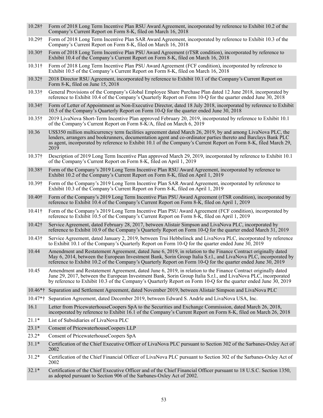- 10.28† Form of 2018 Long Term Incentive Plan RSU Award Agreement, incorporated by reference to Exhibit 10.2 of the Company's Current Report on Form 8-K, filed on March 16, 2018
- 10.29† Form of 2018 Long Term Incentive Plan SAR Award Agreement, incorporated by reference to Exhibit 10.3 of the Company's Current Report on Form 8-K, filed on March 16, 2018
- 10.30† Form of 2018 Long Term Incentive Plan PSU Award Agreement (rTSR condition), incorporated by reference to Exhibit 10.4 of the Company's Current Report on Form 8-K, filed on March 16, 2018
- 10.31† Form of 2018 Long Term Incentive Plan PSU Award Agreement (FCF condition), incorporated by reference to Exhibit 10.5 of the Company's Current Report on Form 8-K, filed on March 16, 2018
- 10.32† 2018 Director RSU Agreement, incorporated by reference to Exhibit 10.1 of the Company's Current Report on Form 8-K, filed on June 15, 2018
- 10.33† General Provisions of the Company's Global Employee Share Purchase Plan dated 12 June 2018, incorporated by reference to Exhibit 10.4 of the Company's Quarterly Report on Form 10-Q for the quarter ended June 30, 2018
- 10.34† Form of Letter of Appointment as Non-Executive Director, dated 18 July 2018, incorporated by reference to Exhibit 10.5 of the Company's Quarterly Report on Form 10-Q for the quarter ended June 30, 2018
- 10.35† 2019 LivaNova Short-Term Incentive Plan approved February 20, 2019, incorporated by reference to Exhibit 10.1 of the Company's Current Report on Form 8-K/A, filed on March 6, 2019
- 10.36 US\$350 million multicurrency term facilities agreement dated March 26, 2019, by and among LivaNova PLC, the lenders, arrangers and bookrunners, documentation agent and co-ordinator parties thereto and Barclays Bank PLC as agent, incorporated by reference to Exhibit 10.1 of the Company's Current Report on Form 8-K, filed March 29, 2019
- 10.37† Description of 2019 Long Term Incentive Plan approved March 29, 2019, incorporated by reference to Exhibit 10.1 of the Company's Current Report on Form 8-K, filed on April 1, 2019
- 10.38† Form of the Company's 2019 Long Term Incentive Plan RSU Award Agreement, incorporated by reference to Exhibit 10.2 of the Company's Current Report on Form 8-K, filed on April 1, 2019
- 10.39† Form of the Company's 2019 Long Term Incentive Plan SAR Award Agreement, incorporated by reference to Exhibit 10.3 of the Company's Current Report on Form 8-K, filed on April 1, 2019
- 10.40† Form of the Company's 2019 Long Term Incentive Plan PSU Award Agreement (rTSR condition), incorporated by reference to Exhibit 10.4 of the Company's Current Report on Form 8-K, filed on April 1, 2019
- 10.41† Form of the Company's 2019 Long Term Incentive Plan PSU Award Agreement (FCF condition), incorporated by reference to Exhibit 10.5 of the Company's Current Report on Form 8-K, filed on April 1, 2019
- 10.42† Service Agreement, dated February 28, 2017, between Alistair Simpson and LivaNova PLC, incorporated by reference to Exhibit 10.9 of the Company's Quarterly Report on Form 10-Q for the quarter ended March 31, 2019
- 10.43† Service Agreement, dated January 2, 2019, between Trui Hebbelinck and LivaNova PLC, incorporated by reference to Exhibit 10.1 of the Company's Quarterly Report on Form 10-Q for the quarter ended June 30, 2019
- 10.44 Amendment and Restatement Agreement, dated June 6, 2019, in relation to the Finance Contract originally dated May 6, 2014, between the European Investment Bank, Sorin Group Italia S.r.l., and LivaNova PLC, incorporated by reference to Exhibit 10.2 of the Company's Quarterly Report on Form 10-Q for the quarter ended June 30, 2019
- 10.45 Amendment and Restatement Agreement, dated June 6, 2019, in relation to the Finance Contract originally dated June 29, 2017, between the European Investment Bank, Sorin Group Italia S.r.l., and LivaNova PLC, incorporated by reference to Exhibit 10.3 of the Company's Quarterly Report on Form 10-Q for the quarter ended June 30, 2019
- 10.46\*† Separation and Settlement Agreement, dated November 2019, between Alistair Simpson and LivaNova PLC
- 10.47\*† Separation Agreement, dated December 2019, between Edward S. Andrle and LivaNova USA, Inc.
- 16.1 Letter from PricewaterhouseCoopers SpA to the Securities and Exchange Commission, dated March 26, 2018, incorporated by reference to Exhibit 16.1 of the Company's Current Report on Form 8-K, filed on March 26, 2018
- 21.1\* List of Subsidiaries of LivaNova PLC
- 23.1\* Consent of PricewaterhouseCoopers LLP
- 23.2\* Consent of PricewaterhouseCoopers SpA
- 31.1\* Certification of the Chief Executive Officer of LivaNova PLC pursuant to Section 302 of the Sarbanes-Oxley Act of 2002
- 31.2\* Certification of the Chief Financial Officer of LivaNova PLC pursuant to Section 302 of the Sarbanes-Oxley Act of 2002
- 32.1\* Certification of the Chief Executive Officer and of the Chief Financial Officer pursuant to 18 U.S.C. Section 1350, as adopted pursuant to Section 906 of the Sarbanes-Oxley Act of 2002.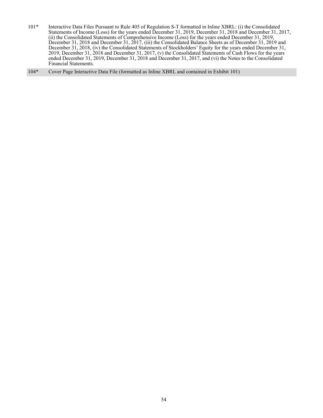101\* Interactive Data Files Pursuant to Rule 405 of Regulation S-T formatted in Inline XBRL: (i) the Consolidated Statements of Income (Loss) for the years ended December 31, 2019, December 31, 2018 and December 31, 2017, (ii) the Consolidated Statements of Comprehensive Income (Loss) for the years ended December 31, 2019, December 31, 2018 and December 31, 2017, (iii) the Consolidated Balance Sheets as of December 31, 2019 and December 31, 2018, (iv) the Consolidated Statements of Stockholders' Equity for the years ended December 31, 2019, December 31, 2018 and December 31, 2017, (v) the Consolidated Statements of Cash Flows for the years ended December 31, 2019, December 31, 2018 and December 31, 2017, and (vi) the Notes to the Consolidated Financial Statements.

104\* Cover Page Interactive Data File (formatted as Inline XBRL and contained in Exhibit 101)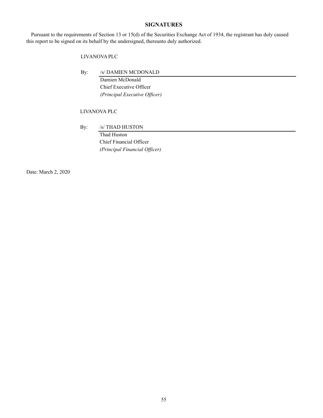## **SIGNATURES**

Pursuant to the requirements of Section 13 or 15(d) of the Securities Exchange Act of 1934, the registrant has duly caused this report to be signed on its behalf by the undersigned, thereunto duly authorized.

## LIVANOVA PLC

By: /s/ DAMIEN MCDONALD

 Damien McDonald Chief Executive Officer *(Principal Executive Officer)*

## LIVANOVA PLC

By: /s/ THAD HUSTON

 Thad Huston Chief Financial Officer *(Principal Financial Officer)*

Date: March 2, 2020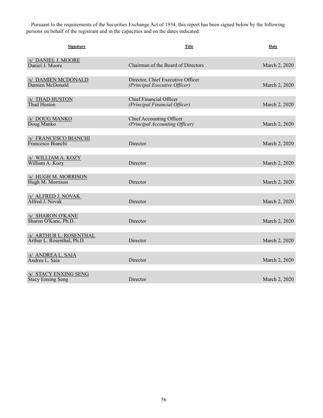Pursuant to the requirements of the Securities Exchange Act of 1934, this report has been signed below by the following persons on behalf of the registrant and in the capacities and on the dates indicated:

| Signature                                             | <b>Title</b>                                                       | <b>Date</b>   |
|-------------------------------------------------------|--------------------------------------------------------------------|---------------|
| /s/ DANIEL J. MOORE<br>Daniel J. Moore                | Chairman of the Board of Directors                                 | March 2, 2020 |
| <b>/s/ DAMIEN MCDONALD</b><br>Damien McDonald         | Director, Chief Executive Officer<br>(Principal Executive Officer) | March 2, 2020 |
| <b>S THAD HUSTON</b><br>Thad Huston                   | <b>Chief Financial Officer</b><br>(Principal Financial Officer)    | March 2, 2020 |
| /s/ DOUG MANKO<br>Doug Manko                          | <b>Chief Accounting Officer</b><br>(Principal Accounting Officer)  | March 2, 2020 |
| /s/ FRANCESCO BIANCHI<br>Francesco Bianchi            | Director                                                           | March 2, 2020 |
| /s/ WILLIAM A. KOZY<br>William A. Kozy                | Director                                                           | March 2, 2020 |
| /s/ HUGH M. MORRISON<br>Hugh M. Morrison              | Director                                                           | March 2, 2020 |
| /s/ ALFRED J. NOVAK<br>Alfred J. Novak                | Director                                                           | March 2, 2020 |
| /s/ SHARON O'KANE<br>Sharon O'Kane, Ph.D.             | Director                                                           | March 2, 2020 |
| /s/ ARTHUR L. ROSENTHAL<br>Arthur L. Rosenthal, Ph.D. | Director                                                           | March 2, 2020 |
| /s/ ANDREA L. SAIA<br>Andrea L. Saia                  | Director                                                           | March 2, 2020 |
| /s/ STACY ENXING SENG<br><b>Stacy Enxing Seng</b>     | Director                                                           | March 2, 2020 |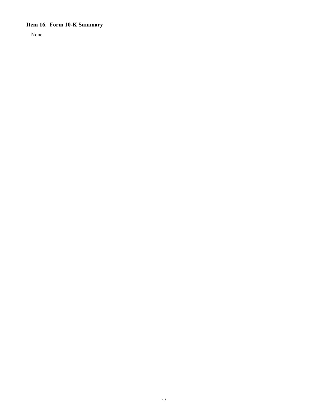# **Item 16. Form 10-K Summary**

None.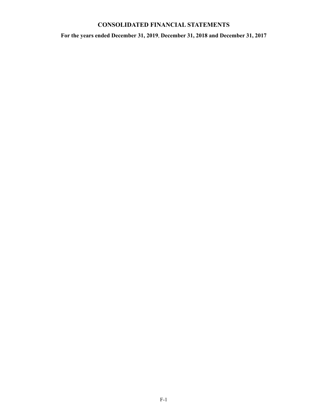# **CONSOLIDATED FINANCIAL STATEMENTS**

**For the years ended December 31, 2019**, **December 31, 2018 and December 31, 2017**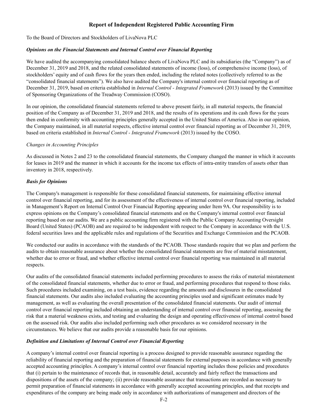## **Report of Independent Registered Public Accounting Firm**

To the Board of Directors and Stockholders of LivaNova PLC

## *Opinions on the Financial Statements and Internal Control over Financial Reporting*

We have audited the accompanying consolidated balance sheets of LivaNova PLC and its subsidiaries (the "Company") as of December 31, 2019 and 2018, and the related consolidated statements of income (loss), of comprehensive income (loss), of stockholders' equity and of cash flows for the years then ended, including the related notes (collectively referred to as the "consolidated financial statements"). We also have audited the Company's internal control over financial reporting as of December 31, 2019, based on criteria established in *Internal Control - Integrated Framework* (2013) issued by the Committee of Sponsoring Organizations of the Treadway Commission (COSO).

In our opinion, the consolidated financial statements referred to above present fairly, in all material respects, the financial position of the Company as of December 31, 2019 and 2018, and the results of its operations and its cash flows for the years then ended in conformity with accounting principles generally accepted in the United States of America. Also in our opinion, the Company maintained, in all material respects, effective internal control over financial reporting as of December 31, 2019, based on criteria established in *Internal Control - Integrated Framework* (2013) issued by the COSO.

## *Changes in Accounting Principles*

As discussed in Notes 2 and 23 to the consolidated financial statements, the Company changed the manner in which it accounts for leases in 2019 and the manner in which it accounts for the income tax effects of intra-entity transfers of assets other than inventory in 2018, respectively.

## *Basis for Opinions*

The Company's management is responsible for these consolidated financial statements, for maintaining effective internal control over financial reporting, and for its assessment of the effectiveness of internal control over financial reporting, included in Management's Report on Internal Control Over Financial Reporting appearing under Item 9A. Our responsibility is to express opinions on the Company's consolidated financial statements and on the Company's internal control over financial reporting based on our audits. We are a public accounting firm registered with the Public Company Accounting Oversight Board (United States) (PCAOB) and are required to be independent with respect to the Company in accordance with the U.S. federal securities laws and the applicable rules and regulations of the Securities and Exchange Commission and the PCAOB.

We conducted our audits in accordance with the standards of the PCAOB. Those standards require that we plan and perform the audits to obtain reasonable assurance about whether the consolidated financial statements are free of material misstatement, whether due to error or fraud, and whether effective internal control over financial reporting was maintained in all material respects.

Our audits of the consolidated financial statements included performing procedures to assess the risks of material misstatement of the consolidated financial statements, whether due to error or fraud, and performing procedures that respond to those risks. Such procedures included examining, on a test basis, evidence regarding the amounts and disclosures in the consolidated financial statements. Our audits also included evaluating the accounting principles used and significant estimates made by management, as well as evaluating the overall presentation of the consolidated financial statements. Our audit of internal control over financial reporting included obtaining an understanding of internal control over financial reporting, assessing the risk that a material weakness exists, and testing and evaluating the design and operating effectiveness of internal control based on the assessed risk. Our audits also included performing such other procedures as we considered necessary in the circumstances. We believe that our audits provide a reasonable basis for our opinions.

## *Definition and Limitations of Internal Control over Financial Reporting*

A company's internal control over financial reporting is a process designed to provide reasonable assurance regarding the reliability of financial reporting and the preparation of financial statements for external purposes in accordance with generally accepted accounting principles. A company's internal control over financial reporting includes those policies and procedures that (i) pertain to the maintenance of records that, in reasonable detail, accurately and fairly reflect the transactions and dispositions of the assets of the company; (ii) provide reasonable assurance that transactions are recorded as necessary to permit preparation of financial statements in accordance with generally accepted accounting principles, and that receipts and expenditures of the company are being made only in accordance with authorizations of management and directors of the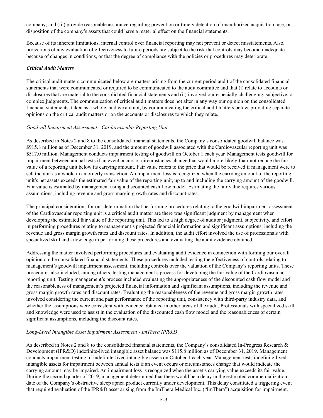company; and (iii) provide reasonable assurance regarding prevention or timely detection of unauthorized acquisition, use, or disposition of the company's assets that could have a material effect on the financial statements.

Because of its inherent limitations, internal control over financial reporting may not prevent or detect misstatements. Also, projections of any evaluation of effectiveness to future periods are subject to the risk that controls may become inadequate because of changes in conditions, or that the degree of compliance with the policies or procedures may deteriorate.

## *Critical Audit Matters*

The critical audit matters communicated below are matters arising from the current period audit of the consolidated financial statements that were communicated or required to be communicated to the audit committee and that (i) relate to accounts or disclosures that are material to the consolidated financial statements and (ii) involved our especially challenging, subjective, or complex judgments. The communication of critical audit matters does not alter in any way our opinion on the consolidated financial statements, taken as a whole, and we are not, by communicating the critical audit matters below, providing separate opinions on the critical audit matters or on the accounts or disclosures to which they relate.

## *Goodwill Impairment Assessment - Cardiovascular Reporting Unit*

As described in Notes 2 and 8 to the consolidated financial statements, the Company's consolidated goodwill balance was \$915.8 million as of December 31, 2019, and the amount of goodwill associated with the Cardiovascular reporting unit was \$517.0 million. Management conducts impairment testing of goodwill on October 1 each year. Management tests goodwill for impairment between annual tests if an event occurs or circumstances change that would more-likely-than-not reduce the fair value of a reporting unit below its carrying amount. Fair value refers to the price that would be received if management were to sell the unit as a whole in an orderly transaction. An impairment loss is recognized when the carrying amount of the reporting unit's net assets exceeds the estimated fair value of the reporting unit, up to and including the carrying amount of the goodwill. Fair value is estimated by management using a discounted cash flow model. Estimating the fair value requires various assumptions, including revenue and gross margin growth rates and discount rates.

The principal considerations for our determination that performing procedures relating to the goodwill impairment assessment of the Cardiovascular reporting unit is a critical audit matter are there was significant judgment by management when developing the estimated fair value of the reporting unit. This led to a high degree of auditor judgment, subjectivity, and effort in performing procedures relating to management's projected financial information and significant assumptions, including the revenue and gross margin growth rates and discount rates. In addition, the audit effort involved the use of professionals with specialized skill and knowledge in performing these procedures and evaluating the audit evidence obtained.

Addressing the matter involved performing procedures and evaluating audit evidence in connection with forming our overall opinion on the consolidated financial statements. These procedures included testing the effectiveness of controls relating to management's goodwill impairment assessment, including controls over the valuation of the Company's reporting units. These procedures also included, among others, testing management's process for developing the fair value of the Cardiovascular reporting unit. Testing management's process included evaluating the appropriateness of the discounted cash flow model and the reasonableness of management's projected financial information and significant assumptions, including the revenue and gross margin growth rates and discount rates. Evaluating the reasonableness of the revenue and gross margin growth rates involved considering the current and past performance of the reporting unit, consistency with third-party industry data, and whether the assumptions were consistent with evidence obtained in other areas of the audit. Professionals with specialized skill and knowledge were used to assist in the evaluation of the discounted cash flow model and the reasonableness of certain significant assumptions, including the discount rates.

## *Long-Lived Intangible Asset Impairment Assessment - ImThera IPR&D*

As described in Notes 2 and 8 to the consolidated financial statements, the Company's consolidated In-Progress Research & Development (IPR&D) indefinite-lived intangible asset balance was \$115.8 million as of December 31, 2019. Management conducts impairment testing of indefinite-lived intangible assets on October 1 each year. Management tests indefinite-lived intangible assets for impairment between annual tests if an event occurs or circumstances change that would indicate the carrying amount may be impaired. An impairment loss is recognized when the asset's carrying value exceeds its fair value. During the second quarter of 2019, management determined that there would be a delay in the estimated commercialization date of the Company's obstructive sleep apnea product currently under development. This delay constituted a triggering event that required evaluation of the IPR&D asset arising from the ImThera Medical Inc. ("ImThera") acquisition for impairment.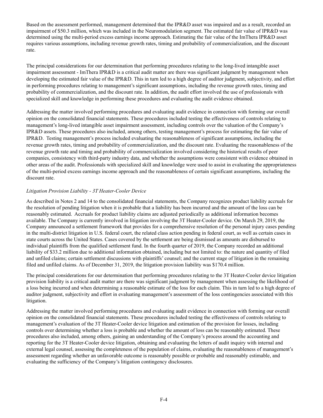Based on the assessment performed, management determined that the IPR&D asset was impaired and as a result, recorded an impairment of \$50.3 million, which was included in the Neuromodulation segment. The estimated fair value of IPR&D was determined using the multi-period excess earnings income approach. Estimating the fair value of the ImThera IPR&D asset requires various assumptions, including revenue growth rates, timing and probability of commercialization, and the discount rate.

The principal considerations for our determination that performing procedures relating to the long-lived intangible asset impairment assessment - ImThera IPR&D is a critical audit matter are there was significant judgment by management when developing the estimated fair value of the IPR&D. This in turn led to a high degree of auditor judgment, subjectivity, and effort in performing procedures relating to management's significant assumptions, including the revenue growth rates, timing and probability of commercialization, and the discount rate. In addition, the audit effort involved the use of professionals with specialized skill and knowledge in performing these procedures and evaluating the audit evidence obtained.

Addressing the matter involved performing procedures and evaluating audit evidence in connection with forming our overall opinion on the consolidated financial statements. These procedures included testing the effectiveness of controls relating to management's long-lived intangible asset impairment assessment, including controls over the valuation of the Company's IPR&D assets. These procedures also included, among others, testing management's process for estimating the fair value of IPR&D. Testing management's process included evaluating the reasonableness of significant assumptions, including the revenue growth rates, timing and probability of commercialization, and the discount rate. Evaluating the reasonableness of the revenue growth rate and timing and probability of commercialization involved considering the historical results of peer companies, consistency with third-party industry data, and whether the assumptions were consistent with evidence obtained in other areas of the audit. Professionals with specialized skill and knowledge were used to assist in evaluating the appropriateness of the multi-period excess earnings income approach and the reasonableness of certain significant assumptions, including the discount rate.

## *Litigation Provision Liability - 3T Heater-Cooler Device*

As described in Notes 2 and 14 to the consolidated financial statements, the Company recognizes product liability accruals for the resolution of pending litigation when it is probable that a liability has been incurred and the amount of the loss can be reasonably estimated. Accruals for product liability claims are adjusted periodically as additional information becomes available. The Company is currently involved in litigation involving the 3T Heater-Cooler device. On March 29, 2019, the Company announced a settlement framework that provides for a comprehensive resolution of the personal injury cases pending in the multi-district litigation in U.S. federal court, the related class action pending in federal court, as well as certain cases in state courts across the United States. Cases covered by the settlement are being dismissed as amounts are disbursed to individual plaintiffs from the qualified settlement fund. In the fourth quarter of 2019, the Company recorded an additional liability of \$33.2 million due to additional information obtained, including but not limited to: the nature and quantity of filed and unfiled claims; certain settlement discussions with plaintiffs' counsel; and the current stage of litigation in the remaining filed and unfiled claims. As of December 31, 2019, the litigation provision liability was \$170.4 million.

The principal considerations for our determination that performing procedures relating to the 3T Heater-Cooler device litigation provision liability is a critical audit matter are there was significant judgment by management when assessing the likelihood of a loss being incurred and when determining a reasonable estimate of the loss for each claim. This in turn led to a high degree of auditor judgment, subjectivity and effort in evaluating management's assessment of the loss contingencies associated with this litigation.

Addressing the matter involved performing procedures and evaluating audit evidence in connection with forming our overall opinion on the consolidated financial statements. These procedures included testing the effectiveness of controls relating to management's evaluation of the 3T Heater-Cooler device litigation and estimation of the provision for losses, including controls over determining whether a loss is probable and whether the amount of loss can be reasonably estimated. These procedures also included, among others, gaining an understanding of the Company's process around the accounting and reporting for the 3T Heater-Cooler device litigation, obtaining and evaluating the letters of audit inquiry with internal and external legal counsel, assessing the completeness of the population of claims, evaluating the reasonableness of management's assessment regarding whether an unfavorable outcome is reasonably possible or probable and reasonably estimable, and evaluating the sufficiency of the Company's litigation contingency disclosures.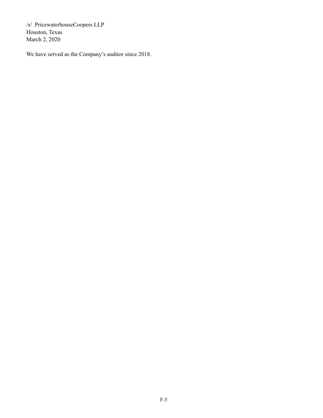/s/ PricewaterhouseCoopers LLP Houston, Texas March 2, 2020

We have served as the Company's auditor since 2018.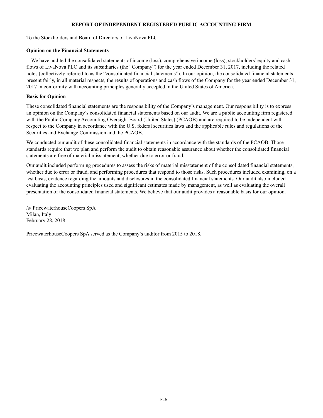## **REPORT OF INDEPENDENT REGISTERED PUBLIC ACCOUNTING FIRM**

To the Stockholders and Board of Directors of LivaNova PLC

## **Opinion on the Financial Statements**

We have audited the consolidated statements of income (loss), comprehensive income (loss), stockholders' equity and cash flows of LivaNova PLC and its subsidiaries (the "Company") for the year ended December 31, 2017, including the related notes (collectively referred to as the "consolidated financial statements"). In our opinion, the consolidated financial statements present fairly, in all material respects, the results of operations and cash flows of the Company for the year ended December 31, 2017 in conformity with accounting principles generally accepted in the United States of America.

## **Basis for Opinion**

These consolidated financial statements are the responsibility of the Company's management. Our responsibility is to express an opinion on the Company's consolidated financial statements based on our audit. We are a public accounting firm registered with the Public Company Accounting Oversight Board (United States) (PCAOB) and are required to be independent with respect to the Company in accordance with the U.S. federal securities laws and the applicable rules and regulations of the Securities and Exchange Commission and the PCAOB.

We conducted our audit of these consolidated financial statements in accordance with the standards of the PCAOB. Those standards require that we plan and perform the audit to obtain reasonable assurance about whether the consolidated financial statements are free of material misstatement, whether due to error or fraud.

Our audit included performing procedures to assess the risks of material misstatement of the consolidated financial statements, whether due to error or fraud, and performing procedures that respond to those risks. Such procedures included examining, on a test basis, evidence regarding the amounts and disclosures in the consolidated financial statements. Our audit also included evaluating the accounting principles used and significant estimates made by management, as well as evaluating the overall presentation of the consolidated financial statements. We believe that our audit provides a reasonable basis for our opinion.

/s/ PricewaterhouseCoopers SpA Milan, Italy February 28, 2018

PricewaterhouseCoopers SpA served as the Company's auditor from 2015 to 2018.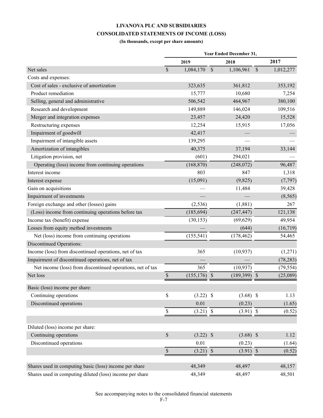## **LIVANOVA PLC AND SUBSIDIARIES CONSOLIDATED STATEMENTS OF INCOME (LOSS)**

## **(In thousands, except per share amounts)**

|                                                            | 2019          |                 | 2018                       |               | 2017      |
|------------------------------------------------------------|---------------|-----------------|----------------------------|---------------|-----------|
| Net sales                                                  | $\mathcal{S}$ | 1,084,170       | $\mathcal{S}$<br>1,106,961 | $\mathcal{S}$ | 1,012,277 |
| Costs and expenses:                                        |               |                 |                            |               |           |
| Cost of sales - exclusive of amortization                  |               | 323,635         | 361,812                    |               | 353,192   |
| Product remediation                                        |               | 15,777          | 10,680                     |               | 7,254     |
| Selling, general and administrative                        |               | 506,542         | 464,967                    |               | 380,100   |
| Research and development                                   |               | 149,889         | 146,024                    |               | 109,516   |
| Merger and integration expenses                            |               | 23,457          | 24,420                     |               | 15,528    |
| Restructuring expenses                                     |               | 12,254          | 15,915                     |               | 17,056    |
| Impairment of goodwill                                     |               | 42,417          |                            |               |           |
| Impairment of intangible assets                            |               | 139,295         |                            |               |           |
| Amortization of intangibles                                |               | 40,375          | 37,194                     |               | 33,144    |
| Litigation provision, net                                  |               | (601)           | 294,021                    |               |           |
| Operating (loss) income from continuing operations         |               | (168, 870)      | (248,072)                  |               | 96,487    |
| Interest income                                            |               | 803             | 847                        |               | 1,318     |
| Interest expense                                           |               | (15,091)        | (9,825)                    |               | (7, 797)  |
| Gain on acquisitions                                       |               |                 | 11,484                     |               | 39,428    |
| Impairment of investments                                  |               |                 |                            |               | (8, 565)  |
| Foreign exchange and other (losses) gains                  |               | (2, 536)        | (1,881)                    |               | 267       |
| (Loss) income from continuing operations before tax        |               | (185, 694)      | (247, 447)                 |               | 121,138   |
| Income tax (benefit) expense                               |               | (30, 153)       | (69, 629)                  |               | 49,954    |
| Losses from equity method investments                      |               |                 | (644)                      |               | (16, 719) |
| Net (loss) income from continuing operations               |               | (155, 541)      | (178, 462)                 |               | 54,465    |
| <b>Discontinued Operations:</b>                            |               |                 |                            |               |           |
| Income (loss) from discontinued operations, net of tax     |               | 365             | (10, 937)                  |               | (1,271)   |
| Impairment of discontinued operations, net of tax          |               |                 |                            |               | (78, 283) |
| Net income (loss) from discontinued operations, net of tax |               | 365             | (10, 937)                  |               | (79, 554) |
| Net loss                                                   | $\mathbb S$   | $(155, 176)$ \$ | $(189,399)$ \$             |               | (25,089)  |
| Basic (loss) income per share:                             |               |                 |                            |               |           |
| Continuing operations                                      | \$            | $(3.22)$ \$     | $(3.68)$ \$                |               | 1.13      |
| Discontinued operations                                    |               | 0.01            | (0.23)                     |               | (1.65)    |
|                                                            | \$            | $(3.21)$ \$     | $(3.91)$ \$                |               | (0.52)    |
|                                                            |               |                 |                            |               |           |
| Diluted (loss) income per share:                           |               |                 |                            |               |           |
| Continuing operations                                      | $\mathbb S$   | $(3.22)$ \$     | $(3.68)$ \$                |               | 1.12      |
| Discontinued operations                                    |               | 0.01            | (0.23)                     |               | (1.64)    |
|                                                            | $\mathbb S$   | $(3.21)$ \$     | $(3.91)$ \$                |               | (0.52)    |
| Shares used in computing basic (loss) income per share     |               | 48,349          | 48,497                     |               | 48,157    |
| Shares used in computing diluted (loss) income per share   |               | 48,349          | 48,497                     |               | 48,501    |

See accompanying notes to the consolidated financial statements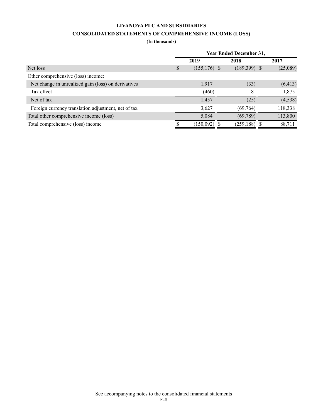## **LIVANOVA PLC AND SUBSIDIARIES**

## **CONSOLIDATED STATEMENTS OF COMPREHENSIVE INCOME (LOSS)**

**(In thousands)**

|                                                     | <b>Year Ended December 31,</b> |                 |  |                 |      |          |  |  |  |
|-----------------------------------------------------|--------------------------------|-----------------|--|-----------------|------|----------|--|--|--|
|                                                     |                                | 2019            |  | 2018            | 2017 |          |  |  |  |
| Net loss                                            |                                | $(155, 176)$ \$ |  | $(189,399)$ \$  |      | (25,089) |  |  |  |
| Other comprehensive (loss) income:                  |                                |                 |  |                 |      |          |  |  |  |
| Net change in unrealized gain (loss) on derivatives |                                | 1,917           |  | (33)            |      | (6, 413) |  |  |  |
| Tax effect                                          |                                | (460)           |  | 8               |      | 1,875    |  |  |  |
| Net of tax                                          |                                | 1,457           |  | (25)            |      | (4, 538) |  |  |  |
| Foreign currency translation adjustment, net of tax |                                | 3,627           |  | (69, 764)       |      | 118,338  |  |  |  |
| Total other comprehensive income (loss)             |                                | 5,084           |  | (69, 789)       |      | 113,800  |  |  |  |
| Total comprehensive (loss) income                   |                                | (150,092)       |  | $(259, 188)$ \$ |      | 88,711   |  |  |  |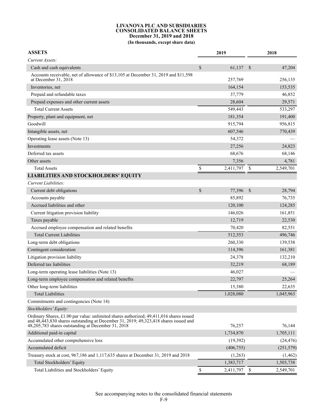#### **LIVANOVA PLC AND SUBSIDIARIES CONSOLIDATED BALANCE SHEETS December 31, 2019 and 2018 (In thousands, except share data)**

| <b>ASSETS</b>                                                                                                                                                                                                                         | 2019            |               | 2018       |
|---------------------------------------------------------------------------------------------------------------------------------------------------------------------------------------------------------------------------------------|-----------------|---------------|------------|
| Current Assets:                                                                                                                                                                                                                       |                 |               |            |
| Cash and cash equivalents                                                                                                                                                                                                             | \$<br>61,137    | \$            | 47,204     |
| Accounts receivable, net of allowance of \$13,105 at December 31, 2019 and \$11,598<br>at December 31, 2018                                                                                                                           | 257,769         |               | 256,135    |
| Inventories, net                                                                                                                                                                                                                      | 164,154         |               | 153,535    |
| Prepaid and refundable taxes                                                                                                                                                                                                          | 37,779          |               | 46,852     |
| Prepaid expenses and other current assets                                                                                                                                                                                             | 28,604          |               | 29,571     |
| <b>Total Current Assets</b>                                                                                                                                                                                                           | 549,443         |               | 533,297    |
| Property, plant and equipment, net                                                                                                                                                                                                    | 181,354         |               | 191,400    |
| Goodwill                                                                                                                                                                                                                              | 915,794         |               | 956,815    |
| Intangible assets, net                                                                                                                                                                                                                | 607,546         |               | 770,439    |
| Operating lease assets (Note 13)                                                                                                                                                                                                      | 54,372          |               |            |
| Investments                                                                                                                                                                                                                           | 27,256          |               | 24,823     |
| Deferred tax assets                                                                                                                                                                                                                   | 68,676          |               | 68,146     |
| Other assets                                                                                                                                                                                                                          | 7,356           |               | 4,781      |
| <b>Total Assets</b>                                                                                                                                                                                                                   | \$<br>2,411,797 | S             | 2,549,701  |
| <b>LIABILITIES AND STOCKHOLDERS' EQUITY</b>                                                                                                                                                                                           |                 |               |            |
| Current Liabilities:                                                                                                                                                                                                                  |                 |               |            |
| Current debt obligations                                                                                                                                                                                                              | \$<br>77,396    | $\mathcal{S}$ | 28,794     |
| Accounts payable                                                                                                                                                                                                                      | 85,892          |               | 76,735     |
| Accrued liabilities and other                                                                                                                                                                                                         | 120,100         |               | 124,285    |
| Current litigation provision liability                                                                                                                                                                                                | 146,026         |               | 161,851    |
| Taxes payable                                                                                                                                                                                                                         | 12,719          |               | 22,530     |
| Accrued employee compensation and related benefits                                                                                                                                                                                    | 70,420          |               | 82,551     |
| <b>Total Current Liabilities</b>                                                                                                                                                                                                      | 512,553         |               | 496,746    |
| Long-term debt obligations                                                                                                                                                                                                            | 260,330         |               | 139,538    |
| Contingent consideration                                                                                                                                                                                                              | 114,396         |               | 161,381    |
| Litigation provision liability                                                                                                                                                                                                        | 24,378          |               | 132,210    |
| Deferred tax liabilities                                                                                                                                                                                                              | 32,219          |               | 68,189     |
| Long-term operating lease liabilities (Note 13)                                                                                                                                                                                       | 46,027          |               |            |
| Long-term employee compensation and related benefits                                                                                                                                                                                  | 22,797          |               | 25,264     |
| Other long-term liabilities                                                                                                                                                                                                           | 15,380          |               | 22,635     |
| <b>Total Liabilities</b>                                                                                                                                                                                                              | 1,028,080       |               | 1,045,963  |
| Commitments and contingencies (Note 14)                                                                                                                                                                                               |                 |               |            |
| Stockholders' Equity:                                                                                                                                                                                                                 |                 |               |            |
| Ordinary Shares, £1.00 par value: unlimited shares authorized; 49,411,016 shares issued<br>and 48,443,830 shares outstanding at December 31, 2019; 49,323,418 shares issued and<br>48,205,783 shares outstanding at December 31, 2018 | 76,257          |               | 76,144     |
| Additional paid-in capital                                                                                                                                                                                                            | 1,734,870       |               | 1,705,111  |
| Accumulated other comprehensive loss                                                                                                                                                                                                  | (19,392)        |               | (24, 476)  |
| Accumulated deficit                                                                                                                                                                                                                   | (406, 755)      |               | (251, 579) |
| Treasury stock at cost, 967,186 and 1,117,635 shares at December 31, 2019 and 2018                                                                                                                                                    | (1,263)         |               | (1, 462)   |
| Total Stockholders' Equity                                                                                                                                                                                                            | 1,383,717       |               | 1,503,738  |

Total Liabilities and Stockholders' Equity  $\frac{\$ \qquad 2,411,797} \frac{\$ \qquad 2,549,701}$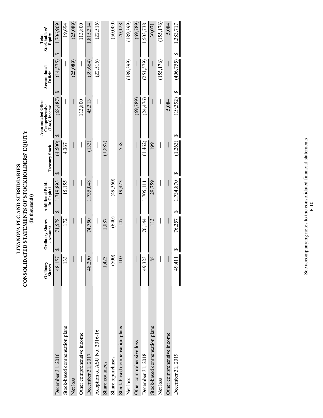# LIVANOVA PLC AND SUBSIDIARIES<br>CONSOLIDATED STATEMENTS OF STOCKHOLDERS' EQUITY<br>(In thousands) **CONSOLIDATED STATEMENTS OF STOCKHOLDERS' EQUITY LIVANOVA PLC AND SUBSIDIARIES (In thousands)**

|                                | Ordinary<br><b>Shares</b> | Ordinary Shares<br>- Amount | <b>Additional Paid-</b><br>In Capital | <b>Treasury Stock</b> | Accumulated Other<br>Comprehensive<br>(Loss) Income | Accumulated<br>Deficit | Stockholders'<br>Equity<br>Total |
|--------------------------------|---------------------------|-----------------------------|---------------------------------------|-----------------------|-----------------------------------------------------|------------------------|----------------------------------|
| December 31, 2016              | 48,157                    | 74,578<br>S                 | 1,719,893<br>↔                        | (4,500)<br>S          | (68, 487)<br>∽                                      | (14,575)<br>S          | 1,706,909<br>$\overline{S}$      |
| Stock-based compensation plans | 133                       | 172                         | 15,155                                | 4,367                 |                                                     |                        | 19,694                           |
| Net loss                       |                           |                             |                                       |                       |                                                     | (25,089)               | (25,089)                         |
| Other comprehensive income     |                           |                             |                                       |                       | 113,800                                             |                        | 113,800                          |
| December 31, 2017              | 48,290                    | 74,750                      | 1,735,048                             | $(133)$               | 45,313                                              | (39, 664)              | 1,815,314                        |
| Adoption of ASU No. 2016-16    |                           |                             |                                       |                       |                                                     | (22, 516)              | (22, 516)                        |
| Share issuances                | 1,423                     | 1,887                       |                                       | (1, 887)              |                                                     |                        |                                  |
| Share repurchases              | (500)                     | (640)                       | (49,360)                              |                       |                                                     |                        | (50,000)                         |
| Stock-based compensation plans | 110                       | 147                         | 19,423                                | 558                   |                                                     |                        | 20,128                           |
| Net loss                       |                           |                             |                                       |                       |                                                     | (189,399)              | (189,399)                        |
| Other comprehensive loss       |                           |                             |                                       |                       | (69, 789)                                           |                        | (69, 789)                        |
| December 31, 2018              | 49,323                    | 76,144                      | 1,705,111                             | (1,462)               | (24, 476)                                           | (251,579)              | ,503,738                         |
| Stock-based compensation plans | 88                        | 113                         | 29,759                                | 199                   |                                                     |                        | 30,071                           |
| Net loss                       |                           |                             |                                       |                       |                                                     | (155, 176)             | (155, 176)                       |
| Other comprehensive income     |                           |                             |                                       |                       | 5,084                                               |                        | 5,084                            |
| December 31, 2019              | 49,411                    | 76,257                      | 1,734,870<br>S                        | 1,263<br>S            | (19,392)<br>∽                                       | (406, 755)<br>S        | 1,383,717<br>S                   |
|                                |                           |                             |                                       |                       |                                                     |                        |                                  |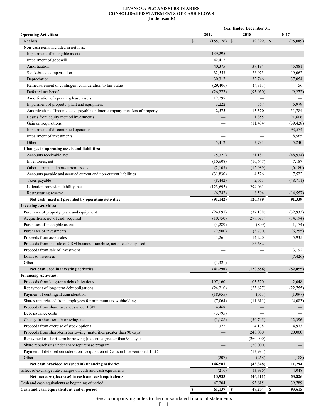#### **LIVANOVA PLC AND SUBSIDIARIES CONSOLIDATED STATEMENTS OF CASH FLOWS (In thousands)**

|                                                                                |                               | <b>Year Ended December 31,</b>    |                          |
|--------------------------------------------------------------------------------|-------------------------------|-----------------------------------|--------------------------|
| <b>Operating Activities:</b>                                                   | 2019                          | 2018                              | 2017                     |
| Net loss                                                                       | $\mathbf S$<br>$(155,176)$ \$ | $(189,399)$ \$                    | (25,089)                 |
| Non-cash items included in net loss:                                           |                               |                                   |                          |
| Impairment of intangible assets                                                | 139,295                       |                                   |                          |
| Impairment of goodwill                                                         | 42,417                        |                                   |                          |
| Amortization                                                                   | 40,375                        | 37,194                            | 45,881                   |
| Stock-based compensation                                                       | 32,553                        | 26,923                            | 19,062                   |
| Depreciation                                                                   | 30,317                        | 32,746                            | 37,054                   |
| Remeasurement of contingent consideration to fair value                        | (29, 406)                     | (4,311)                           | 56                       |
| Deferred tax benefit                                                           | (26,277)                      | (95,050)                          | (9,272)                  |
| Amortization of operating lease assets                                         | 12,297                        |                                   |                          |
| Impairment of property, plant and equipment                                    | 3,222                         | 567                               | 5,979                    |
| Amortization of income taxes payable on inter-company transfers of property    | 2,575                         | 13,370                            | 31,784                   |
| Losses from equity method investments                                          | $\overline{\phantom{0}}$      | 1,855                             | 21,606                   |
| Gain on acquisitions                                                           |                               | (11, 484)                         | (39, 428)                |
| Impairment of discontinued operations                                          |                               |                                   | 93,574                   |
| Impairment of investments                                                      |                               |                                   | 8,565                    |
| Other                                                                          | 5,412                         | 2,791                             | 5,240                    |
| Changes in operating assets and liabilities:                                   |                               |                                   |                          |
| Accounts receivable, net                                                       | (5,321)                       | 21,181                            | (48, 934)                |
| Inventories, net                                                               | (10,608)                      | (10, 647)                         | 7,187                    |
| Other current and non-current assets                                           | (2,103)                       | (12,989)                          | (6,180)                  |
| Accounts payable and accrued current and non-current liabilities               | (31, 830)                     | 4,526                             | 7,522                    |
| Taxes payable                                                                  | (8, 442)                      | 2,651                             | (48, 711)                |
| Litigation provision liability, net                                            | (123, 695)                    | 294,061                           |                          |
| Restructuring reserve                                                          | (6,747)                       | 6,504                             | (14, 557)                |
| Net cash (used in) provided by operating activities                            | (91, 142)                     | 120,489                           | 91,339                   |
| <b>Investing Activities:</b>                                                   |                               |                                   |                          |
| Purchases of property, plant and equipment                                     | (24, 691)                     | (37, 188)                         | (32, 933)                |
| Acquisitions, net of cash acquired                                             | (10,750)                      | (279, 691)                        | (14, 194)                |
| Purchases of intangible assets                                                 | (3,289)                       | (809)                             | (1, 174)                 |
| Purchases of investments                                                       | (2,500)                       | (3,770)                           | (6,255)                  |
| Proceeds from asset sales                                                      | 1,261                         | 14,220                            | 5,935                    |
| Proceeds from the sale of CRM business franchise, net of cash disposed         |                               | 186,682                           |                          |
| Proceeds from sale of investment                                               |                               |                                   | 3,192                    |
| Loans to investees                                                             |                               |                                   | (7, 426)                 |
| Other                                                                          | (1,321)                       |                                   |                          |
| Net cash used in investing activities                                          | (41,290)                      | (120, 556)                        | (52, 855)                |
| <b>Financing Activities:</b>                                                   |                               |                                   |                          |
| Proceeds from long-term debt obligations                                       | 197,160                       | 103,570                           | 2,048                    |
| Repayment of long-term debt obligations                                        | (24,210)                      | (23, 827)                         | (22, 755)                |
| Payment of contingent consideration                                            | (18,955)                      | (651)                             | (1,097)                  |
| Shares repurchased from employees for minimum tax withholding                  | (7,064)                       | (11,611)                          | (4,083)                  |
| Proceeds from share issuances under ESPP                                       | 4,468                         |                                   |                          |
| Debt issuance costs                                                            | (3,795)                       |                                   |                          |
| Change in short-term borrowing, net                                            | (1, 188)                      | (30,745)                          | 12,396                   |
| Proceeds from exercise of stock options                                        | 372                           | 4,178                             | 4,973                    |
| Proceeds from short-term borrowing (maturities greater than 90 days)           | $\qquad \qquad -$             | 240,000                           | 20,000                   |
| Repayment of short-term borrowing (maturities greater than 90 days)            |                               | (260,000)                         |                          |
| Share repurchases under share repurchase program                               |                               | (50,000)                          | $\overline{\phantom{0}}$ |
| Payment of deferred consideration - acquisition of Caisson Interventional, LLC |                               | (12,994)                          |                          |
| Other                                                                          | (207)                         | (268)                             | (188)                    |
| Net cash provided by (used in) financing activities                            | 146,581                       | (42, 348)                         | 11,294                   |
| Effect of exchange rate changes on cash and cash equivalents                   | (216)                         | (3,996)                           | 4,048                    |
| Net increase (decrease) in cash and cash equivalents                           | 13,933                        | (46, 411)                         | 53,826                   |
| Cash and cash equivalents at beginning of period                               | 47,204                        | 93,615                            | 39,789                   |
| Cash and cash equivalents at end of period                                     | \$<br>$\mathbf s$<br>61,137   | $\overline{\mathbf{s}}$<br>47,204 | 93,615                   |
|                                                                                |                               |                                   |                          |

See accompanying notes to the consolidated financial statements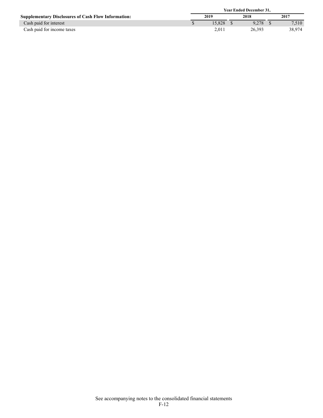|                                                            | <b>Year Ended December 31.</b> |        |      |        |      |        |
|------------------------------------------------------------|--------------------------------|--------|------|--------|------|--------|
| <b>Supplementary Disclosures of Cash Flow Information:</b> |                                | 2019   | 2018 |        | 2017 |        |
| Cash paid for interest                                     |                                | 15.828 |      | 9.278  |      | 7.510  |
| Cash paid for income taxes                                 |                                | 2.011  |      | 26.393 |      | 38.974 |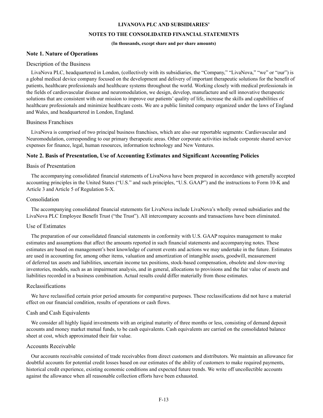#### **LIVANOVA PLC AND SUBSIDIARIES'**

## **NOTES TO THE CONSOLIDATED FINANCIAL STATEMENTS**

#### **(In thousands, except share and per share amounts)**

## **Note 1. Nature of Operations**

#### Description of the Business

LivaNova PLC, headquartered in London, (collectively with its subsidiaries, the "Company," "LivaNova," "we" or "our") is a global medical device company focused on the development and delivery of important therapeutic solutions for the benefit of patients, healthcare professionals and healthcare systems throughout the world. Working closely with medical professionals in the fields of cardiovascular disease and neuromodulation, we design, develop, manufacture and sell innovative therapeutic solutions that are consistent with our mission to improve our patients' quality of life, increase the skills and capabilities of healthcare professionals and minimize healthcare costs. We are a public limited company organized under the laws of England and Wales, and headquartered in London, England.

#### Business Franchises

LivaNova is comprised of two principal business franchises, which are also our reportable segments: Cardiovascular and Neuromodulation, corresponding to our primary therapeutic areas. Other corporate activities include corporate shared service expenses for finance, legal, human resources, information technology and New Ventures.

## **Note 2. Basis of Presentation, Use of Accounting Estimates and Significant Accounting Policies**

## Basis of Presentation

The accompanying consolidated financial statements of LivaNova have been prepared in accordance with generally accepted accounting principles in the United States ("U.S." and such principles, "U.S. GAAP") and the instructions to Form 10-K and Article 3 and Article 5 of Regulation S-X.

#### Consolidation

The accompanying consolidated financial statements for LivaNova include LivaNova's wholly owned subsidiaries and the LivaNova PLC Employee Benefit Trust ("the Trust"). All intercompany accounts and transactions have been eliminated.

## Use of Estimates

The preparation of our consolidated financial statements in conformity with U.S. GAAP requires management to make estimates and assumptions that affect the amounts reported in such financial statements and accompanying notes. These estimates are based on management's best knowledge of current events and actions we may undertake in the future. Estimates are used in accounting for, among other items, valuation and amortization of intangible assets, goodwill, measurement of deferred tax assets and liabilities, uncertain income tax positions, stock-based compensation, obsolete and slow-moving inventories, models, such as an impairment analysis, and in general, allocations to provisions and the fair value of assets and liabilities recorded in a business combination. Actual results could differ materially from those estimates.

#### Reclassifications

We have reclassified certain prior period amounts for comparative purposes. These reclassifications did not have a material effect on our financial condition, results of operations or cash flows.

#### Cash and Cash Equivalents

We consider all highly liquid investments with an original maturity of three months or less, consisting of demand deposit accounts and money market mutual funds, to be cash equivalents. Cash equivalents are carried on the consolidated balance sheet at cost, which approximated their fair value.

#### Accounts Receivable

Our accounts receivable consisted of trade receivables from direct customers and distributors. We maintain an allowance for doubtful accounts for potential credit losses based on our estimates of the ability of customers to make required payments, historical credit experience, existing economic conditions and expected future trends. We write off uncollectible accounts against the allowance when all reasonable collection efforts have been exhausted.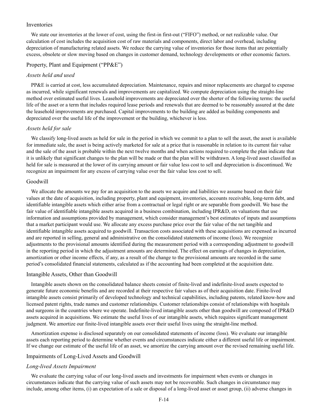# Inventories

We state our inventories at the lower of cost, using the first-in first-out ("FIFO") method, or net realizable value. Our calculation of cost includes the acquisition cost of raw materials and components, direct labor and overhead, including depreciation of manufacturing related assets. We reduce the carrying value of inventories for those items that are potentially excess, obsolete or slow moving based on changes in customer demand, technology developments or other economic factors.

## Property, Plant and Equipment ("PP&E")

## *Assets held and used*

PP&E is carried at cost, less accumulated depreciation. Maintenance, repairs and minor replacements are charged to expense as incurred, while significant renewals and improvements are capitalized. We compute depreciation using the straight-line method over estimated useful lives. Leasehold improvements are depreciated over the shorter of the following terms: the useful life of the asset or a term that includes required lease periods and renewals that are deemed to be reasonably assured at the date the leasehold improvements are purchased. Capital improvements to the building are added as building components and depreciated over the useful life of the improvement or the building, whichever is less.

# *Assets held for sale*

We classify long-lived assets as held for sale in the period in which we commit to a plan to sell the asset, the asset is available for immediate sale, the asset is being actively marketed for sale at a price that is reasonable in relation to its current fair value and the sale of the asset is probable within the next twelve months and when actions required to complete the plan indicate that it is unlikely that significant changes to the plan will be made or that the plan will be withdrawn. A long-lived asset classified as held for sale is measured at the lower of its carrying amount or fair value less cost to sell and depreciation is discontinued. We recognize an impairment for any excess of carrying value over the fair value less cost to sell.

### Goodwill

We allocate the amounts we pay for an acquisition to the assets we acquire and liabilities we assume based on their fair values at the date of acquisition, including property, plant and equipment, inventories, accounts receivable, long-term debt, and identifiable intangible assets which either arise from a contractual or legal right or are separable from goodwill. We base the fair value of identifiable intangible assets acquired in a business combination, including IPR&D, on valuations that use information and assumptions provided by management, which consider management's best estimates of inputs and assumptions that a market participant would use. We allocate any excess purchase price over the fair value of the net tangible and identifiable intangible assets acquired to goodwill. Transaction costs associated with these acquisitions are expensed as incurred and are reported in selling, general and administrative on the consolidated statements of income (loss). We recognize adjustments to the provisional amounts identified during the measurement period with a corresponding adjustment to goodwill in the reporting period in which the adjustment amounts are determined. The effect on earnings of changes in depreciation, amortization or other income effects, if any, as a result of the change to the provisional amounts are recorded in the same period's consolidated financial statements, calculated as if the accounting had been completed at the acquisition date.

### Intangible Assets, Other than Goodwill

Intangible assets shown on the consolidated balance sheets consist of finite-lived and indefinite-lived assets expected to generate future economic benefits and are recorded at their respective fair values as of their acquisition date. Finite-lived intangible assets consist primarily of developed technology and technical capabilities, including patents, related know-how and licensed patent rights, trade names and customer relationships. Customer relationships consist of relationships with hospitals and surgeons in the countries where we operate. Indefinite-lived intangible assets other than goodwill are composed of IPR&D assets acquired in acquisitions. We estimate the useful lives of our intangible assets, which requires significant management judgment. We amortize our finite-lived intangible assets over their useful lives using the straight-line method.

Amortization expense is disclosed separately on our consolidated statements of income (loss). We evaluate our intangible assets each reporting period to determine whether events and circumstances indicate either a different useful life or impairment. If we change our estimate of the useful life of an asset, we amortize the carrying amount over the revised remaining useful life.

#### Impairments of Long-Lived Assets and Goodwill

#### *Long-lived Assets Impairment*

We evaluate the carrying value of our long-lived assets and investments for impairment when events or changes in circumstances indicate that the carrying value of such assets may not be recoverable. Such changes in circumstance may include, among other items, (i) an expectation of a sale or disposal of a long-lived asset or asset group, (ii) adverse changes in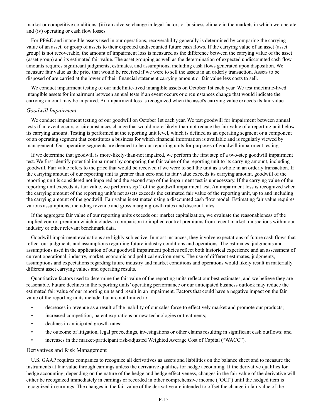market or competitive conditions, (iii) an adverse change in legal factors or business climate in the markets in which we operate and (iv) operating or cash flow losses.

For PP&E and intangible assets used in our operations, recoverability generally is determined by comparing the carrying value of an asset, or group of assets to their expected undiscounted future cash flows. If the carrying value of an asset (asset group) is not recoverable, the amount of impairment loss is measured as the difference between the carrying value of the asset (asset group) and its estimated fair value. The asset grouping as well as the determination of expected undiscounted cash flow amounts requires significant judgments, estimates, and assumptions, including cash flows generated upon disposition. We measure fair value as the price that would be received if we were to sell the assets in an orderly transaction. Assets to be disposed of are carried at the lower of their financial statement carrying amount or fair value less costs to sell.

We conduct impairment testing of our indefinite-lived intangible assets on October 1st each year. We test indefinite-lived intangible assets for impairment between annual tests if an event occurs or circumstances change that would indicate the carrying amount may be impaired. An impairment loss is recognized when the asset's carrying value exceeds its fair value.

### *Goodwill Impairment*

We conduct impairment testing of our goodwill on October 1st each year. We test goodwill for impairment between annual tests if an event occurs or circumstances change that would more-likely-than-not reduce the fair value of a reporting unit below its carrying amount. Testing is performed at the reporting unit level, which is defined as an operating segment or a component of an operating segment that constitutes a business for which financial information is available and is regularly viewed by management. Our operating segments are deemed to be our reporting units for purposes of goodwill impairment testing.

If we determine that goodwill is more-likely-than-not impaired, we perform the first step of a two-step goodwill impairment test. We first identify potential impairment by comparing the fair value of the reporting unit to its carrying amount, including goodwill. Fair value refers to the price that would be received if we were to sell the unit as a whole in an orderly transaction. If the carrying amount of our reporting unit is greater than zero and its fair value exceeds its carrying amount, goodwill of the reporting unit is considered not impaired and the second step of the impairment test is unnecessary. If the carrying value of the reporting unit exceeds its fair value, we perform step 2 of the goodwill impairment test. An impairment loss is recognized when the carrying amount of the reporting unit's net assets exceeds the estimated fair value of the reporting unit, up to and including the carrying amount of the goodwill. Fair value is estimated using a discounted cash flow model. Estimating fair value requires various assumptions, including revenue and gross margin growth rates and discount rates.

If the aggregate fair value of our reporting units exceeds our market capitalization, we evaluate the reasonableness of the implied control premium which includes a comparison to implied control premiums from recent market transactions within our industry or other relevant benchmark data.

Goodwill impairment evaluations are highly subjective. In most instances, they involve expectations of future cash flows that reflect our judgments and assumptions regarding future industry conditions and operations. The estimates, judgments and assumptions used in the application of our goodwill impairment policies reflect both historical experience and an assessment of current operational, industry, market, economic and political environments. The use of different estimates, judgments, assumptions and expectations regarding future industry and market conditions and operations would likely result in materially different asset carrying values and operating results.

Quantitative factors used to determine the fair value of the reporting units reflect our best estimates, and we believe they are reasonable. Future declines in the reporting units' operating performance or our anticipated business outlook may reduce the estimated fair value of our reporting units and result in an impairment. Factors that could have a negative impact on the fair value of the reporting units include, but are not limited to:

- decreases in revenue as a result of the inability of our sales force to effectively market and promote our products;
- increased competition, patent expirations or new technologies or treatments;
- declines in anticipated growth rates;
- the outcome of litigation, legal proceedings, investigations or other claims resulting in significant cash outflows; and
- increases in the market-participant risk-adjusted Weighted Average Cost of Capital ("WACC").

### Derivatives and Risk Management

U.S. GAAP requires companies to recognize all derivatives as assets and liabilities on the balance sheet and to measure the instruments at fair value through earnings unless the derivative qualifies for hedge accounting. If the derivative qualifies for hedge accounting, depending on the nature of the hedge and hedge effectiveness, changes in the fair value of the derivative will either be recognized immediately in earnings or recorded in other comprehensive income ("OCI") until the hedged item is recognized in earnings. The changes in the fair value of the derivative are intended to offset the change in fair value of the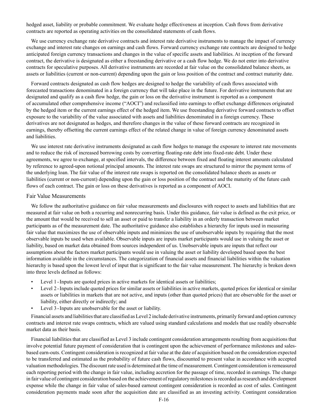hedged asset, liability or probable commitment. We evaluate hedge effectiveness at inception. Cash flows from derivative contracts are reported as operating activities on the consolidated statements of cash flows.

We use currency exchange rate derivative contracts and interest rate derivative instruments to manage the impact of currency exchange and interest rate changes on earnings and cash flows. Forward currency exchange rate contracts are designed to hedge anticipated foreign currency transactions and changes in the value of specific assets and liabilities. At inception of the forward contract, the derivative is designated as either a freestanding derivative or a cash flow hedge. We do not enter into derivative contracts for speculative purposes. All derivative instruments are recorded at fair value on the consolidated balance sheets, as assets or liabilities (current or non-current) depending upon the gain or loss position of the contract and contract maturity date.

Forward contracts designated as cash flow hedges are designed to hedge the variability of cash flows associated with forecasted transactions denominated in a foreign currency that will take place in the future. For derivative instruments that are designated and qualify as a cash flow hedge, the gain or loss on the derivative instrument is reported as a component of accumulated other comprehensive income ("AOCI") and reclassified into earnings to offset exchange differences originated by the hedged item or the current earnings effect of the hedged item. We use freestanding derivative forward contracts to offset exposure to the variability of the value associated with assets and liabilities denominated in a foreign currency. These derivatives are not designated as hedges, and therefore changes in the value of these forward contracts are recognized in earnings, thereby offsetting the current earnings effect of the related change in value of foreign currency denominated assets and liabilities.

We use interest rate derivative instruments designated as cash flow hedges to manage the exposure to interest rate movements and to reduce the risk of increased borrowing costs by converting floating-rate debt into fixed-rate debt. Under these agreements, we agree to exchange, at specified intervals, the difference between fixed and floating interest amounts calculated by reference to agreed-upon notional principal amounts. The interest rate swaps are structured to mirror the payment terms of the underlying loan. The fair value of the interest rate swaps is reported on the consolidated balance sheets as assets or liabilities (current or non-current) depending upon the gain or loss position of the contract and the maturity of the future cash flows of each contract. The gain or loss on these derivatives is reported as a component of AOCI.

#### Fair Value Measurements

We follow the authoritative guidance on fair value measurements and disclosures with respect to assets and liabilities that are measured at fair value on both a recurring and nonrecurring basis. Under this guidance, fair value is defined as the exit price, or the amount that would be received to sell an asset or paid to transfer a liability in an orderly transaction between market participants as of the measurement date. The authoritative guidance also establishes a hierarchy for inputs used in measuring fair value that maximizes the use of observable inputs and minimizes the use of unobservable inputs by requiring that the most observable inputs be used when available. Observable inputs are inputs market participants would use in valuing the asset or liability, based on market data obtained from sources independent of us. Unobservable inputs are inputs that reflect our assumptions about the factors market participants would use in valuing the asset or liability developed based upon the best information available in the circumstances. The categorization of financial assets and financial liabilities within the valuation hierarchy is based upon the lowest level of input that is significant to the fair value measurement. The hierarchy is broken down into three levels defined as follows:

- Level 1 Inputs are quoted prices in active markets for identical assets or liabilities;
- Level 2 Inputs include quoted prices for similar assets or liabilities in active markets, quoted prices for identical or similar assets or liabilities in markets that are not active, and inputs (other than quoted prices) that are observable for the asset or liability, either directly or indirectly; and
- Level 3 Inputs are unobservable for the asset or liability.

Financial assets and liabilities that are classified as Level 2 include derivative instruments, primarily forward and option currency contracts and interest rate swaps contracts, which are valued using standard calculations and models that use readily observable market data as their basis.

Financial liabilities that are classified as Level 3 include contingent consideration arrangements resulting from acquisitions that involve potential future payment of consideration that is contingent upon the achievement of performance milestones and salesbased earn-outs. Contingent consideration is recognized at fair value at the date of acquisition based on the consideration expected to be transferred and estimated as the probability of future cash flows, discounted to present value in accordance with accepted valuation methodologies. The discount rate used is determined at the time of measurement. Contingent consideration is remeasured each reporting period with the change in fair value, including accretion for the passage of time, recorded in earnings. The change in fair value of contingent consideration based on the achievement of regulatory milestones is recorded as research and development expense while the change in fair value of sales-based earnout contingent consideration is recorded as cost of sales. Contingent consideration payments made soon after the acquisition date are classified as an investing activity. Contingent consideration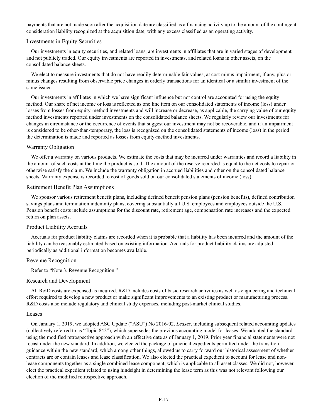payments that are not made soon after the acquisition date are classified as a financing activity up to the amount of the contingent consideration liability recognized at the acquisition date, with any excess classified as an operating activity.

### Investments in Equity Securities

Our investments in equity securities, and related loans, are investments in affiliates that are in varied stages of development and not publicly traded. Our equity investments are reported in investments, and related loans in other assets, on the consolidated balance sheets.

We elect to measure investments that do not have readily determinable fair values, at cost minus impairment, if any, plus or minus changes resulting from observable price changes in orderly transactions for an identical or a similar investment of the same issuer.

Our investments in affiliates in which we have significant influence but not control are accounted for using the equity method. Our share of net income or loss is reflected as one line item on our consolidated statements of income (loss) under losses from losses from equity-method investments and will increase or decrease, as applicable, the carrying value of our equity method investments reported under investments on the consolidated balance sheets. We regularly review our investments for changes in circumstance or the occurrence of events that suggest our investment may not be recoverable, and if an impairment is considered to be other-than-temporary, the loss is recognized on the consolidated statements of income (loss) in the period the determination is made and reported as losses from equity-method investments.

### Warranty Obligation

We offer a warranty on various products. We estimate the costs that may be incurred under warranties and record a liability in the amount of such costs at the time the product is sold. The amount of the reserve recorded is equal to the net costs to repair or otherwise satisfy the claim. We include the warranty obligation in accrued liabilities and other on the consolidated balance sheets. Warranty expense is recorded to cost of goods sold on our consolidated statements of income (loss).

#### Retirement Benefit Plan Assumptions

We sponsor various retirement benefit plans, including defined benefit pension plans (pension benefits), defined contribution savings plans and termination indemnity plans, covering substantially all U.S. employees and employees outside the U.S. Pension benefit costs include assumptions for the discount rate, retirement age, compensation rate increases and the expected return on plan assets.

# Product Liability Accruals

Accruals for product liability claims are recorded when it is probable that a liability has been incurred and the amount of the liability can be reasonably estimated based on existing information. Accruals for product liability claims are adjusted periodically as additional information becomes available.

#### Revenue Recognition

Refer to "Note 3. Revenue Recognition."

#### Research and Development

All R&D costs are expensed as incurred. R&D includes costs of basic research activities as well as engineering and technical effort required to develop a new product or make significant improvements to an existing product or manufacturing process. R&D costs also include regulatory and clinical study expenses, including post-market clinical studies.

#### Leases

On January 1, 2019, we adopted ASC Update ("ASU") No 2016-02, *Leases*, including subsequent related accounting updates (collectively referred to as "Topic 842"), which supersedes the previous accounting model for leases. We adopted the standard using the modified retrospective approach with an effective date as of January 1, 2019. Prior year financial statements were not recast under the new standard. In addition, we elected the package of practical expedients permitted under the transition guidance within the new standard, which among other things, allowed us to carry forward our historical assessment of whether contracts are or contain leases and lease classification. We also elected the practical expedient to account for lease and nonlease components together as a single combined lease component, which is applicable to all asset classes. We did not, however, elect the practical expedient related to using hindsight in determining the lease term as this was not relevant following our election of the modified retrospective approach.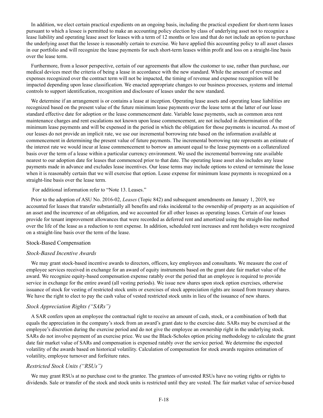In addition, we elect certain practical expedients on an ongoing basis, including the practical expedient for short-term leases pursuant to which a lessee is permitted to make an accounting policy election by class of underlying asset not to recognize a lease liability and operating lease asset for leases with a term of 12 months or less and that do not include an option to purchase the underlying asset that the lessee is reasonably certain to exercise. We have applied this accounting policy to all asset classes in our portfolio and will recognize the lease payments for such short-term leases within profit and loss on a straight-line basis over the lease term.

Furthermore, from a lessor perspective, certain of our agreements that allow the customer to use, rather than purchase, our medical devices meet the criteria of being a lease in accordance with the new standard. While the amount of revenue and expenses recognized over the contract term will not be impacted, the timing of revenue and expense recognition will be impacted depending upon lease classification. We enacted appropriate changes to our business processes, systems and internal controls to support identification, recognition and disclosure of leases under the new standard.

We determine if an arrangement is or contains a lease at inception. Operating lease assets and operating lease liabilities are recognized based on the present value of the future minimum lease payments over the lease term at the latter of our lease standard effective date for adoption or the lease commencement date. Variable lease payments, such as common area rent maintenance charges and rent escalations not known upon lease commencement, are not included in determination of the minimum lease payments and will be expensed in the period in which the obligation for those payments is incurred. As most of our leases do not provide an implicit rate, we use our incremental borrowing rate based on the information available at commencement in determining the present value of future payments. The incremental borrowing rate represents an estimate of the interest rate we would incur at lease commencement to borrow an amount equal to the lease payments on a collateralized basis over the term of a lease within a particular currency environment. We used the incremental borrowing rate available nearest to our adoption date for leases that commenced prior to that date. The operating lease asset also includes any lease payments made in advance and excludes lease incentives. Our lease terms may include options to extend or terminate the lease when it is reasonably certain that we will exercise that option. Lease expense for minimum lease payments is recognized on a straight-line basis over the lease term.

For additional information refer to "Note 13. Leases."

Prior to the adoption of ASU No. 2016-02, *Leases* (Topic 842) and subsequent amendments on January 1, 2019, we accounted for leases that transfer substantially all benefits and risks incidental to the ownership of property as an acquisition of an asset and the incurrence of an obligation, and we accounted for all other leases as operating leases. Certain of our leases provide for tenant improvement allowances that were recorded as deferred rent and amortized using the straight-line method over the life of the lease as a reduction to rent expense. In addition, scheduled rent increases and rent holidays were recognized on a straight-line basis over the term of the lease.

#### Stock-Based Compensation

#### *Stock-Based Incentive Awards*

We may grant stock-based incentive awards to directors, officers, key employees and consultants. We measure the cost of employee services received in exchange for an award of equity instruments based on the grant date fair market value of the award. We recognize equity-based compensation expense ratably over the period that an employee is required to provide service in exchange for the entire award (all vesting periods). We issue new shares upon stock option exercises, otherwise issuance of stock for vesting of restricted stock units or exercises of stock appreciation rights are issued from treasury shares. We have the right to elect to pay the cash value of vested restricted stock units in lieu of the issuance of new shares.

# *Stock Appreciation Rights ("SARs")*

A SAR confers upon an employee the contractual right to receive an amount of cash, stock, or a combination of both that equals the appreciation in the company's stock from an award's grant date to the exercise date. SARs may be exercised at the employee's discretion during the exercise period and do not give the employee an ownership right in the underlying stock. SARs do not involve payment of an exercise price. We use the Black-Scholes option pricing methodology to calculate the grant date fair market value of SARs and compensation is expensed ratably over the service period. We determine the expected volatility of the awards based on historical volatility. Calculation of compensation for stock awards requires estimation of volatility, employee turnover and forfeiture rates.

# *Restricted Stock Units ("RSUs")*

We may grant RSUs at no purchase cost to the grantee. The grantees of unvested RSUs have no voting rights or rights to dividends. Sale or transfer of the stock and stock units is restricted until they are vested. The fair market value of service-based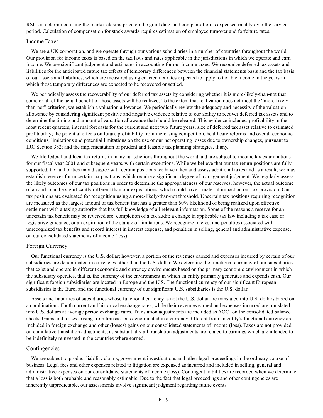RSUs is determined using the market closing price on the grant date, and compensation is expensed ratably over the service period. Calculation of compensation for stock awards requires estimation of employee turnover and forfeiture rates.

### Income Taxes

We are a UK corporation, and we operate through our various subsidiaries in a number of countries throughout the world. Our provision for income taxes is based on the tax laws and rates applicable in the jurisdictions in which we operate and earn income. We use significant judgment and estimates in accounting for our income taxes. We recognize deferred tax assets and liabilities for the anticipated future tax effects of temporary differences between the financial statements basis and the tax basis of our assets and liabilities, which are measured using enacted tax rates expected to apply to taxable income in the years in which those temporary differences are expected to be recovered or settled.

We periodically assess the recoverability of our deferred tax assets by considering whether it is more-likely-than-not that some or all of the actual benefit of those assets will be realized. To the extent that realization does not meet the "more-likelythan-not" criterion, we establish a valuation allowance. We periodically review the adequacy and necessity of the valuation allowance by considering significant positive and negative evidence relative to our ability to recover deferred tax assets and to determine the timing and amount of valuation allowance that should be released. This evidence includes: profitability in the most recent quarters; internal forecasts for the current and next two future years; size of deferred tax asset relative to estimated profitability; the potential effects on future profitability from increasing competition, healthcare reforms and overall economic conditions; limitations and potential limitations on the use of our net operating losses due to ownership changes, pursuant to IRC Section 382; and the implementation of prudent and feasible tax planning strategies, if any.

We file federal and local tax returns in many jurisdictions throughout the world and are subject to income tax examinations for our fiscal year 2001 and subsequent years, with certain exceptions. While we believe that our tax return positions are fully supported, tax authorities may disagree with certain positions we have taken and assess additional taxes and as a result, we may establish reserves for uncertain tax positions, which require a significant degree of management judgment. We regularly assess the likely outcomes of our tax positions in order to determine the appropriateness of our reserves; however, the actual outcome of an audit can be significantly different than our expectations, which could have a material impact on our tax provision. Our tax positions are evaluated for recognition using a more-likely-than-not threshold. Uncertain tax positions requiring recognition are measured as the largest amount of tax benefit that has a greater than 50% likelihood of being realized upon effective settlement with a taxing authority that has full knowledge of all relevant information. Some of the reasons a reserve for an uncertain tax benefit may be reversed are: completion of a tax audit; a change in applicable tax law including a tax case or legislative guidance; or an expiration of the statute of limitations. We recognize interest and penalties associated with unrecognized tax benefits and record interest in interest expense, and penalties in selling, general and administrative expense, on our consolidated statements of income (loss).

# Foreign Currency

Our functional currency is the U.S. dollar; however, a portion of the revenues earned and expenses incurred by certain of our subsidiaries are denominated in currencies other than the U.S. dollar. We determine the functional currency of our subsidiaries that exist and operate in different economic and currency environments based on the primary economic environment in which the subsidiary operates, that is, the currency of the environment in which an entity primarily generates and expends cash. Our significant foreign subsidiaries are located in Europe and the U.S. The functional currency of our significant European subsidiaries is the Euro, and the functional currency of our significant U.S. subsidiaries is the U.S. dollar.

Assets and liabilities of subsidiaries whose functional currency is not the U.S. dollar are translated into U.S. dollars based on a combination of both current and historical exchange rates, while their revenues earned and expenses incurred are translated into U.S. dollars at average period exchange rates. Translation adjustments are included as AOCI on the consolidated balance sheets. Gains and losses arising from transactions denominated in a currency different from an entity's functional currency are included in foreign exchange and other (losses) gains on our consolidated statements of income (loss). Taxes are not provided on cumulative translation adjustments, as substantially all translation adjustments are related to earnings which are intended to be indefinitely reinvested in the countries where earned.

## Contingencies

We are subject to product liability claims, government investigations and other legal proceedings in the ordinary course of business. Legal fees and other expenses related to litigation are expensed as incurred and included in selling, general and administrative expenses on our consolidated statements of income (loss). Contingent liabilities are recorded when we determine that a loss is both probable and reasonably estimable. Due to the fact that legal proceedings and other contingencies are inherently unpredictable, our assessments involve significant judgment regarding future events.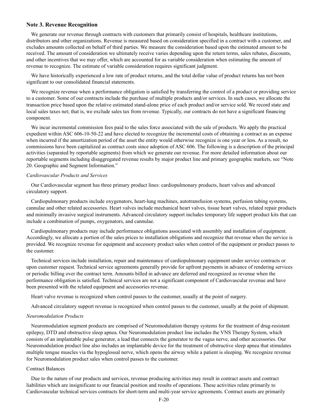### **Note 3. Revenue Recognition**

We generate our revenue through contracts with customers that primarily consist of hospitals, healthcare institutions, distributors and other organizations. Revenue is measured based on consideration specified in a contract with a customer, and excludes amounts collected on behalf of third parties. We measure the consideration based upon the estimated amount to be received. The amount of consideration we ultimately receive varies depending upon the return terms, sales rebates, discounts, and other incentives that we may offer, which are accounted for as variable consideration when estimating the amount of revenue to recognize. The estimate of variable consideration requires significant judgment.

We have historically experienced a low rate of product returns, and the total dollar value of product returns has not been significant to our consolidated financial statements.

We recognize revenue when a performance obligation is satisfied by transferring the control of a product or providing service to a customer. Some of our contracts include the purchase of multiple products and/or services. In such cases, we allocate the transaction price based upon the relative estimated stand-alone price of each product and/or service sold. We record state and local sales taxes net; that is, we exclude sales tax from revenue. Typically, our contracts do not have a significant financing component.

We incur incremental commission fees paid to the sales force associated with the sale of products. We apply the practical expedient within ASC 606-10-50-22 and have elected to recognize the incremental costs of obtaining a contract as an expense when incurred if the amortization period of the asset the entity would otherwise recognize is one year or less. As a result, no commissions have been capitalized as contract costs since adoption of ASC 606. The following is a description of the principal activities (separated by reportable segments) from which we generate our revenue. For more detailed information about our reportable segments including disaggregated revenue results by major product line and primary geographic markets, see "Note 20. Geographic and Segment Information."

#### *Cardiovascular Products and Services*

Our Cardiovascular segment has three primary product lines: cardiopulmonary products, heart valves and advanced circulatory support.

Cardiopulmonary products include oxygenators, heart-lung machines, autotransfusion systems, perfusion tubing systems, cannulae and other related accessories. Heart valves include mechanical heart valves, tissue heart valves, related repair products and minimally invasive surgical instruments. Advanced circulatory support includes temporary life support product kits that can include a combination of pumps, oxygenators, and cannulae.

Cardiopulmonary products may include performance obligations associated with assembly and installation of equipment. Accordingly, we allocate a portion of the sales prices to installation obligations and recognize that revenue when the service is provided. We recognize revenue for equipment and accessory product sales when control of the equipment or product passes to the customer.

Technical services include installation, repair and maintenance of cardiopulmonary equipment under service contracts or upon customer request. Technical service agreements generally provide for upfront payments in advance of rendering services or periodic billing over the contract term. Amounts billed in advance are deferred and recognized as revenue when the performance obligation is satisfied. Technical services are not a significant component of Cardiovascular revenue and have been presented with the related equipment and accessories revenue.

Heart valve revenue is recognized when control passes to the customer, usually at the point of surgery.

Advanced circulatory support revenue is recognized when control passes to the customer, usually at the point of shipment.

#### *Neuromodulation Products*

Neuromodulation segment products are comprised of Neuromodulation therapy systems for the treatment of drug-resistant epilepsy, DTD and obstructive sleep apnea. Our Neuromodulation product line includes the VNS Therapy System, which consists of an implantable pulse generator, a lead that connects the generator to the vagus nerve, and other accessories. Our Neuromodulation product line also includes an implantable device for the treatment of obstructive sleep apnea that stimulates multiple tongue muscles via the hypoglossal nerve, which opens the airway while a patient is sleeping. We recognize revenue for Neuromodulation product sales when control passes to the customer.

## Contract Balances

Due to the nature of our products and services, revenue producing activities may result in contract assets and contract liabilities which are insignificant to our financial position and results of operations. These activities relate primarily to Cardiovascular technical services contracts for short-term and multi-year service agreements. Contract assets are primarily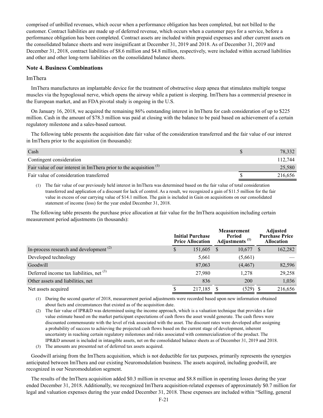comprised of unbilled revenues, which occur when a performance obligation has been completed, but not billed to the customer. Contract liabilities are made up of deferred revenue, which occurs when a customer pays for a service, before a performance obligation has been completed. Contract assets are included within prepaid expenses and other current assets on the consolidated balance sheets and were insignificant at December 31, 2019 and 2018. As of December 31, 2019 and December 31, 2018, contract liabilities of \$8.6 million and \$4.8 million, respectively, were included within accrued liabilities and other and other long-term liabilities on the consolidated balance sheets.

# **Note 4. Business Combinations**

## ImThera

ImThera manufactures an implantable device for the treatment of obstructive sleep apnea that stimulates multiple tongue muscles via the hypoglossal nerve, which opens the airway while a patient is sleeping. ImThera has a commercial presence in the European market, and an FDA pivotal study is ongoing in the U.S.

On January 16, 2018, we acquired the remaining 86% outstanding interest in ImThera for cash consideration of up to \$225 million. Cash in the amount of \$78.3 million was paid at closing with the balance to be paid based on achievement of a certain regulatory milestone and a sales-based earnout.

The following table presents the acquisition date fair value of the consideration transferred and the fair value of our interest in ImThera prior to the acquisition (in thousands):

| Cash                                                                 | 78.332  |
|----------------------------------------------------------------------|---------|
| Contingent consideration                                             | 112.744 |
| Fair value of our interest in ImThera prior to the acquisition $(1)$ | 25,580  |
| Fair value of consideration transferred                              | 216,656 |

(1) The fair value of our previously held interest in ImThera was determined based on the fair value of total consideration transferred and application of a discount for lack of control. As a result, we recognized a gain of \$11.5 million for the fair value in excess of our carrying value of \$14.1 million. The gain is included in Gain on acquisitions on our consolidated statement of income (loss) for the year ended December 31, 2018.

The following table presents the purchase price allocation at fair value for the ImThera acquisition including certain measurement period adjustments (in thousands):

|                                            | <b>Initial Purchase</b><br><b>Price Allocation</b> | <b>Measurement</b><br>Period<br>Adjustments <sup>(1)</sup> |          | <b>Adjusted</b><br><b>Purchase Price</b><br>Allocation |
|--------------------------------------------|----------------------------------------------------|------------------------------------------------------------|----------|--------------------------------------------------------|
| In-process research and development $(2)$  | 151,605                                            |                                                            | 10,677   | 162,282                                                |
| Developed technology                       | 5,661                                              |                                                            | (5,661)  |                                                        |
| Goodwill                                   | 87,063                                             |                                                            | (4, 467) | 82,596                                                 |
| Deferred income tax liabilities, net $(3)$ | 27,980                                             |                                                            | 1,278    | 29,258                                                 |
| Other assets and liabilities, net          | 836                                                |                                                            | 200      | 1,036                                                  |
| Net assets acquired                        | 217,185                                            |                                                            | (529)    | 216,656                                                |

(1) During the second quarter of 2018, measurement period adjustments were recorded based upon new information obtained about facts and circumstances that existed as of the acquisition date.

- (2) The fair value of IPR&D was determined using the income approach, which is a valuation technique that provides a fair value estimate based on the market participant expectations of cash flows the asset would generate. The cash flows were discounted commensurate with the level of risk associated with the asset. The discount rates were developed after assigning a probability of success to achieving the projected cash flows based on the current stage of development, inherent uncertainty in reaching certain regulatory milestones and risks associated with commercialization of the product. The IPR&D amount is included in intangible assets, net on the consolidated balance sheets as of December 31, 2019 and 2018.
- (3) The amounts are presented net of deferred tax assets acquired.

Goodwill arising from the ImThera acquisition, which is not deductible for tax purposes, primarily represents the synergies anticipated between ImThera and our existing Neuromodulation business. The assets acquired, including goodwill, are recognized in our Neuromodulation segment.

The results of the ImThera acquisition added \$0.3 million in revenue and \$8.8 million in operating losses during the year ended December 31, 2018. Additionally, we recognized ImThera acquisition-related expenses of approximately \$0.7 million for legal and valuation expenses during the year ended December 31, 2018. These expenses are included within "Selling, general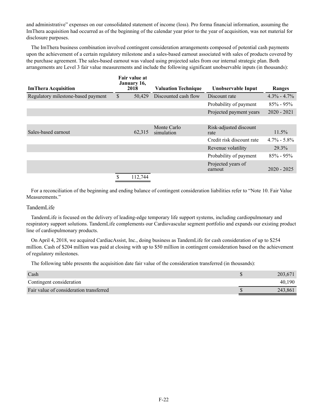and administrative" expenses on our consolidated statement of income (loss). Pro forma financial information, assuming the ImThera acquisition had occurred as of the beginning of the calendar year prior to the year of acquisition, was not material for disclosure purposes.

The ImThera business combination involved contingent consideration arrangements composed of potential cash payments upon the achievement of a certain regulatory milestone and a sales-based earnout associated with sales of products covered by the purchase agreement. The sales-based earnout was valued using projected sales from our internal strategic plan. Both arrangements are Level 3 fair value measurements and include the following significant unobservable inputs (in thousands):

| <b>ImThera Acquisition</b>         | Fair value at<br>January 16,<br>2018 | <b>Valuation Technique</b> | Unobservable Input             | Ranges          |
|------------------------------------|--------------------------------------|----------------------------|--------------------------------|-----------------|
| Regulatory milestone-based payment | \$<br>50,429                         | Discounted cash flow       | Discount rate                  | $4.3\% - 4.7\%$ |
|                                    |                                      |                            | Probability of payment         | $85\% - 95\%$   |
|                                    |                                      |                            | Projected payment years        | $2020 - 2021$   |
|                                    |                                      |                            |                                |                 |
| Sales-based earnout                | 62,315                               | Monte Carlo<br>simulation  | Risk-adjusted discount<br>rate | $11.5\%$        |
|                                    |                                      |                            | Credit risk discount rate      | $4.7\% - 5.8\%$ |
|                                    |                                      |                            | Revenue volatility             | 29.3%           |
|                                    |                                      |                            | Probability of payment         | $85\% - 95\%$   |
|                                    |                                      |                            | Projected years of<br>earnout  | $2020 - 2025$   |
|                                    | \$<br>112,744                        |                            |                                |                 |

For a reconciliation of the beginning and ending balance of contingent consideration liabilities refer to "Note 10. Fair Value Measurements."

# TandemLife

TandemLife is focused on the delivery of leading-edge temporary life support systems, including cardiopulmonary and respiratory support solutions. TandemLife complements our Cardiovascular segment portfolio and expands our existing product line of cardiopulmonary products.

On April 4, 2018, we acquired CardiacAssist, Inc., doing business as TandemLife for cash consideration of up to \$254 million. Cash of \$204 million was paid at closing with up to \$50 million in contingent consideration based on the achievement of regulatory milestones.

The following table presents the acquisition date fair value of the consideration transferred (in thousands):

| Cash                                    | 203,671 |
|-----------------------------------------|---------|
| Contingent consideration                | 40.190  |
| Fair value of consideration transferred | 243.861 |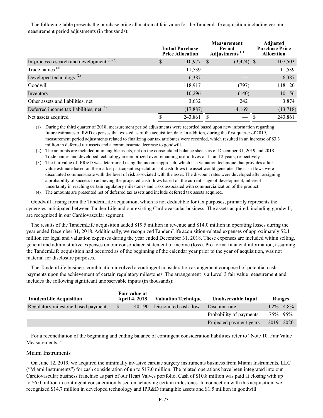The following table presents the purchase price allocation at fair value for the TandemLife acquisition including certain measurement period adjustments (in thousands):

|                                                     | <b>Measurement</b><br><b>Initial Purchase</b><br>Period<br>Adjustments <sup>(1)</sup><br><b>Price Allocation</b> |            |  | <b>Adjusted</b><br><b>Purchase Price</b><br><b>Allocation</b> |  |          |
|-----------------------------------------------------|------------------------------------------------------------------------------------------------------------------|------------|--|---------------------------------------------------------------|--|----------|
| In-process research and development $(2)(3)$        |                                                                                                                  | 110,977 \$ |  | $(3,474)$ \$                                                  |  | 107,503  |
| Trade names $(2)$                                   |                                                                                                                  | 11,539     |  |                                                               |  | 11,539   |
| Developed technology <sup>(2)</sup>                 |                                                                                                                  | 6,387      |  |                                                               |  | 6,387    |
| Goodwill                                            |                                                                                                                  | 118,917    |  | (797)                                                         |  | 118,120  |
| Inventory                                           |                                                                                                                  | 10,296     |  | (140)                                                         |  | 10,156   |
| Other assets and liabilities, net                   |                                                                                                                  | 3,632      |  | 242                                                           |  | 3,874    |
| Deferred income tax liabilities, net <sup>(4)</sup> |                                                                                                                  | (17, 887)  |  | 4,169                                                         |  | (13,718) |
| Net assets acquired                                 |                                                                                                                  | 243,861    |  | $\qquad \qquad \longleftarrow$                                |  | 243,861  |

(1) During the third quarter of 2018, measurement period adjustments were recorded based upon new information regarding future estimates of R&D expenses that existed as of the acquisition date. In addition, during the first quarter of 2019, measurement period adjustments related to finalizing our tax attributes were recorded, which resulted in an increase of \$3.3 million in deferred tax assets and a commensurate decrease to goodwill.

(2) The amounts are included in intangible assets, net on the consolidated balance sheets as of December 31, 2019 and 2018. Trade names and developed technology are amortized over remaining useful lives of 15 and 2 years, respectively.

(3) The fair value of IPR&D was determined using the income approach, which is a valuation technique that provides a fair value estimate based on the market participant expectations of cash flows the asset would generate. The cash flows were discounted commensurate with the level of risk associated with the asset. The discount rates were developed after assigning a probability of success to achieving the projected cash flows based on the current stage of development, inherent uncertainty in reaching certain regulatory milestones and risks associated with commercialization of the product.

(4) The amounts are presented net of deferred tax assets and include deferred tax assets acquired.

Goodwill arising from the TandemLife acquisition, which is not deductible for tax purposes, primarily represents the synergies anticipated between TandemLife and our existing Cardiovascular business. The assets acquired, including goodwill, are recognized in our Cardiovascular segment.

The results of the TandemLife acquisition added \$19.5 million in revenue and \$14.0 million in operating losses during the year ended December 31, 2018. Additionally, we recognized TandemLife acquisition-related expenses of approximately \$2.1 million for legal and valuation expenses during the year ended December 31, 2018. These expenses are included within selling, general and administrative expenses on our consolidated statement of income (loss). Pro forma financial information, assuming the TandemLife acquisition had occurred as of the beginning of the calendar year prior to the year of acquisition, was not material for disclosure purposes.

The TandemLife business combination involved a contingent consideration arrangement composed of potential cash payments upon the achievement of certain regulatory milestones. The arrangement is a Level 3 fair value measurement and includes the following significant unobservable inputs (in thousands):

| <b>TandemLife Acquisition</b>       | Fair value at<br><b>April 4, 2018</b> |        | <b>Valuation Technique</b> |                         |                 | Unobservable Input | Ranges |  |
|-------------------------------------|---------------------------------------|--------|----------------------------|-------------------------|-----------------|--------------------|--------|--|
| Regulatory milestone-based payments | S                                     | 40.190 | Discounted cash flow       | Discount rate           | $4.2\% - 4.8\%$ |                    |        |  |
|                                     |                                       |        |                            | Probability of payments | $75\% - 95\%$   |                    |        |  |
|                                     |                                       |        |                            | Projected payment years | $2019 - 2020$   |                    |        |  |

For a reconciliation of the beginning and ending balance of contingent consideration liabilities refer to "Note 10. Fair Value Measurements."

# Miami Instruments

On June 12, 2019, we acquired the minimally invasive cardiac surgery instruments business from Miami Instruments, LLC ("Miami Instruments") for cash consideration of up to \$17.0 million. The related operations have been integrated into our Cardiovascular business franchise as part of our Heart Valves portfolio. Cash of \$10.8 million was paid at closing with up to \$6.0 million in contingent consideration based on achieving certain milestones. In connection with this acquisition, we recognized \$14.7 million in developed technology and IPR&D intangible assets and \$1.5 million in goodwill.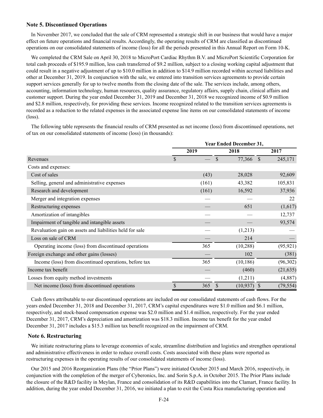# **Note 5. Discontinued Operations**

In November 2017, we concluded that the sale of CRM represented a strategic shift in our business that would have a major effect on future operations and financial results. Accordingly, the operating results of CRM are classified as discontinued operations on our consolidated statements of income (loss) for all the periods presented in this Annual Report on Form 10-K.

We completed the CRM Sale on April 30, 2018 to MicroPort Cardiac Rhythm B.V. and MicroPort Scientific Corporation for total cash proceeds of \$195.9 million, less cash transferred of \$9.2 million, subject to a closing working capital adjustment that could result in a negative adjustment of up to \$10.0 million in addition to \$14.9 million recorded within accrued liabilities and other at December 31, 2019. In conjunction with the sale, we entered into transition services agreements to provide certain support services generally for up to twelve months from the closing date of the sale. The services include, among others, accounting, information technology, human resources, quality assurance, regulatory affairs, supply chain, clinical affairs and customer support. During the year ended December 31, 2019 and December 31, 2018 we recognized income of \$0.9 million and \$2.8 million, respectively, for providing these services. Income recognized related to the transition services agreements is recorded as a reduction to the related expenses in the associated expense line items on our consolidated statements of income (loss).

The following table represents the financial results of CRM presented as net income (loss) from discontinued operations, net of tax on our consolidated statements of income (loss) (in thousands):

|                                                          | <b>Year Ended December 31,</b> |       |                         |                           |  |
|----------------------------------------------------------|--------------------------------|-------|-------------------------|---------------------------|--|
|                                                          |                                | 2019  | 2018                    | 2017                      |  |
| Revenues                                                 | $\mathcal{S}$                  |       | $\mathcal{S}$<br>77,366 | $\mathcal{S}$<br>245,171  |  |
| Costs and expenses:                                      |                                |       |                         |                           |  |
| Cost of sales                                            |                                | (43)  | 28,028                  | 92,609                    |  |
| Selling, general and administrative expenses             |                                | (161) | 43,382                  | 105,831                   |  |
| Research and development                                 |                                | (161) | 16,592                  | 37,936                    |  |
| Merger and integration expenses                          |                                |       |                         | 22                        |  |
| Restructuring expenses                                   |                                |       | 651                     | (1,617)                   |  |
| Amortization of intangibles                              |                                |       |                         | 12,737                    |  |
| Impairment of tangible and intangible assets             |                                |       |                         | 93,574                    |  |
| Revaluation gain on assets and liabilities held for sale |                                |       | (1,213)                 |                           |  |
| Loss on sale of CRM                                      |                                |       | 214                     |                           |  |
| Operating income (loss) from discontinued operations     |                                | 365   | (10, 288)               | (95, 921)                 |  |
| Foreign exchange and other gains (losses)                |                                |       | 102                     | (381)                     |  |
| Income (loss) from discontinued operations, before tax   |                                | 365   | (10, 186)               | (96,302)                  |  |
| Income tax benefit                                       |                                |       | (460)                   | (21, 635)                 |  |
| Losses from equity method investments                    |                                |       | (1,211)                 | (4,887)                   |  |
| Net income (loss) from discontinued operations           | \$                             | 365   | (10, 937)               | (79, 554)<br><sup>S</sup> |  |

Cash flows attributable to our discontinued operations are included on our consolidated statements of cash flows. For the years ended December 31, 2018 and December 31, 2017, CRM's capital expenditures were \$1.0 million and \$6.1 million, respectively, and stock-based compensation expense was \$2.0 million and \$1.4 million, respectively. For the year ended December 31, 2017, CRM's depreciation and amortization was \$18.3 million. Income tax benefit for the year ended December 31, 2017 includes a \$15.3 million tax benefit recognized on the impairment of CRM.

## **Note 6. Restructuring**

We initiate restructuring plans to leverage economies of scale, streamline distribution and logistics and strengthen operational and administrative effectiveness in order to reduce overall costs. Costs associated with these plans were reported as restructuring expenses in the operating results of our consolidated statements of income (loss).

Our 2015 and 2016 Reorganization Plans (the "Prior Plans") were initiated October 2015 and March 2016, respectively, in conjunction with the completion of the merger of Cyberonics, Inc. and Sorin S.p.A. in October 2015. The Prior Plans include the closure of the R&D facility in Meylan, France and consolidation of its R&D capabilities into the Clamart, France facility. In addition, during the year ended December 31, 2016, we initiated a plan to exit the Costa Rica manufacturing operation and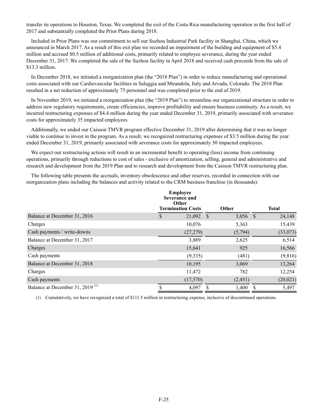transfer its operations to Houston, Texas. We completed the exit of the Costa Rica manufacturing operation in the first half of 2017 and substantially completed the Prior Plans during 2018.

Included in Prior Plans was our commitment to sell our Suzhou Industrial Park facility in Shanghai, China, which we announced in March 2017. As a result of this exit plan we recorded an impairment of the building and equipment of \$5.4 million and accrued \$0.5 million of additional costs, primarily related to employee severance, during the year ended December 31, 2017. We completed the sale of the Suzhou facility in April 2018 and received cash proceeds from the sale of \$13.3 million.

In December 2018, we initiated a reorganization plan (the "2018 Plan") in order to reduce manufacturing and operational costs associated with our Cardiovascular facilities in Saluggia and Mirandola, Italy and Arvada, Colorado. The 2018 Plan resulted in a net reduction of approximately 75 personnel and was completed prior to the end of 2019.

In November 2019, we initiated a reorganization plan (the "2019 Plan") to streamline our organizational structure in order to address new regulatory requirements, create efficiencies, improve profitability and ensure business continuity. As a result, we incurred restructuring expenses of \$4.4 million during the year ended December 31, 2019, primarily associated with severance costs for approximately 35 impacted employees.

Additionally, we ended our Caisson TMVR program effective December 31, 2019 after determining that it was no longer viable to continue to invest in the program. As a result, we recognized restructuring expenses of \$3.5 million during the year ended December 31, 2019, primarily associated with severance costs for approximately 50 impacted employees.

We expect our restructuring actions will result in an incremental benefit to operating (loss) income from continuing operations, primarily through reductions to cost of sales - exclusive of amortization, selling, general and administrative and research and development from the 2019 Plan and to research and development from the Caisson TMVR restructuring plan.

The following table presents the accruals, inventory obsolescence and other reserves, recorded in connection with our reorganization plans including the balances and activity related to the CRM business franchise (in thousands):

|                                             | <b>Employee</b><br>Severance and<br>Other<br><b>Termination Costs</b><br><b>Other</b> |   |            | <b>Total</b> |  |  |
|---------------------------------------------|---------------------------------------------------------------------------------------|---|------------|--------------|--|--|
| Balance at December 31, 2016                | \$<br>$21,092$ \$                                                                     |   | $3,056$ \$ | 24,148       |  |  |
| Charges                                     | 10,076                                                                                |   | 5,363      | 15,439       |  |  |
| Cash payments / write-downs                 | (27, 279)                                                                             |   | (5,794)    | (33,073)     |  |  |
| Balance at December 31, 2017                | 3,889                                                                                 |   | 2,625      | 6,514        |  |  |
| Charges                                     | 15,641                                                                                |   | 925        | 16,566       |  |  |
| Cash payments                               | (9,335)                                                                               |   | (481)      | (9,816)      |  |  |
| Balance at December 31, 2018                | 10,195                                                                                |   | 3,069      | 13,264       |  |  |
| Charges                                     | 11,472                                                                                |   | 782        | 12,254       |  |  |
| Cash payments                               | (17,570)                                                                              |   | (2, 451)   | (20, 021)    |  |  |
| Balance at December 31, 2019 <sup>(1)</sup> | \$<br>4,097                                                                           | S | 1,400      | 5,497        |  |  |

(1) Cumulatively, we have recognized a total of \$111.5 million in restructuring expense, inclusive of discontinued operations.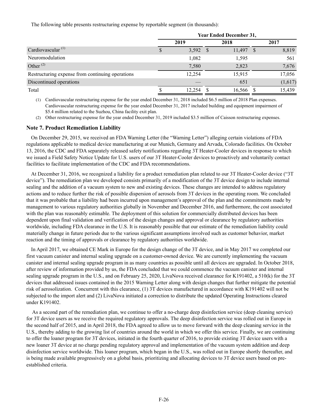The following table presents restructuring expense by reportable segment (in thousands):

|                                                  | <b>Year Ended December 31,</b> |            |  |             |  |         |  |
|--------------------------------------------------|--------------------------------|------------|--|-------------|--|---------|--|
|                                                  |                                | 2019       |  | 2018        |  | 2017    |  |
| Cardiovascular <sup>(1)</sup>                    |                                | $3,592$ \$ |  | $11,497$ \$ |  | 8,819   |  |
| Neuromodulation                                  |                                | 1,082      |  | 1,595       |  | 561     |  |
| Other $(2)$                                      |                                | 7,580      |  | 2,823       |  | 7,676   |  |
| Restructuring expense from continuing operations |                                | 12,254     |  | 15,915      |  | 17,056  |  |
| Discontinued operations                          |                                |            |  | 651         |  | (1,617) |  |
| Total                                            |                                | 12.254     |  | 16,566      |  | 15,439  |  |

(1) Cardiovascular restructuring expense for the year ended December 31, 2018 included \$6.5 million of 2018 Plan expenses. Cardiovascular restructuring expense for the year ended December 31, 2017 included building and equipment impairment of \$5.4 million related to the Suzhou, China facility exit plan.

(2) Other restructuring expense for the year ended December 31, 2019 included \$3.5 million of Caisson restructuring expenses.

# **Note 7. Product Remediation Liability**

On December 29, 2015, we received an FDA Warning Letter (the "Warning Letter") alleging certain violations of FDA regulations applicable to medical device manufacturing at our Munich, Germany and Arvada, Colorado facilities. On October 13, 2016, the CDC and FDA separately released safety notifications regarding 3T Heater-Cooler devices in response to which we issued a Field Safety Notice Update for U.S. users of our 3T Heater-Cooler devices to proactively and voluntarily contact facilities to facilitate implementation of the CDC and FDA recommendations.

At December 31, 2016, we recognized a liability for a product remediation plan related to our 3T Heater-Cooler device ("3T device"). The remediation plan we developed consists primarily of a modification of the 3T device design to include internal sealing and the addition of a vacuum system to new and existing devices. These changes are intended to address regulatory actions and to reduce further the risk of possible dispersion of aerosols from 3T devices in the operating room. We concluded that it was probable that a liability had been incurred upon management's approval of the plan and the commitments made by management to various regulatory authorities globally in November and December 2016, and furthermore, the cost associated with the plan was reasonably estimable. The deployment of this solution for commercially distributed devices has been dependent upon final validation and verification of the design changes and approval or clearance by regulatory authorities worldwide, including FDA clearance in the U.S. It is reasonably possible that our estimate of the remediation liability could materially change in future periods due to the various significant assumptions involved such as customer behavior, market reaction and the timing of approvals or clearance by regulatory authorities worldwide.

In April 2017, we obtained CE Mark in Europe for the design change of the 3T device, and in May 2017 we completed our first vacuum canister and internal sealing upgrade on a customer-owned device. We are currently implementing the vacuum canister and internal sealing upgrade program in as many countries as possible until all devices are upgraded. In October 2018, after review of information provided by us, the FDA concluded that we could commence the vacuum canister and internal sealing upgrade program in the U.S., and on February 25, 2020, LivaNova received clearance for K191402, a 510(k) for the 3T devices that addressed issues contained in the 2015 Warning Letter along with design changes that further mitigate the potential risk of aerosolization. Concurrent with this clearance, (1) 3T devices manufactured in accordance with K191402 will not be subjected to the import alert and (2) LivaNova initiated a correction to distribute the updated Operating Instructions cleared under K191402.

 As a second part of the remediation plan, we continue to offer a no-charge deep disinfection service (deep cleaning service) for 3T device users as we receive the required regulatory approvals. The deep disinfection service was rolled out in Europe in the second half of 2015, and in April 2018, the FDA agreed to allow us to move forward with the deep cleaning service in the U.S., thereby adding to the growing list of countries around the world in which we offer this service. Finally, we are continuing to offer the loaner program for 3T devices, initiated in the fourth quarter of 2016, to provide existing 3T device users with a new loaner 3T device at no charge pending regulatory approval and implementation of the vacuum system addition and deep disinfection service worldwide. This loaner program, which began in the U.S., was rolled out in Europe shortly thereafter, and is being made available progressively on a global basis, prioritizing and allocating devices to 3T device users based on preestablished criteria.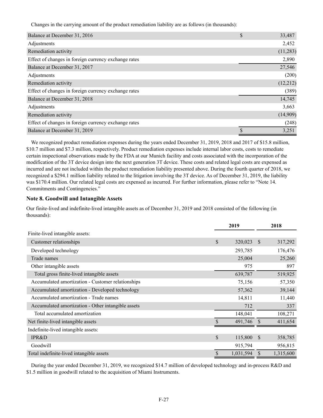Changes in the carrying amount of the product remediation liability are as follows (in thousands):

| Balance at December 31, 2016                         | \$<br>33,487 |
|------------------------------------------------------|--------------|
| Adjustments                                          | 2,452        |
| Remediation activity                                 | (11,283)     |
| Effect of changes in foreign currency exchange rates | 2,890        |
| Balance at December 31, 2017                         | 27,546       |
| Adjustments                                          | (200)        |
| Remediation activity                                 | (12,212)     |
| Effect of changes in foreign currency exchange rates | (389)        |
| Balance at December 31, 2018                         | 14,745       |
| Adjustments                                          | 3,663        |
| Remediation activity                                 | (14,909)     |
| Effect of changes in foreign currency exchange rates | (248)        |
| Balance at December 31, 2019                         | 3,251        |

We recognized product remediation expenses during the years ended December 31, 2019, 2018 and 2017 of \$15.8 million, \$10.7 million and \$7.3 million, respectively. Product remediation expenses include internal labor costs, costs to remediate certain inspectional observations made by the FDA at our Munich facility and costs associated with the incorporation of the modification of the 3T device design into the next generation 3T device. These costs and related legal costs are expensed as incurred and are not included within the product remediation liability presented above. During the fourth quarter of 2018, we recognized a \$294.1 million liability related to the litigation involving the 3T device. As of December 31, 2019, the liability was \$170.4 million. Our related legal costs are expensed as incurred. For further information, please refer to "Note 14. Commitments and Contingencies."

# **Note 8. Goodwill and Intangible Assets**

Our finite-lived and indefinite-lived intangible assets as of December 31, 2019 and 2018 consisted of the following (in thousands):

|                                                    | 2019               |           |               | 2018      |
|----------------------------------------------------|--------------------|-----------|---------------|-----------|
| Finite-lived intangible assets:                    |                    |           |               |           |
| Customer relationships                             | $\mathcal{S}$      | 320,023   | <sup>\$</sup> | 317,292   |
| Developed technology                               |                    | 293,785   |               | 176,476   |
| Trade names                                        |                    | 25,004    |               | 25,260    |
| Other intangible assets                            |                    | 975       |               | 897       |
| Total gross finite-lived intangible assets         |                    | 639,787   |               | 519,925   |
| Accumulated amortization - Customer relationships  |                    | 75,156    |               | 57,350    |
| Accumulated amortization - Developed technology    |                    | 57,362    |               | 39,144    |
| Accumulated amortization - Trade names             |                    | 14,811    |               | 11,440    |
| Accumulated amortization - Other intangible assets |                    | 712       |               | 337       |
| Total accumulated amortization                     |                    | 148,041   |               | 108,271   |
| Net finite-lived intangible assets                 | $\mathbf{\hat{S}}$ | 491,746   |               | 411,654   |
| Indefinite-lived intangible assets:                |                    |           |               |           |
| <b>IPR&amp;D</b>                                   | $\mathcal{S}$      | 115,800   | <sup>\$</sup> | 358,785   |
| Goodwill                                           |                    | 915,794   |               | 956,815   |
| Total indefinite-lived intangible assets           | \$                 | 1,031,594 | <sup>\$</sup> | 1,315,600 |

During the year ended December 31, 2019, we recognized \$14.7 million of developed technology and in-process R&D and \$1.5 million in goodwill related to the acquisition of Miami Instruments.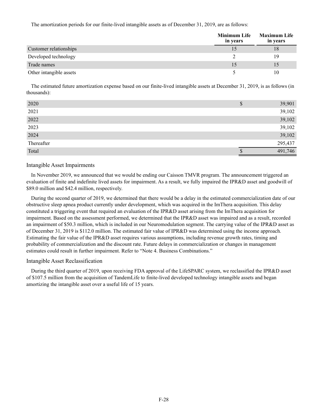The amortization periods for our finite-lived intangible assets as of December 31, 2019, are as follows:

|                         | Minimum Life<br>in years | <b>Maximum Life</b><br>in years |
|-------------------------|--------------------------|---------------------------------|
| Customer relationships  |                          | 18                              |
| Developed technology    |                          | 19                              |
| Trade names             |                          | 15                              |
| Other intangible assets |                          | 10                              |

The estimated future amortization expense based on our finite-lived intangible assets at December 31, 2019, is as follows (in thousands):

| 2020       | D | 39,901  |
|------------|---|---------|
| 2021       |   | 39,102  |
| 2022       |   | 39,102  |
| 2023       |   | 39,102  |
| 2024       |   | 39,102  |
| Thereafter |   | 295,437 |
| Total      |   | 491,746 |

# Intangible Asset Impairments

In November 2019, we announced that we would be ending our Caisson TMVR program. The announcement triggered an evaluation of finite and indefinite lived assets for impairment. As a result, we fully impaired the IPR&D asset and goodwill of \$89.0 million and \$42.4 million, respectively.

During the second quarter of 2019, we determined that there would be a delay in the estimated commercialization date of our obstructive sleep apnea product currently under development, which was acquired in the ImThera acquisition. This delay constituted a triggering event that required an evaluation of the IPR&D asset arising from the ImThera acquisition for impairment. Based on the assessment performed, we determined that the IPR&D asset was impaired and as a result, recorded an impairment of \$50.3 million, which is included in our Neuromodulation segment. The carrying value of the IPR&D asset as of December 31, 2019 is \$112.0 million. The estimated fair value of IPR&D was determined using the income approach. Estimating the fair value of the IPR&D asset requires various assumptions, including revenue growth rates, timing and probability of commercialization and the discount rate. Future delays in commercialization or changes in management estimates could result in further impairment. Refer to "Note 4. Business Combinations."

# Intangible Asset Reclassification

During the third quarter of 2019, upon receiving FDA approval of the LifeSPARC system, we reclassified the IPR&D asset of \$107.5 million from the acquisition of TandemLife to finite-lived developed technology intangible assets and began amortizing the intangible asset over a useful life of 15 years.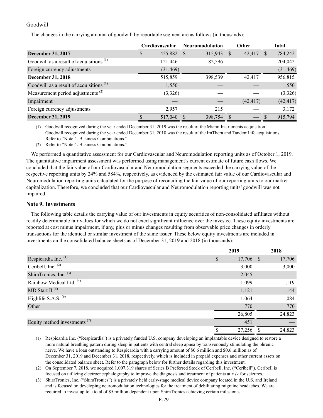# Goodwill

The changes in the carrying amount of goodwill by reportable segment are as follows (in thousands):

|                                                     |   | Cardiovascular |      | <b>Neuromodulation</b> | Other     |              | <b>Total</b> |
|-----------------------------------------------------|---|----------------|------|------------------------|-----------|--------------|--------------|
| <b>December 31, 2017</b>                            | S | 425,882        | - \$ | 315,943 \$             | 42,417    | <sup>S</sup> | 784,242      |
| Goodwill as a result of acquisitions <sup>(1)</sup> |   | 121,446        |      | 82,596                 |           |              | 204,042      |
| Foreign currency adjustments                        |   | (31, 469)      |      |                        |           |              | (31, 469)    |
| <b>December 31, 2018</b>                            |   | 515,859        |      | 398,539                | 42,417    |              | 956,815      |
| Goodwill as a result of acquisitions <sup>(1)</sup> |   | 1,550          |      |                        |           |              | 1,550        |
| Measurement period adjustments <sup>(2)</sup>       |   | (3,326)        |      |                        |           |              | (3,326)      |
| Impairment                                          |   |                |      |                        | (42, 417) |              | (42, 417)    |
| Foreign currency adjustments                        |   | 2,957          |      | 215                    |           |              | 3,172        |
| <b>December 31, 2019</b>                            |   | 517,040        |      | 398,754 \$             |           | S            | 915,794      |

(1) Goodwill recognized during the year ended December 31, 2019 was the result of the Miami Instruments acquisition. Goodwill recognized during the year ended December 31, 2018 was the result of the ImThera and TandemLife acquisitions. Refer to "Note 4. Business Combinations."

(2) Refer to "Note 4. Business Combinations."

We performed a quantitative assessment for our Cardiovascular and Neuromodulation reporting units as of October 1, 2019. The quantitative impairment assessment was performed using management's current estimate of future cash flows. We concluded that the fair value of our Cardiovascular and Neuromodulation segments exceeded the carrying value of the respective reporting units by 24% and 584%, respectively, as evidenced by the estimated fair value of our Cardiovascular and Neuromodulation reporting units calculated for the purpose of reconciling the fair value of our reporting units to our market capitalization. Therefore, we concluded that our Cardiovascular and Neuromodulation reporting units' goodwill was not impaired.

## **Note 9. Investments**

The following table details the carrying value of our investments in equity securities of non-consolidated affiliates without readily determinable fair values for which we do not exert significant influence over the investee. These equity investments are reported at cost minus impairment, if any, plus or minus changes resulting from observable price changes in orderly transactions for the identical or similar investment of the same issuer. These below equity investments are included in investments on the consolidated balance sheets as of December 31, 2019 and 2018 (in thousands):

|                                     | 2019 |           | 2018 |        |
|-------------------------------------|------|-----------|------|--------|
| Respicardia Inc. <sup>(1)</sup>     | S    | 17,706 \$ |      | 17,706 |
| Ceribell, Inc. $(2)$                |      | 3,000     |      | 3,000  |
| ShiraTronics, Inc. (3)              |      | 2,045     |      |        |
| Rainbow Medical Ltd. <sup>(4)</sup> |      | 1,099     |      | 1,119  |
| MD Start II $(5)$                   |      | 1,121     |      | 1,144  |
| Highlife S.A.S. <sup>(6)</sup>      |      | 1,064     |      | 1,084  |
| Other                               |      | 770       |      | 770    |
|                                     |      | 26,805    |      | 24,823 |
| Equity method investments $(7)$     |      | 451       |      |        |
|                                     | \$   | 27,256    |      | 24,823 |

(1) Respicardia Inc. ("Respicardia") is a privately funded U.S. company developing an implantable device designed to restore a more natural breathing pattern during sleep in patients with central sleep apnea by transvenously stimulating the phrenic nerve. We have a loan outstanding to Respicardia with a carrying amount of \$0.6 million and \$0.6 million as of December 31, 2019 and December 31, 2018, respectively, which is included in prepaid expenses and other current assets on the consolidated balance sheet. Refer to the paragraph below for further details regarding this investment.

(2) On September 7, 2018, we acquired 1,007,319 shares of Series B Preferred Stock of Ceribell, Inc. ("Ceribell"). Ceribell is focused on utilizing electroencephalography to improve the diagnosis and treatment of patients at risk for seizures.

(3) ShiraTronics, Inc. ("ShiraTronics") is a privately held early-stage medical device company located in the U.S. and Ireland and is focused on developing neuromodulation technologies for the treatment of debilitating migraine headaches. We are required to invest up to a total of \$5 million dependent upon ShiraTronics achieving certain milestones.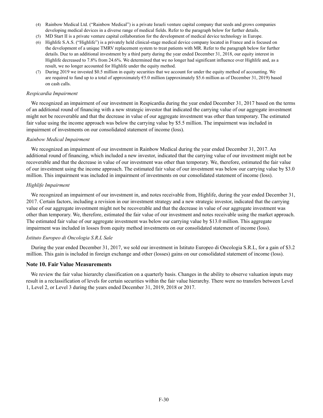- (4) Rainbow Medical Ltd. ("Rainbow Medical") is a private Israeli venture capital company that seeds and grows companies developing medical devices in a diverse range of medical fields. Refer to the paragraph below for further details.
- (5) MD Start II is a private venture capital collaboration for the development of medical device technology in Europe.
- (6) Highlife S.A.S. ("Highlife") is a privately held clinical-stage medical device company located in France and is focused on the development of a unique TMRV replacement system to treat patients with MR. Refer to the paragraph below for further details. Due to an additional investment by a third party during the year ended December 31, 2018, our equity interest in Highlife decreased to 7.8% from 24.6%. We determined that we no longer had significant influence over Highlife and, as a result, we no longer accounted for Highlife under the equity method.
- (7) During 2019 we invested \$0.5 million in equity securities that we account for under the equity method of accounting. We are required to fund up to a total of approximately €5.0 million (approximately \$5.6 million as of December 31, 2019) based on cash calls.

#### *Respicardia Impairment*

We recognized an impairment of our investment in Respicardia during the year ended December 31, 2017 based on the terms of an additional round of financing with a new strategic investor that indicated the carrying value of our aggregate investment might not be recoverable and that the decrease in value of our aggregate investment was other than temporary. The estimated fair value using the income approach was below the carrying value by \$5.5 million. The impairment was included in impairment of investments on our consolidated statement of income (loss).

#### *Rainbow Medical Impairment*

We recognized an impairment of our investment in Rainbow Medical during the year ended December 31, 2017. An additional round of financing, which included a new investor, indicated that the carrying value of our investment might not be recoverable and that the decrease in value of our investment was other than temporary. We, therefore, estimated the fair value of our investment using the income approach. The estimated fair value of our investment was below our carrying value by \$3.0 million. This impairment was included in impairment of investments on our consolidated statement of income (loss).

#### *Highlife Impairment*

We recognized an impairment of our investment in, and notes receivable from, Highlife, during the year ended December 31, 2017. Certain factors, including a revision in our investment strategy and a new strategic investor, indicated that the carrying value of our aggregate investment might not be recoverable and that the decrease in value of our aggregate investment was other than temporary. We, therefore, estimated the fair value of our investment and notes receivable using the market approach. The estimated fair value of our aggregate investment was below our carrying value by \$13.0 million. This aggregate impairment was included in losses from equity method investments on our consolidated statement of income (loss).

### *Istituto Europeo di Oncologia S.R.L Sale*

During the year ended December 31, 2017, we sold our investment in Istituto Europeo di Oncologia S.R.L, for a gain of \$3.2 million. This gain is included in foreign exchange and other (losses) gains on our consolidated statement of income (loss).

## **Note 10. Fair Value Measurements**

We review the fair value hierarchy classification on a quarterly basis. Changes in the ability to observe valuation inputs may result in a reclassification of levels for certain securities within the fair value hierarchy. There were no transfers between Level 1, Level 2, or Level 3 during the years ended December 31, 2019, 2018 or 2017.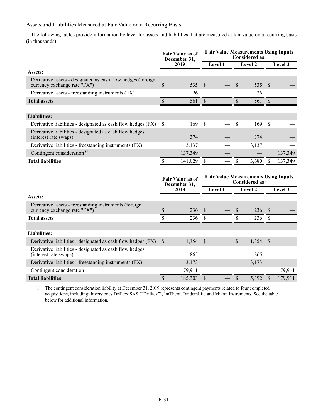# Assets and Liabilities Measured at Fair Value on a Recurring Basis

The following tables provide information by level for assets and liabilities that are measured at fair value on a recurring basis (in thousands):

|                                                                                             |               | <b>Fair Value as of</b><br>December 31, |                                                                      |         | <b>Fair Value Measurements Using Inputs</b><br><b>Considered as:</b> |         |                           |         |  |
|---------------------------------------------------------------------------------------------|---------------|-----------------------------------------|----------------------------------------------------------------------|---------|----------------------------------------------------------------------|---------|---------------------------|---------|--|
|                                                                                             |               | 2019                                    | Level 1                                                              |         | Level 2                                                              |         |                           | Level 3 |  |
| Assets:                                                                                     |               |                                         |                                                                      |         |                                                                      |         |                           |         |  |
| Derivative assets - designated as cash flow hedges (foreign<br>currency exchange rate "FX") | \$            | 535                                     | $\sqrt{3}$                                                           |         | \$                                                                   | 535     | $\mathcal{S}$             |         |  |
| Derivative assets - freestanding instruments (FX)                                           |               | 26                                      |                                                                      |         |                                                                      | 26      |                           |         |  |
| <b>Total assets</b>                                                                         | \$            | 561                                     | \$                                                                   |         | $\mathcal{S}$                                                        | 561     | $\mathcal{S}$             |         |  |
|                                                                                             |               |                                         |                                                                      |         |                                                                      |         |                           |         |  |
| <b>Liabilities:</b>                                                                         |               |                                         |                                                                      |         |                                                                      |         |                           |         |  |
| Derivative liabilities - designated as cash flow hedges (FX)                                | <sup>\$</sup> | 169                                     | $\mathcal{S}$                                                        |         | \$                                                                   | 169     | \$                        |         |  |
| Derivative liabilities - designated as cash flow hedges<br>(interest rate swaps)            |               | 374                                     |                                                                      |         |                                                                      | 374     |                           |         |  |
| Derivative liabilities - freestanding instruments (FX)                                      |               | 3,137                                   |                                                                      |         |                                                                      | 3,137   |                           |         |  |
| Contingent consideration <sup>(1)</sup>                                                     |               | 137,349                                 |                                                                      |         |                                                                      |         |                           | 137,349 |  |
| <b>Total liabilities</b>                                                                    | \$            | 141,029                                 | S                                                                    |         | $\mathbf{\hat{S}}$                                                   | 3,680   | S                         | 137,349 |  |
|                                                                                             |               | <b>Fair Value as of</b><br>December 31, | <b>Fair Value Measurements Using Inputs</b><br><b>Considered as:</b> |         |                                                                      |         |                           |         |  |
|                                                                                             |               | 2018                                    |                                                                      | Level 1 |                                                                      | Level 2 |                           | Level 3 |  |
| Assets:                                                                                     |               |                                         |                                                                      |         |                                                                      |         |                           |         |  |
| Derivative assets - freestanding instruments (foreign<br>currency exchange rate "FX")       | \$            | 236                                     | $\mathcal{S}$                                                        |         | \$                                                                   | 236     | <sup>\$</sup>             |         |  |
| <b>Total assets</b>                                                                         | \$            | 236                                     | \$                                                                   |         | \$                                                                   | 236     | $\mathbb{S}$              |         |  |
|                                                                                             |               |                                         |                                                                      |         |                                                                      |         |                           |         |  |
| <b>Liabilities:</b>                                                                         |               |                                         |                                                                      |         |                                                                      |         |                           |         |  |
| Derivative liabilities - designated as cash flow hedges (FX)                                | <sup>S</sup>  | 1,354                                   | $\mathcal{S}$                                                        |         | <sup>S</sup>                                                         | 1,354   | $\boldsymbol{\mathsf{S}}$ |         |  |
| Derivative liabilities - designated as cash flow hedges<br>(interest rate swaps)            |               | 865                                     |                                                                      |         |                                                                      | 865     |                           |         |  |
| Derivative liabilities - freestanding instruments (FX)                                      |               |                                         |                                                                      |         |                                                                      |         |                           |         |  |
|                                                                                             |               | 3,173                                   |                                                                      |         |                                                                      | 3,173   |                           |         |  |
| Contingent consideration                                                                    |               | 179,911                                 |                                                                      |         |                                                                      |         |                           | 179,911 |  |

(1) The contingent consideration liability at December 31, 2019 represents contingent payments related to four completed acquisitions, including: Inversiones Drilltex SAS ("Drilltex"), ImThera, TandemLife and Miami Instruments. See the table below for additional information.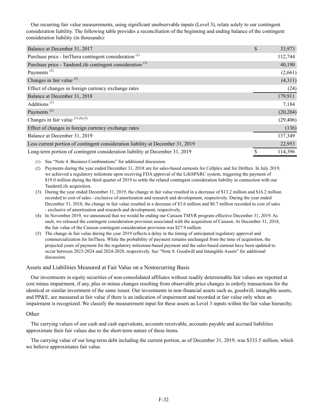Our recurring fair value measurements, using significant unobservable inputs (Level 3), relate solely to our contingent consideration liability. The following table provides a reconciliation of the beginning and ending balance of the contingent consideration liability (in thousands):

| Balance at December 31, 2017                                                    | \$<br>33,973  |
|---------------------------------------------------------------------------------|---------------|
| Purchase price - ImThera contingent consideration <sup>(1)</sup>                | 112,744       |
| Purchase price - TandemLife contingent consideration <sup>(1)</sup>             | 40,190        |
| Payments <sup><math>(2)</math></sup>                                            | (2,661)       |
| Changes in fair value $(3)$                                                     | (4,311)       |
| Effect of changes in foreign currency exchange rates                            | (24)          |
| Balance at December 31, 2018                                                    | 179,911       |
| Additions <sup><math>(1)</math></sup>                                           | 7,184         |
| Payments <sup><math>(2)</math></sup>                                            | (20, 204)     |
| Changes in fair value $(3)(4)(5)$                                               | (29, 406)     |
| Effect of changes in foreign currency exchange rates                            | (136)         |
| Balance at December 31, 2019                                                    | 137,349       |
| Less current portion of contingent consideration liability at December 31, 2019 | 22,953        |
| Long-term portion of contingent consideration liability at December 31, 2019    | \$<br>114,396 |

(1) See "Note 4. Business Combinations" for additional discussion.

- (2) Payments during the year ended December 31, 2018 are for sales-based earnouts for Cellplex and for Drilltex. In July 2019, we achieved a regulatory milestone upon receiving FDA approval of the LifeSPARC system, triggering the payment of \$19.0 million during the third quarter of 2019 to settle the related contingent consideration liability in connection with our TandemLife acquisition.
- (3) During the year ended December 31, 2019, the change in fair value resulted in a decrease of \$13.2 million and \$16.2 million recorded to cost of sales - exclusive of amortization and research and development, respectively. During the year ended December 31, 2018, the change in fair value resulted in a decrease of \$3.6 million and \$0.7 million recorded to cost of sales - exclusive of amortization and research and development, respectively.
- (4) In November 2019, we announced that we would be ending our Caisson TMVR program effective December 31, 2019. As such, we released the contingent consideration provision associated with the acquisition of Caisson. At December 31, 2018, the fair value of the Caisson contingent consideration provision was \$27.9 million.
- (5) The change in fair value during the year 2019 reflects a delay in the timing of anticipated regulatory approval and commercialization for ImThera. While the probability of payment remains unchanged from the time of acquisition, the projected years of payment for the regulatory milestone-based payment and the sales-based earnout have been updated to occur between 2023-2024 and 2024-2028, respectively. See "Note 8. Goodwill and Intangible Assets" for additional discussion.

# Assets and Liabilities Measured at Fair Value on a Nonrecurring Basis

Our investments in equity securities of non-consolidated affiliates without readily determinable fair values are reported at cost minus impairment, if any, plus or minus changes resulting from observable price changes in orderly transactions for the identical or similar investment of the same issuer. Our investments in non-financial assets such as, goodwill, intangible assets, and PP&E, are measured at fair value if there is an indication of impairment and recorded at fair value only when an impairment is recognized. We classify the measurement input for these assets as Level 3 inputs within the fair value hierarchy.

# **Other**

The carrying values of our cash and cash equivalents, accounts receivable, accounts payable and accrued liabilities approximate their fair values due to the short-term nature of these items.

The carrying value of our long-term debt including the current portion, as of December 31, 2019, was \$333.5 million, which we believe approximates fair value.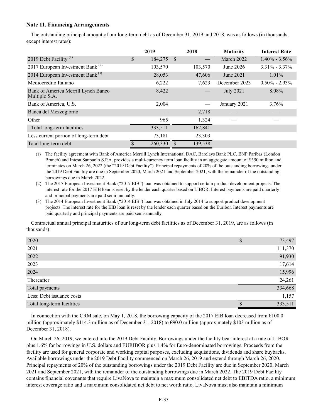# **Note 11. Financing Arrangements**

The outstanding principal amount of our long-term debt as of December 31, 2019 and 2018, was as follows (in thousands, except interest rates):

|                                                      |    | 2019       | 2018    | <b>Maturity</b>  | <b>Interest Rate</b> |
|------------------------------------------------------|----|------------|---------|------------------|----------------------|
| 2019 Debt Facility <sup>(1)</sup>                    | S. | 184,275 \$ |         | March 2022       | $1.40\% - 3.56\%$    |
| 2017 European Investment Bank <sup>(2)</sup>         |    | 103,570    | 103,570 | June 2026        | $3.31\% - 3.37\%$    |
| 2014 European Investment Bank $^{(3)}$               |    | 28,053     | 47,606  | June 2021        | $1.01\%$             |
| Mediocredito Italiano                                |    | 6,222      | 7,623   | December 2023    | $0.50\% - 2.93\%$    |
| Bank of America Merrill Lynch Banco<br>Múltiplo S.A. |    | 8,422      |         | <b>July 2021</b> | 8.08%                |
| Bank of America, U.S.                                |    | 2,004      |         | January 2021     | 3.76%                |
| Banca del Mezzogiorno                                |    |            | 2,718   |                  |                      |
| Other                                                |    | 965        | 1,324   |                  |                      |
| Total long-term facilities                           |    | 333,511    | 162,841 |                  |                      |
| Less current portion of long-term debt               |    | 73,181     | 23,303  |                  |                      |
| Total long-term debt                                 |    | 260,330    | 139,538 |                  |                      |

(1) The facility agreement with Bank of America Merrill Lynch International DAC, Barclays Bank PLC, BNP Paribas (London Branch) and Intesa Sanpaolo S.P.A. provides a multi-currency term loan facility in an aggregate amount of \$350 million and terminates on March 26, 2022 (the "2019 Debt Facility"). Principal repayments of 20% of the outstanding borrowings under the 2019 Debt Facility are due in September 2020, March 2021 and September 2021, with the remainder of the outstanding borrowings due in March 2022.

(2) The 2017 European Investment Bank ("2017 EIB") loan was obtained to support certain product development projects. The interest rate for the 2017 EIB loan is reset by the lender each quarter based on LIBOR. Interest payments are paid quarterly and principal payments are paid semi-annually.

(3) The 2014 European Investment Bank ("2014 EIB") loan was obtained in July 2014 to support product development projects. The interest rate for the EIB loan is reset by the lender each quarter based on the Euribor. Interest payments are paid quarterly and principal payments are paid semi-annually.

Contractual annual principal maturities of our long-term debt facilities as of December 31, 2019, are as follows (in thousands):

| 2020                       | <b>T</b><br>Φ | 73,497  |
|----------------------------|---------------|---------|
| 2021                       |               | 111,370 |
| 2022                       |               | 91,930  |
| 2023                       |               | 17,614  |
| 2024                       |               | 15,996  |
| Thereafter                 |               | 24,261  |
| Total payments             |               | 334,668 |
| Less: Debt issuance costs  |               | 1,157   |
| Total long-term facilities |               | 333,511 |

In connection with the CRM sale, on May 1, 2018, the borrowing capacity of the 2017 EIB loan decreased from €100.0 million (approximately \$114.3 million as of December 31, 2018) to  $\epsilon$ 90.0 million (approximately \$103 million as of December 31, 2018).

On March 26, 2019, we entered into the 2019 Debt Facility. Borrowings under the facility bear interest at a rate of LIBOR plus 1.6% for borrowings in U.S. dollars and EURIBOR plus 1.4% for Euro-denominated borrowings. Proceeds from the facility are used for general corporate and working capital purposes, excluding acquisitions, dividends and share buybacks. Available borrowings under the 2019 Debt Facility commenced on March 26, 2019 and extend through March 26, 2020. Principal repayments of 20% of the outstanding borrowings under the 2019 Debt Facility are due in September 2020, March 2021 and September 2021, with the remainder of the outstanding borrowings due in March 2022. The 2019 Debt Facility contains financial covenants that require LivaNova to maintain a maximum consolidated net debt to EBITDA ratio, a minimum interest coverage ratio and a maximum consolidated net debt to net worth ratio. LivaNova must also maintain a minimum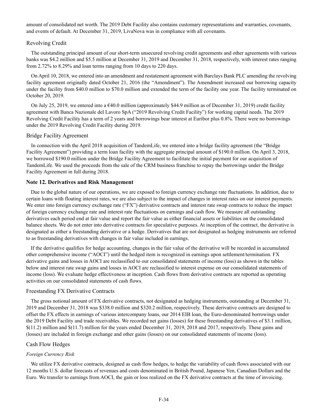amount of consolidated net worth. The 2019 Debt Facility also contains customary representations and warranties, covenants, and events of default. At December 31, 2019, LivaNova was in compliance with all covenants.

# Revolving Credit

The outstanding principal amount of our short-term unsecured revolving credit agreements and other agreements with various banks was \$4.2 million and \$5.5 million at December 31, 2019 and December 31, 2018, respectively, with interest rates ranging from 2.72% to 8.29% and loan terms ranging from 10 days to 220 days.

On April 10, 2018, we entered into an amendment and restatement agreement with Barclays Bank PLC amending the revolving facility agreement originally dated October 21, 2016 (the "Amendment"). The Amendment increased our borrowing capacity under the facility from \$40.0 million to \$70.0 million and extended the term of the facility one year. The facility terminated on October 20, 2019.

On July 25, 2019, we entered into a  $640.0$  million (approximately \$44.9 million as of December 31, 2019) credit facility agreement with Banca Nazionale del Lavoro SpA ("2019 Revolving Credit Facility") for working capital needs. The 2019 Revolving Credit Facility has a term of 2 years and borrowings bear interest at Euribor plus 0.8%. There were no borrowings under the 2019 Revolving Credit Facility during 2019.

#### Bridge Facility Agreement

In connection with the April 2018 acquisition of TandemLife, we entered into a bridge facility agreement (the "Bridge Facility Agreement") providing a term loan facility with the aggregate principal amount of \$190.0 million. On April 3, 2018, we borrowed \$190.0 million under the Bridge Facility Agreement to facilitate the initial payment for our acquisition of TandemLife. We used the proceeds from the sale of the CRM business franchise to repay the borrowings under the Bridge Facility Agreement in full during 2018.

# **Note 12. Derivatives and Risk Management**

Due to the global nature of our operations, we are exposed to foreign currency exchange rate fluctuations. In addition, due to certain loans with floating interest rates, we are also subject to the impact of changes in interest rates on our interest payments. We enter into foreign currency exchange rate ("FX") derivative contracts and interest rate swap contracts to reduce the impact of foreign currency exchange rate and interest rate fluctuations on earnings and cash flow. We measure all outstanding derivatives each period end at fair value and report the fair value as either financial assets or liabilities on the consolidated balance sheets. We do not enter into derivative contracts for speculative purposes. At inception of the contract, the derivative is designated as either a freestanding derivative or a hedge. Derivatives that are not designated as hedging instruments are referred to as freestanding derivatives with changes in fair value included in earnings.

If the derivative qualifies for hedge accounting, changes in the fair value of the derivative will be recorded in accumulated other comprehensive income ("AOCI") until the hedged item is recognized in earnings upon settlement/termination. FX derivative gains and losses in AOCI are reclassified to our consolidated statements of income (loss) as shown in the tables below and interest rate swap gains and losses in AOCI are reclassified to interest expense on our consolidated statements of income (loss). We evaluate hedge effectiveness at inception. Cash flows from derivative contracts are reported as operating activities on our consolidated statements of cash flows.

### Freestanding FX Derivative Contracts

The gross notional amount of FX derivative contracts, not designated as hedging instruments, outstanding at December 31, 2019 and December 31, 2018 was \$338.0 million and \$320.2 million, respectively. These derivative contracts are designed to offset the FX effects in earnings of various intercompany loans, our 2014 EIB loan, the Euro-denominated borrowings under the 2019 Debt Facility and trade receivables. We recorded net gains (losses) for these freestanding derivatives of \$3.1 million,  $$(11.2)$  million and  $$(11.7)$  million for the years ended December 31, 2019, 2018 and 2017, respectively. These gains and (losses) are included in foreign exchange and other gains (losses) on our consolidated statements of income (loss).

### Cash Flow Hedges

#### *Foreign Currency Risk*

We utilize FX derivative contracts, designed as cash flow hedges, to hedge the variability of cash flows associated with our 12 months U.S. dollar forecasts of revenues and costs denominated in British Pound, Japanese Yen, Canadian Dollars and the Euro. We transfer to earnings from AOCI, the gain or loss realized on the FX derivative contracts at the time of invoicing.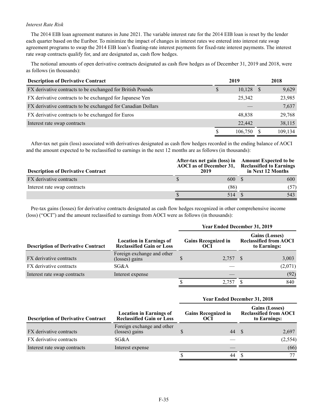# *Interest Rate Risk*

The 2014 EIB loan agreement matures in June 2021. The variable interest rate for the 2014 EIB loan is reset by the lender each quarter based on the Euribor. To minimize the impact of changes in interest rates we entered into interest rate swap agreement programs to swap the 2014 EIB loan's floating-rate interest payments for fixed-rate interest payments. The interest rate swap contracts qualify for, and are designated as, cash flow hedges.

The notional amounts of open derivative contracts designated as cash flow hedges as of December 31, 2019 and 2018, were as follows (in thousands):

| <b>Description of Derivative Contract</b>                    |   | 2019    | 2018    |
|--------------------------------------------------------------|---|---------|---------|
| FX derivative contracts to be exchanged for British Pounds   | S | 10,128  | 9,629   |
| FX derivative contracts to be exchanged for Japanese Yen     |   | 25,342  | 23,985  |
| FX derivative contracts to be exchanged for Canadian Dollars |   |         | 7,637   |
| FX derivative contracts to be exchanged for Euros            |   | 48,838  | 29,768  |
| Interest rate swap contracts                                 |   | 22,442  | 38,115  |
|                                                              |   | 106,750 | 109,134 |

After-tax net gain (loss) associated with derivatives designated as cash flow hedges recorded in the ending balance of AOCI and the amount expected to be reclassified to earnings in the next 12 months are as follows (in thousands):

| <b>Description of Derivative Contract</b> | 2019 |      | After-tax net gain (loss) in Amount Expected to be<br>AOCI as of December 31, Reclassified to Earnings<br>in Next 12 Months |
|-------------------------------------------|------|------|-----------------------------------------------------------------------------------------------------------------------------|
| FX derivative contracts                   |      | 600  | 600                                                                                                                         |
| Interest rate swap contracts              |      | (86) | (57)                                                                                                                        |
|                                           |      | 514  | 543                                                                                                                         |

Pre-tax gains (losses) for derivative contracts designated as cash flow hedges recognized in other comprehensive income (loss) ("OCI") and the amount reclassified to earnings from AOCI were as follows (in thousands):

|                                           |                                                                    |                                   | <b>Year Ended December 31, 2019</b> |                                                                        |         |
|-------------------------------------------|--------------------------------------------------------------------|-----------------------------------|-------------------------------------|------------------------------------------------------------------------|---------|
| <b>Description of Derivative Contract</b> | <b>Location in Earnings of</b><br><b>Reclassified Gain or Loss</b> | <b>Gains Recognized in</b><br>OCI |                                     | <b>Gains (Losses)</b><br><b>Reclassified from AOCI</b><br>to Earnings: |         |
| FX derivative contracts                   | Foreign exchange and other<br>(losses) gains                       |                                   | 2,757 \$                            |                                                                        | 3,003   |
| FX derivative contracts                   | SG&A                                                               |                                   |                                     |                                                                        | (2,071) |
| Interest rate swap contracts              | Interest expense                                                   |                                   |                                     |                                                                        | (92)    |
|                                           |                                                                    |                                   |                                     |                                                                        | 840     |

| <b>Description of Derivative Contract</b> | <b>Location in Earnings of</b><br><b>Reclassified Gain or Loss</b> | <b>Gains Recognized in</b><br>OCI | <b>Gains (Losses)</b><br><b>Reclassified from AOCI</b><br>to Earnings: |  |          |
|-------------------------------------------|--------------------------------------------------------------------|-----------------------------------|------------------------------------------------------------------------|--|----------|
| FX derivative contracts                   | Foreign exchange and other<br>(losses) gains                       |                                   | 44 S                                                                   |  | 2,697    |
| FX derivative contracts                   | SG&A                                                               |                                   |                                                                        |  | (2, 554) |
| Interest rate swap contracts              | Interest expense                                                   |                                   |                                                                        |  | (66)     |
|                                           |                                                                    |                                   | 44                                                                     |  | 77       |

**Year Ended December 31, 2018**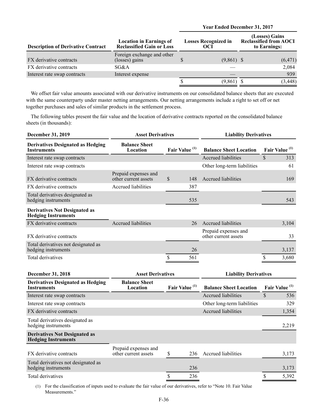|  |  | <b>Year Ended December 31, 2017</b> |  |  |
|--|--|-------------------------------------|--|--|
|--|--|-------------------------------------|--|--|

| <b>Description of Derivative Contract</b> | <b>Location in Earnings of</b><br><b>Losses Recognized in</b><br><b>Reclassified Gain or Loss</b><br>OCI |  |              |          |  | (Losses) Gains<br><b>Reclassified from AOCI</b><br>to Earnings: |
|-------------------------------------------|----------------------------------------------------------------------------------------------------------|--|--------------|----------|--|-----------------------------------------------------------------|
| FX derivative contracts                   | Foreign exchange and other<br>(losses) gains                                                             |  | $(9,861)$ \$ | (6, 471) |  |                                                                 |
| FX derivative contracts                   | SG&A                                                                                                     |  |              | 2,084    |  |                                                                 |
| Interest rate swap contracts              | Interest expense                                                                                         |  |              | 939      |  |                                                                 |
|                                           |                                                                                                          |  | (9,861)      | (3, 448) |  |                                                                 |

We offset fair value amounts associated with our derivative instruments on our consolidated balance sheets that are executed with the same counterparty under master netting arrangements. Our netting arrangements include a right to set off or net together purchases and sales of similar products in the settlement process.

The following tables present the fair value and the location of derivative contracts reported on the consolidated balance sheets (in thousands):

| <b>December 31, 2019</b>                                           |                                              | <b>Asset Derivatives</b>  |     | <b>Liability Derivatives</b>                 |                           |       |
|--------------------------------------------------------------------|----------------------------------------------|---------------------------|-----|----------------------------------------------|---------------------------|-------|
| <b>Derivatives Designated as Hedging</b><br><b>Instruments</b>     | <b>Balance Sheet</b><br>Location             | Fair Value <sup>(1)</sup> |     | <b>Balance Sheet Location</b>                | Fair Value <sup>(1)</sup> |       |
| Interest rate swap contracts                                       |                                              |                           |     | <b>Accrued liabilities</b>                   | $\mathcal{S}$             | 313   |
| Interest rate swap contracts                                       |                                              |                           |     | Other long-term liabilities                  |                           | 61    |
| FX derivative contracts                                            | Prepaid expenses and<br>other current assets | $\mathcal{S}$             | 148 | Accrued liabilities                          |                           | 169   |
| FX derivative contracts                                            | <b>Accrued liabilities</b>                   |                           | 387 |                                              |                           |       |
| Total derivatives designated as<br>hedging instruments             |                                              |                           | 535 |                                              |                           | 543   |
| <b>Derivatives Not Designated as</b><br><b>Hedging Instruments</b> |                                              |                           |     |                                              |                           |       |
| FX derivative contracts                                            | <b>Accrued liabilities</b>                   |                           | 26  | <b>Accrued liabilities</b>                   |                           | 3,104 |
| FX derivative contracts                                            |                                              |                           |     | Prepaid expenses and<br>other current assets |                           | 33    |
| Total derivatives not designated as<br>hedging instruments         |                                              |                           | 26  |                                              |                           | 3,137 |
| Total derivatives                                                  |                                              | \$                        | 561 |                                              | \$                        | 3,680 |
| December 31, 2018                                                  | <b>Asset Derivatives</b>                     |                           |     | <b>Liability Derivatives</b>                 |                           |       |
| <b>Derivatives Designated as Hedging</b><br><b>Instruments</b>     | <b>Balance Sheet</b><br>Location             | Fair Value <sup>(1)</sup> |     | <b>Balance Sheet Location</b>                | Fair Value <sup>(1)</sup> |       |
| Interest rate swap contracts                                       |                                              |                           |     | <b>Accrued liabilities</b>                   | $\mathbb{S}$              | 536   |
| Interest rate swap contracts                                       |                                              |                           |     | Other long-term liabilities                  |                           | 329   |
| FX derivative contracts                                            |                                              |                           |     | <b>Accrued liabilities</b>                   |                           | 1,354 |

Total derivatives designated as hedging instruments 2,219

### **Derivatives Not Designated as Hedging Instruments**

| FX derivative contracts                                    | Prepaid expenses and<br>other current assets | 236 | Accrued liabilities | 3.173 |
|------------------------------------------------------------|----------------------------------------------|-----|---------------------|-------|
| Total derivatives not designated as<br>hedging instruments |                                              | 236 |                     | 3,173 |
| Total derivatives                                          |                                              | 236 |                     | 5.392 |

(1) For the classification of inputs used to evaluate the fair value of our derivatives, refer to "Note 10. Fair Value Measurements."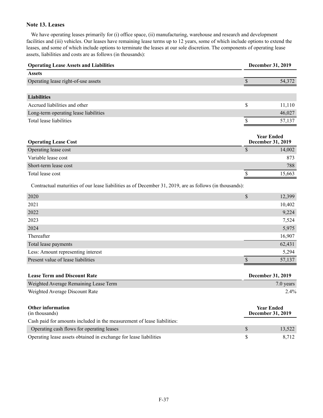# **Note 13. Leases**

We have operating leases primarily for (i) office space, (ii) manufacturing, warehouse and research and development facilities and (iii) vehicles. Our leases have remaining lease terms up to 12 years, some of which include options to extend the leases, and some of which include options to terminate the leases at our sole discretion. The components of operating lease assets, liabilities and costs are as follows (in thousands):

| <b>Operating Lease Assets and Liabilities</b> |   | December 31, 2019 |
|-----------------------------------------------|---|-------------------|
| <b>Assets</b>                                 |   |                   |
| Operating lease right-of-use assets           |   | 54,372            |
|                                               |   |                   |
| <b>Liabilities</b>                            |   |                   |
| Accrued liabilities and other                 | S | 11,110            |
| Long-term operating lease liabilities         |   | 46,027            |
| Total lease liabilities                       |   | 57.137            |
|                                               |   |                   |

| <b>Operating Lease Cost</b> | <b>Year Ended</b><br><b>December 31, 2019</b> |        |  |
|-----------------------------|-----------------------------------------------|--------|--|
| Operating lease cost        |                                               | 14,002 |  |
| Variable lease cost         |                                               | 873    |  |
| Short-term lease cost       |                                               | 788    |  |
| Total lease cost            |                                               | 15,663 |  |

Contractual maturities of our lease liabilities as of December 31, 2019, are as follows (in thousands):

| ¢<br>Φ | 12,399 |
|--------|--------|
|        | 10,402 |
|        | 9,224  |
|        | 7,524  |
|        | 5,975  |
|        | 16,907 |
|        | 62,431 |
|        | 5,294  |
|        | 57,137 |
|        |        |

| <b>Lease Term and Discount Rate</b>                                     | <b>December 31, 2019</b>                      |
|-------------------------------------------------------------------------|-----------------------------------------------|
| Weighted Average Remaining Lease Term                                   | $7.0$ years                                   |
| Weighted Average Discount Rate                                          | 2.4%                                          |
| <b>Other information</b><br>(in thousands)                              | <b>Year Ended</b><br><b>December 31, 2019</b> |
| Cash paid for amounts included in the measurement of lease liabilities: |                                               |

| Cash paid for amounts included in the measurement of lease habilities. |        |
|------------------------------------------------------------------------|--------|
| Operating cash flows for operating leases                              | 13,522 |
| Operating lease assets obtained in exchange for lease liabilities      | 8.712  |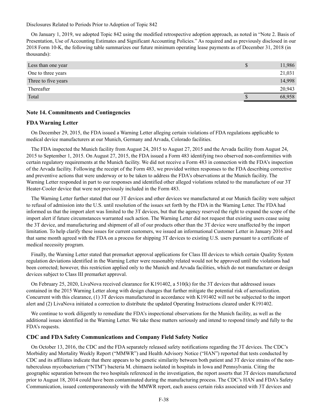Disclosures Related to Periods Prior to Adoption of Topic 842

On January 1, 2019, we adopted Topic 842 using the modified retrospective adoption approach, as noted in "Note 2. Basis of Presentation, Use of Accounting Estimates and Significant Accounting Policies." As required and as previously disclosed in our 2018 Form 10-K, the following table summarizes our future minimum operating lease payments as of December 31, 2018 (in thousands):

| Less than one year  | 11,986 |
|---------------------|--------|
| One to three years  | 21,031 |
| Three to five years | 14,998 |
| Thereafter          | 20,943 |
| Total               | 68.958 |

# **Note 14. Commitments and Contingencies**

### **FDA Warning Letter**

On December 29, 2015, the FDA issued a Warning Letter alleging certain violations of FDA regulations applicable to medical device manufacturers at our Munich, Germany and Arvada, Colorado facilities.

The FDA inspected the Munich facility from August 24, 2015 to August 27, 2015 and the Arvada facility from August 24, 2015 to September 1, 2015. On August 27, 2015, the FDA issued a Form 483 identifying two observed non-conformities with certain regulatory requirements at the Munich facility. We did not receive a Form 483 in connection with the FDA's inspection of the Arvada facility. Following the receipt of the Form 483, we provided written responses to the FDA describing corrective and preventive actions that were underway or to be taken to address the FDA's observations at the Munich facility. The Warning Letter responded in part to our responses and identified other alleged violations related to the manufacture of our 3T Heater-Cooler device that were not previously included in the Form 483.

The Warning Letter further stated that our 3T devices and other devices we manufactured at our Munich facility were subject to refusal of admission into the U.S. until resolution of the issues set forth by the FDA in the Warning Letter. The FDA had informed us that the import alert was limited to the 3T devices, but that the agency reserved the right to expand the scope of the import alert if future circumstances warranted such action. The Warning Letter did not request that existing users cease using the 3T device, and manufacturing and shipment of all of our products other than the 3T device were unaffected by the import limitation. To help clarify these issues for current customers, we issued an informational Customer Letter in January 2016 and that same month agreed with the FDA on a process for shipping 3T devices to existing U.S. users pursuant to a certificate of medical necessity program.

Finally, the Warning Letter stated that premarket approval applications for Class III devices to which certain Quality System regulation deviations identified in the Warning Letter were reasonably related would not be approved until the violations had been corrected; however, this restriction applied only to the Munich and Arvada facilities, which do not manufacture or design devices subject to Class III premarket approval.

On February 25, 2020, LivaNova received clearance for K191402, a 510(k) for the 3T devices that addressed issues contained in the 2015 Warning Letter along with design changes that further mitigate the potential risk of aerosolization. Concurrent with this clearance, (1) 3T devices manufactured in accordance with K191402 will not be subjected to the import alert and (2) LivaNova initiated a correction to distribute the updated Operating Instructions cleared under K191402.

We continue to work diligently to remediate the FDA's inspectional observations for the Munich facility, as well as the additional issues identified in the Warning Letter. We take these matters seriously and intend to respond timely and fully to the FDA's requests.

## **CDC and FDA Safety Communications and Company Field Safety Notice**

On October 13, 2016, the CDC and the FDA separately released safety notifications regarding the 3T devices. The CDC's Morbidity and Mortality Weekly Report ("MMWR") and Health Advisory Notice ("HAN") reported that tests conducted by CDC and its affiliates indicate that there appears to be genetic similarity between both patient and 3T device strains of the nontuberculous mycobacterium ("NTM") bacteria M. chimaera isolated in hospitals in Iowa and Pennsylvania. Citing the geographic separation between the two hospitals referenced in the investigation, the report asserts that 3T devices manufactured prior to August 18, 2014 could have been contaminated during the manufacturing process. The CDC's HAN and FDA's Safety Communication, issued contemporaneously with the MMWR report, each assess certain risks associated with 3T devices and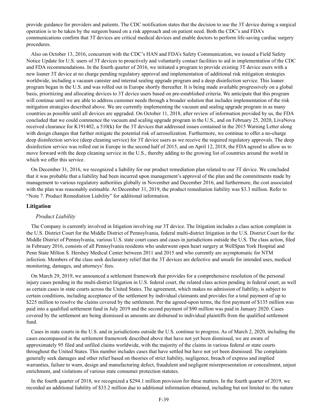provide guidance for providers and patients. The CDC notification states that the decision to use the 3T device during a surgical operation is to be taken by the surgeon based on a risk approach and on patient need. Both the CDC's and FDA's communications confirm that 3T devices are critical medical devices and enable doctors to perform life-saving cardiac surgery procedures.

Also on October 13, 2016, concurrent with the CDC's HAN and FDA's Safety Communication, we issued a Field Safety Notice Update for U.S. users of 3T devices to proactively and voluntarily contact facilities to aid in implementation of the CDC and FDA recommendations. In the fourth quarter of 2016, we initiated a program to provide existing 3T device users with a new loaner 3T device at no charge pending regulatory approval and implementation of additional risk mitigation strategies worldwide, including a vacuum canister and internal sealing upgrade program and a deep disinfection service. This loaner program began in the U.S. and was rolled out in Europe shortly thereafter. It is being made available progressively on a global basis, prioritizing and allocating devices to 3T device users based on pre-established criteria. We anticipate that this program will continue until we are able to address customer needs through a broader solution that includes implementation of the risk mitigation strategies described above. We are currently implementing the vacuum and sealing upgrade program in as many countries as possible until all devices are upgraded. On October 11, 2018, after review of information provided by us, the FDA concluded that we could commence the vacuum and scaling upgrade program in the U.S., and on February 25, 2020, LivaNova received clearance for K191402, a 510(k) for the 3T devices that addressed issues contained in the 2015 Warning Letter along with design changes that further mitigate the potential risk of aerosolization. Furthermore, we continue to offer a no-charge deep disinfection service (deep cleaning service) for 3T device users as we receive the required regulatory approvals. The deep disinfection service was rolled out in Europe in the second half of 2015, and on April 12, 2018, the FDA agreed to allow us to move forward with the deep cleaning service in the U.S., thereby adding to the growing list of countries around the world in which we offer this service.

On December 31, 2016, we recognized a liability for our product remediation plan related to our 3T device. We concluded that it was probable that a liability had been incurred upon management's approval of the plan and the commitments made by management to various regulatory authorities globally in November and December 2016, and furthermore, the cost associated with the plan was reasonably estimable. At December 31, 2019, the product remediation liability was \$3.3 million. Refer to "Note 7. Product Remediation Liability" for additional information.

## **Litigation**

### *Product Liability*

The Company is currently involved in litigation involving our 3T device. The litigation includes a class action complaint in the U.S. District Court for the Middle District of Pennsylvania, federal multi-district litigation in the U.S. District Court for the Middle District of Pennsylvania, various U.S. state court cases and cases in jurisdictions outside the U.S. The class action, filed in February 2016, consists of all Pennsylvania residents who underwent open heart surgery at WellSpan York Hospital and Penn State Milton S. Hershey Medical Center between 2011 and 2015 and who currently are asymptomatic for NTM infection. Members of the class seek declaratory relief that the 3T devices are defective and unsafe for intended uses, medical monitoring, damages, and attorneys' fees.

On March 29, 2019, we announced a settlement framework that provides for a comprehensive resolution of the personal injury cases pending in the multi-district litigation in U.S. federal court, the related class action pending in federal court, as well as certain cases in state courts across the United States. The agreement, which makes no admission of liability, is subject to certain conditions, including acceptance of the settlement by individual claimants and provides for a total payment of up to \$225 million to resolve the claims covered by the settlement. Per the agreed-upon terms, the first payment of \$135 million was paid into a qualified settlement fund in July 2019 and the second payment of \$90 million was paid in January 2020. Cases covered by the settlement are being dismissed as amounts are disbursed to individual plaintiffs from the qualified settlement fund.

Cases in state courts in the U.S. and in jurisdictions outside the U.S. continue to progress. As of March 2, 2020, including the cases encompassed in the settlement framework described above that have not yet been dismissed, we are aware of approximately 95 filed and unfiled claims worldwide, with the majority of the claims in various federal or state courts throughout the United States. This number includes cases that have settled but have not yet been dismissed. The complaints generally seek damages and other relief based on theories of strict liability, negligence, breach of express and implied warranties, failure to warn, design and manufacturing defect, fraudulent and negligent misrepresentation or concealment, unjust enrichment, and violations of various state consumer protection statutes.

In the fourth quarter of 2018, we recognized a \$294.1 million provision for these matters. In the fourth quarter of 2019, we recorded an additional liability of \$33.2 million due to additional information obtained, including but not limited to: the nature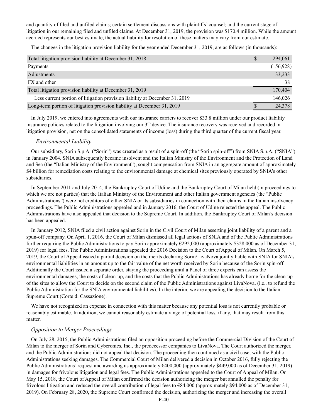and quantity of filed and unfiled claims; certain settlement discussions with plaintiffs' counsel; and the current stage of litigation in our remaining filed and unfiled claims. At December 31, 2019, the provision was \$170.4 million. While the amount accrued represents our best estimate, the actual liability for resolution of these matters may vary from our estimate.

The changes in the litigation provision liability for the year ended December 31, 2019, are as follows (in thousands):

| Total litigation provision liability at December 31, 2018                   | \$<br>294,061 |
|-----------------------------------------------------------------------------|---------------|
| Payments                                                                    | (156, 928)    |
| Adjustments                                                                 | 33,233        |
| FX and other                                                                | 38            |
| Total litigation provision liability at December 31, 2019                   | 170,404       |
| Less current portion of litigation provision liability at December 31, 2019 | 146,026       |
| Long-term portion of litigation provision liability at December 31, 2019    | 24,378        |

In July 2019, we entered into agreements with our insurance carriers to recover \$33.8 million under our product liability insurance policies related to the litigation involving our 3T device. The insurance recovery was received and recorded in litigation provision, net on the consolidated statements of income (loss) during the third quarter of the current fiscal year.

# *Environmental Liability*

Our subsidiary, Sorin S.p.A. ("Sorin") was created as a result of a spin-off (the "Sorin spin-off") from SNIA S.p.A. ("SNIA") in January 2004. SNIA subsequently became insolvent and the Italian Ministry of the Environment and the Protection of Land and Sea (the "Italian Ministry of the Environment"), sought compensation from SNIA in an aggregate amount of approximately \$4 billion for remediation costs relating to the environmental damage at chemical sites previously operated by SNIA's other subsidiaries.

In September 2011 and July 2014, the Bankruptcy Court of Udine and the Bankruptcy Court of Milan held (in proceedings to which we are not parties) that the Italian Ministry of the Environment and other Italian government agencies (the "Public Administrations") were not creditors of either SNIA or its subsidiaries in connection with their claims in the Italian insolvency proceedings. The Public Administrations appealed and in January 2016, the Court of Udine rejected the appeal. The Public Administrations have also appealed that decision to the Supreme Court. In addition, the Bankruptcy Court of Milan's decision has been appealed.

In January 2012, SNIA filed a civil action against Sorin in the Civil Court of Milan asserting joint liability of a parent and a spun-off company. On April 1, 2016, the Court of Milan dismissed all legal actions of SNIA and of the Public Administrations further requiring the Public Administrations to pay Sorin approximately €292,000 (approximately \$328,000 as of December 31, 2019) for legal fees. The Public Administrations appealed the 2016 Decision to the Court of Appeal of Milan. On March 5, 2019, the Court of Appeal issued a partial decision on the merits declaring Sorin/LivaNova jointly liable with SNIA for SNIA's environmental liabilities in an amount up to the fair value of the net worth received by Sorin because of the Sorin spin-off. Additionally the Court issued a separate order, staying the proceeding until a Panel of three experts can assess the environmental damages, the costs of clean-up, and the costs that the Public Administrations has already borne for the clean-up of the sites to allow the Court to decide on the second claim of the Public Administrations against LivaNova, (i.e., to refund the Public Administration for the SNIA environmental liabilities). In the interim, we are appealing the decision to the Italian Supreme Court (Corte di Cassazione).

We have not recognized an expense in connection with this matter because any potential loss is not currently probable or reasonably estimable. In addition, we cannot reasonably estimate a range of potential loss, if any, that may result from this matter.

# *Opposition to Merger Proceedings*

On July 28, 2015, the Public Administrations filed an opposition proceeding before the Commercial Division of the Court of Milan to the merger of Sorin and Cyberonics, Inc., the predecessor companies to LivaNova. The Court authorized the merger, and the Public Administrations did not appeal that decision. The proceeding then continued as a civil case, with the Public Administrations seeking damages. The Commercial Court of Milan delivered a decision in October 2016, fully rejecting the Public Administrations' request and awarding us approximately €400,000 (approximately \$449,000 as of December 31, 2019) in damages for frivolous litigation and legal fees. The Public Administrations appealed to the Court of Appeal of Milan. On May 15, 2018, the Court of Appeal of Milan confirmed the decision authorizing the merger but annulled the penalty for frivolous litigation and reduced the overall contribution of legal fees to  $684,000$  (approximately \$94,000 as of December 31, 2019). On February 28, 2020, the Supreme Court confirmed the decision, authorizing the merger and increasing the overall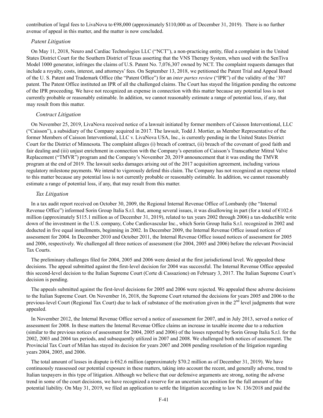contribution of legal fees to LivaNova to €98,000 (approximately \$110,000 as of December 31, 2019). There is no further avenue of appeal in this matter, and the matter is now concluded.

#### *Patent Litigation*

On May 11, 2018, Neuro and Cardiac Technologies LLC ("NCT"), a non-practicing entity, filed a complaint in the United States District Court for the Southern District of Texas asserting that the VNS Therapy System, when used with the SenTiva Model 1000 generator, infringes the claims of U.S. Patent No. 7,076,307 owned by NCT. The complaint requests damages that include a royalty, costs, interest, and attorneys' fees. On September 13, 2018, we petitioned the Patent Trial and Appeal Board of the U. S. Patent and Trademark Office (the "Patent Office") for an *inter partes review* ("IPR") of the validity of the '307 patent. The Patent Office instituted an IPR of all the challenged claims. The Court has stayed the litigation pending the outcome of the IPR proceeding. We have not recognized an expense in connection with this matter because any potential loss is not currently probable or reasonably estimable. In addition, we cannot reasonably estimate a range of potential loss, if any, that may result from this matter.

#### *Contract Litigation*

On November 25, 2019, LivaNova received notice of a lawsuit initiated by former members of Caisson Interventional, LLC ("Caisson"), a subsidiary of the Company acquired in 2017. The lawsuit, Todd J. Mortier, as Member Representative of the former Members of Caisson Interventional, LLC v. LivaNova USA, Inc., is currently pending in the United States District Court for the District of Minnesota. The complaint alleges (i) breach of contract, (ii) breach of the covenant of good faith and fair dealing and (iii) unjust enrichment in connection with the Company's operation of Caisson's Transcatheter Mitral Valve Replacement ("TMVR") program and the Company's November 20, 2019 announcement that it was ending the TMVR program at the end of 2019. The lawsuit seeks damages arising out of the 2017 acquisition agreement, including various regulatory milestone payments. We intend to vigorously defend this claim. The Company has not recognized an expense related to this matter because any potential loss is not currently probable or reasonably estimable. In addition, we cannot reasonably estimate a range of potential loss, if any, that may result from this matter.

# *Tax Litigation*

In a tax audit report received on October 30, 2009, the Regional Internal Revenue Office of Lombardy (the "Internal Revenue Office") informed Sorin Group Italia S.r.l. that, among several issues, it was disallowing in part (for a total of  $E102.6$ ) million (approximately \$115.1 million as of December 31, 2019), related to tax years 2002 through 2006) a tax-deductible write down of the investment in the U.S. company, Cobe Cardiovascular Inc., which Sorin Group Italia S.r.l. recognized in 2002 and deducted in five equal installments, beginning in 2002. In December 2009, the Internal Revenue Office issued notices of assessment for 2004. In December 2010 and October 2011, the Internal Revenue Office issued notices of assessment for 2005 and 2006, respectively. We challenged all three notices of assessment (for 2004, 2005 and 2006) before the relevant Provincial Tax Courts.

The preliminary challenges filed for 2004, 2005 and 2006 were denied at the first jurisdictional level. We appealed these decisions. The appeal submitted against the first-level decision for 2004 was successful. The Internal Revenue Office appealed this second-level decision to the Italian Supreme Court (Corte di Cassazione) on February 3, 2017. The Italian Supreme Court's decision is pending.

The appeals submitted against the first-level decisions for 2005 and 2006 were rejected. We appealed these adverse decisions to the Italian Supreme Court. On November 16, 2018, the Supreme Court returned the decisions for years 2005 and 2006 to the previous-level Court (Regional Tax Court) due to lack of substance of the motivation given in the 2<sup>nd</sup> level judgments that were appealed.

In November 2012, the Internal Revenue Office served a notice of assessment for 2007, and in July 2013, served a notice of assessment for 2008. In these matters the Internal Revenue Office claims an increase in taxable income due to a reduction (similar to the previous notices of assessment for 2004, 2005 and 2006) of the losses reported by Sorin Group Italia S.r.l. for the 2002, 2003 and 2004 tax periods, and subsequently utilized in 2007 and 2008. We challenged both notices of assessment. The Provincial Tax Court of Milan has stayed its decision for years 2007 and 2008 pending resolution of the litigation regarding years 2004, 2005, and 2006.

The total amount of losses in dispute is  $662.6$  million (approximately \$70.2 million as of December 31, 2019). We have continuously reassessed our potential exposure in these matters, taking into account the recent, and generally adverse, trend to Italian taxpayers in this type of litigation. Although we believe that our defensive arguments are strong, noting the adverse trend in some of the court decisions, we have recognized a reserve for an uncertain tax position for the full amount of the potential liability. On May 31, 2019, we filed an application to settle the litigation according to law N. 136/2018 and paid the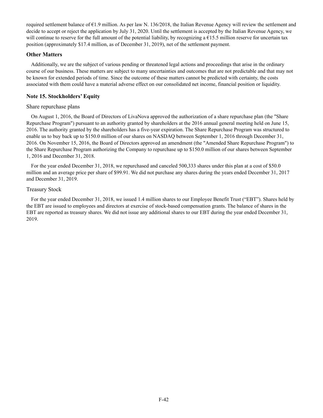required settlement balance of €1.9 million. As per law N. 136/2018, the Italian Revenue Agency will review the settlement and decide to accept or reject the application by July 31, 2020. Until the settlement is accepted by the Italian Revenue Agency, we will continue to reserve for the full amount of the potential liability, by recognizing a  $\epsilon$ 15.5 million reserve for uncertain tax position (approximately \$17.4 million, as of December 31, 2019), net of the settlement payment.

# **Other Matters**

Additionally, we are the subject of various pending or threatened legal actions and proceedings that arise in the ordinary course of our business. These matters are subject to many uncertainties and outcomes that are not predictable and that may not be known for extended periods of time. Since the outcome of these matters cannot be predicted with certainty, the costs associated with them could have a material adverse effect on our consolidated net income, financial position or liquidity.

# **Note 15. Stockholders' Equity**

# Share repurchase plans

On August 1, 2016, the Board of Directors of LivaNova approved the authorization of a share repurchase plan (the "Share Repurchase Program") pursuant to an authority granted by shareholders at the 2016 annual general meeting held on June 15, 2016. The authority granted by the shareholders has a five-year expiration. The Share Repurchase Program was structured to enable us to buy back up to \$150.0 million of our shares on NASDAQ between September 1, 2016 through December 31, 2016. On November 15, 2016, the Board of Directors approved an amendment (the "Amended Share Repurchase Program") to the Share Repurchase Program authorizing the Company to repurchase up to \$150.0 million of our shares between September 1, 2016 and December 31, 2018.

For the year ended December 31, 2018, we repurchased and canceled 500,333 shares under this plan at a cost of \$50.0 million and an average price per share of \$99.91. We did not purchase any shares during the years ended December 31, 2017 and December 31, 2019.

# Treasury Stock

For the year ended December 31, 2018, we issued 1.4 million shares to our Employee Benefit Trust ("EBT"). Shares held by the EBT are issued to employees and directors at exercise of stock-based compensation grants. The balance of shares in the EBT are reported as treasury shares. We did not issue any additional shares to our EBT during the year ended December 31, 2019.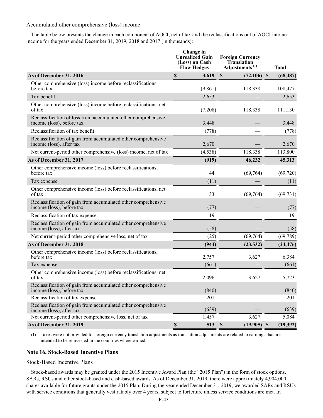### Accumulated other comprehensive (loss) income

The table below presents the change in each component of AOCI, net of tax and the reclassifications out of AOCI into net income for the years ended December 31, 2019, 2018 and 2017 (in thousands):

|                                                                                            | Change in<br><b>Unrealized Gain</b><br>(Loss) on Cash<br><b>Flow Hedges</b> | <b>Foreign Currency</b><br><b>Translation</b><br>Adjustments <sup>(1)</sup> | <b>Total</b> |
|--------------------------------------------------------------------------------------------|-----------------------------------------------------------------------------|-----------------------------------------------------------------------------|--------------|
| As of December 31, 2016                                                                    | $\mathbb S$<br>3,619                                                        | $\mathbf{s}$<br>$(72,106)$ \$                                               | (68, 487)    |
| Other comprehensive (loss) income before reclassifications,<br>before tax                  | (9, 861)                                                                    | 118,338                                                                     | 108,477      |
| Tax benefit                                                                                | 2,653                                                                       |                                                                             | 2,653        |
| Other comprehensive (loss) income before reclassifications, net<br>of tax                  | (7,208)                                                                     | 118,338                                                                     | 111,130      |
| Reclassification of loss from accumulated other comprehensive<br>income (loss), before tax | 3,448                                                                       |                                                                             | 3,448        |
| Reclassification of tax benefit                                                            | (778)                                                                       |                                                                             | (778)        |
| Reclassification of gain from accumulated other comprehensive<br>income (loss), after tax  | 2,670                                                                       |                                                                             | 2,670        |
| Net current-period other comprehensive (loss) income, net of tax                           | (4, 538)                                                                    | 118,338                                                                     | 113,800      |
| As of December 31, 2017                                                                    | (919)                                                                       | 46,232                                                                      | 45,313       |
| Other comprehensive income (loss) before reclassifications,<br>before tax                  | 44                                                                          | (69,764)                                                                    | (69, 720)    |
| Tax expense                                                                                | (11)                                                                        |                                                                             | (11)         |
| Other comprehensive income (loss) before reclassifications, net<br>of tax                  | 33                                                                          | (69, 764)                                                                   | (69, 731)    |
| Reclassification of gain from accumulated other comprehensive<br>income (loss), before tax | (77)                                                                        |                                                                             | (77)         |
| Reclassification of tax expense                                                            | 19                                                                          |                                                                             | 19           |
| Reclassification of gain from accumulated other comprehensive<br>income (loss), after tax  | (58)                                                                        |                                                                             | (58)         |
| Net current-period other comprehensive loss, net of tax                                    | (25)                                                                        | (69, 764)                                                                   | (69, 789)    |
| As of December 31, 2018                                                                    | (944)                                                                       | (23, 532)                                                                   | (24, 476)    |
| Other comprehensive income (loss) before reclassifications,<br>before tax                  | 2,757                                                                       | 3,627                                                                       | 6,384        |
| Tax expense                                                                                | (661)                                                                       |                                                                             | (661)        |
| Other comprehensive income (loss) before reclassifications, net<br>of tax                  | 2,096                                                                       | 3,627                                                                       | 5,723        |
| Reclassification of gain from accumulated other comprehensive<br>income (loss), before tax | (840)                                                                       |                                                                             | (840)        |
| Reclassification of tax expense                                                            | 201                                                                         |                                                                             | 201          |
| Reclassification of gain from accumulated other comprehensive<br>income (loss), after tax  | (639)                                                                       |                                                                             | (639)        |
| Net current-period other comprehensive loss, net of tax                                    | 1,457                                                                       | 3,627                                                                       | 5,084        |
| As of December 31, 2019                                                                    | $\mathbb S$<br>513                                                          | $\mathbf S$<br>$(19,905)$ \$                                                | (19, 392)    |

(1) Taxes were not provided for foreign currency translation adjustments as translation adjustments are related to earnings that are intended to be reinvested in the countries where earned.

# **Note 16. Stock-Based Incentive Plans**

Stock-Based Incentive Plans

Stock-based awards may be granted under the 2015 Incentive Award Plan (the "2015 Plan") in the form of stock options, SARs, RSUs and other stock-based and cash-based awards. As of December 31, 2019, there were approximately 4,904,000 shares available for future grants under the 2015 Plan. During the year ended December 31, 2019, we awarded SARs and RSUs with service conditions that generally vest ratably over 4 years, subject to forfeiture unless service conditions are met. In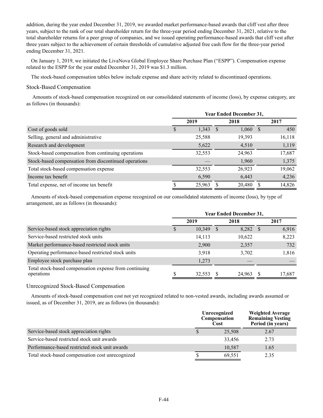addition, during the year ended December 31, 2019, we awarded market performance-based awards that cliff vest after three years, subject to the rank of our total shareholder return for the three-year period ending December 31, 2021, relative to the total shareholder returns for a peer group of companies, and we issued operating performance-based awards that cliff vest after three years subject to the achievement of certain thresholds of cumulative adjusted free cash flow for the three-year period ending December 31, 2021.

On January 1, 2019, we initiated the LivaNova Global Employee Share Purchase Plan ("ESPP"). Compensation expense related to the ESPP for the year ended December 31, 2019 was \$1.3 million.

The stock-based compensation tables below include expense and share activity related to discontinued operations.

# Stock-Based Compensation

Amounts of stock-based compensation recognized on our consolidated statements of income (loss), by expense category, are as follows (in thousands):

|                                                       | <b>Year Ended December 31,</b> |        |      |        |    |        |
|-------------------------------------------------------|--------------------------------|--------|------|--------|----|--------|
|                                                       |                                | 2019   |      | 2018   |    | 2017   |
| Cost of goods sold                                    |                                | 1,343  | - \$ | 1,060  | -S | 450    |
| Selling, general and administrative                   |                                | 25,588 |      | 19,393 |    | 16,118 |
| Research and development                              |                                | 5,622  |      | 4,510  |    | 1,119  |
| Stock-based compensation from continuing operations   |                                | 32,553 |      | 24,963 |    | 17,687 |
| Stock-based compensation from discontinued operations |                                |        |      | 1,960  |    | 1,375  |
| Total stock-based compensation expense                |                                | 32,553 |      | 26,923 |    | 19,062 |
| Income tax benefit                                    |                                | 6,590  |      | 6,443  |    | 4,236  |
| Total expense, net of income tax benefit              |                                | 25,963 |      | 20,480 |    | 14,826 |

Amounts of stock-based compensation expense recognized on our consolidated statements of income (loss), by type of arrangement, are as follows (in thousands):

|                                                                      | <b>Year Ended December 31,</b> |        |      |        |    |        |  |
|----------------------------------------------------------------------|--------------------------------|--------|------|--------|----|--------|--|
|                                                                      | 2019                           |        | 2018 |        |    | 2017   |  |
| Service-based stock appreciation rights                              |                                | 10,349 |      | 8,282  | -S | 6,916  |  |
| Service-based restricted stock units                                 |                                | 14,113 |      | 10,622 |    | 8,223  |  |
| Market performance-based restricted stock units                      |                                | 2,900  |      | 2,357  |    | 732    |  |
| Operating performance-based restricted stock units                   |                                | 3,918  |      | 3,702  |    | 1,816  |  |
| Employee stock purchase plan                                         |                                | 1,273  |      |        |    |        |  |
| Total stock-based compensation expense from continuing<br>operations |                                | 32,553 |      | 24,963 |    | 17,687 |  |

Unrecognized Stock-Based Compensation

Amounts of stock-based compensation cost not yet recognized related to non-vested awards, including awards assumed or issued, as of December 31, 2019, are as follows (in thousands):

|                                                  | Unrecognized<br>Compensation<br>Cost | <b>Weighted Average</b><br><b>Remaining Vesting</b><br>Period (in years) |
|--------------------------------------------------|--------------------------------------|--------------------------------------------------------------------------|
| Service-based stock appreciation rights          | 25,508                               | 2.67                                                                     |
| Service-based restricted stock unit awards       | 33,456                               | 2.73                                                                     |
| Performance-based restricted stock unit awards   | 10,587                               | 1.65                                                                     |
| Total stock-based compensation cost unrecognized | 69,551                               | 2.35                                                                     |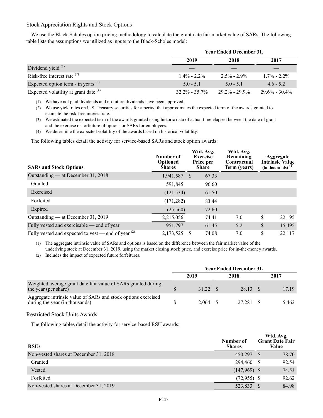# Stock Appreciation Rights and Stock Options

We use the Black-Scholes option pricing methodology to calculate the grant date fair market value of SARs. The following table lists the assumptions we utilized as inputs to the Black-Scholes model:

|                                         | <b>Year Ended December 31,</b> |                   |                   |  |  |  |
|-----------------------------------------|--------------------------------|-------------------|-------------------|--|--|--|
|                                         | 2019                           | 2018              | 2017              |  |  |  |
| Dividend yield $^{(1)}$                 |                                |                   |                   |  |  |  |
| Risk-free interest rate $(2)$           | $1.4\% - 2.2\%$                | $2.5\% - 2.9\%$   | $1.7\% - 2.2\%$   |  |  |  |
| Expected option term - in years $(3)$   | $5.0 - 5.1$                    | $50 - 51$         | $46 - 52$         |  |  |  |
| Expected volatility at grant date $(4)$ | $32.2\% - 35.7\%$              | $29.2\% - 29.9\%$ | $29.6\% - 30.4\%$ |  |  |  |

(1) We have not paid dividends and no future dividends have been approved.

(2) We use yield rates on U.S. Treasury securities for a period that approximates the expected term of the awards granted to estimate the risk-free interest rate.

(3) We estimated the expected term of the awards granted using historic data of actual time elapsed between the date of grant and the exercise or forfeiture of options or SARs for employees.

(4) We determine the expected volatility of the awards based on historical volatility.

The following tables detail the activity for service-based SARs and stock option awards:

| <b>SARs and Stock Options</b>                         | Number of<br><b>Optioned</b><br><b>Shares</b> |              | Wtd. Avg.<br><b>Exercise</b><br>Price per<br><b>Share</b> | Wtd. Avg.<br>Remaining<br>Contractual<br>Term (years) | Aggregate<br><b>Intrinsic Value</b><br>$(in thousands)$ <sup>(1)</sup> |
|-------------------------------------------------------|-----------------------------------------------|--------------|-----------------------------------------------------------|-------------------------------------------------------|------------------------------------------------------------------------|
| Outstanding — at December 31, 2018                    | 1,941,587                                     | <sup>S</sup> | 67.33                                                     |                                                       |                                                                        |
| Granted                                               | 591,845                                       |              | 96.60                                                     |                                                       |                                                                        |
| Exercised                                             | (121, 534)                                    |              | 61.50                                                     |                                                       |                                                                        |
| Forfeited                                             | (171, 282)                                    |              | 83.44                                                     |                                                       |                                                                        |
| Expired                                               | (25,560)                                      |              | 72.60                                                     |                                                       |                                                                        |
| Outstanding — at December 31, 2019                    | 2,215,056                                     |              | 74.41                                                     | 7.0                                                   | \$<br>22,195                                                           |
| Fully vested and exercisable — end of year            | 951,797                                       |              | 61.45                                                     | 5.2                                                   | \$<br>15,495                                                           |
| Fully vested and expected to vest — end of year $(2)$ | 2,173,525                                     |              | 74.08                                                     | 7.0                                                   | \$<br>22.117                                                           |

(1) The aggregate intrinsic value of SARs and options is based on the difference between the fair market value of the underlying stock at December 31, 2019, using the market closing stock price, and exercise price for in-the-money awards.

(2) Includes the impact of expected future forfeitures.

|                                                                                                 |  | <b>Year Ended December 31,</b> |  |           |  |       |  |
|-------------------------------------------------------------------------------------------------|--|--------------------------------|--|-----------|--|-------|--|
|                                                                                                 |  | 2019                           |  | 2018      |  | 2017  |  |
| Weighted average grant date fair value of SARs granted during<br>the year (per share)           |  | 31.22 \$                       |  | 28.13 \$  |  | 17.19 |  |
| Aggregate intrinsic value of SARs and stock options exercised<br>during the year (in thousands) |  | $2,064$ \$                     |  | 27,281 \$ |  | 5,462 |  |

# Restricted Stock Units Awards

The following tables detail the activity for service-based RSU awards:

| <b>RSUs</b>                            | Number of<br><b>Shares</b> | Wtd. Avg.<br><b>Grant Date Fair</b><br>Value |
|----------------------------------------|----------------------------|----------------------------------------------|
| Non-vested shares at December 31, 2018 | 450,297                    | 78.70<br><sup>S</sup>                        |
| Granted                                | 294,460                    | 92.54<br>S                                   |
| Vested                                 | $(147,969)$ \$             | 74.53                                        |
| Forfeited                              | (72.955)                   | 92.62                                        |
| Non-vested shares at December 31, 2019 | 523,833                    | 84.98                                        |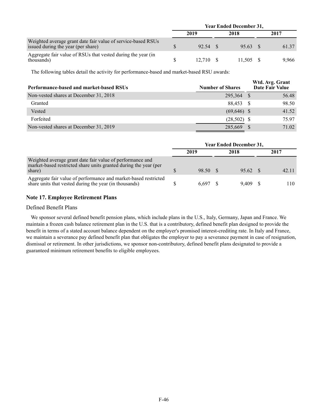|                                                                                                    |  | <b>Year Ended December 31,</b> |  |           |  |       |  |
|----------------------------------------------------------------------------------------------------|--|--------------------------------|--|-----------|--|-------|--|
|                                                                                                    |  | 2019                           |  | 2018      |  | 2017  |  |
| Weighted average grant date fair value of service-based RSUs<br>issued during the year (per share) |  | 92.54                          |  | 95.63 S   |  | 61.37 |  |
| Aggregate fair value of RSUs that vested during the year (in<br>thousands)                         |  | 12.710 \$                      |  | 11.505 \$ |  | 9.966 |  |

The following tables detail the activity for performance-based and market-based RSU awards:

| Performance-based and market-based RSUs | <b>Number of Shares</b> | Wtd. Avg. Grant<br>Date Fair Value |       |
|-----------------------------------------|-------------------------|------------------------------------|-------|
| Non-vested shares at December 31, 2018  | 295,364                 |                                    | 56.48 |
| Granted                                 | 88.453                  |                                    | 98.50 |
| Vested                                  | $(69, 646)$ \$          |                                    | 41.52 |
| Forfeited                               | $(28,502)$ \$           |                                    | 75.97 |
| Non-vested shares at December 31, 2019  | 285,669                 |                                    | 71.02 |

|                                                                                                                                         | <b>Year Ended December 31,</b> |          |  |          |  |       |
|-----------------------------------------------------------------------------------------------------------------------------------------|--------------------------------|----------|--|----------|--|-------|
|                                                                                                                                         |                                | 2019     |  | 2018     |  | 2017  |
| Weighted average grant date fair value of performance and<br>market-based restricted share units granted during the year (per<br>share) |                                | 98.50 \$ |  | 95.62 \$ |  | 42.11 |
| Aggregate fair value of performance and market-based restricted<br>share units that vested during the year (in thousands)               |                                | 6.697    |  | 9.409    |  | 110   |

# **Note 17. Employee Retirement Plans**

# Defined Benefit Plans

We sponsor several defined benefit pension plans, which include plans in the U.S., Italy, Germany, Japan and France. We maintain a frozen cash balance retirement plan in the U.S. that is a contributory, defined benefit plan designed to provide the benefit in terms of a stated account balance dependent on the employer's promised interest-crediting rate. In Italy and France, we maintain a severance pay defined benefit plan that obligates the employer to pay a severance payment in case of resignation, dismissal or retirement. In other jurisdictions, we sponsor non-contributory, defined benefit plans designated to provide a guaranteed minimum retirement benefits to eligible employees.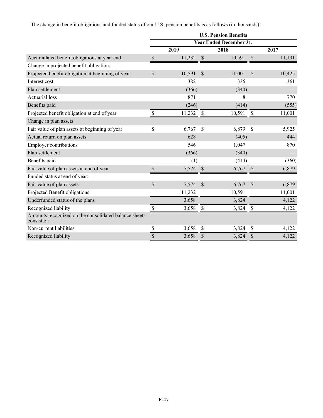The change in benefit obligations and funded status of our U.S. pension benefits is as follows (in thousands):

|                                                                      | <b>U.S. Pension Benefits</b> |        |               |                                |               |        |  |  |  |
|----------------------------------------------------------------------|------------------------------|--------|---------------|--------------------------------|---------------|--------|--|--|--|
|                                                                      |                              |        |               | <b>Year Ended December 31,</b> |               |        |  |  |  |
|                                                                      |                              | 2019   |               | 2018                           |               | 2017   |  |  |  |
| Accumulated benefit obligations at year end                          | $\$$                         | 11,232 | $\mathbb{S}$  | 10,591                         | \$            | 11,191 |  |  |  |
| Change in projected benefit obligation:                              |                              |        |               |                                |               |        |  |  |  |
| Projected benefit obligation at beginning of year                    | $\mathbb{S}$                 | 10,591 | $\mathcal{S}$ | 11,001                         | $\mathcal{S}$ | 10,425 |  |  |  |
| Interest cost                                                        |                              | 382    |               | 336                            |               | 361    |  |  |  |
| Plan settlement                                                      |                              | (366)  |               | (340)                          |               |        |  |  |  |
| <b>Actuarial</b> loss                                                |                              | 871    |               | 8                              |               | 770    |  |  |  |
| Benefits paid                                                        |                              | (246)  |               | (414)                          |               | (555)  |  |  |  |
| Projected benefit obligation at end of year                          | \$                           | 11,232 | S             | 10,591                         | \$            | 11,001 |  |  |  |
| Change in plan assets:                                               |                              |        |               |                                |               |        |  |  |  |
| Fair value of plan assets at beginning of year                       | \$                           | 6,767  | \$            | 6,879                          | $\mathcal{S}$ | 5,925  |  |  |  |
| Actual return on plan assets                                         |                              | 628    |               | (405)                          |               | 444    |  |  |  |
| <b>Employer contributions</b>                                        |                              | 546    |               | 1,047                          |               | 870    |  |  |  |
| Plan settlement                                                      |                              | (366)  |               | (340)                          |               |        |  |  |  |
| Benefits paid                                                        |                              | (1)    |               | (414)                          |               | (360)  |  |  |  |
| Fair value of plan assets at end of year                             | \$                           | 7,574  | $\mathcal{S}$ | 6,767                          | $\mathcal{S}$ | 6,879  |  |  |  |
| Funded status at end of year:                                        |                              |        |               |                                |               |        |  |  |  |
| Fair value of plan assets                                            | $\mathbb{S}$                 | 7,574  | $\mathcal{S}$ | 6,767                          | \$            | 6,879  |  |  |  |
| Projected Benefit obligations                                        |                              | 11,232 |               | 10,591                         |               | 11,001 |  |  |  |
| Underfunded status of the plans                                      |                              | 3,658  |               | 3,824                          |               | 4,122  |  |  |  |
| Recognized liability                                                 | \$                           | 3,658  | \$            | 3,824                          | \$            | 4,122  |  |  |  |
| Amounts recognized on the consolidated balance sheets<br>consist of: |                              |        |               |                                |               |        |  |  |  |
| Non-current liabilities                                              | \$                           | 3,658  | \$            | 3,824                          | \$            | 4,122  |  |  |  |
| Recognized liability                                                 | \$                           | 3,658  | \$            | 3,824                          | \$            | 4,122  |  |  |  |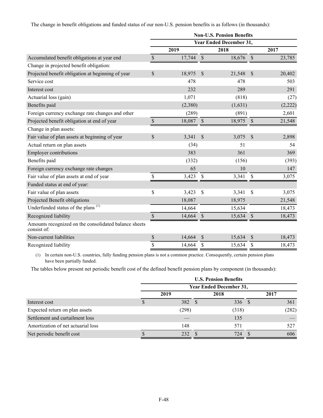The change in benefit obligations and funded status of our non-U.S. pension benefits is as follows (in thousands):

|                                                                      |                           |         |                           | <b>Non-U.S. Pension Benefits</b> |               |         |
|----------------------------------------------------------------------|---------------------------|---------|---------------------------|----------------------------------|---------------|---------|
|                                                                      |                           |         |                           | <b>Year Ended December 31,</b>   |               |         |
|                                                                      |                           | 2019    |                           | 2018                             |               | 2017    |
| Accumulated benefit obligations at year end                          | $\boldsymbol{\mathsf{S}}$ | 17,744  | $\boldsymbol{\mathsf{S}}$ | 18,676                           | $\mathcal{S}$ | 23,785  |
| Change in projected benefit obligation:                              |                           |         |                           |                                  |               |         |
| Projected benefit obligation at beginning of year                    | $\mathbb{S}$              | 18,975  | $\mathcal{S}$             | 21,548                           | $\mathcal{S}$ | 20,402  |
| Service cost                                                         |                           | 478     |                           | 478                              |               | 503     |
| Interest cost                                                        |                           | 232     |                           | 289                              |               | 291     |
| Actuarial loss (gain)                                                |                           | 1,071   |                           | (818)                            |               | (27)    |
| Benefits paid                                                        |                           | (2,380) |                           | (1,631)                          |               | (2,222) |
| Foreign currency exchange rate changes and other                     |                           | (289)   |                           | (891)                            |               | 2,601   |
| Projected benefit obligation at end of year                          | $\mathbb{S}$              | 18,087  | $\boldsymbol{\mathsf{S}}$ | 18,975                           | $\mathcal{S}$ | 21,548  |
| Change in plan assets:                                               |                           |         |                           |                                  |               |         |
| Fair value of plan assets at beginning of year                       | \$                        | 3,341   | $\mathcal{S}$             | 3,075                            | $\mathcal{S}$ | 2,898   |
| Actual return on plan assets                                         |                           | (34)    |                           | 51                               |               | 54      |
| <b>Employer contributions</b>                                        |                           | 383     |                           | 361                              |               | 369     |
| Benefits paid                                                        |                           | (332)   |                           | (156)                            |               | (393)   |
| Foreign currency exchange rate changes                               |                           | 65      |                           | 10                               |               | 147     |
| Fair value of plan assets at end of year                             | \$                        | 3,423   | \$                        | 3,341                            | \$            | 3,075   |
| Funded status at end of year:                                        |                           |         |                           |                                  |               |         |
| Fair value of plan assets                                            | \$                        | 3,423   | \$                        | 3,341                            | \$            | 3,075   |
| Projected Benefit obligations                                        |                           | 18,087  |                           | 18,975                           |               | 21,548  |
| Underfunded status of the plans <sup>(1)</sup>                       |                           | 14,664  |                           | 15,634                           |               | 18,473  |
| Recognized liability                                                 | \$                        | 14,664  | \$                        | 15,634                           | $\mathcal{S}$ | 18,473  |
| Amounts recognized on the consolidated balance sheets<br>consist of: |                           |         |                           |                                  |               |         |
| Non-current liabilities                                              | \$                        | 14,664  | \$                        | 15,634                           | \$            | 18,473  |
| Recognized liability                                                 | \$                        | 14,664  | \$                        | 15,634                           | \$            | 18,473  |

(1) In certain non-U.S. countries, fully funding pension plans is not a common practice. Consequently, certain pension plans have been partially funded.

The tables below present net periodic benefit cost of the defined benefit pension plans by component (in thousands):

|                                    | <b>U.S. Pension Benefits</b> |                                |  |       |  |       |  |  |  |
|------------------------------------|------------------------------|--------------------------------|--|-------|--|-------|--|--|--|
|                                    |                              | <b>Year Ended December 31,</b> |  |       |  |       |  |  |  |
|                                    |                              | 2019                           |  | 2018  |  | 2017  |  |  |  |
| Interest cost                      | D                            | 382 \$                         |  | 336S  |  | 361   |  |  |  |
| Expected return on plan assets     |                              | (298)                          |  | (318) |  | (282) |  |  |  |
| Settlement and curtailment loss    |                              |                                |  | 135   |  |       |  |  |  |
| Amortization of net actuarial loss |                              | 148                            |  | 571   |  | 527   |  |  |  |
| Net periodic benefit cost          |                              | 232 \$                         |  | 724   |  | 606   |  |  |  |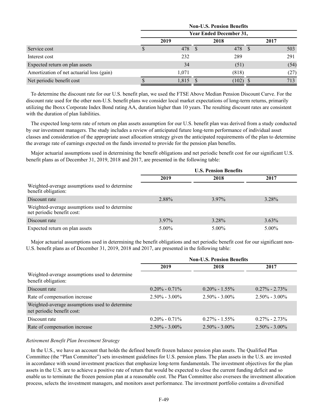|                                           | <b>Non-U.S. Pension Benefits</b> |                                |  |       |    |      |      |
|-------------------------------------------|----------------------------------|--------------------------------|--|-------|----|------|------|
|                                           |                                  | <b>Year Ended December 31,</b> |  |       |    |      |      |
|                                           |                                  | 2019                           |  | 2018  |    | 2017 |      |
| Service cost                              | S                                | 478 \$                         |  | 478   | -S |      | 503  |
| Interest cost                             |                                  | 232                            |  | 289   |    |      | 291  |
| Expected return on plan assets            |                                  | 34                             |  | (51)  |    |      | (54) |
| Amortization of net actuarial loss (gain) |                                  | 1,071                          |  | (818) |    |      | (27) |
| Net periodic benefit cost                 |                                  | 1,815                          |  | (102) |    |      | 713  |

To determine the discount rate for our U.S. benefit plan, we used the FTSE Above Median Pension Discount Curve. For the discount rate used for the other non-U.S. benefit plans we consider local market expectations of long-term returns, primarily utilizing the Iboxx Corporate Index Bond rating AA, duration higher than 10 years. The resulting discount rates are consistent with the duration of plan liabilities.

The expected long-term rate of return on plan assets assumption for our U.S. benefit plan was derived from a study conducted by our investment managers. The study includes a review of anticipated future long-term performance of individual asset classes and consideration of the appropriate asset allocation strategy given the anticipated requirements of the plan to determine the average rate of earnings expected on the funds invested to provide for the pension plan benefits.

Major actuarial assumptions used in determining the benefit obligations and net periodic benefit cost for our significant U.S. benefit plans as of December 31, 2019, 2018 and 2017, are presented in the following table:

|                                                                              | <b>U.S. Pension Benefits</b> |          |          |  |
|------------------------------------------------------------------------------|------------------------------|----------|----------|--|
|                                                                              | 2019                         | 2018     | 2017     |  |
| Weighted-average assumptions used to determine<br>benefit obligation:        |                              |          |          |  |
| Discount rate                                                                | 2.88%                        | $3.97\%$ | 3.28%    |  |
| Weighted-average assumptions used to determine<br>net periodic benefit cost: |                              |          |          |  |
| Discount rate                                                                | $3.97\%$                     | 3.28%    | $3.63\%$ |  |
| Expected return on plan assets                                               | $5.00\%$                     | $5.00\%$ | $5.00\%$ |  |

Major actuarial assumptions used in determining the benefit obligations and net periodic benefit cost for our significant non-U.S. benefit plans as of December 31, 2019, 2018 and 2017, are presented in the following table:

|                                                                              | <b>Non-U.S. Pension Benefits</b> |                   |                   |  |  |
|------------------------------------------------------------------------------|----------------------------------|-------------------|-------------------|--|--|
|                                                                              | 2019                             | 2018              | 2017              |  |  |
| Weighted-average assumptions used to determine<br>benefit obligation:        |                                  |                   |                   |  |  |
| Discount rate                                                                | $0.20\% - 0.71\%$                | $0.20\% - 1.55\%$ | $0.27\% - 2.73\%$ |  |  |
| Rate of compensation increase                                                | $2.50\% - 3.00\%$                | $2.50\% - 3.00\%$ | $2.50\% - 3.00\%$ |  |  |
| Weighted-average assumptions used to determine<br>net periodic benefit cost: |                                  |                   |                   |  |  |
| Discount rate                                                                | $0.20\% - 0.71\%$                | $0.27\% - 1.55\%$ | $0.27\% - 2.73\%$ |  |  |
| Rate of compensation increase                                                | $2.50\% - 3.00\%$                | $2.50\% - 3.00\%$ | $2.50\% - 3.00\%$ |  |  |

### *Retirement Benefit Plan Investment Strategy*

In the U.S., we have an account that holds the defined benefit frozen balance pension plan assets. The Qualified Plan Committee (the "Plan Committee") sets investment guidelines for U.S. pension plans. The plan assets in the U.S. are invested in accordance with sound investment practices that emphasize long-term fundamentals. The investment objectives for the plan assets in the U.S. are to achieve a positive rate of return that would be expected to close the current funding deficit and so enable us to terminate the frozen pension plan at a reasonable cost. The Plan Committee also oversees the investment allocation process, selects the investment managers, and monitors asset performance. The investment portfolio contains a diversified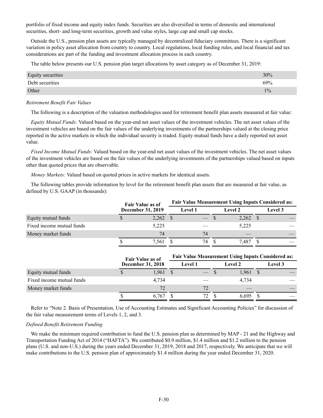portfolio of fixed income and equity index funds. Securities are also diversified in terms of domestic and international securities, short- and long-term securities, growth and value styles, large cap and small cap stocks.

Outside the U.S., pension plan assets are typically managed by decentralized fiduciary committees. There is a significant variation in policy asset allocation from country to country. Local regulations, local funding rules, and local financial and tax considerations are part of the funding and investment allocation process in each country.

The table below presents our U.S. pension plan target allocations by asset category as of December 31, 2019:

| Equity securities | 30%   |
|-------------------|-------|
| Debt securities   | 69%   |
| Other             | $1\%$ |

#### *Retirement Benefit Fair Values*

The following is a description of the valuation methodologies used for retirement benefit plan assets measured at fair value:

*Equity Mutual Funds:* Valued based on the year-end net asset values of the investment vehicles. The net asset values of the investment vehicles are based on the fair values of the underlying investments of the partnerships valued at the closing price reported in the active markets in which the individual security is traded. Equity mutual funds have a daily reported net asset value.

*Fixed Income Mutual Funds:* Valued based on the year-end net asset values of the investment vehicles. The net asset values of the investment vehicles are based on the fair values of the underlying investments of the partnerships valued based on inputs other than quoted prices that are observable.

*Money Markets:* Valued based on quoted prices in active markets for identical assets.

The following tables provide information by level for the retirement benefit plan assets that are measured at fair value, as defined by U.S. GAAP (in thousands):

|                           | <b>Fair Value as of</b> |                          | <b>Fair Value Measurement Using Inputs Considered as:</b> |                |  |                |  |         |  |
|---------------------------|-------------------------|--------------------------|-----------------------------------------------------------|----------------|--|----------------|--|---------|--|
|                           |                         | <b>December 31, 2019</b> |                                                           | <b>Level 1</b> |  | <b>Level 2</b> |  | Level 3 |  |
| Equity mutual funds       |                         | $2,262$ \$               |                                                           |                |  | $2,262$ \$     |  |         |  |
| Fixed income mutual funds |                         | 5,225                    |                                                           |                |  | 5,225          |  |         |  |
| Money market funds        |                         | 74                       |                                                           | 74             |  |                |  |         |  |
|                           |                         | 7,561                    |                                                           | 74.            |  | 7.487          |  |         |  |

|                           | <b>Fair Value as of</b><br>December 31, 2018 |            | <b>Fair Value Measurement Using Inputs Considered as:</b> |                |  |            |  |                |  |  |
|---------------------------|----------------------------------------------|------------|-----------------------------------------------------------|----------------|--|------------|--|----------------|--|--|
|                           |                                              |            |                                                           | <b>Level 1</b> |  | Level 2    |  | <b>Level</b> 3 |  |  |
| Equity mutual funds       |                                              | $1,961$ \$ |                                                           |                |  | $1,961$ \$ |  |                |  |  |
| Fixed income mutual funds |                                              | 4.734      |                                                           |                |  | 4,734      |  |                |  |  |
| Money market funds        |                                              | 72         |                                                           | 72             |  |            |  |                |  |  |
|                           |                                              | 6.767      |                                                           | 72             |  | 6.695      |  |                |  |  |

Refer to "Note 2. Basis of Presentation, Use of Accounting Estimates and Significant Accounting Policies" for discussion of the fair value measurement terms of Levels 1, 2, and 3.

#### *Defined Benefit Retirement Funding*

We make the minimum required contribution to fund the U.S. pension plan as determined by MAP - 21 and the Highway and Transportation Funding Act of 2014 ("HAFTA"). We contributed \$0.9 million, \$1.4 million and \$1.2 million to the pension plans (U.S. and non-U.S.) during the years ended December 31, 2019, 2018 and 2017, respectively. We anticipate that we will make contributions to the U.S. pension plan of approximately \$1.4 million during the year ended December 31, 2020.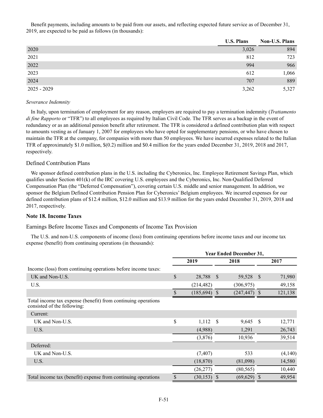Benefit payments, including amounts to be paid from our assets, and reflecting expected future service as of December 31, 2019, are expected to be paid as follows (in thousands):

|               | <b>U.S. Plans</b> | Non-U.S. Plans |
|---------------|-------------------|----------------|
| 2020          | 3,026             | 894            |
| 2021          | 812               | 723            |
| 2022          | 994               | 966            |
| 2023          | 612               | 1,066          |
| 2024          | 707               | 889            |
| $2025 - 2029$ | 3,262             | 5,327          |

#### *Severance Indemnity*

In Italy, upon termination of employment for any reason, employers are required to pay a termination indemnity (*Trattamento di fine Rapporto* or "TFR") to all employees as required by Italian Civil Code. The TFR serves as a backup in the event of redundancy or as an additional pension benefit after retirement. The TFR is considered a defined contribution plan with respect to amounts vesting as of January 1, 2007 for employees who have opted for supplementary pensions, or who have chosen to maintain the TFR at the company, for companies with more than 50 employees. We have incurred expenses related to the Italian TFR of approximately \$1.0 million, \$(0.2) million and \$0.4 million for the years ended December 31, 2019, 2018 and 2017, respectively.

### Defined Contribution Plans

We sponsor defined contribution plans in the U.S. including the Cyberonics, Inc. Employee Retirement Savings Plan, which qualifies under Section 401(k) of the IRC covering U.S. employees and the Cyberonics, Inc. Non-Qualified Deferred Compensation Plan (the "Deferred Compensation"), covering certain U.S. middle and senior management. In addition, we sponsor the Belgium Defined Contribution Pension Plan for Cyberonics' Belgium employees. We incurred expenses for our defined contribution plans of \$12.4 million, \$12.0 million and \$13.9 million for the years ended December 31, 2019, 2018 and 2017, respectively.

# **Note 18. Income Taxes**

Earnings Before Income Taxes and Components of Income Tax Provision

The U.S. and non-U.S. components of income (loss) from continuing operations before income taxes and our income tax expense (benefit) from continuing operations (in thousands):

|                                                                                              | <b>Year Ended December 31,</b> |                 |      |                 |              |         |
|----------------------------------------------------------------------------------------------|--------------------------------|-----------------|------|-----------------|--------------|---------|
|                                                                                              | 2019                           |                 | 2018 |                 | 2017         |         |
| Income (loss) from continuing operations before income taxes:                                |                                |                 |      |                 |              |         |
| UK and Non-U.S.                                                                              | \$                             | 28,788 \$       |      | 59,528          | <sup>S</sup> | 71,980  |
| U.S.                                                                                         |                                | (214, 482)      |      | (306, 975)      |              | 49,158  |
|                                                                                              | \$                             | $(185, 694)$ \$ |      | $(247, 447)$ \$ |              | 121,138 |
| Total income tax expense (benefit) from continuing operations<br>consisted of the following: |                                |                 |      |                 |              |         |
| Current:                                                                                     |                                |                 |      |                 |              |         |
| UK and Non-U.S.                                                                              | \$                             | 1,112           | - \$ | $9,645$ \$      |              | 12,771  |
| U.S.                                                                                         |                                | (4,988)         |      | 1,291           |              | 26,743  |
|                                                                                              |                                | (3,876)         |      | 10,936          |              | 39,514  |
| Deferred:                                                                                    |                                |                 |      |                 |              |         |
| UK and Non-U.S.                                                                              |                                | (7, 407)        |      | 533             |              | (4,140) |
| U.S.                                                                                         |                                | (18, 870)       |      | (81,098)        |              | 14,580  |
|                                                                                              |                                | (26, 277)       |      | (80, 565)       |              | 10,440  |
| Total income tax (benefit) expense from continuing operations                                | \$                             | $(30, 153)$ \$  |      | (69, 629)       | S            | 49,954  |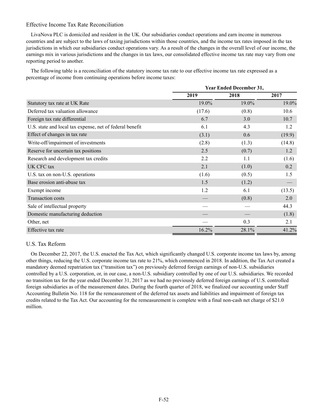### Effective Income Tax Rate Reconciliation

LivaNova PLC is domiciled and resident in the UK. Our subsidiaries conduct operations and earn income in numerous countries and are subject to the laws of taxing jurisdictions within those countries, and the income tax rates imposed in the tax jurisdictions in which our subsidiaries conduct operations vary. As a result of the changes in the overall level of our income, the earnings mix in various jurisdictions and the changes in tax laws, our consolidated effective income tax rate may vary from one reporting period to another.

The following table is a reconciliation of the statutory income tax rate to our effective income tax rate expressed as a percentage of income from continuing operations before income taxes:

|                                                          | <b>Year Ended December 31,</b> |       |        |  |  |
|----------------------------------------------------------|--------------------------------|-------|--------|--|--|
|                                                          | 2019                           | 2018  | 2017   |  |  |
| Statutory tax rate at UK Rate                            | 19.0%                          | 19.0% | 19.0%  |  |  |
| Deferred tax valuation allowance                         | (17.6)                         | (0.8) | 10.6   |  |  |
| Foreign tax rate differential                            | 6.7                            | 3.0   | 10.7   |  |  |
| U.S. state and local tax expense, net of federal benefit | 6.1                            | 4.3   | 1.2    |  |  |
| Effect of changes in tax rate                            | (3.1)                          | 0.6   | (19.9) |  |  |
| Write-off/impairment of investments                      | (2.8)                          | (1.3) | (14.8) |  |  |
| Reserve for uncertain tax positions                      | 2.5                            | (0.7) | 1.2    |  |  |
| Research and development tax credits                     | 2.2                            | 1.1   | (1.6)  |  |  |
| UK CFC tax                                               | 2.1                            | (1.0) | 0.2    |  |  |
| U.S. tax on non-U.S. operations                          | (1.6)                          | (0.5) | 1.5    |  |  |
| Base erosion anti-abuse tax                              | 1.5                            | (1.2) |        |  |  |
| Exempt income                                            | 1.2                            | 6.1   | (13.5) |  |  |
| <b>Transaction costs</b>                                 |                                | (0.8) | 2.0    |  |  |
| Sale of intellectual property                            |                                |       | 44.3   |  |  |
| Domestic manufacturing deduction                         |                                |       | (1.8)  |  |  |
| Other, net                                               |                                | 0.3   | 2.1    |  |  |
| Effective tax rate                                       | 16.2%                          | 28.1% | 41.2%  |  |  |

# U.S. Tax Reform

On December 22, 2017, the U.S. enacted the Tax Act, which significantly changed U.S. corporate income tax laws by, among other things, reducing the U.S. corporate income tax rate to 21%, which commenced in 2018. In addition, the Tax Act created a mandatory deemed repatriation tax ("transition tax") on previously deferred foreign earnings of non-U.S. subsidiaries controlled by a U.S. corporation, or, in our case, a non-U.S. subsidiary controlled by one of our U.S. subsidiaries. We recorded no transition tax for the year ended December 31, 2017 as we had no previously deferred foreign earnings of U.S. controlled foreign subsidiaries as of the measurement dates. During the fourth quarter of 2018, we finalized our accounting under Staff Accounting Bulletin No. 118 for the remeasurement of the deferred tax assets and liabilities and impairment of foreign tax credits related to the Tax Act. Our accounting for the remeasurement is complete with a final non-cash net charge of \$21.0 million.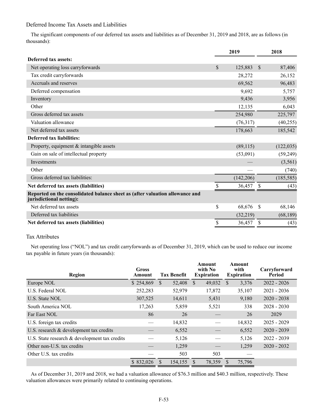### Deferred Income Tax Assets and Liabilities

The significant components of our deferred tax assets and liabilities as of December 31, 2019 and 2018, are as follows (in thousands):

|                                                                                                          |               | 2019       |               | 2018       |
|----------------------------------------------------------------------------------------------------------|---------------|------------|---------------|------------|
| Deferred tax assets:                                                                                     |               |            |               |            |
| Net operating loss carryforwards                                                                         | $\mathcal{S}$ | 125,883    | <sup>\$</sup> | 87,406     |
| Tax credit carryforwards                                                                                 |               | 28,272     |               | 26,152     |
| Accruals and reserves                                                                                    |               | 69,562     |               | 96,483     |
| Deferred compensation                                                                                    |               | 9,692      |               | 5,757      |
| Inventory                                                                                                |               | 9,436      |               | 3,956      |
| Other                                                                                                    |               | 12,135     |               | 6,043      |
| Gross deferred tax assets                                                                                |               | 254,980    |               | 225,797    |
| Valuation allowance                                                                                      |               | (76,317)   |               | (40,255)   |
| Net deferred tax assets                                                                                  |               | 178,663    |               | 185,542    |
| Deferred tax liabilities:                                                                                |               |            |               |            |
| Property, equipment $&$ intangible assets                                                                |               | (89,115)   |               | (122, 035) |
| Gain on sale of intellectual property                                                                    |               | (53,091)   |               | (59,249)   |
| Investments                                                                                              |               |            |               | (3,561)    |
| Other                                                                                                    |               |            |               | (740)      |
| Gross deferred tax liabilities:                                                                          |               | (142, 206) |               | (185, 585) |
| Net deferred tax assets (liabilities)                                                                    | \$            | 36,457     | S             | (43)       |
| Reported on the consolidated balance sheet as (after valuation allowance and<br>jurisdictional netting): |               |            |               |            |
| Net deferred tax assets                                                                                  | \$            | 68,676     | <sup>\$</sup> | 68,146     |
| Deferred tax liabilities                                                                                 |               | (32, 219)  |               | (68, 189)  |
| Net deferred tax assets (liabilities)                                                                    | \$            | 36,457     | \$            | (43)       |

# Tax Attributes

Net operating loss ("NOL") and tax credit carryforwards as of December 31, 2019, which can be used to reduce our income tax payable in future years (in thousands):

| Region                                           | <b>Gross</b><br>Amount | <b>Tax Benefit</b> | Amount<br>with No<br><b>Expiration</b> | Amount<br>with<br><b>Expiration</b> | Carryforward<br>Period |
|--------------------------------------------------|------------------------|--------------------|----------------------------------------|-------------------------------------|------------------------|
| Europe NOL                                       | \$254,869              | S.<br>52,408       | 49,032<br><sup>S</sup>                 | 3,376<br><sup>S</sup>               | $2022 - 2026$          |
| U.S. Federal NOL                                 | 252,283                | 52,979             | 17,872                                 | 35,107                              | $2021 - 2036$          |
| U.S. State NOL                                   | 307,525                | 14,611             | 5,431                                  | 9,180                               | $2020 - 2038$          |
| South America NOL                                | 17,263                 | 5,859              | 5,521                                  | 338                                 | $2028 - 2030$          |
| Far East NOL                                     | 86                     | 26                 |                                        | 26                                  | 2029                   |
| U.S. foreign tax credits                         |                        | 14,832             |                                        | 14,832                              | $2025 - 2029$          |
| U.S. research & development tax credits          |                        | 6,552              |                                        | 6,552                               | $2020 - 2039$          |
| U.S. State research $\&$ development tax credits |                        | 5,126              |                                        | 5,126                               | $2022 - 2039$          |
| Other non-U.S. tax credits                       |                        | 1,259              |                                        | 1,259                               | $2020 - 2032$          |
| Other U.S. tax credits                           |                        | 503                | 503                                    |                                     |                        |
|                                                  | \$832,026              | 154,155            | 78,359<br><sup>S</sup>                 | 75,796                              |                        |

As of December 31, 2019 and 2018, we had a valuation allowance of \$76.3 million and \$40.3 million, respectively. These valuation allowances were primarily related to continuing operations.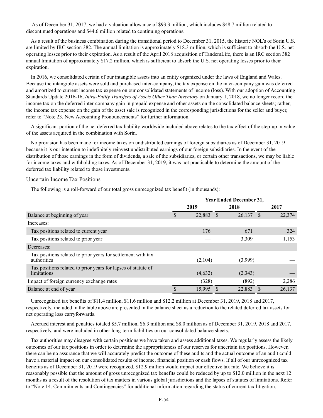As of December 31, 2017, we had a valuation allowance of \$93.3 million, which includes \$48.7 million related to discontinued operations and \$44.6 million related to continuing operations.

As a result of the business combination during the transitional period to December 31, 2015, the historic NOL's of Sorin U.S. are limited by IRC section 382. The annual limitation is approximately \$18.3 million, which is sufficient to absorb the U.S. net operating losses prior to their expiration. As a result of the April 2018 acquisition of TandemLife, there is an IRC section 382 annual limitation of approximately \$17.2 million, which is sufficient to absorb the U.S. net operating losses prior to their expiration.

In 2016, we consolidated certain of our intangible assets into an entity organized under the laws of England and Wales. Because the intangible assets were sold and purchased inter-company, the tax expense on the inter-company gain was deferred and amortized to current income tax expense on our consolidated statements of income (loss). With our adoption of Accounting Standards Update 2016-16, *Intra-Entity Transfers of Assets Other Than Inventory* on January 1, 2018, we no longer record the income tax on the deferred inter-company gain in prepaid expense and other assets on the consolidated balance sheets; rather, the income tax expense on the gain of the asset sale is recognized in the corresponding jurisdictions for the seller and buyer, refer to "Note 23. New Accounting Pronouncements" for further information.

A significant portion of the net deferred tax liability worldwide included above relates to the tax effect of the step-up in value of the assets acquired in the combination with Sorin.

No provision has been made for income taxes on undistributed earnings of foreign subsidiaries as of December 31, 2019 because it is our intention to indefinitely reinvest undistributed earnings of our foreign subsidiaries. In the event of the distribution of those earnings in the form of dividends, a sale of the subsidiaries, or certain other transactions, we may be liable for income taxes and withholding taxes. As of December 31, 2019, it was not practicable to determine the amount of the deferred tax liability related to those investments.

#### Uncertain Income Tax Positions

The following is a roll-forward of our total gross unrecognized tax benefit (in thousands):

|                                                                              | <b>Year Ended December 31,</b> |         |      |         |    |        |
|------------------------------------------------------------------------------|--------------------------------|---------|------|---------|----|--------|
|                                                                              |                                | 2019    |      | 2018    |    | 2017   |
| Balance at beginning of year                                                 | \$                             | 22,883  | - \$ | 26,137  | -S | 22,374 |
| Increases:                                                                   |                                |         |      |         |    |        |
| Tax positions related to current year                                        |                                | 176     |      | 671     |    | 324    |
| Tax positions related to prior year                                          |                                |         |      | 3,309   |    | 1,153  |
| Decreases:                                                                   |                                |         |      |         |    |        |
| Tax positions related to prior years for settlement with tax<br>authorities  |                                | (2,104) |      | (3,999) |    |        |
| Tax positions related to prior years for lapses of statute of<br>limitations |                                | (4,632) |      | (2,343) |    |        |
| Impact of foreign currency exchange rates                                    |                                | (328)   |      | (892)   |    | 2,286  |
| Balance at end of year                                                       |                                | 15,995  |      | 22,883  |    | 26,137 |

Unrecognized tax benefits of \$11.4 million, \$11.6 million and \$12.2 million at December 31, 2019, 2018 and 2017, respectively, included in the table above are presented in the balance sheet as a reduction to the related deferred tax assets for net operating loss carryforwards.

Accrued interest and penalties totaled \$5.7 million, \$6.3 million and \$8.0 million as of December 31, 2019, 2018 and 2017, respectively, and were included in other long-term liabilities on our consolidated balance sheets.

Tax authorities may disagree with certain positions we have taken and assess additional taxes. We regularly assess the likely outcomes of our tax positions in order to determine the appropriateness of our reserves for uncertain tax positions. However, there can be no assurance that we will accurately predict the outcome of these audits and the actual outcome of an audit could have a material impact on our consolidated results of income, financial position or cash flows. If all of our unrecognized tax benefits as of December 31, 2019 were recognized, \$12.9 million would impact our effective tax rate. We believe it is reasonably possible that the amount of gross unrecognized tax benefits could be reduced by up to \$12.0 million in the next 12 months as a result of the resolution of tax matters in various global jurisdictions and the lapses of statutes of limitations. Refer to "Note 14. Commitments and Contingencies" for additional information regarding the status of current tax litigation.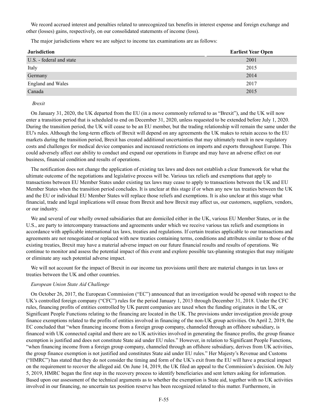We record accrued interest and penalties related to unrecognized tax benefits in interest expense and foreign exchange and other (losses) gains, respectively, on our consolidated statements of income (loss).

The major jurisdictions where we are subject to income tax examinations are as follows:

| <b>Jurisdiction</b>      | <b>Earliest Year Open</b> |
|--------------------------|---------------------------|
| U.S. - federal and state | 2001                      |
| Italy                    | 2015                      |
| Germany                  | 2014                      |
| <b>England and Wales</b> | 2017                      |
| Canada                   | 2015                      |

#### *Brexit*

On January 31, 2020, the UK departed from the EU (in a move commonly referred to as "Brexit"), and the UK will now enter a transition period that is scheduled to end on December 31, 2020, unless requested to be extended before July 1, 2020. During the transition period, the UK will cease to be an EU member, but the trading relationship will remain the same under the EU's rules. Although the long-term effects of Brexit will depend on any agreements the UK makes to retain access to the EU markets during the transition period, Brexit has created additional uncertainties that may ultimately result in new regulatory costs and challenges for medical device companies and increased restrictions on imports and exports throughout Europe. This could adversely affect our ability to conduct and expand our operations in Europe and may have an adverse effect on our business, financial condition and results of operations.

The notification does not change the application of existing tax laws and does not establish a clear framework for what the ultimate outcome of the negotiations and legislative process will be. Various tax reliefs and exemptions that apply to transactions between EU Member States under existing tax laws may cease to apply to transactions between the UK and EU Member States when the transition period concludes. It is unclear at this stage if or when any new tax treaties between the UK and the EU or individual EU Member States will replace those reliefs and exemptions. It is also unclear at this stage what financial, trade and legal implications will ensue from Brexit and how Brexit may affect us, our customers, suppliers, vendors, or our industry.

We and several of our wholly owned subsidiaries that are domiciled either in the UK, various EU Member States, or in the U.S., are party to intercompany transactions and agreements under which we receive various tax reliefs and exemptions in accordance with applicable international tax laws, treaties and regulations. If certain treaties applicable to our transactions and agreements are not renegotiated or replaced with new treaties containing terms, conditions and attributes similar to those of the existing treaties, Brexit may have a material adverse impact on our future financial results and results of operations. We continue to monitor and assess the potential impact of this event and explore possible tax-planning strategies that may mitigate or eliminate any such potential adverse impact.

We will not account for the impact of Brexit in our income tax provisions until there are material changes in tax laws or treaties between the UK and other countries.

#### *European Union State Aid Challenge*

On October 26, 2017, the European Commission ("EC") announced that an investigation would be opened with respect to the UK's controlled foreign company ("CFC") rules for the period January 1, 2013 through December 31, 2018. Under the CFC rules, financing profits of entities controlled by UK parent companies are taxed when the funding originates in the UK, or Significant People Functions relating to the financing are located in the UK. The provisions under investigation provide group finance exemptions related to the profits of entities involved in financing of the non-UK group activities. On April 2, 2019, the EC concluded that "when financing income from a foreign group company, channeled through an offshore subsidiary, is financed with UK connected capital and there are no UK activities involved in generating the finance profits, the group finance exemption is justified and does not constitute State aid under EU rules." However, in relation to Significant People Functions, "when financing income from a foreign group company, channeled through an offshore subsidiary, derives from UK activities, the group finance exemption is not justified and constitutes State aid under EU rules." Her Majesty's Revenue and Customs ("HMRC") has stated that they do not consider the timing and form of the UK's exit from the EU will have a practical impact on the requirement to recover the alleged aid. On June 14, 2019, the UK filed an appeal to the Commission's decision. On July 5, 2019, HMRC began the first step in the recovery process to identify beneficiaries and sent letters asking for information. Based upon our assessment of the technical arguments as to whether the exemption is State aid, together with no UK activities involved in our financing, no uncertain tax position reserve has been recognized related to this matter. Furthermore, in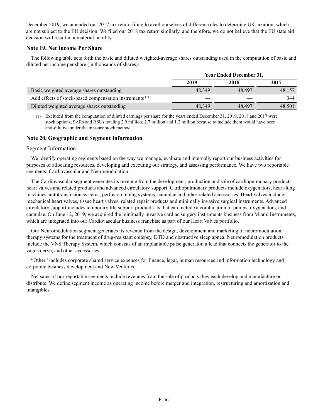December 2019, we amended our 2017 tax return filing to avail ourselves of different rules to determine UK taxation, which are not subject to the EU decision. We filed our 2018 tax return similarly, and therefore, we do not believe that the EU state aid decision will result in a material liability.

### **Note 19. Net Income Per Share**

The following table sets forth the basic and diluted weighted-average shares outstanding used in the computation of basic and diluted net income per share (in thousands of shares):

|                                                                    | <b>Year Ended December 31,</b> |        |        |  |  |
|--------------------------------------------------------------------|--------------------------------|--------|--------|--|--|
|                                                                    | 2019                           | 2018   | 2017   |  |  |
| Basic weighted average shares outstanding                          | 48.349                         | 48.497 | 48.157 |  |  |
| Add effects of stock-based compensation instruments <sup>(1)</sup> |                                |        | 344    |  |  |
| Diluted weighted average shares outstanding                        | 48,349                         | 48.497 | 48.501 |  |  |

(1) Excluded from the computation of diluted earnings per share for the years ended December 31, 2019, 2018 and 2017 were stock options, SARs and RSUs totaling 2.9 million, 2.7 million and 1.2 million because to include them would have been anti-dilutive under the treasury stock method.

### **Note 20. Geographic and Segment Information**

#### Segment Information

We identify operating segments based on the way we manage, evaluate and internally report our business activities for purposes of allocating resources, developing and executing our strategy, and assessing performance. We have two reportable segments: Cardiovascular and Neuromodulation.

The Cardiovascular segment generates its revenue from the development, production and sale of cardiopulmonary products, heart valves and related products and advanced circulatory support. Cardiopulmonary products include oxygenators, heart-lung machines, autotransfusion systems, perfusion tubing systems, cannulae and other related accessories. Heart valves include mechanical heart valves, tissue heart valves, related repair products and minimally invasive surgical instruments. Advanced circulatory support includes temporary life support product kits that can include a combination of pumps, oxygenators, and cannulae. On June 12, 2019, we acquired the minimally invasive cardiac surgery instruments business from Miami Instruments, which are integrated into our Cardiovascular business franchise as part of our Heart Valves portfolio.

Our Neuromodulation segment generates its revenue from the design, development and marketing of neuromodulation therapy systems for the treatment of drug-resistant epilepsy, DTD and obstructive sleep apnea. Neuromodulation products include the VNS Therapy System, which consists of an implantable pulse generator, a lead that connects the generator to the vagus nerve, and other accessories.

"Other" includes corporate shared service expenses for finance, legal, human resources and information technology and corporate business development and New Ventures.

Net sales of our reportable segments include revenues from the sale of products they each develop and manufacture or distribute. We define segment income as operating income before merger and integration, restructuring and amortization and intangibles.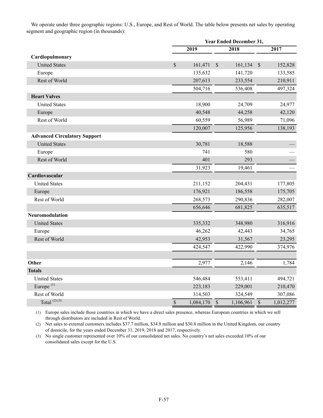We operate under three geographic regions: U.S., Europe, and Rest of World. The table below presents net sales by operating segment and geographic region (in thousands):

|                                     |                          | <b>Year Ended December 31,</b> |           |      |           |
|-------------------------------------|--------------------------|--------------------------------|-----------|------|-----------|
|                                     | 2019                     |                                | 2018      |      | 2017      |
| Cardiopulmonary                     |                          |                                |           |      |           |
| <b>United States</b>                | $\mathbb{S}$<br>161,471  | $\sqrt{\ }$                    | 161,134   | $\$$ | 152,828   |
| Europe                              | 135,632                  |                                | 141,720   |      | 133,585   |
| Rest of World                       | 207,613                  |                                | 233,554   |      | 210,911   |
|                                     | 504,716                  |                                | 536,408   |      | 497,324   |
| <b>Heart Valves</b>                 |                          |                                |           |      |           |
| <b>United States</b>                | 18,900                   |                                | 24,709    |      | 24,977    |
| Europe                              | 40,548                   |                                | 44,258    |      | 42,120    |
| Rest of World                       | 60,559                   |                                | 56,989    |      | 71,096    |
|                                     | 120,007                  |                                | 125,956   |      | 138,193   |
| <b>Advanced Circulatory Support</b> |                          |                                |           |      |           |
| <b>United States</b>                | 30,781                   |                                | 18,588    |      |           |
| Europe                              | 741                      |                                | 580       |      |           |
| Rest of World                       | 401                      |                                | 293       |      |           |
|                                     | 31,923                   |                                | 19,461    |      |           |
| Cardiovascular                      |                          |                                |           |      |           |
| <b>United States</b>                | 211,152                  |                                | 204,431   |      | 177,805   |
| Europe                              | 176,921                  |                                | 186,558   |      | 175,705   |
| Rest of World                       | 268,573                  |                                | 290,836   |      | 282,007   |
|                                     | 656,646                  |                                | 681,825   |      | 635,517   |
| Neuromodulation                     |                          |                                |           |      |           |
| <b>United States</b>                | 335,332                  |                                | 348,980   |      | 316,916   |
| Europe                              | 46,262                   |                                | 42,443    |      | 34,765    |
| Rest of World                       | 42,953                   |                                | 31,567    |      | 23,295    |
|                                     | 424,547                  |                                | 422,990   |      | 374,976   |
|                                     |                          |                                |           |      |           |
| Other                               | 2,977                    |                                | 2,146     |      | 1,784     |
| <b>Totals</b>                       |                          |                                |           |      |           |
| <b>United States</b>                | 546,484                  |                                | 553,411   |      | 494,721   |
| Europe <sup>(1)</sup>               | 223,183                  |                                | 229,001   |      | 210,470   |
| Rest of World                       | 314,503                  |                                | 324,549   |      | 307,086   |
| Total <sup>(2)(3)</sup>             | $\mathbb S$<br>1,084,170 | $\mathbb S$                    | 1,106,961 | $\$$ | 1,012,277 |

(1) Europe sales include those countries in which we have a direct sales presence, whereas European countries in which we sell through distributors are included in Rest of World.

(2) Net sales to external customers includes \$37.7 million, \$34.8 million and \$30.8 million in the United Kingdom, our country of domicile, for the years ended December 31, 2019, 2018 and 2017, respectively.

(3) No single customer represented over 10% of our consolidated net sales. No country's net sales exceeded 10% of our consolidated sales except for the U.S.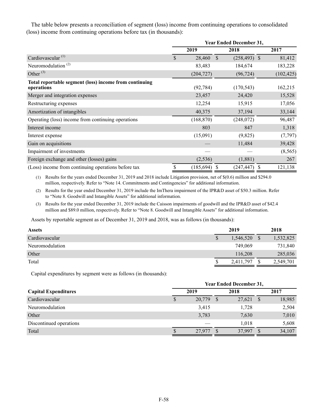The table below presents a reconciliation of segment (loss) income from continuing operations to consolidated (loss) income from continuing operations before tax (in thousands):

|                                                                      | <b>Year Ended December 31,</b> |                 |               |                 |            |  |
|----------------------------------------------------------------------|--------------------------------|-----------------|---------------|-----------------|------------|--|
|                                                                      |                                | 2019            |               | 2018            | 2017       |  |
| Cardiovascular <sup>(1)</sup>                                        | \$                             | 28,460          | $\mathcal{S}$ | $(258, 493)$ \$ | 81,412     |  |
| Neuromodulation <sup>(2)</sup>                                       |                                | 83,483          |               | 184,674         | 183,228    |  |
| Other $^{(3)}$                                                       |                                | (204, 727)      |               | (96, 724)       | (102, 425) |  |
| Total reportable segment (loss) income from continuing<br>operations |                                | (92, 784)       |               | (170, 543)      | 162,215    |  |
| Merger and integration expenses                                      |                                | 23,457          |               | 24,420          | 15,528     |  |
| Restructuring expenses                                               |                                | 12,254          |               | 15,915          | 17,056     |  |
| Amortization of intangibles                                          |                                | 40,375          |               | 37,194          | 33,144     |  |
| Operating (loss) income from continuing operations                   |                                | (168, 870)      |               | (248, 072)      | 96,487     |  |
| Interest income                                                      |                                | 803             |               | 847             | 1,318      |  |
| Interest expense                                                     |                                | (15,091)        |               | (9,825)         | (7, 797)   |  |
| Gain on acquisitions                                                 |                                |                 |               | 11,484          | 39,428     |  |
| Impairment of investments                                            |                                |                 |               |                 | (8, 565)   |  |
| Foreign exchange and other (losses) gains                            |                                | (2, 536)        |               | (1,881)         | 267        |  |
| (Loss) income from continuing operations before tax                  | \$                             | $(185, 694)$ \$ |               | $(247, 447)$ \$ | 121,138    |  |

(1) Results for the years ended December 31, 2019 and 2018 include Litigation provision, net of \$(0.6) million and \$294.0 million, respectively. Refer to "Note 14. Commitments and Contingencies" for additional information.

(2) Results for the year ended December 31, 2019 include the ImThera impairment of the IPR&D asset of \$50.3 million. Refer to "Note 8. Goodwill and Intangible Assets" for additional information.

(3) Results for the year ended December 31, 2019 include the Caisson impairments of goodwill and the IPR&D asset of \$42.4 million and \$89.0 million, respectively. Refer to "Note 8. Goodwill and Intangible Assets" for additional information.

Assets by reportable segment as of December 31, 2019 and 2018, was as follows (in thousands):

| <b>Assets</b>   |   | 2019      |               | 2018      |
|-----------------|---|-----------|---------------|-----------|
| Cardiovascular  | S | 1,546,520 | <sup>\$</sup> | 1,532,825 |
| Neuromodulation |   | 749.069   |               | 731,840   |
| Other           |   | 116,208   |               | 285,036   |
| Total           | J | 2,411,797 | S             | 2,549,701 |

Capital expenditures by segment were as follows (in thousands):

|                             | <b>Year Ended December 31,</b> |        |  |        |    |        |  |
|-----------------------------|--------------------------------|--------|--|--------|----|--------|--|
| <b>Capital Expenditures</b> | 2019                           |        |  | 2018   |    | 2017   |  |
| Cardiovascular              |                                | 20,779 |  | 27,621 | -S | 18,985 |  |
| Neuromodulation             |                                | 3,415  |  | 1,728  |    | 2,504  |  |
| Other                       |                                | 3,783  |  | 7,630  |    | 7,010  |  |
| Discontinued operations     |                                |        |  | 1,018  |    | 5,608  |  |
| Total                       |                                | 27,977 |  | 37,997 |    | 34,107 |  |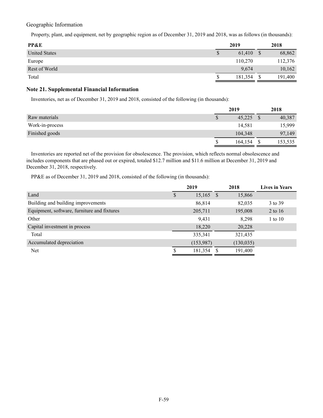Geographic Information

Property, plant, and equipment, net by geographic region as of December 31, 2019 and 2018, was as follows (in thousands):

| PP&E                 | 2019 |         |  | 2018    |
|----------------------|------|---------|--|---------|
| <b>United States</b> |      | 61,410  |  | 68,862  |
| Europe               |      | 110,270 |  | 112,376 |
| Rest of World        |      | 9,674   |  | 10,162  |
| Total                |      | 181,354 |  | 191,400 |

# **Note 21. Supplemental Financial Information**

Inventories, net as of December 31, 2019 and 2018, consisted of the following (in thousands):

|                 | 2019    | 2018    |
|-----------------|---------|---------|
| Raw materials   | 45,225  | 40,387  |
| Work-in-process | 14,581  | 15,999  |
| Finished goods  | 104,348 | 97,149  |
|                 | 164,154 | 153,535 |

Inventories are reported net of the provision for obsolescence. The provision, which reflects normal obsolescence and includes components that are phased out or expired, totaled \$12.7 million and \$11.6 million at December 31, 2019 and December 31, 2018, respectively.

PP&E as of December 31, 2019 and 2018, consisted of the following (in thousands):

|                                             | 2019      |      | 2018       | <b>Lives in Years</b> |
|---------------------------------------------|-----------|------|------------|-----------------------|
| Land                                        | 15,165    | - \$ | 15,866     |                       |
| Building and building improvements          | 86,814    |      | 82,035     | 3 to 39               |
| Equipment, software, furniture and fixtures | 205,711   |      | 195,008    | 2 to 16               |
| Other                                       | 9,431     |      | 8,298      | 1 to $10$             |
| Capital investment in process               | 18,220    |      | 20,228     |                       |
| Total                                       | 335,341   |      | 321,435    |                       |
| Accumulated depreciation                    | (153,987) |      | (130, 035) |                       |
| <b>Net</b>                                  | 181,354   |      | 191,400    |                       |
|                                             |           |      |            |                       |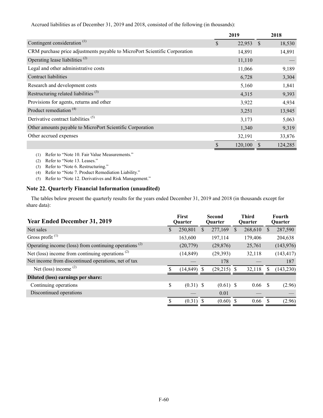Accrued liabilities as of December 31, 2019 and 2018, consisted of the following (in thousands):

|                                                                            | 2019              | 2018    |
|----------------------------------------------------------------------------|-------------------|---------|
| Contingent consideration <sup><math>(1)</math></sup>                       | \$<br>$22,953$ \$ | 18,530  |
| CRM purchase price adjustments payable to MicroPort Scientific Corporation | 14,891            | 14,891  |
| Operating lease liabilities $(2)$                                          | 11,110            |         |
| Legal and other administrative costs                                       | 11,066            | 9,189   |
| Contract liabilities                                                       | 6,728             | 3,304   |
| Research and development costs                                             | 5,160             | 1,841   |
| Restructuring related liabilities <sup>(3)</sup>                           | 4,315             | 9,393   |
| Provisions for agents, returns and other                                   | 3,922             | 4,934   |
| Product remediation <sup>(4)</sup>                                         | 3,251             | 13,945  |
| Derivative contract liabilities <sup>(5)</sup>                             | 3,173             | 5,063   |
| Other amounts payable to MicroPort Scientific Corporation                  | 1,340             | 9,319   |
| Other accrued expenses                                                     | 32,191            | 33,876  |
|                                                                            | \$<br>120,100     | 124,285 |

(1) Refer to "Note 10. Fair Value Measurements."

- (2) Refer to "Note 13. Leases."
- (3) Refer to "Note 6. Restructuring."
- (4) Refer to "Note 7. Product Remediation Liability."

(5) Refer to "Note 12. Derivatives and Risk Management."

# **Note 22. Quarterly Financial Information (unaudited)**

The tables below present the quarterly results for the years ended December 31, 2019 and 2018 (in thousands except for share data):

| <b>Year Ended December 31, 2019</b>                      | First<br><b>Ouarter</b> |    | <b>Second</b><br><b>Ouarter</b> |   | Third<br><b>Ouarter</b> |              | <b>Fourth</b><br>Quarter |
|----------------------------------------------------------|-------------------------|----|---------------------------------|---|-------------------------|--------------|--------------------------|
| Net sales                                                | \$<br>250,801           | \$ | 277,169                         | S | 268,610                 | <sup>S</sup> | 287,590                  |
| Gross profit $^{(1)}$                                    | 163,600                 |    | 197,114                         |   | 179,406                 |              | 204,638                  |
| Operating income (loss) from continuing operations $(2)$ | (20, 779)               |    | (29, 876)                       |   | 25,761                  |              | (143,976)                |
| Net (loss) income from continuing operations $(2)$       | (14, 849)               |    | (29, 393)                       |   | 32,118                  |              | (143, 417)               |
| Net income from discontinued operations, net of tax      |                         |    | 178                             |   |                         |              | 187                      |
| Net (loss) income $(2)$                                  | (14, 849)               | -S | $(29,215)$ \$                   |   | 32,118                  | S            | (143, 230)               |
| Diluted (loss) earnings per share:                       |                         |    |                                 |   |                         |              |                          |
| Continuing operations                                    | \$<br>$(0.31)$ \$       |    | $(0.61)$ \$                     |   | 0.66                    | -S           | (2.96)                   |
| Discontinued operations                                  |                         |    | 0.01                            |   |                         |              |                          |
|                                                          | \$<br>$(0.31)$ \$       |    | $(0.60)$ \$                     |   | 0.66                    |              | (2.96)                   |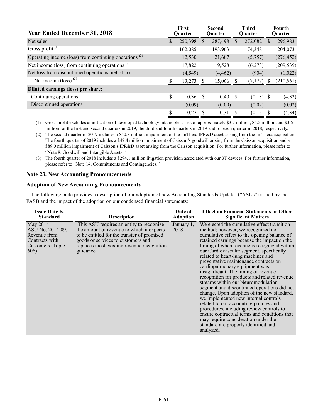| <b>Year Ended December 31, 2018</b>                      |    | <b>First</b><br><b>Ouarter</b> |    | <b>Second</b><br><b>Ouarter</b> |               | <b>Third</b><br><b>Ouarter</b> |              | Fourth<br><b>Ouarter</b> |
|----------------------------------------------------------|----|--------------------------------|----|---------------------------------|---------------|--------------------------------|--------------|--------------------------|
| Net sales                                                | S  | 250,398                        | S. | 287,498                         | <sup>S</sup>  | 272,082                        | <sup>S</sup> | 296,983                  |
| Gross profit $(1)$                                       |    | 162,085                        |    | 193,963                         |               | 174,348                        |              | 204,073                  |
| Operating income (loss) from continuing operations $(3)$ |    | 12,530                         |    | 21,607                          |               | (5,757)                        |              | (276, 452)               |
| Net income (loss) from continuing operations $(3)$       |    | 17,822                         |    | 19,528                          |               | (6,273)                        |              | (209, 539)               |
| Net loss from discontinued operations, net of tax        |    | (4, 549)                       |    | (4, 462)                        |               | (904)                          |              | (1,022)                  |
| Net income $(\text{loss})^{(3)}$                         |    | 13,273                         |    | 15,066                          |               | $(7,177)$ \$                   |              | (210, 561)               |
| Diluted earnings (loss) per share:                       |    |                                |    |                                 |               |                                |              |                          |
| Continuing operations                                    | \$ | 0.36 <sup>5</sup>              |    | 0.40 S                          |               | $(0.13)$ \$                    |              | (4.32)                   |
| Discontinued operations                                  |    | (0.09)                         |    | (0.09)                          |               | (0.02)                         |              | (0.02)                   |
|                                                          | S  | 0.27                           |    | 0.31                            | <sup>\$</sup> | $(0.15)$ \$                    |              | (4.34)                   |

(1) Gross profit excludes amortization of developed technology intangible assets of approximately \$3.7 million, \$5.5 million and \$3.6 million for the first and second quarters in 2019, the third and fourth quarters in 2019 and for each quarter in 2018, respectively.

(2) The second quarter of 2019 includes a \$50.3 million impairment of the ImThera IPR&D asset arising from the ImThera acquisition. The fourth quarter of 2019 includes a \$42.4 million impairment of Caisson's goodwill arising from the Caisson acquisition and a \$89.0 million impairment of Caisson's IPR&D asset arising from the Caisson acquisition. For further information, please refer to "Note 8. Goodwill and Intangible Assets."

(3) The fourth quarter of 2018 includes a \$294.1 million litigation provision associated with our 3T devices. For further information, please refer to "Note 14. Commitments and Contingencies."

### **Note 23. New Accounting Pronouncements**

### **Adoption of New Accounting Pronouncements**

The following table provides a description of our adoption of new Accounting Standards Updates ("ASUs") issued by the FASB and the impact of the adoption on our condensed financial statements:

| <b>Issue Date &amp;</b>                                                                    | <b>Description</b>                                                                                                                                                                                                                    | Date of            | <b>Effect on Financial Statements or Other</b>                                                                                                                                                                                                                                                                                                                                                                                                                                                                                                                                                                                                                                                                                                                                                                                                                                                 |
|--------------------------------------------------------------------------------------------|---------------------------------------------------------------------------------------------------------------------------------------------------------------------------------------------------------------------------------------|--------------------|------------------------------------------------------------------------------------------------------------------------------------------------------------------------------------------------------------------------------------------------------------------------------------------------------------------------------------------------------------------------------------------------------------------------------------------------------------------------------------------------------------------------------------------------------------------------------------------------------------------------------------------------------------------------------------------------------------------------------------------------------------------------------------------------------------------------------------------------------------------------------------------------|
| <b>Standard</b>                                                                            |                                                                                                                                                                                                                                       | <b>Adoption</b>    | <b>Significant Matters</b>                                                                                                                                                                                                                                                                                                                                                                                                                                                                                                                                                                                                                                                                                                                                                                                                                                                                     |
| May 2014<br>ASU No. 2014-09,<br>Revenue from<br>Contracts with<br>Customers (Topic<br>606) | This ASU requires an entity to recognize<br>the amount of revenue to which it expects<br>to be entitled for the transfer of promised<br>goods or services to customers and<br>replaces most existing revenue recognition<br>guidance. | January 1,<br>2018 | We elected the cumulative effect transition<br>method; however, we recognized no<br>cumulative effect to the opening balance of<br>retained earnings because the impact on the<br>timing of when revenue is recognized within<br>our Cardiovascular segment, specifically<br>related to heart-lung machines and<br>preventative maintenance contracts on<br>cardiopulmonary equipment was<br>insignificant. The timing of revenue<br>recognition for products and related revenue<br>streams within our Neuromodulation<br>segment and discontinued operations did not<br>change. Upon adoption of the new standard,<br>we implemented new internal controls<br>related to our accounting policies and<br>procedures, including review controls to<br>ensure contractual terms and conditions that<br>may require consideration under the<br>standard are properly identified and<br>analyzed. |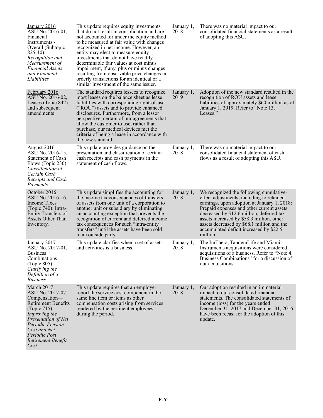| January 2016<br>ASU No. 2016-01,<br>Financial<br>Instruments -<br>Overall (Subtopic<br>$825-10$ :<br>Recognition and<br>Measurement of<br><b>Financial Assets</b><br>and Financial<br>Liabilities                                   | This update requires equity investments<br>that do not result in consolidation and are<br>not accounted for under the equity method<br>to be measured at fair value with changes<br>recognized in net income. However, an<br>entity may elect to measure equity<br>investments that do not have readily<br>determinable fair values at cost minus<br>impairment, if any, plus or minus changes<br>resulting from observable price changes in<br>orderly transactions for an identical or a<br>similar investment of the same issuer. | January 1,<br>2018 | There was no material impact to our<br>consolidated financial statements as a result<br>of adopting this ASU.                                                                                                                                                                                                                                                                   |
|-------------------------------------------------------------------------------------------------------------------------------------------------------------------------------------------------------------------------------------|--------------------------------------------------------------------------------------------------------------------------------------------------------------------------------------------------------------------------------------------------------------------------------------------------------------------------------------------------------------------------------------------------------------------------------------------------------------------------------------------------------------------------------------|--------------------|---------------------------------------------------------------------------------------------------------------------------------------------------------------------------------------------------------------------------------------------------------------------------------------------------------------------------------------------------------------------------------|
| February 2016<br>ASU No. 2016-02,<br>Leases (Topic 842)<br>and subsequent<br>amendments                                                                                                                                             | The standard requires lessees to recognize<br>most leases on the balance sheet as lease<br>liabilities with corresponding right-of-use<br>("ROU") assets and to provide enhanced<br>disclosures. Furthermore, from a lessor<br>perspective, certain of our agreements that<br>allow the customer to use, rather than<br>purchase, our medical devices met the<br>criteria of being a lease in accordance with<br>the new standard.                                                                                                   | January 1,<br>2019 | Adoption of the new standard resulted in the<br>recognition of ROU assets and lease<br>liabilities of approximately \$60 million as of<br>January 1, 2019. Refer to "Note 13.<br>Leases."                                                                                                                                                                                       |
| <b>August 2016</b><br>ASU No. 2016-15,<br>Statement of Cash<br>Flows (Topic $230$ ):<br>Classification of<br>Certain Cash<br>Receipts and Cash<br>Payments                                                                          | This update provides guidance on the<br>presentation and classification of certain<br>cash receipts and cash payments in the<br>statement of cash flows.                                                                                                                                                                                                                                                                                                                                                                             | January 1,<br>2018 | There was no material impact to our<br>consolidated financial statement of cash<br>flows as a result of adopting this ASU.                                                                                                                                                                                                                                                      |
| <u>October 2016</u><br>ASU No. 2016-16,<br><b>Income Taxes</b><br>$(Topic 740)$ : Intra-<br>Entity Transfers of<br>Assets Other Than<br>Inventory.                                                                                  | This update simplifies the accounting for<br>the income tax consequences of transfers<br>of assets from one unit of a corporation to<br>another unit or subsidiary by eliminating<br>an accounting exception that prevents the<br>recognition of current and deferred income<br>tax consequences for such "intra-entity<br>transfers" until the assets have been sold<br>to an outside party.                                                                                                                                        | January 1,<br>2018 | We recognized the following cumulative-<br>effect adjustments, including to retained<br>earnings, upon adoption at January 1, 2018:<br>Prepaid expenses and other current assets<br>decreased by \$12.6 million, deferred tax<br>assets increased by \$58.3 million, other<br>assets decreased by \$68.1 million and the<br>accumulated deficit increased by \$22.5<br>million. |
| January 2017<br>ASU No. 2017-01,<br><b>Business</b><br>Combinations<br>(Topic 805):<br>Clarifying the<br>Definition of a<br><i>Business</i>                                                                                         | This update clarifies when a set of assets<br>and activities is a business.                                                                                                                                                                                                                                                                                                                                                                                                                                                          | January 1,<br>2018 | The ImThera, TandemLife and Miami<br>Instruments acquisitions were considered<br>acquisitions of a business. Refer to "Note 4.<br>Business Combinations" for a discussion of<br>our acquisitions.                                                                                                                                                                               |
| March 2017<br>ASU No. 2017-07,<br>Compensation-<br><b>Retirement Benefits</b><br>(Topic $715$ ):<br>Improving the<br>Presentation of Net<br><b>Periodic Pension</b><br>Cost and Net<br>Periodic Post<br>Retirement Benefit<br>Cost. | This update requires that an employer<br>report the service cost component in the<br>same line item or items as other<br>compensation costs arising from services<br>rendered by the pertinent employees<br>during the period.                                                                                                                                                                                                                                                                                                       | January 1,<br>2018 | Our adoption resulted in an immaterial<br>impact to our consolidated financial<br>statements. The consolidated statements of<br>income (loss) for the years ended<br>December 31, 2017 and December 31, 2016<br>have been recast for the adoption of this<br>update.                                                                                                            |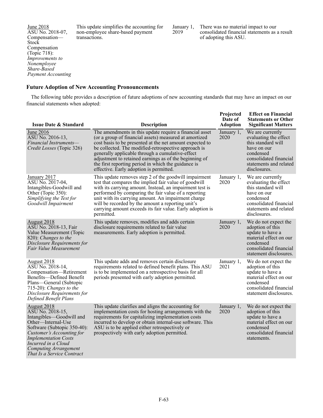June 2018 ASU No. 2018-07, Compensation— Stock Compensation (Topic 718): *Improvements to Nonemployee Share-Based Payment Accounting* This update simplifies the accounting for non-employee share-based payment transactions.

January 1, 2019

There was no material impact to our consolidated financial statements as a result of adopting this ASU.

### **Future Adoption of New Accounting Pronouncements**

The following table provides a description of future adoptions of new accounting standards that may have an impact on our financial statements when adopted:

| <b>Issue Date &amp; Standard</b>                                                                                                                                                                                                                                  | <b>Description</b>                                                                                                                                                                                                                                                                                                                                                                                                                                    | Projected<br>Date of<br><b>Adoption</b> | <b>Effect on Financial</b><br><b>Statements or Other</b><br><b>Significant Matters</b>                                                                          |
|-------------------------------------------------------------------------------------------------------------------------------------------------------------------------------------------------------------------------------------------------------------------|-------------------------------------------------------------------------------------------------------------------------------------------------------------------------------------------------------------------------------------------------------------------------------------------------------------------------------------------------------------------------------------------------------------------------------------------------------|-----------------------------------------|-----------------------------------------------------------------------------------------------------------------------------------------------------------------|
| June 2016<br>ASU No. 2016-13,<br>Financial Instruments-<br>Credit Losses (Topic 326)                                                                                                                                                                              | The amendments in this update require a financial asset<br>(or a group of financial assets) measured at amortized<br>cost basis to be presented at the net amount expected to<br>be collected. The modified-retrospective approach is<br>generally applicable through a cumulative-effect<br>adjustment to retained earnings as of the beginning of<br>the first reporting period in which the guidance is<br>effective. Early adoption is permitted. | January 1,<br>2020                      | We are currently<br>evaluating the effect<br>this standard will<br>have on our<br>condensed<br>consolidated financial<br>statements and related<br>disclosures. |
| January 2017<br>ASU No. 2017-04,<br>Intangibles-Goodwill and<br>Other (Topic 350):<br>Simplifying the Test for<br>Goodwill Impairment                                                                                                                             | This update removes step 2 of the goodwill impairment<br>test that compares the implied fair value of goodwill<br>with its carrying amount. Instead, an impairment test is<br>performed by comparing the fair value of a reporting<br>unit with its carrying amount. An impairment charge<br>will be recorded by the amount a reporting unit's<br>carrying amount exceeds its fair value. Early adoption is<br>permitted.                             | January 1,<br>2020                      | We are currently<br>evaluating the effect<br>this standard will<br>have on our<br>condensed<br>consolidated financial<br>statements and related<br>disclosures. |
| August 2018<br>ASU No. 2018-13, Fair<br>Value Measurement (Topic<br>820): Changes to the<br>Disclosure Requirements for<br>Fair Value Measurement                                                                                                                 | This update removes, modifies and adds certain<br>disclosure requirements related to fair value<br>measurements. Early adoption is permitted.                                                                                                                                                                                                                                                                                                         | January 1,<br>2020                      | We do not expect the<br>adoption of this<br>update to have a<br>material effect on our<br>condensed<br>consolidated financial<br>statement disclosures.         |
| August 2018<br>ASU No. 2018-14,<br>Compensation-Retirement<br>Benefits-Defined Benefit<br>Plans—General (Subtopic<br>$715-20$ : Changes to the<br>Disclosure Requirements for<br>Defined Benefit Plans                                                            | This update adds and removes certain disclosure<br>requirements related to defined benefit plans. This ASU<br>is to be implemented on a retrospective basis for all<br>periods presented with early adoption permitted.                                                                                                                                                                                                                               | January 1,<br>2021                      | We do not expect the<br>adoption of this<br>update to have a<br>material effect on our<br>condensed<br>consolidated financial<br>statement disclosures.         |
| August 2018<br>ASU No. 2018-15,<br>Intangibles-Goodwill and<br>Other—Internal-Use<br>Software (Subtopic 350-40):<br>Customer's Accounting for<br><b>Implementation Costs</b><br>Incurred in a Cloud<br><b>Computing Arrangement</b><br>That Is a Service Contract | This update clarifies and aligns the accounting for<br>implementation costs for hosting arrangements with the<br>requirements for capitalizing implementation costs<br>incurred to develop or obtain internal-use software. This<br>ASU is to be applied either retrospectively or<br>prospectively with early adoption permitted.                                                                                                                    | January 1,<br>2020                      | We do not expect the<br>adoption of this<br>update to have a<br>material effect on our<br>condensed<br>consolidated financial<br>statements.                    |